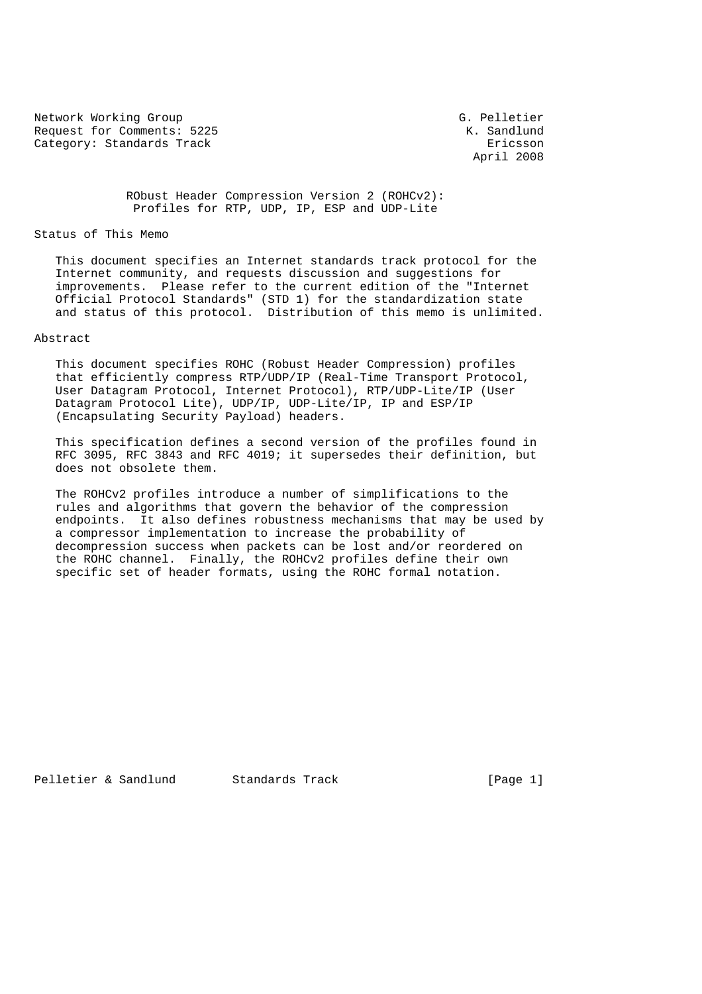Network Working Group Group G. Pelletier Request for Comments: 5225 K. Sandlund Category: Standards Track Ericsson

April 2008

 RObust Header Compression Version 2 (ROHCv2): Profiles for RTP, UDP, IP, ESP and UDP-Lite

Status of This Memo

 This document specifies an Internet standards track protocol for the Internet community, and requests discussion and suggestions for improvements. Please refer to the current edition of the "Internet Official Protocol Standards" (STD 1) for the standardization state and status of this protocol. Distribution of this memo is unlimited.

# Abstract

 This document specifies ROHC (Robust Header Compression) profiles that efficiently compress RTP/UDP/IP (Real-Time Transport Protocol, User Datagram Protocol, Internet Protocol), RTP/UDP-Lite/IP (User Datagram Protocol Lite), UDP/IP, UDP-Lite/IP, IP and ESP/IP (Encapsulating Security Payload) headers.

 This specification defines a second version of the profiles found in RFC 3095, RFC 3843 and RFC 4019; it supersedes their definition, but does not obsolete them.

 The ROHCv2 profiles introduce a number of simplifications to the rules and algorithms that govern the behavior of the compression endpoints. It also defines robustness mechanisms that may be used by a compressor implementation to increase the probability of decompression success when packets can be lost and/or reordered on the ROHC channel. Finally, the ROHCv2 profiles define their own specific set of header formats, using the ROHC formal notation.

Pelletier & Sandlund Standards Track [Page 1]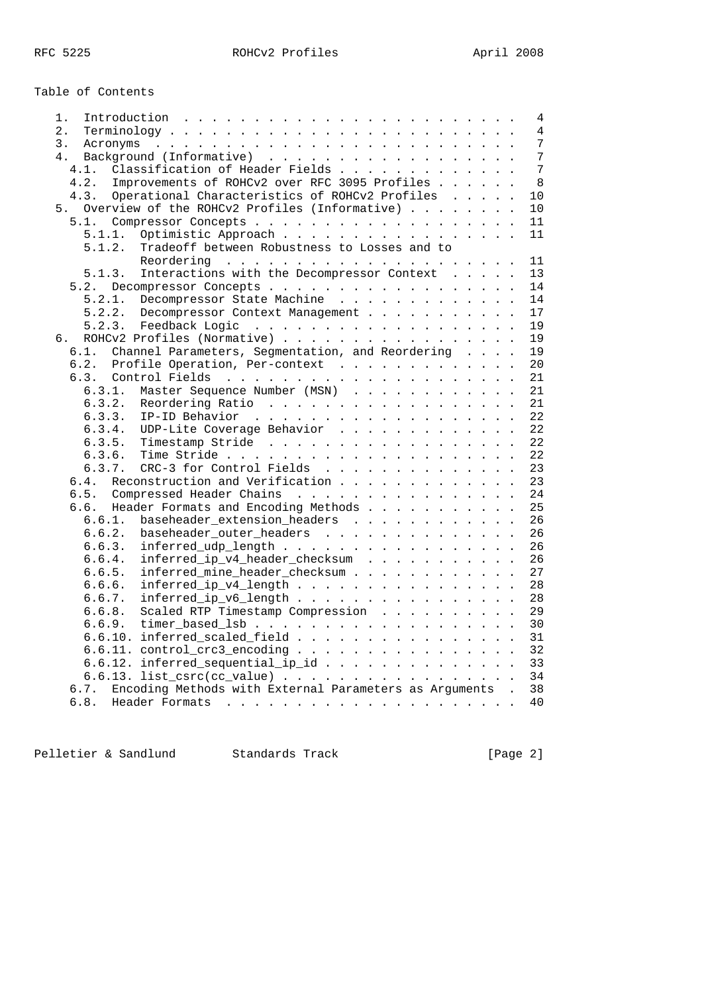Table of Contents

| 1.     | 4                                                                                              |
|--------|------------------------------------------------------------------------------------------------|
| 2.     | $\overline{4}$<br>$Terminology \ldots \ldots \ldots \ldots \ldots \ldots \ldots \ldots \ldots$ |
| 3.     | 7                                                                                              |
| 4.     | 7                                                                                              |
| 4.1.   | Classification of Header Fields<br>7                                                           |
| 4.2.   | Improvements of ROHCv2 over RFC 3095 Profiles<br>8                                             |
| 4.3.   | Operational Characteristics of ROHCv2 Profiles<br>10                                           |
| 5.     | Overview of the ROHCv2 Profiles (Informative)<br>10                                            |
|        | 11                                                                                             |
| 5.1.1. | Optimistic Approach<br>11                                                                      |
| 5.1.2. | Tradeoff between Robustness to Losses and to                                                   |
|        | 11                                                                                             |
| 5.1.3. | Interactions with the Decompressor Context<br>13                                               |
|        | 14                                                                                             |
|        | 5.2. Decompressor Concepts                                                                     |
| 5.2.1. | Decompressor State Machine<br>14                                                               |
| 5.2.2. | 17<br>Decompressor Context Management                                                          |
|        | 19                                                                                             |
| б.     | ROHCv2 Profiles (Normative)<br>19                                                              |
| 6.1.   | Channel Parameters, Segmentation, and Reordering<br>19                                         |
| 6.2.   | Profile Operation, Per-context<br>20                                                           |
|        | 21                                                                                             |
| 6.3.1. | Master Sequence Number (MSN)<br>21                                                             |
| 6.3.2. | 21<br>Reordering Ratio                                                                         |
| 6.3.3. | 22                                                                                             |
| 6.3.4. | UDP-Lite Coverage Behavior<br>22                                                               |
| 6.3.5. | Timestamp Stride<br>22                                                                         |
| 6.3.6. | 22                                                                                             |
| 6.3.7. | CRC-3 for Control Fields<br>23                                                                 |
| 6.4.   | Reconstruction and Verification<br>23                                                          |
| 6.5.   | Compressed Header Chains<br>24                                                                 |
| 6.6.   | Header Formats and Encoding Methods<br>25                                                      |
| 6.6.1. | baseheader_extension_headers<br>26                                                             |
| 6.6.2. | baseheader_outer_headers<br>26                                                                 |
| 6.6.3. | $inferred\_udp\_length$<br>26                                                                  |
| 6.6.4. | inferred_ip_v4_header_checksum<br>26                                                           |
| 6.6.5. | inferred_mine_header_checksum<br>27                                                            |
| 6.6.6. | inferred_ip_v4_length<br>28                                                                    |
| 6.6.7. | inferred_ip_v6_length<br>28                                                                    |
| 6.6.8. | Scaled RTP Timestamp Compression<br>29                                                         |
|        | 30<br>6.6.9. $timer\_based\_lsb$                                                               |
|        | 6.6.10. inferred_scaled_field<br>31                                                            |
|        |                                                                                                |
|        | 6.6.11. $control_crc3_encoding$ .<br>32                                                        |
|        | 6.6.12. inferred_sequential_ip_id<br>33                                                        |
|        | 6.6.13. list_csrc(cc_value)<br>34                                                              |
| 6.7.   | Encoding Methods with External Parameters as Arguments .<br>38                                 |
| 6.8.   | 40                                                                                             |

Pelletier & Sandlund Standards Track (Page 2)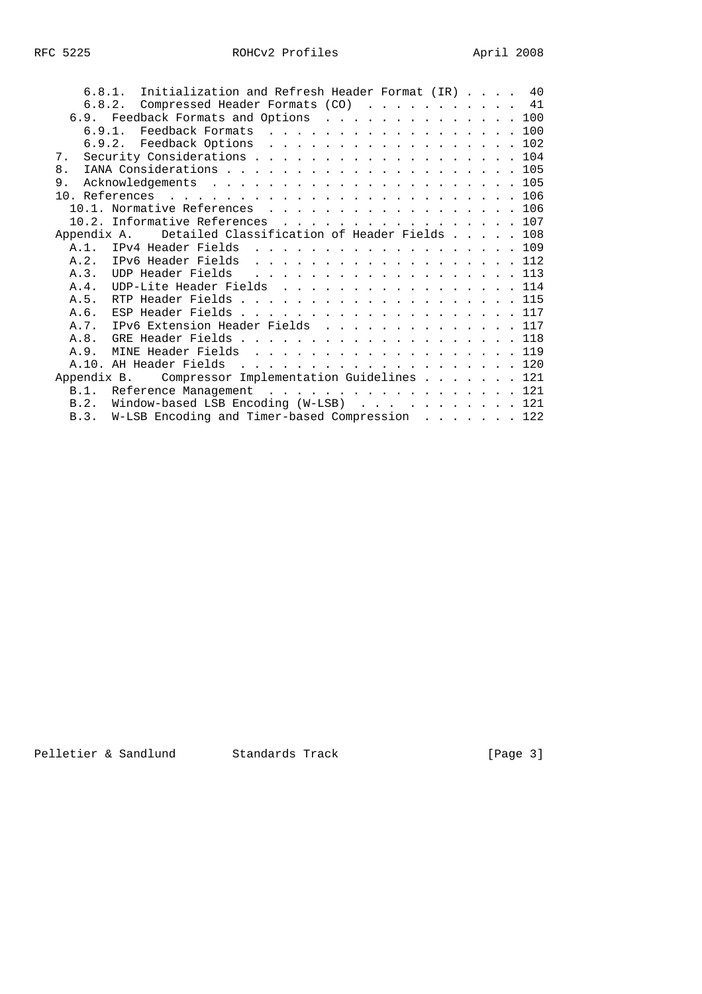| 6.8.1. Initialization and Refresh Header Format (IR) 40     |  |  |  |  |
|-------------------------------------------------------------|--|--|--|--|
| 6.8.2. Compressed Header Formats (CO) 41                    |  |  |  |  |
| 6.9. Feedback Formats and Options 100                       |  |  |  |  |
| 6.9.1. Feedback Formats 100                                 |  |  |  |  |
| 6.9.2. Feedback Options 102                                 |  |  |  |  |
| Security Considerations 104<br>7.                           |  |  |  |  |
| 8.                                                          |  |  |  |  |
| 9.                                                          |  |  |  |  |
|                                                             |  |  |  |  |
| 10.1. Normative References 106                              |  |  |  |  |
| 10.2. Informative References 107                            |  |  |  |  |
| Detailed Classification of Header Fields 108<br>Appendix A. |  |  |  |  |
| A.1. IPv4 Header Fields 109                                 |  |  |  |  |
| A.2. IPv6 Header Fields 112                                 |  |  |  |  |
| A.3. UDP Header Fields 113                                  |  |  |  |  |
| UDP-Lite Header Fields 114<br>A.4.                          |  |  |  |  |
| RTP Header Fields 115<br>A.5.                               |  |  |  |  |
| ESP Header Fields 117<br>A.6.                               |  |  |  |  |
| IPv6 Extension Header Fields 117<br>A. 7.                   |  |  |  |  |
| GRE Header Fields 118<br>A.8.                               |  |  |  |  |
| MINE Header Fields 119<br>A.9.                              |  |  |  |  |
|                                                             |  |  |  |  |
| Appendix B. Compressor Implementation Guidelines 121        |  |  |  |  |
| B.1. Reference Management 121                               |  |  |  |  |
| Window-based LSB Encoding $(W-LSB)$ 121<br>B.2.             |  |  |  |  |
| W-LSB Encoding and Timer-based Compression 122<br>B.3.      |  |  |  |  |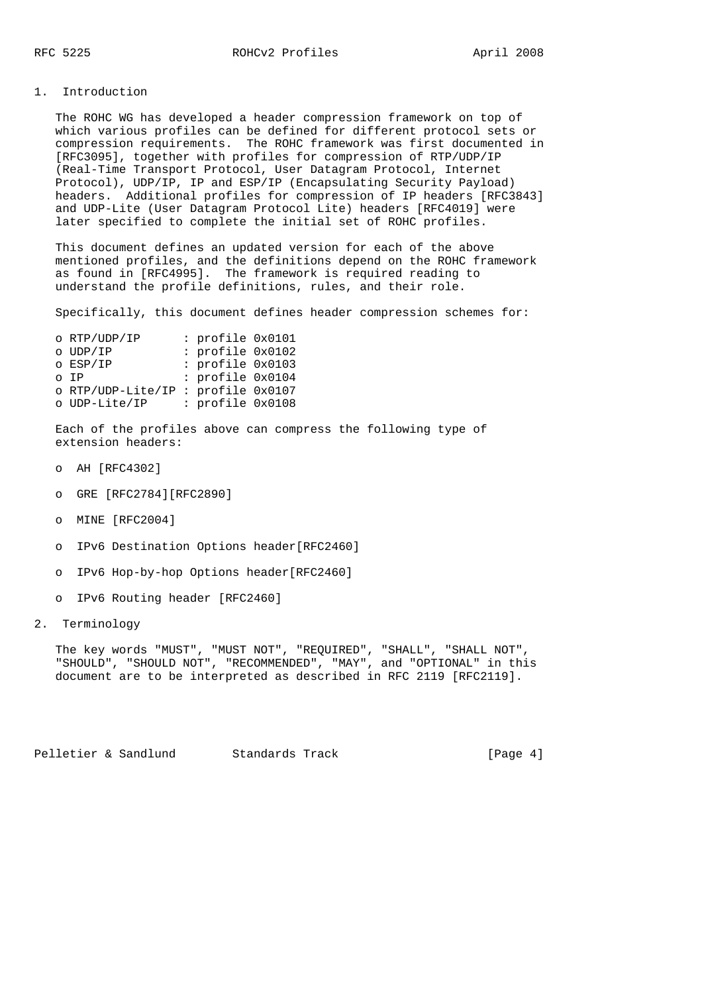### 1. Introduction

 The ROHC WG has developed a header compression framework on top of which various profiles can be defined for different protocol sets or compression requirements. The ROHC framework was first documented in [RFC3095], together with profiles for compression of RTP/UDP/IP (Real-Time Transport Protocol, User Datagram Protocol, Internet Protocol), UDP/IP, IP and ESP/IP (Encapsulating Security Payload) headers. Additional profiles for compression of IP headers [RFC3843] and UDP-Lite (User Datagram Protocol Lite) headers [RFC4019] were later specified to complete the initial set of ROHC profiles.

 This document defines an updated version for each of the above mentioned profiles, and the definitions depend on the ROHC framework as found in [RFC4995]. The framework is required reading to understand the profile definitions, rules, and their role.

Specifically, this document defines header compression schemes for:

| o RTP/UDP/IP      | : profile 0x0101 |  |
|-------------------|------------------|--|
| o UDP/IP          | : profile 0x0102 |  |
| o ESP/IP          | : profile 0x0103 |  |
| o IP              | : profile 0x0104 |  |
| o RTP/UDP-Lite/IP | : profile 0x0107 |  |
| o UDP-Lite/IP     | : profile 0x0108 |  |

 Each of the profiles above can compress the following type of extension headers:

- o AH [RFC4302]
- o GRE [RFC2784][RFC2890]
- o MINE [RFC2004]
- o IPv6 Destination Options header[RFC2460]
- o IPv6 Hop-by-hop Options header[RFC2460]
- o IPv6 Routing header [RFC2460]
- 2. Terminology

 The key words "MUST", "MUST NOT", "REQUIRED", "SHALL", "SHALL NOT", "SHOULD", "SHOULD NOT", "RECOMMENDED", "MAY", and "OPTIONAL" in this document are to be interpreted as described in RFC 2119 [RFC2119].

Pelletier & Sandlund Standards Track [Page 4]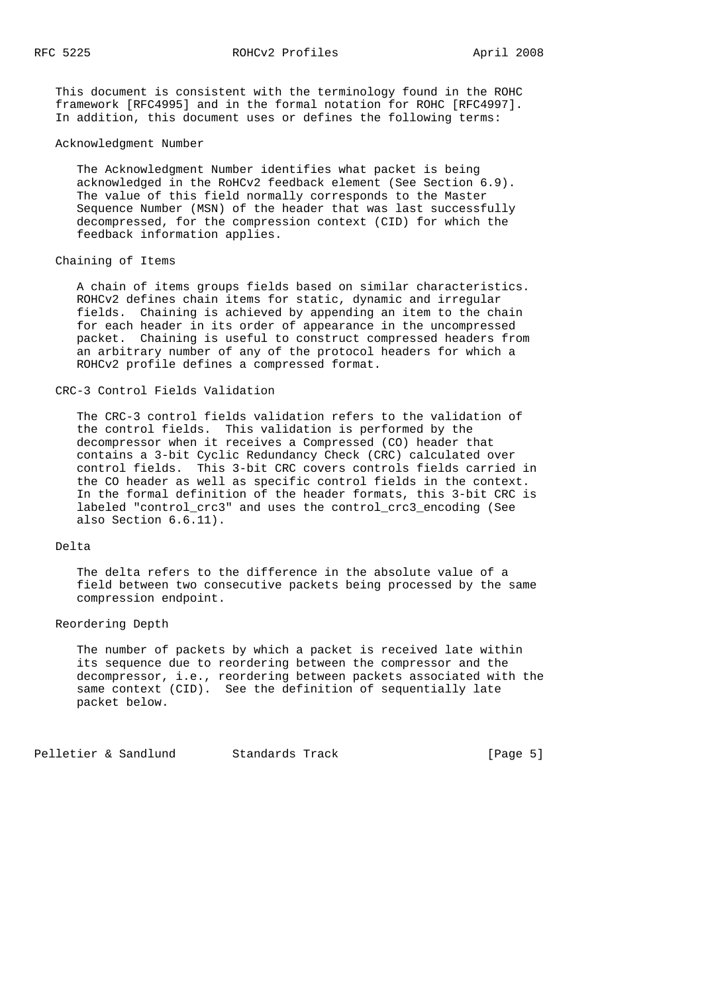This document is consistent with the terminology found in the ROHC framework [RFC4995] and in the formal notation for ROHC [RFC4997]. In addition, this document uses or defines the following terms:

#### Acknowledgment Number

 The Acknowledgment Number identifies what packet is being acknowledged in the RoHCv2 feedback element (See Section 6.9). The value of this field normally corresponds to the Master Sequence Number (MSN) of the header that was last successfully decompressed, for the compression context (CID) for which the feedback information applies.

# Chaining of Items

 A chain of items groups fields based on similar characteristics. ROHCv2 defines chain items for static, dynamic and irregular fields. Chaining is achieved by appending an item to the chain for each header in its order of appearance in the uncompressed packet. Chaining is useful to construct compressed headers from an arbitrary number of any of the protocol headers for which a ROHCv2 profile defines a compressed format.

### CRC-3 Control Fields Validation

 The CRC-3 control fields validation refers to the validation of the control fields. This validation is performed by the decompressor when it receives a Compressed (CO) header that contains a 3-bit Cyclic Redundancy Check (CRC) calculated over control fields. This 3-bit CRC covers controls fields carried in the CO header as well as specific control fields in the context. In the formal definition of the header formats, this 3-bit CRC is labeled "control\_crc3" and uses the control\_crc3\_encoding (See also Section 6.6.11).

### Delta

 The delta refers to the difference in the absolute value of a field between two consecutive packets being processed by the same compression endpoint.

## Reordering Depth

 The number of packets by which a packet is received late within its sequence due to reordering between the compressor and the decompressor, i.e., reordering between packets associated with the same context (CID). See the definition of sequentially late packet below.

Pelletier & Sandlund Standards Track [Page 5]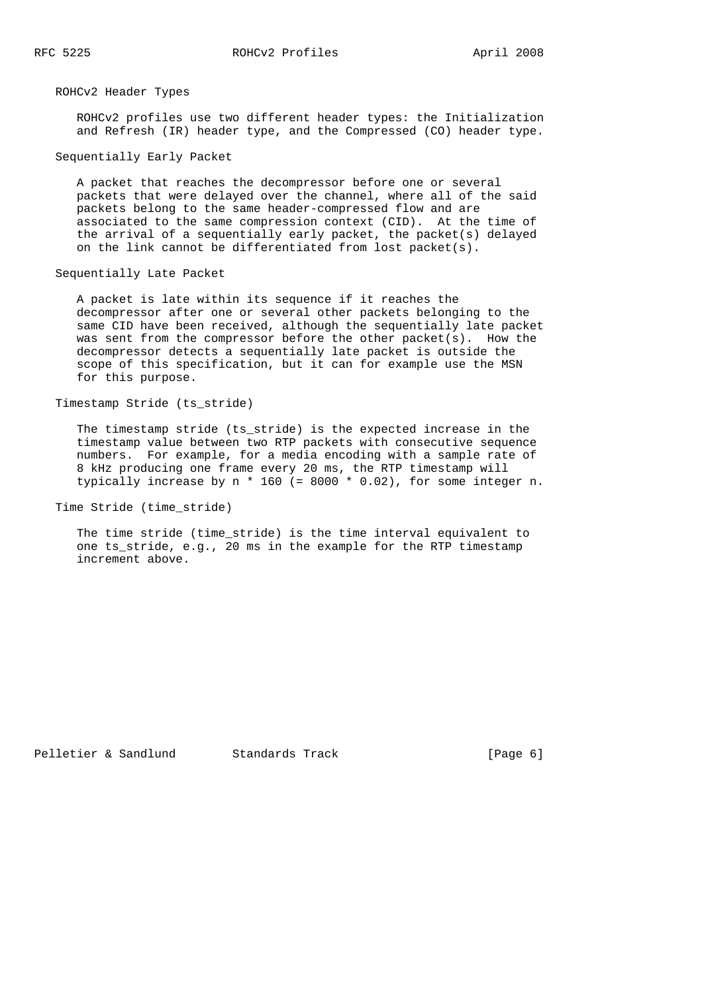ROHCv2 Header Types

 ROHCv2 profiles use two different header types: the Initialization and Refresh (IR) header type, and the Compressed (CO) header type.

Sequentially Early Packet

 A packet that reaches the decompressor before one or several packets that were delayed over the channel, where all of the said packets belong to the same header-compressed flow and are associated to the same compression context (CID). At the time of the arrival of a sequentially early packet, the packet(s) delayed on the link cannot be differentiated from lost packet(s).

Sequentially Late Packet

 A packet is late within its sequence if it reaches the decompressor after one or several other packets belonging to the same CID have been received, although the sequentially late packet was sent from the compressor before the other packet(s). How the decompressor detects a sequentially late packet is outside the scope of this specification, but it can for example use the MSN for this purpose.

Timestamp Stride (ts\_stride)

 The timestamp stride (ts\_stride) is the expected increase in the timestamp value between two RTP packets with consecutive sequence numbers. For example, for a media encoding with a sample rate of 8 kHz producing one frame every 20 ms, the RTP timestamp will typically increase by n \* 160 (= 8000 \* 0.02), for some integer n.

Time Stride (time\_stride)

 The time stride (time\_stride) is the time interval equivalent to one ts\_stride, e.g., 20 ms in the example for the RTP timestamp increment above.

Pelletier & Sandlund Standards Track [Page 6]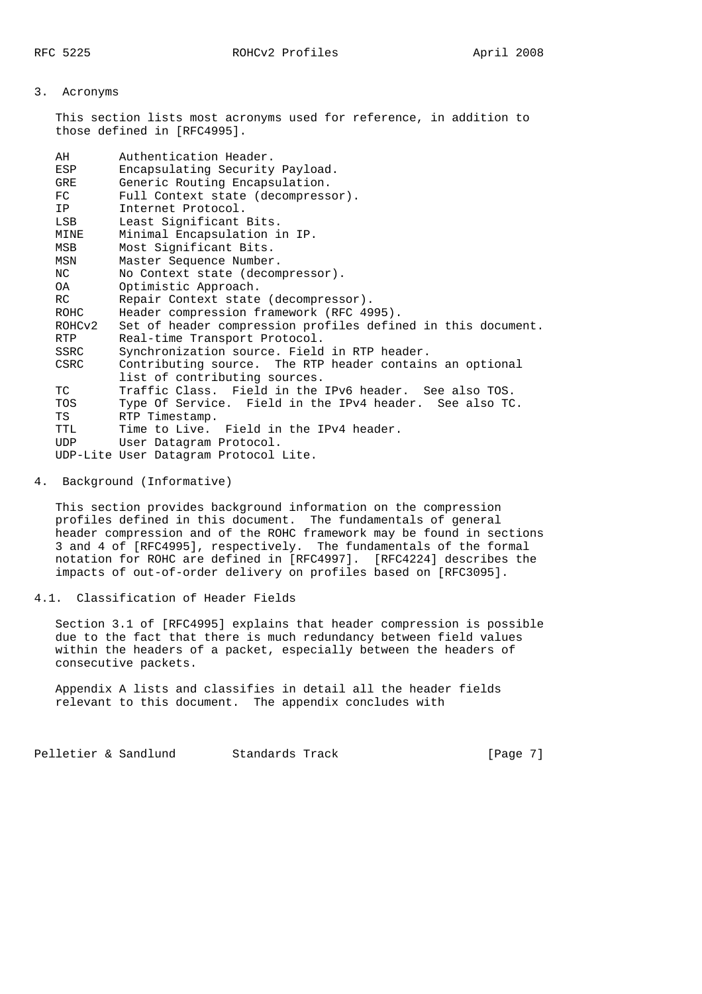### 3. Acronyms

 This section lists most acronyms used for reference, in addition to those defined in [RFC4995].

| AH          | Authentication Header.                                       |
|-------------|--------------------------------------------------------------|
| ESP         | Encapsulating Security Payload.                              |
| GRE         | Generic Routing Encapsulation.                               |
| FC          | Full Context state (decompressor).                           |
| IP          | Internet Protocol.                                           |
| LSB         | Least Significant Bits.                                      |
| MINE        | Minimal Encapsulation in IP.                                 |
| MSB         | Most Significant Bits.                                       |
| MSN         | Master Sequence Number.                                      |
| NC          | No Context state (decompressor).                             |
| 0A          | Optimistic Approach.                                         |
| RC.         | Repair Context state (decompressor).                         |
| <b>ROHC</b> | Header compression framework (RFC 4995).                     |
| ROHCv2      | Set of header compression profiles defined in this document. |
| RTP         | Real-time Transport Protocol.                                |
| SSRC        | Synchronization source. Field in RTP header.                 |
| CSRC        | Contributing source. The RTP header contains an optional     |
|             | list of contributing sources.                                |
| TC          | Traffic Class. Field in the IPv6 header. See also TOS.       |
| TOS         | Type Of Service. Field in the IPv4 header. See also TC.      |
| TS          | RTP Timestamp.                                               |
| TTL         | Time to Live. Field in the IPv4 header.                      |
| UDP         | User Datagram Protocol.                                      |
|             | UDP-Lite User Datagram Protocol Lite.                        |

#### 4. Background (Informative)

 This section provides background information on the compression profiles defined in this document. The fundamentals of general header compression and of the ROHC framework may be found in sections 3 and 4 of [RFC4995], respectively. The fundamentals of the formal notation for ROHC are defined in [RFC4997]. [RFC4224] describes the impacts of out-of-order delivery on profiles based on [RFC3095].

# 4.1. Classification of Header Fields

 Section 3.1 of [RFC4995] explains that header compression is possible due to the fact that there is much redundancy between field values within the headers of a packet, especially between the headers of consecutive packets.

 Appendix A lists and classifies in detail all the header fields relevant to this document. The appendix concludes with

Pelletier & Sandlund Standards Track [Page 7]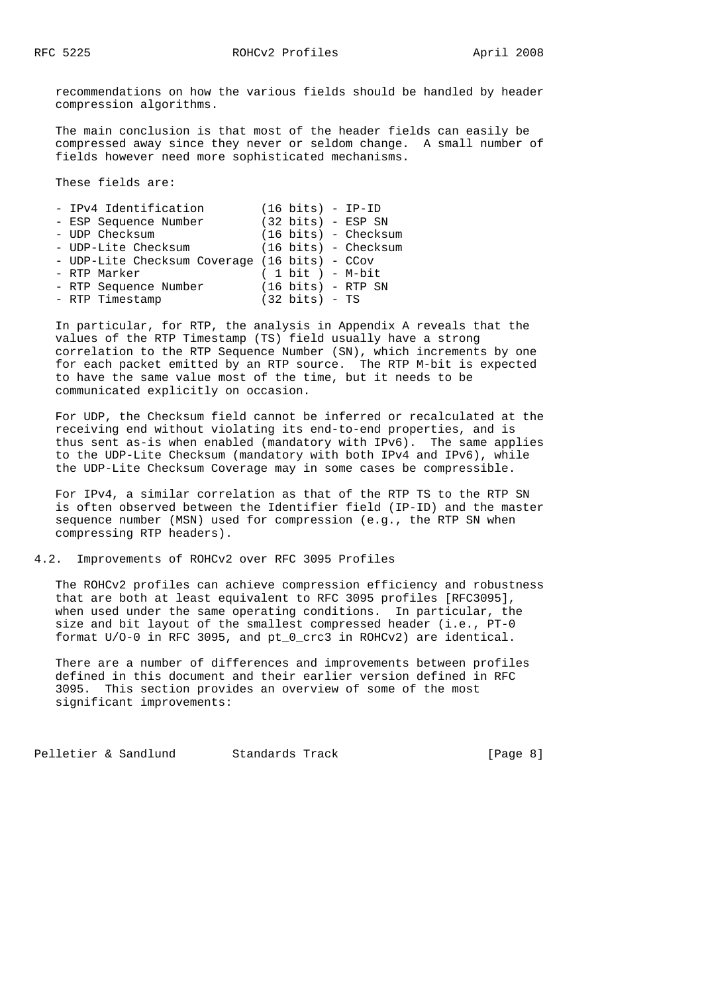recommendations on how the various fields should be handled by header compression algorithms.

 The main conclusion is that most of the header fields can easily be compressed away since they never or seldom change. A small number of fields however need more sophisticated mechanisms.

These fields are:

| - IPv4 Identification                         | $(16 \text{ bits}) - IP-ID$    |
|-----------------------------------------------|--------------------------------|
| - ESP Sequence Number                         | $(32 \text{ bits})$ - ESP SN   |
| - UDP Checksum                                | (16 bits) - Checksum           |
| - UDP-Lite Checksum                           | $(16 \text{ bits})$ - Checksum |
| - UDP-Lite Checksum Coverage (16 bits) - CCov |                                |
| - RTP Marker                                  | $(1 bit) - M-bit$              |
| - RTP Sequence Number                         | $(16 \text{ bits})$ - RTP SN   |
| - RTP Timestamp                               | $(32 \text{ bits})$ - TS       |
|                                               |                                |

 In particular, for RTP, the analysis in Appendix A reveals that the values of the RTP Timestamp (TS) field usually have a strong correlation to the RTP Sequence Number (SN), which increments by one for each packet emitted by an RTP source. The RTP M-bit is expected to have the same value most of the time, but it needs to be communicated explicitly on occasion.

 For UDP, the Checksum field cannot be inferred or recalculated at the receiving end without violating its end-to-end properties, and is thus sent as-is when enabled (mandatory with IPv6). The same applies to the UDP-Lite Checksum (mandatory with both IPv4 and IPv6), while the UDP-Lite Checksum Coverage may in some cases be compressible.

 For IPv4, a similar correlation as that of the RTP TS to the RTP SN is often observed between the Identifier field (IP-ID) and the master sequence number (MSN) used for compression (e.g., the RTP SN when compressing RTP headers).

#### 4.2. Improvements of ROHCv2 over RFC 3095 Profiles

 The ROHCv2 profiles can achieve compression efficiency and robustness that are both at least equivalent to RFC 3095 profiles [RFC3095], when used under the same operating conditions. In particular, the size and bit layout of the smallest compressed header (i.e., PT-0 format U/O-0 in RFC 3095, and pt\_0\_crc3 in ROHCv2) are identical.

 There are a number of differences and improvements between profiles defined in this document and their earlier version defined in RFC 3095. This section provides an overview of some of the most significant improvements:

Pelletier & Sandlund Standards Track [Page 8]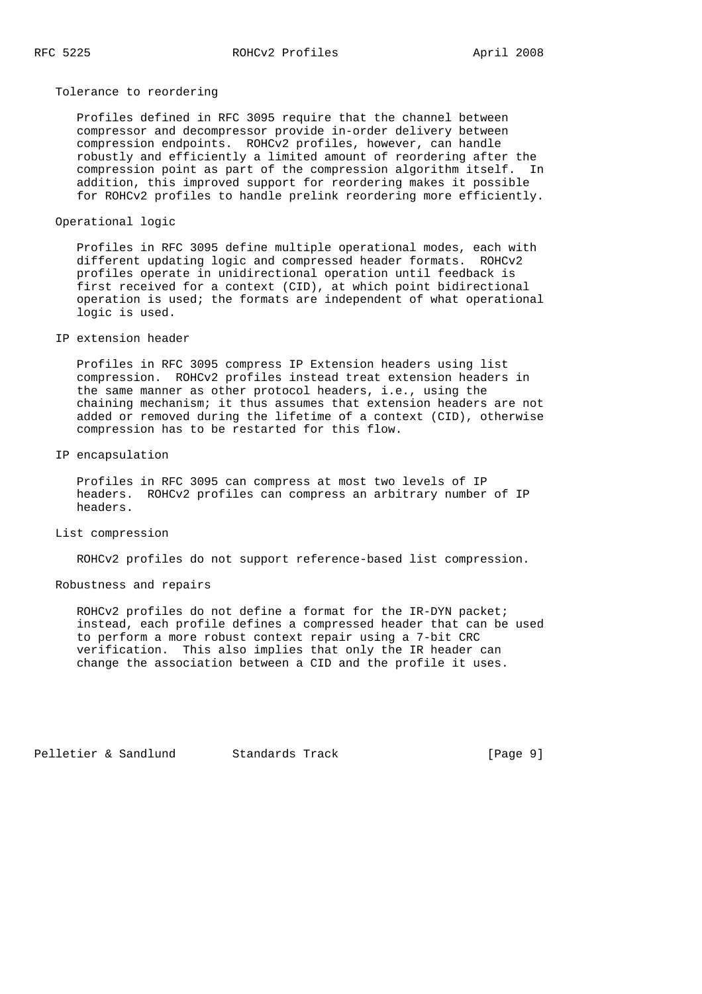Tolerance to reordering

 Profiles defined in RFC 3095 require that the channel between compressor and decompressor provide in-order delivery between compression endpoints. ROHCv2 profiles, however, can handle robustly and efficiently a limited amount of reordering after the compression point as part of the compression algorithm itself. In addition, this improved support for reordering makes it possible for ROHCv2 profiles to handle prelink reordering more efficiently.

Operational logic

 Profiles in RFC 3095 define multiple operational modes, each with different updating logic and compressed header formats. ROHCv2 profiles operate in unidirectional operation until feedback is first received for a context (CID), at which point bidirectional operation is used; the formats are independent of what operational logic is used.

### IP extension header

 Profiles in RFC 3095 compress IP Extension headers using list compression. ROHCv2 profiles instead treat extension headers in the same manner as other protocol headers, i.e., using the chaining mechanism; it thus assumes that extension headers are not added or removed during the lifetime of a context (CID), otherwise compression has to be restarted for this flow.

IP encapsulation

 Profiles in RFC 3095 can compress at most two levels of IP headers. ROHCv2 profiles can compress an arbitrary number of IP headers.

#### List compression

ROHCv2 profiles do not support reference-based list compression.

Robustness and repairs

 ROHCv2 profiles do not define a format for the IR-DYN packet; instead, each profile defines a compressed header that can be used to perform a more robust context repair using a 7-bit CRC verification. This also implies that only the IR header can change the association between a CID and the profile it uses.

Pelletier & Sandlund Standards Track [Page 9]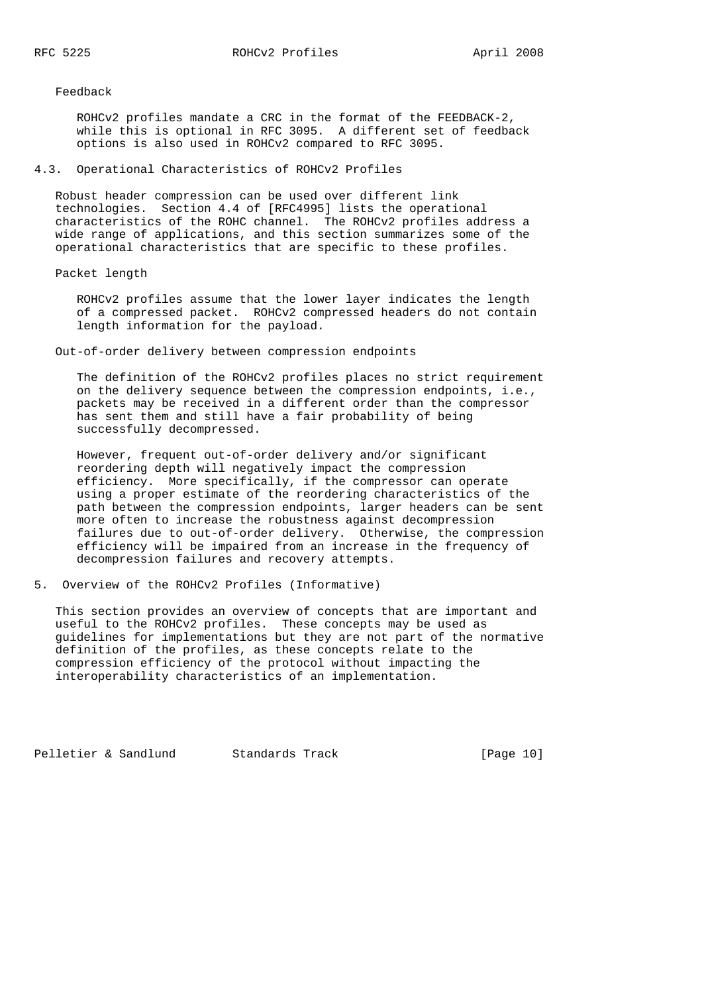Feedback

 ROHCv2 profiles mandate a CRC in the format of the FEEDBACK-2, while this is optional in RFC 3095. A different set of feedback options is also used in ROHCv2 compared to RFC 3095.

4.3. Operational Characteristics of ROHCv2 Profiles

 Robust header compression can be used over different link technologies. Section 4.4 of [RFC4995] lists the operational characteristics of the ROHC channel. The ROHCv2 profiles address a wide range of applications, and this section summarizes some of the operational characteristics that are specific to these profiles.

## Packet length

 ROHCv2 profiles assume that the lower layer indicates the length of a compressed packet. ROHCv2 compressed headers do not contain length information for the payload.

Out-of-order delivery between compression endpoints

 The definition of the ROHCv2 profiles places no strict requirement on the delivery sequence between the compression endpoints, i.e., packets may be received in a different order than the compressor has sent them and still have a fair probability of being successfully decompressed.

 However, frequent out-of-order delivery and/or significant reordering depth will negatively impact the compression efficiency. More specifically, if the compressor can operate using a proper estimate of the reordering characteristics of the path between the compression endpoints, larger headers can be sent more often to increase the robustness against decompression failures due to out-of-order delivery. Otherwise, the compression efficiency will be impaired from an increase in the frequency of decompression failures and recovery attempts.

5. Overview of the ROHCv2 Profiles (Informative)

 This section provides an overview of concepts that are important and useful to the ROHCv2 profiles. These concepts may be used as guidelines for implementations but they are not part of the normative definition of the profiles, as these concepts relate to the compression efficiency of the protocol without impacting the interoperability characteristics of an implementation.

Pelletier & Sandlund Standards Track [Page 10]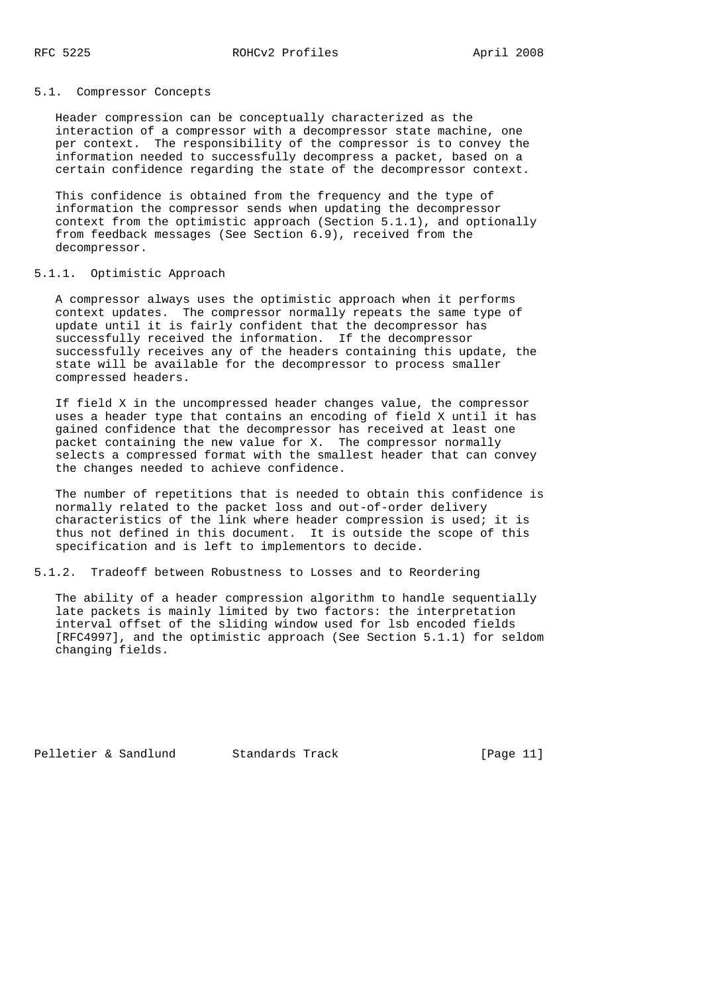#### 5.1. Compressor Concepts

 Header compression can be conceptually characterized as the interaction of a compressor with a decompressor state machine, one per context. The responsibility of the compressor is to convey the information needed to successfully decompress a packet, based on a certain confidence regarding the state of the decompressor context.

 This confidence is obtained from the frequency and the type of information the compressor sends when updating the decompressor context from the optimistic approach (Section 5.1.1), and optionally from feedback messages (See Section 6.9), received from the decompressor.

#### 5.1.1. Optimistic Approach

 A compressor always uses the optimistic approach when it performs context updates. The compressor normally repeats the same type of update until it is fairly confident that the decompressor has successfully received the information. If the decompressor successfully receives any of the headers containing this update, the state will be available for the decompressor to process smaller compressed headers.

 If field X in the uncompressed header changes value, the compressor uses a header type that contains an encoding of field X until it has gained confidence that the decompressor has received at least one packet containing the new value for X. The compressor normally selects a compressed format with the smallest header that can convey the changes needed to achieve confidence.

 The number of repetitions that is needed to obtain this confidence is normally related to the packet loss and out-of-order delivery characteristics of the link where header compression is used; it is thus not defined in this document. It is outside the scope of this specification and is left to implementors to decide.

### 5.1.2. Tradeoff between Robustness to Losses and to Reordering

 The ability of a header compression algorithm to handle sequentially late packets is mainly limited by two factors: the interpretation interval offset of the sliding window used for lsb encoded fields [RFC4997], and the optimistic approach (See Section 5.1.1) for seldom changing fields.

Pelletier & Sandlund Standards Track [Page 11]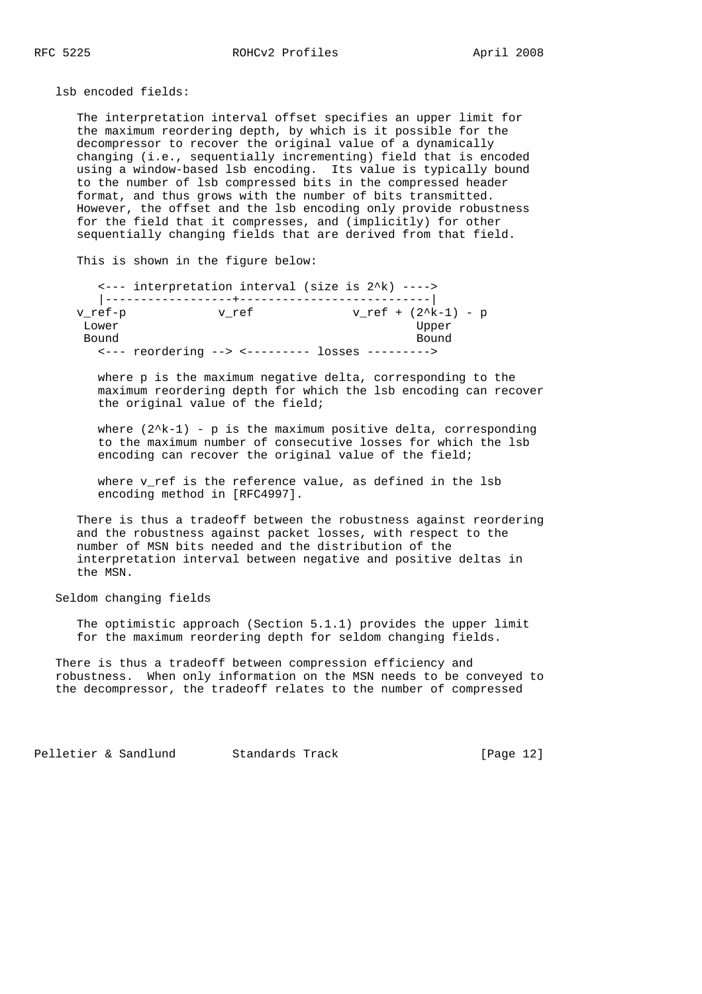lsb encoded fields:

 The interpretation interval offset specifies an upper limit for the maximum reordering depth, by which is it possible for the decompressor to recover the original value of a dynamically changing (i.e., sequentially incrementing) field that is encoded using a window-based lsb encoding. Its value is typically bound to the number of lsb compressed bits in the compressed header format, and thus grows with the number of bits transmitted. However, the offset and the lsb encoding only provide robustness for the field that it compresses, and (implicitly) for other sequentially changing fields that are derived from that field.

This is shown in the figure below:

 <--- interpretation interval (size is 2^k) ----> |------------------+---------------------------|  $v_ref-p$   $v_ref$   $v_ref$   $v_ref + (2^k-1) - p$ Lower Upper Bound Bound Bound Bound Bound Bound Bound Bound Bound Bound Bound Bound Bound Bound Bound Bound Bound Bound Bound Bound Bound Bound Bound Bound Bound Bound Bound Bound Bound Bound Bound Bound Bound Bound Bound Bound Bound <--- reordering --> <--------- losses --------->

> where p is the maximum negative delta, corresponding to the maximum reordering depth for which the lsb encoding can recover the original value of the field;

where  $(2^k-1)$  - p is the maximum positive delta, corresponding to the maximum number of consecutive losses for which the lsb encoding can recover the original value of the field;

where v\_ref is the reference value, as defined in the lsb encoding method in [RFC4997].

 There is thus a tradeoff between the robustness against reordering and the robustness against packet losses, with respect to the number of MSN bits needed and the distribution of the interpretation interval between negative and positive deltas in the MSN.

Seldom changing fields

 The optimistic approach (Section 5.1.1) provides the upper limit for the maximum reordering depth for seldom changing fields.

 There is thus a tradeoff between compression efficiency and robustness. When only information on the MSN needs to be conveyed to the decompressor, the tradeoff relates to the number of compressed

Pelletier & Sandlund Standards Track [Page 12]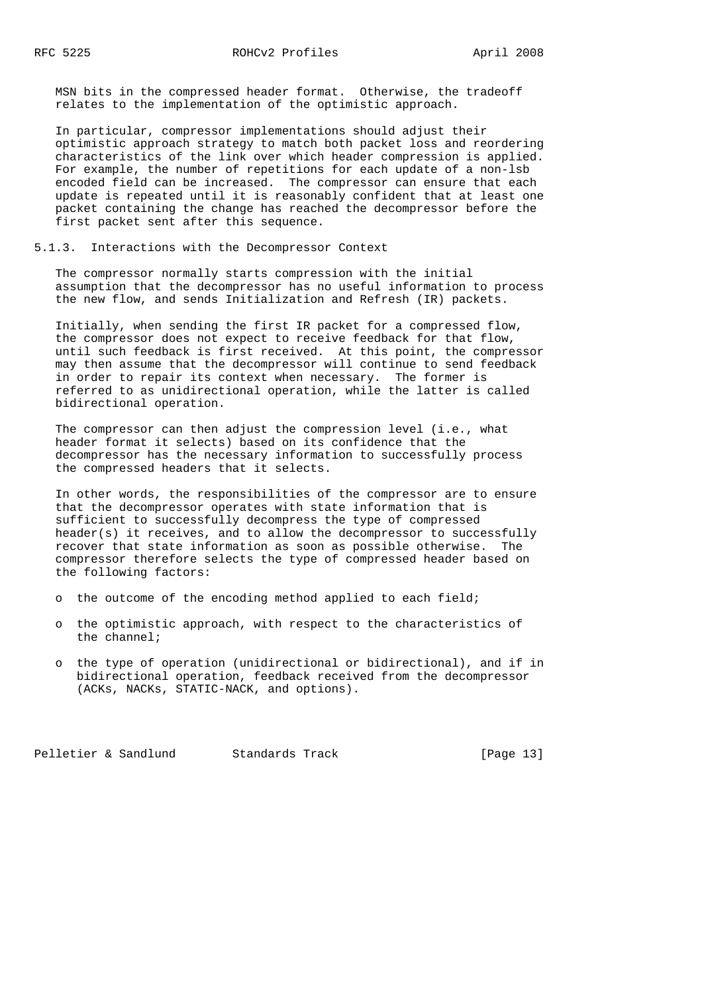MSN bits in the compressed header format. Otherwise, the tradeoff relates to the implementation of the optimistic approach.

 In particular, compressor implementations should adjust their optimistic approach strategy to match both packet loss and reordering characteristics of the link over which header compression is applied. For example, the number of repetitions for each update of a non-lsb encoded field can be increased. The compressor can ensure that each update is repeated until it is reasonably confident that at least one packet containing the change has reached the decompressor before the first packet sent after this sequence.

#### 5.1.3. Interactions with the Decompressor Context

 The compressor normally starts compression with the initial assumption that the decompressor has no useful information to process the new flow, and sends Initialization and Refresh (IR) packets.

 Initially, when sending the first IR packet for a compressed flow, the compressor does not expect to receive feedback for that flow, until such feedback is first received. At this point, the compressor may then assume that the decompressor will continue to send feedback in order to repair its context when necessary. The former is referred to as unidirectional operation, while the latter is called bidirectional operation.

 The compressor can then adjust the compression level (i.e., what header format it selects) based on its confidence that the decompressor has the necessary information to successfully process the compressed headers that it selects.

 In other words, the responsibilities of the compressor are to ensure that the decompressor operates with state information that is sufficient to successfully decompress the type of compressed header(s) it receives, and to allow the decompressor to successfully recover that state information as soon as possible otherwise. The compressor therefore selects the type of compressed header based on the following factors:

- o the outcome of the encoding method applied to each field;
- o the optimistic approach, with respect to the characteristics of the channel;
- o the type of operation (unidirectional or bidirectional), and if in bidirectional operation, feedback received from the decompressor (ACKs, NACKs, STATIC-NACK, and options).

Pelletier & Sandlund Standards Track [Page 13]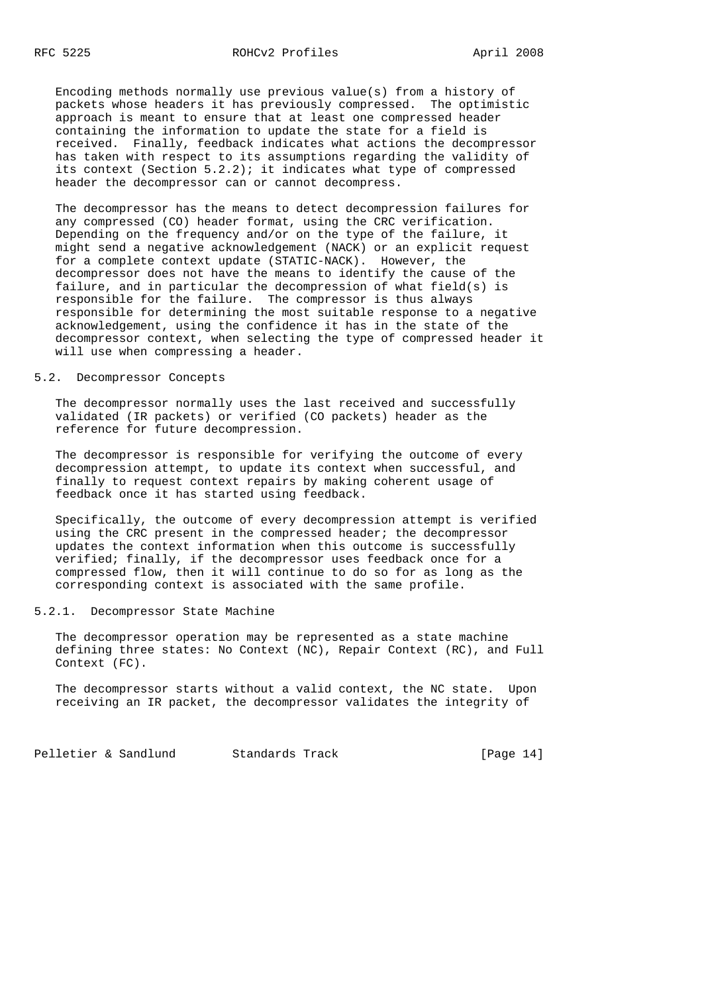Encoding methods normally use previous value(s) from a history of packets whose headers it has previously compressed. The optimistic approach is meant to ensure that at least one compressed header containing the information to update the state for a field is received. Finally, feedback indicates what actions the decompressor has taken with respect to its assumptions regarding the validity of its context (Section  $5.2.2$ ); it indicates what type of compressed header the decompressor can or cannot decompress.

 The decompressor has the means to detect decompression failures for any compressed (CO) header format, using the CRC verification. Depending on the frequency and/or on the type of the failure, it might send a negative acknowledgement (NACK) or an explicit request for a complete context update (STATIC-NACK). However, the decompressor does not have the means to identify the cause of the failure, and in particular the decompression of what field(s) is responsible for the failure. The compressor is thus always responsible for determining the most suitable response to a negative acknowledgement, using the confidence it has in the state of the decompressor context, when selecting the type of compressed header it will use when compressing a header.

# 5.2. Decompressor Concepts

 The decompressor normally uses the last received and successfully validated (IR packets) or verified (CO packets) header as the reference for future decompression.

 The decompressor is responsible for verifying the outcome of every decompression attempt, to update its context when successful, and finally to request context repairs by making coherent usage of feedback once it has started using feedback.

 Specifically, the outcome of every decompression attempt is verified using the CRC present in the compressed header; the decompressor updates the context information when this outcome is successfully verified; finally, if the decompressor uses feedback once for a compressed flow, then it will continue to do so for as long as the corresponding context is associated with the same profile.

# 5.2.1. Decompressor State Machine

 The decompressor operation may be represented as a state machine defining three states: No Context (NC), Repair Context (RC), and Full Context (FC).

 The decompressor starts without a valid context, the NC state. Upon receiving an IR packet, the decompressor validates the integrity of

Pelletier & Sandlund Standards Track [Page 14]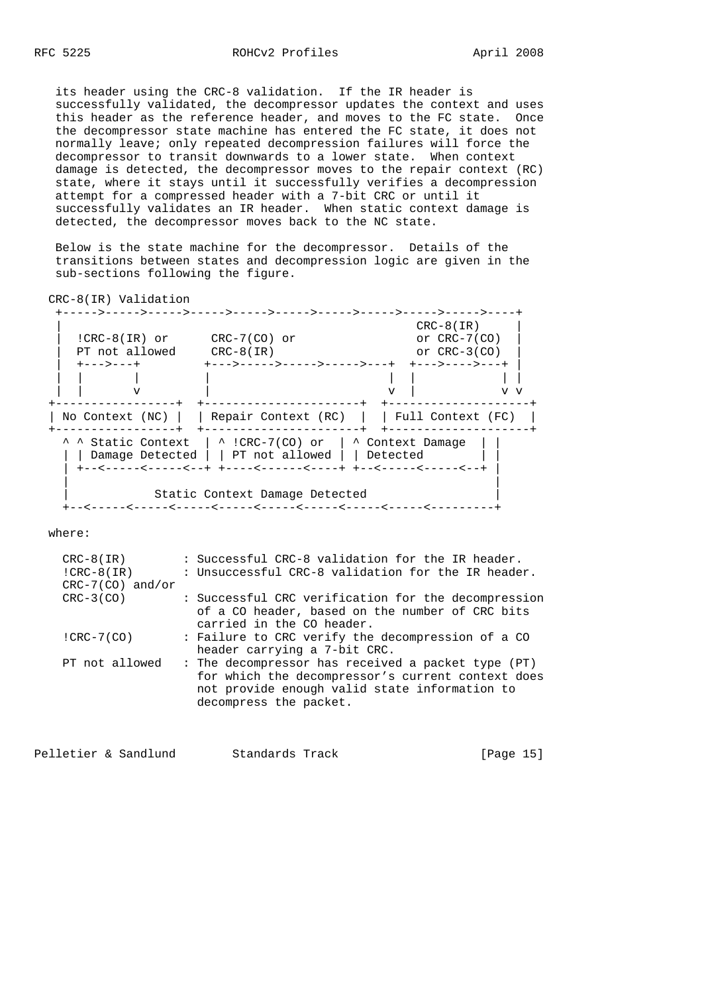its header using the CRC-8 validation. If the IR header is successfully validated, the decompressor updates the context and uses this header as the reference header, and moves to the FC state. Once the decompressor state machine has entered the FC state, it does not normally leave; only repeated decompression failures will force the decompressor to transit downwards to a lower state. When context damage is detected, the decompressor moves to the repair context (RC) state, where it stays until it successfully verifies a decompression attempt for a compressed header with a 7-bit CRC or until it successfully validates an IR header. When static context damage is detected, the decompressor moves back to the NC state.

 Below is the state machine for the decompressor. Details of the transitions between states and decompression logic are given in the sub-sections following the figure.

CRC-8(IR) Validation

 +----->----->----->----->----->----->----->----->----->----->----+ CRC-8(IR)<br>or CRC-7(CO) | !CRC-8(IR) or CRC-7(CO) or or CRC-7(CO) | | PT not allowed CRC-8(IR) or CRC-3(CO) | | +--->---+ +--->----->----->----->---+ +--->---->---+ | | | | | | | | | | | v | v | v v +-----------------+ +----------------------+ +--------------------+ | No Context (NC) | | Repair Context (RC) | | Full Context (FC) | +-----------------+ +----------------------+ +--------------------+  $\hat{ }$  ^ Static Context | ^ !CRC-7(CO) or | ^ Context Damage | | | Damage Detected | | PT not allowed | | Detected | +--<-----<-----<--+ +----<------<----+ +--<-----<-----<--+ | | | Static Context Damage Detected +--<-----<-----<-----<-----<-----<-----<-----<-----<---------+

where:

| $CRC-8(IR)$        | : Successful CRC-8 validation for the IR header.                                                                                                                                   |
|--------------------|------------------------------------------------------------------------------------------------------------------------------------------------------------------------------------|
| $ICRC-8(IR)$       | : Unsuccessful CRC-8 validation for the IR header.                                                                                                                                 |
| $CRC-7(CO)$ and/or |                                                                                                                                                                                    |
| $CRC-3(CO)$        | : Successful CRC verification for the decompression                                                                                                                                |
|                    | of a CO header, based on the number of CRC bits<br>carried in the CO header.                                                                                                       |
| $ICRC-7(CO)$       | : Failure to CRC verify the decompression of a CO<br>header carrying a 7-bit CRC.                                                                                                  |
| PT not allowed     | : The decompressor has received a packet type (PT)<br>for which the decompressor's current context does<br>not provide enough valid state information to<br>decompress the packet. |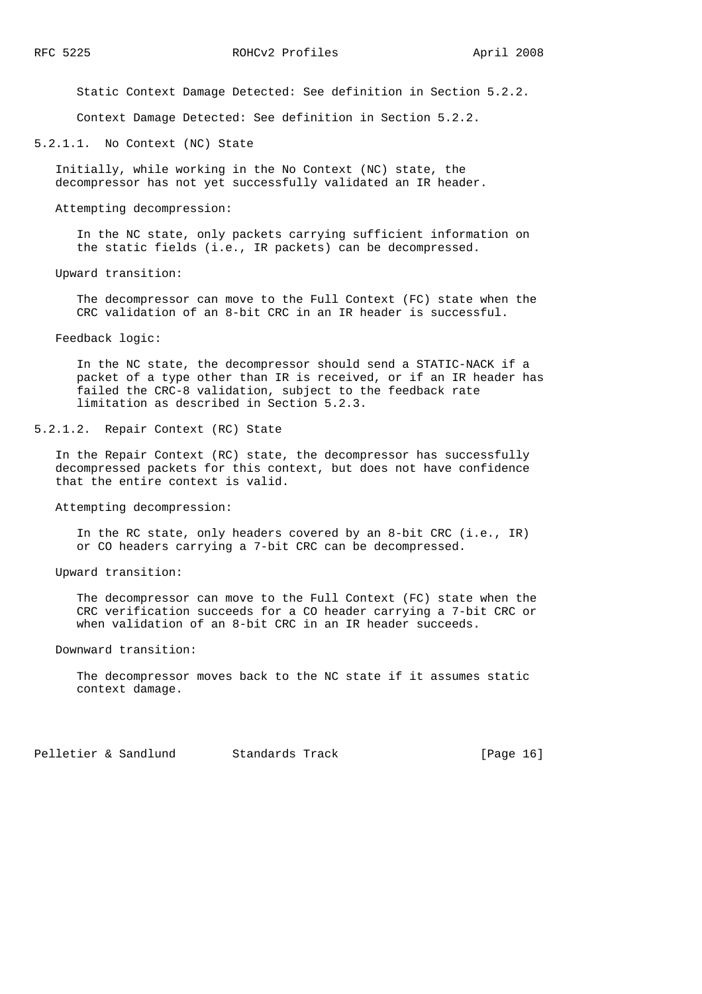Static Context Damage Detected: See definition in Section 5.2.2.

Context Damage Detected: See definition in Section 5.2.2.

5.2.1.1. No Context (NC) State

 Initially, while working in the No Context (NC) state, the decompressor has not yet successfully validated an IR header.

Attempting decompression:

 In the NC state, only packets carrying sufficient information on the static fields (i.e., IR packets) can be decompressed.

Upward transition:

 The decompressor can move to the Full Context (FC) state when the CRC validation of an 8-bit CRC in an IR header is successful.

Feedback logic:

 In the NC state, the decompressor should send a STATIC-NACK if a packet of a type other than IR is received, or if an IR header has failed the CRC-8 validation, subject to the feedback rate limitation as described in Section 5.2.3.

5.2.1.2. Repair Context (RC) State

 In the Repair Context (RC) state, the decompressor has successfully decompressed packets for this context, but does not have confidence that the entire context is valid.

Attempting decompression:

 In the RC state, only headers covered by an 8-bit CRC (i.e., IR) or CO headers carrying a 7-bit CRC can be decompressed.

Upward transition:

 The decompressor can move to the Full Context (FC) state when the CRC verification succeeds for a CO header carrying a 7-bit CRC or when validation of an 8-bit CRC in an IR header succeeds.

Downward transition:

 The decompressor moves back to the NC state if it assumes static context damage.

Pelletier & Sandlund Standards Track [Page 16]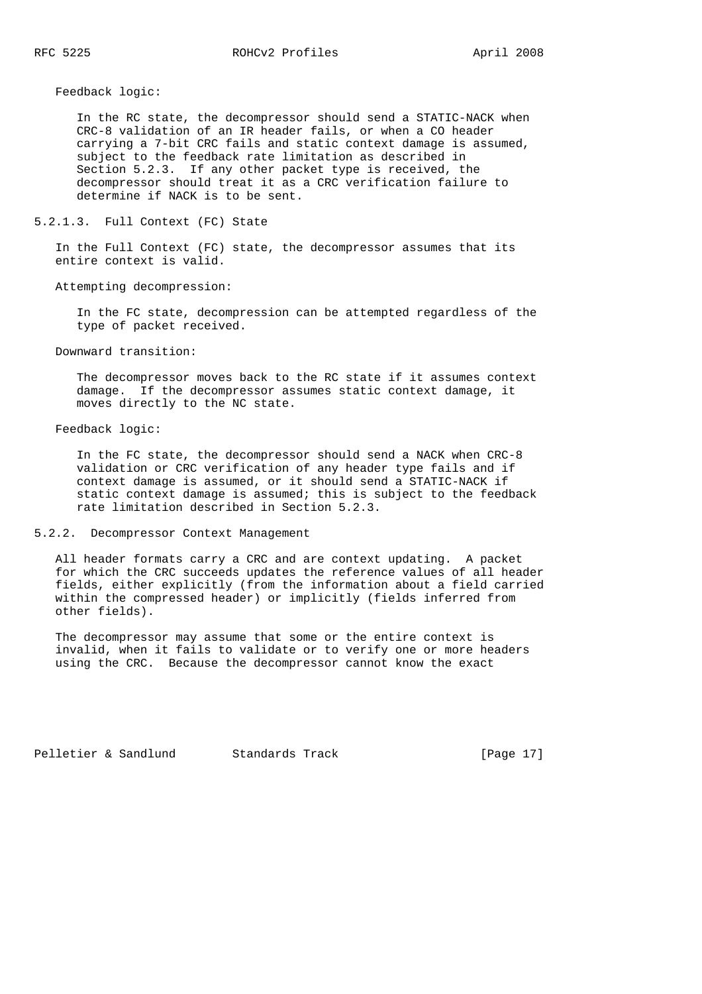Feedback logic:

 In the RC state, the decompressor should send a STATIC-NACK when CRC-8 validation of an IR header fails, or when a CO header carrying a 7-bit CRC fails and static context damage is assumed, subject to the feedback rate limitation as described in Section 5.2.3. If any other packet type is received, the decompressor should treat it as a CRC verification failure to determine if NACK is to be sent.

### 5.2.1.3. Full Context (FC) State

 In the Full Context (FC) state, the decompressor assumes that its entire context is valid.

#### Attempting decompression:

 In the FC state, decompression can be attempted regardless of the type of packet received.

#### Downward transition:

 The decompressor moves back to the RC state if it assumes context damage. If the decompressor assumes static context damage, it moves directly to the NC state.

#### Feedback logic:

 In the FC state, the decompressor should send a NACK when CRC-8 validation or CRC verification of any header type fails and if context damage is assumed, or it should send a STATIC-NACK if static context damage is assumed; this is subject to the feedback rate limitation described in Section 5.2.3.

#### 5.2.2. Decompressor Context Management

 All header formats carry a CRC and are context updating. A packet for which the CRC succeeds updates the reference values of all header fields, either explicitly (from the information about a field carried within the compressed header) or implicitly (fields inferred from other fields).

 The decompressor may assume that some or the entire context is invalid, when it fails to validate or to verify one or more headers using the CRC. Because the decompressor cannot know the exact

Pelletier & Sandlund Standards Track [Page 17]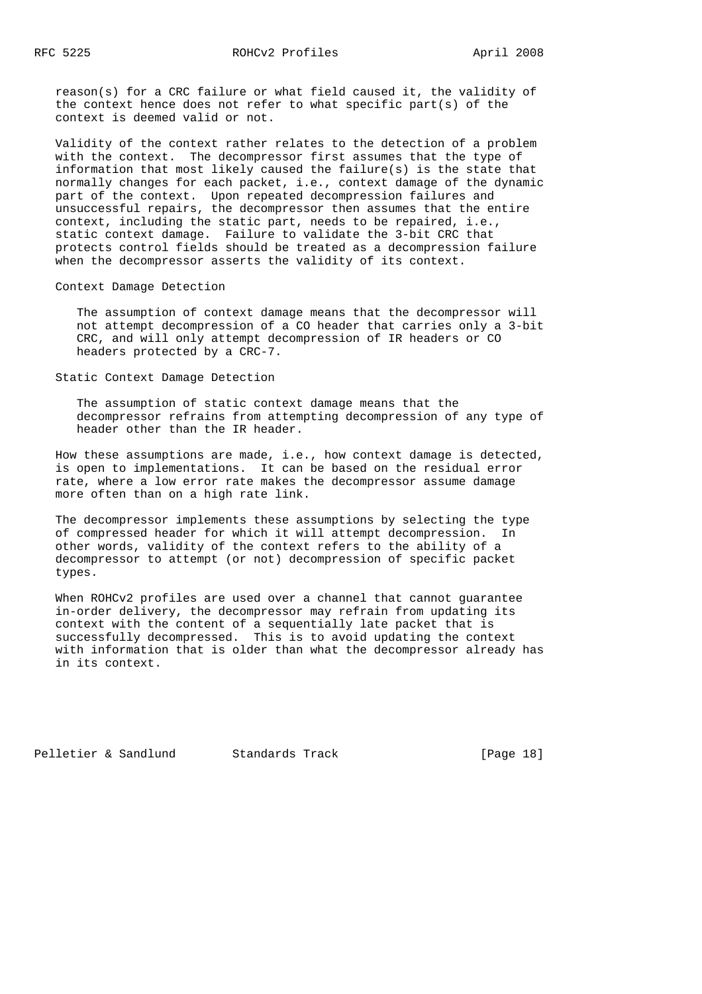reason(s) for a CRC failure or what field caused it, the validity of the context hence does not refer to what specific part(s) of the context is deemed valid or not.

 Validity of the context rather relates to the detection of a problem with the context. The decompressor first assumes that the type of information that most likely caused the failure(s) is the state that normally changes for each packet, i.e., context damage of the dynamic part of the context. Upon repeated decompression failures and unsuccessful repairs, the decompressor then assumes that the entire context, including the static part, needs to be repaired, i.e., static context damage. Failure to validate the 3-bit CRC that protects control fields should be treated as a decompression failure when the decompressor asserts the validity of its context.

### Context Damage Detection

 The assumption of context damage means that the decompressor will not attempt decompression of a CO header that carries only a 3-bit CRC, and will only attempt decompression of IR headers or CO headers protected by a CRC-7.

Static Context Damage Detection

 The assumption of static context damage means that the decompressor refrains from attempting decompression of any type of header other than the IR header.

 How these assumptions are made, i.e., how context damage is detected, is open to implementations. It can be based on the residual error rate, where a low error rate makes the decompressor assume damage more often than on a high rate link.

 The decompressor implements these assumptions by selecting the type of compressed header for which it will attempt decompression. In other words, validity of the context refers to the ability of a decompressor to attempt (or not) decompression of specific packet types.

 When ROHCv2 profiles are used over a channel that cannot guarantee in-order delivery, the decompressor may refrain from updating its context with the content of a sequentially late packet that is successfully decompressed. This is to avoid updating the context with information that is older than what the decompressor already has in its context.

Pelletier & Sandlund Standards Track [Page 18]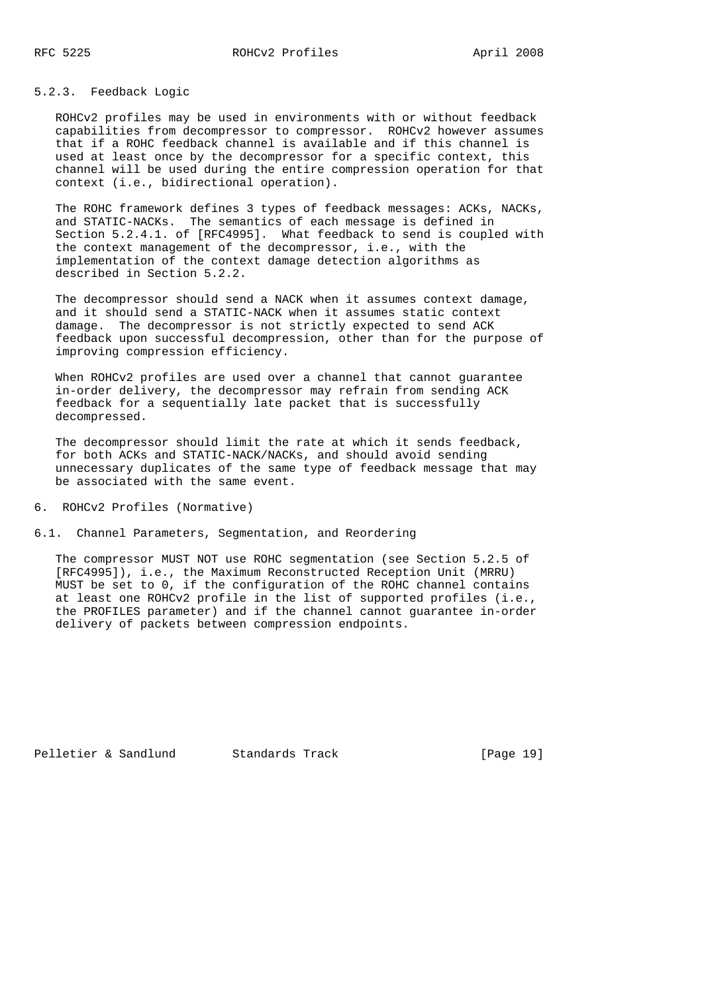# 5.2.3. Feedback Logic

 ROHCv2 profiles may be used in environments with or without feedback capabilities from decompressor to compressor. ROHCv2 however assumes that if a ROHC feedback channel is available and if this channel is used at least once by the decompressor for a specific context, this channel will be used during the entire compression operation for that context (i.e., bidirectional operation).

 The ROHC framework defines 3 types of feedback messages: ACKs, NACKs, and STATIC-NACKs. The semantics of each message is defined in Section 5.2.4.1. of [RFC4995]. What feedback to send is coupled with the context management of the decompressor, i.e., with the implementation of the context damage detection algorithms as described in Section 5.2.2.

 The decompressor should send a NACK when it assumes context damage, and it should send a STATIC-NACK when it assumes static context damage. The decompressor is not strictly expected to send ACK feedback upon successful decompression, other than for the purpose of improving compression efficiency.

 When ROHCv2 profiles are used over a channel that cannot guarantee in-order delivery, the decompressor may refrain from sending ACK feedback for a sequentially late packet that is successfully decompressed.

 The decompressor should limit the rate at which it sends feedback, for both ACKs and STATIC-NACK/NACKs, and should avoid sending unnecessary duplicates of the same type of feedback message that may be associated with the same event.

6. ROHCv2 Profiles (Normative)

6.1. Channel Parameters, Segmentation, and Reordering

 The compressor MUST NOT use ROHC segmentation (see Section 5.2.5 of [RFC4995]), i.e., the Maximum Reconstructed Reception Unit (MRRU) MUST be set to 0, if the configuration of the ROHC channel contains at least one ROHCv2 profile in the list of supported profiles (i.e., the PROFILES parameter) and if the channel cannot guarantee in-order delivery of packets between compression endpoints.

Pelletier & Sandlund Standards Track [Page 19]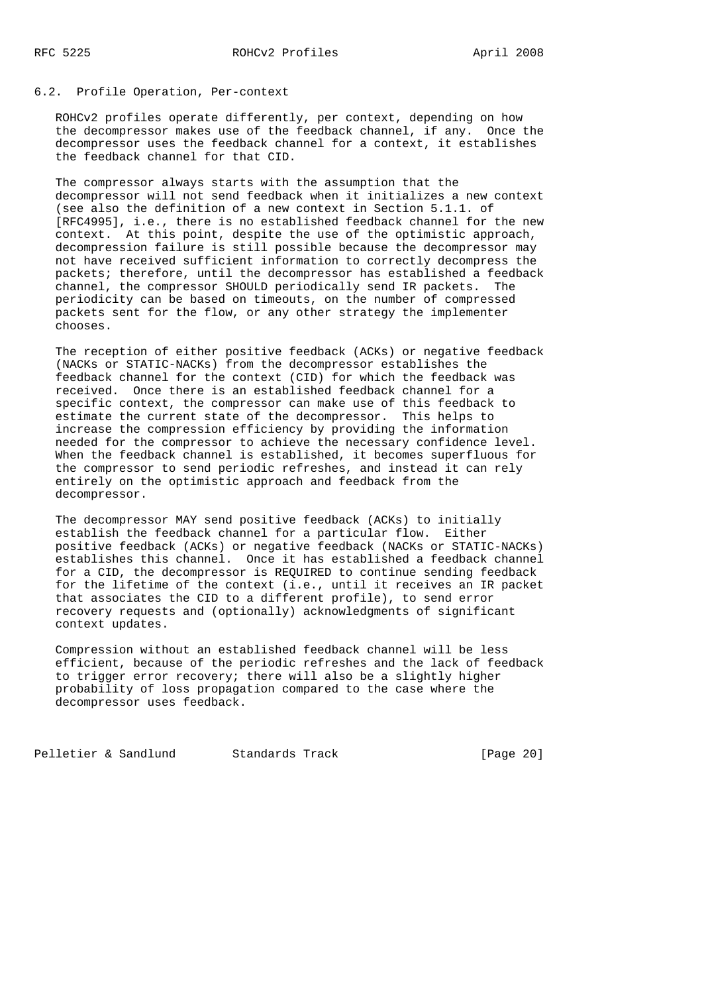# 6.2. Profile Operation, Per-context

 ROHCv2 profiles operate differently, per context, depending on how the decompressor makes use of the feedback channel, if any. Once the decompressor uses the feedback channel for a context, it establishes the feedback channel for that CID.

 The compressor always starts with the assumption that the decompressor will not send feedback when it initializes a new context (see also the definition of a new context in Section 5.1.1. of [RFC4995], i.e., there is no established feedback channel for the new context. At this point, despite the use of the optimistic approach, decompression failure is still possible because the decompressor may not have received sufficient information to correctly decompress the packets; therefore, until the decompressor has established a feedback channel, the compressor SHOULD periodically send IR packets. The periodicity can be based on timeouts, on the number of compressed packets sent for the flow, or any other strategy the implementer chooses.

 The reception of either positive feedback (ACKs) or negative feedback (NACKs or STATIC-NACKs) from the decompressor establishes the feedback channel for the context (CID) for which the feedback was received. Once there is an established feedback channel for a specific context, the compressor can make use of this feedback to estimate the current state of the decompressor. This helps to increase the compression efficiency by providing the information needed for the compressor to achieve the necessary confidence level. When the feedback channel is established, it becomes superfluous for the compressor to send periodic refreshes, and instead it can rely entirely on the optimistic approach and feedback from the decompressor.

 The decompressor MAY send positive feedback (ACKs) to initially establish the feedback channel for a particular flow. Either positive feedback (ACKs) or negative feedback (NACKs or STATIC-NACKs) establishes this channel. Once it has established a feedback channel for a CID, the decompressor is REQUIRED to continue sending feedback for the lifetime of the context (i.e., until it receives an IR packet that associates the CID to a different profile), to send error recovery requests and (optionally) acknowledgments of significant context updates.

 Compression without an established feedback channel will be less efficient, because of the periodic refreshes and the lack of feedback to trigger error recovery; there will also be a slightly higher probability of loss propagation compared to the case where the decompressor uses feedback.

Pelletier & Sandlund Standards Track [Page 20]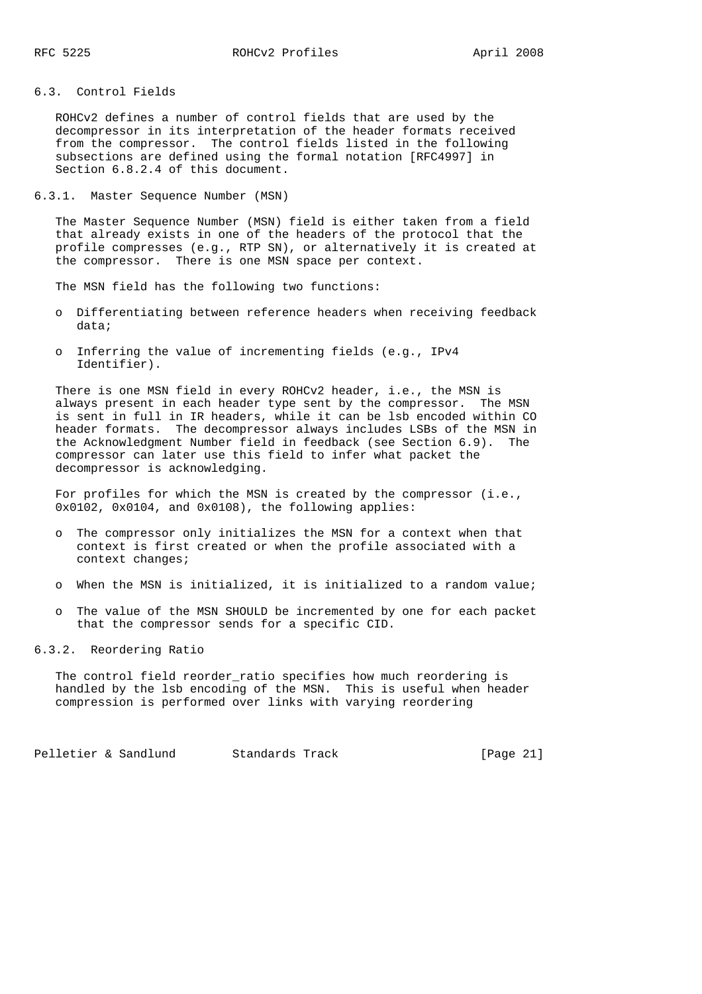# 6.3. Control Fields

 ROHCv2 defines a number of control fields that are used by the decompressor in its interpretation of the header formats received from the compressor. The control fields listed in the following subsections are defined using the formal notation [RFC4997] in Section 6.8.2.4 of this document.

6.3.1. Master Sequence Number (MSN)

 The Master Sequence Number (MSN) field is either taken from a field that already exists in one of the headers of the protocol that the profile compresses (e.g., RTP SN), or alternatively it is created at the compressor. There is one MSN space per context.

The MSN field has the following two functions:

- o Differentiating between reference headers when receiving feedback data;
- o Inferring the value of incrementing fields (e.g., IPv4 Identifier).

 There is one MSN field in every ROHCv2 header, i.e., the MSN is always present in each header type sent by the compressor. The MSN is sent in full in IR headers, while it can be lsb encoded within CO header formats. The decompressor always includes LSBs of the MSN in the Acknowledgment Number field in feedback (see Section 6.9). The compressor can later use this field to infer what packet the decompressor is acknowledging.

 For profiles for which the MSN is created by the compressor (i.e., 0x0102, 0x0104, and 0x0108), the following applies:

- o The compressor only initializes the MSN for a context when that context is first created or when the profile associated with a context changes;
- o When the MSN is initialized, it is initialized to a random value;
- o The value of the MSN SHOULD be incremented by one for each packet that the compressor sends for a specific CID.

6.3.2. Reordering Ratio

 The control field reorder\_ratio specifies how much reordering is handled by the lsb encoding of the MSN. This is useful when header compression is performed over links with varying reordering

Pelletier & Sandlund Standards Track [Page 21]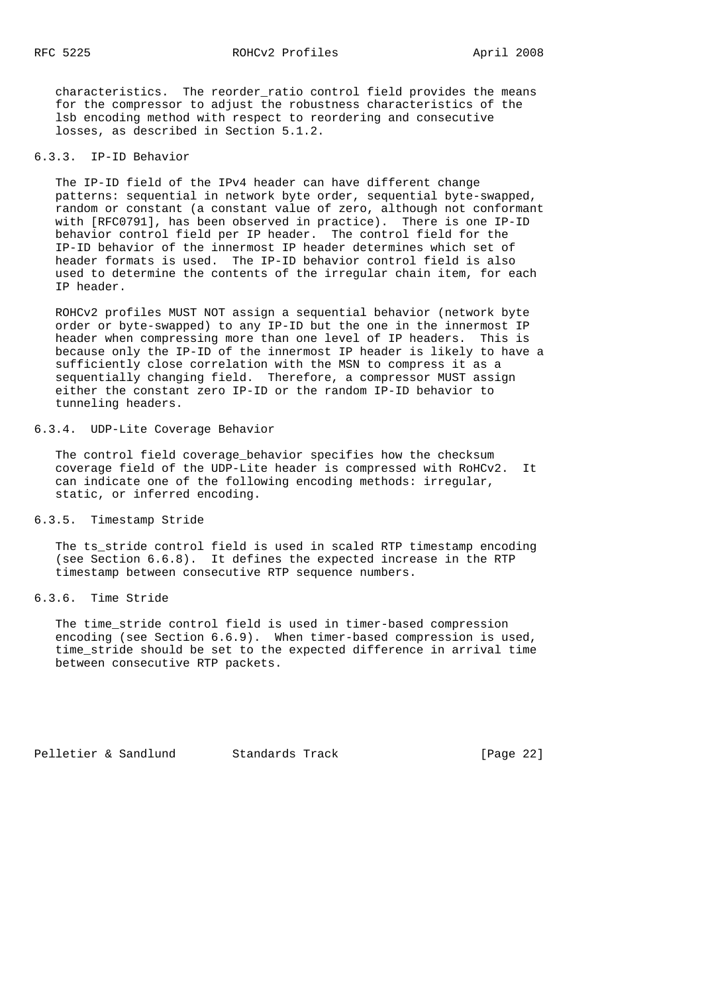characteristics. The reorder\_ratio control field provides the means for the compressor to adjust the robustness characteristics of the lsb encoding method with respect to reordering and consecutive losses, as described in Section 5.1.2.

### 6.3.3. IP-ID Behavior

 The IP-ID field of the IPv4 header can have different change patterns: sequential in network byte order, sequential byte-swapped, random or constant (a constant value of zero, although not conformant with [RFC0791], has been observed in practice). There is one IP-ID behavior control field per IP header. The control field for the IP-ID behavior of the innermost IP header determines which set of header formats is used. The IP-ID behavior control field is also used to determine the contents of the irregular chain item, for each IP header.

 ROHCv2 profiles MUST NOT assign a sequential behavior (network byte order or byte-swapped) to any IP-ID but the one in the innermost IP header when compressing more than one level of IP headers. This is because only the IP-ID of the innermost IP header is likely to have a sufficiently close correlation with the MSN to compress it as a sequentially changing field. Therefore, a compressor MUST assign either the constant zero IP-ID or the random IP-ID behavior to tunneling headers.

#### 6.3.4. UDP-Lite Coverage Behavior

 The control field coverage\_behavior specifies how the checksum coverage field of the UDP-Lite header is compressed with RoHCv2. It can indicate one of the following encoding methods: irregular, static, or inferred encoding.

# 6.3.5. Timestamp Stride

 The ts\_stride control field is used in scaled RTP timestamp encoding (see Section 6.6.8). It defines the expected increase in the RTP timestamp between consecutive RTP sequence numbers.

### 6.3.6. Time Stride

 The time\_stride control field is used in timer-based compression encoding (see Section 6.6.9). When timer-based compression is used, time\_stride should be set to the expected difference in arrival time between consecutive RTP packets.

Pelletier & Sandlund Standards Track [Page 22]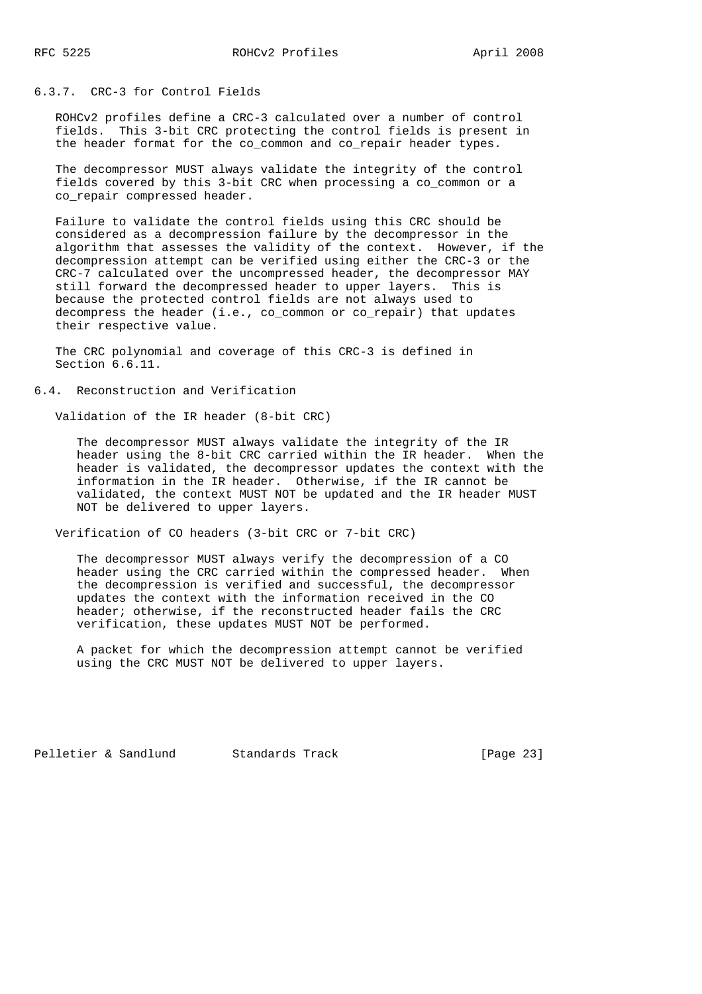### 6.3.7. CRC-3 for Control Fields

 ROHCv2 profiles define a CRC-3 calculated over a number of control fields. This 3-bit CRC protecting the control fields is present in the header format for the co\_common and co\_repair header types.

 The decompressor MUST always validate the integrity of the control fields covered by this 3-bit CRC when processing a co\_common or a co\_repair compressed header.

 Failure to validate the control fields using this CRC should be considered as a decompression failure by the decompressor in the algorithm that assesses the validity of the context. However, if the decompression attempt can be verified using either the CRC-3 or the CRC-7 calculated over the uncompressed header, the decompressor MAY still forward the decompressed header to upper layers. This is because the protected control fields are not always used to decompress the header (i.e., co\_common or co\_repair) that updates their respective value.

 The CRC polynomial and coverage of this CRC-3 is defined in Section 6.6.11.

6.4. Reconstruction and Verification

Validation of the IR header (8-bit CRC)

 The decompressor MUST always validate the integrity of the IR header using the 8-bit CRC carried within the IR header. When the header is validated, the decompressor updates the context with the information in the IR header. Otherwise, if the IR cannot be validated, the context MUST NOT be updated and the IR header MUST NOT be delivered to upper layers.

Verification of CO headers (3-bit CRC or 7-bit CRC)

 The decompressor MUST always verify the decompression of a CO header using the CRC carried within the compressed header. When the decompression is verified and successful, the decompressor updates the context with the information received in the CO header; otherwise, if the reconstructed header fails the CRC verification, these updates MUST NOT be performed.

 A packet for which the decompression attempt cannot be verified using the CRC MUST NOT be delivered to upper layers.

Pelletier & Sandlund Standards Track [Page 23]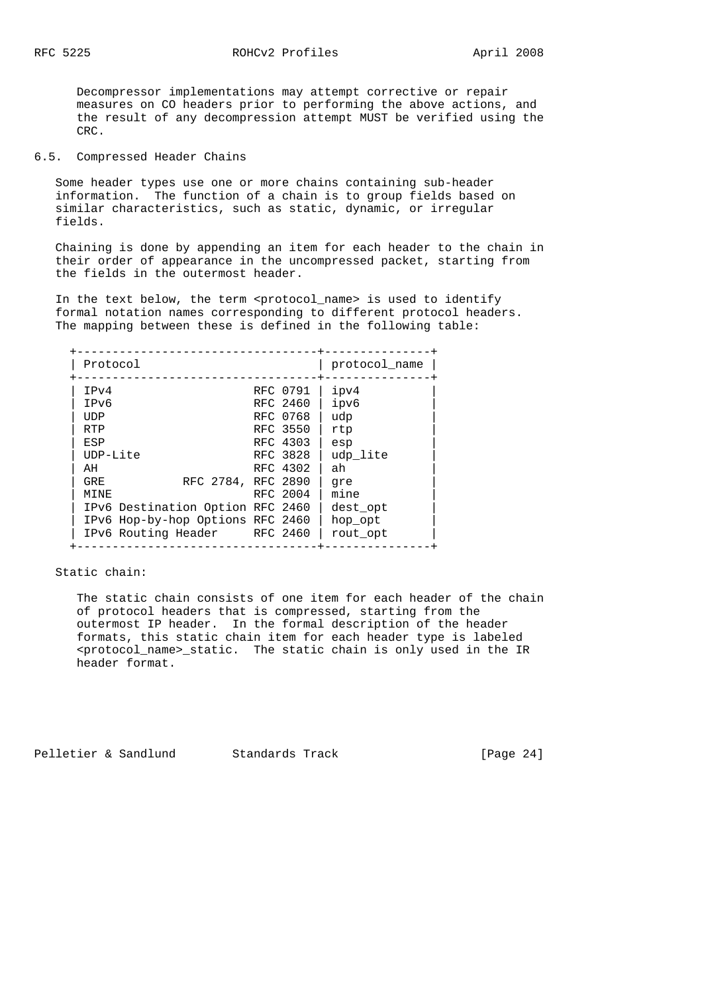Decompressor implementations may attempt corrective or repair measures on CO headers prior to performing the above actions, and the result of any decompression attempt MUST be verified using the CRC.

#### 6.5. Compressed Header Chains

 Some header types use one or more chains containing sub-header information. The function of a chain is to group fields based on similar characteristics, such as static, dynamic, or irregular fields.

 Chaining is done by appending an item for each header to the chain in their order of appearance in the uncompressed packet, starting from the fields in the outermost header.

In the text below, the term <protocol\_name> is used to identify formal notation names corresponding to different protocol headers. The mapping between these is defined in the following table:

| Protocol   |                                  |          | protocol name |
|------------|----------------------------------|----------|---------------|
| IPv4       |                                  | RFC 0791 | ipv4          |
| IPv6       |                                  | RFC 2460 | ipv6          |
| UDP        |                                  | RFC 0768 | udp           |
| <b>RTP</b> |                                  | RFC 3550 | rtp           |
| ESP        |                                  | RFC 4303 | esp           |
| $IDP-Lite$ |                                  | RFC 3828 | udp lite      |
| AH         |                                  | RFC 4302 | ah            |
| GRE.       | RFC 2784, RFC 2890               |          | qre           |
| MINE       |                                  | RFC 2004 | mine          |
|            | IPv6 Destination Option RFC 2460 |          | dest opt      |
|            | IPv6 Hop-by-hop Options RFC 2460 |          | hop opt       |
|            | IPv6 Routing Header RFC 2460     |          | rout opt      |

Static chain:

 The static chain consists of one item for each header of the chain of protocol headers that is compressed, starting from the outermost IP header. In the formal description of the header formats, this static chain item for each header type is labeled <protocol\_name>\_static. The static chain is only used in the IR header format.

Pelletier & Sandlund Standards Track [Page 24]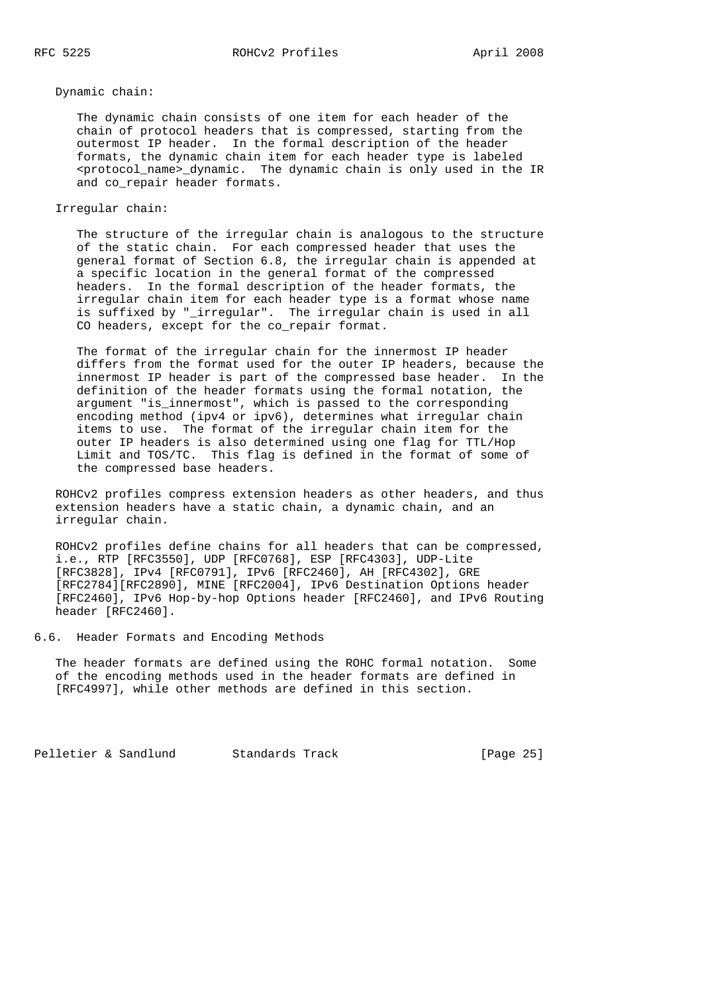#### Dynamic chain:

 The dynamic chain consists of one item for each header of the chain of protocol headers that is compressed, starting from the outermost IP header. In the formal description of the header formats, the dynamic chain item for each header type is labeled <protocol\_name>\_dynamic. The dynamic chain is only used in the IR and co\_repair header formats.

### Irregular chain:

 The structure of the irregular chain is analogous to the structure of the static chain. For each compressed header that uses the general format of Section 6.8, the irregular chain is appended at a specific location in the general format of the compressed headers. In the formal description of the header formats, the irregular chain item for each header type is a format whose name is suffixed by "\_irregular". The irregular chain is used in all CO headers, except for the co\_repair format.

 The format of the irregular chain for the innermost IP header differs from the format used for the outer IP headers, because the innermost IP header is part of the compressed base header. In the definition of the header formats using the formal notation, the argument "is\_innermost", which is passed to the corresponding encoding method (ipv4 or ipv6), determines what irregular chain items to use. The format of the irregular chain item for the outer IP headers is also determined using one flag for TTL/Hop Limit and TOS/TC. This flag is defined in the format of some of the compressed base headers.

 ROHCv2 profiles compress extension headers as other headers, and thus extension headers have a static chain, a dynamic chain, and an irregular chain.

 ROHCv2 profiles define chains for all headers that can be compressed, i.e., RTP [RFC3550], UDP [RFC0768], ESP [RFC4303], UDP-Lite [RFC3828], IPv4 [RFC0791], IPv6 [RFC2460], AH [RFC4302], GRE [RFC2784][RFC2890], MINE [RFC2004], IPv6 Destination Options header [RFC2460], IPv6 Hop-by-hop Options header [RFC2460], and IPv6 Routing header [RFC2460].

6.6. Header Formats and Encoding Methods

 The header formats are defined using the ROHC formal notation. Some of the encoding methods used in the header formats are defined in [RFC4997], while other methods are defined in this section.

Pelletier & Sandlund Standards Track [Page 25]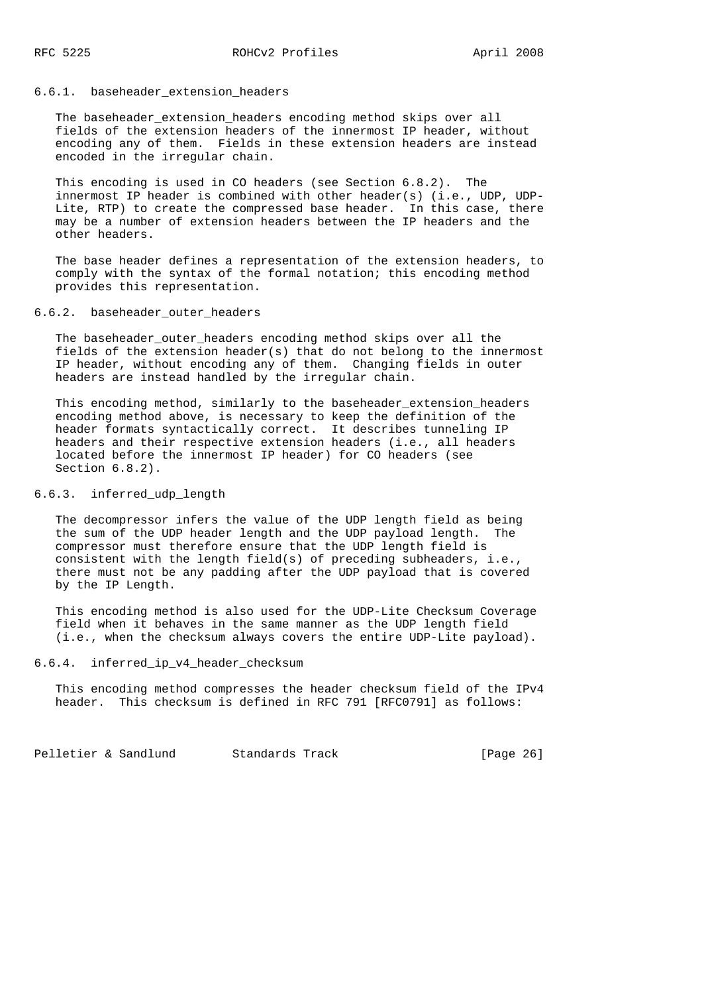### 6.6.1. baseheader\_extension\_headers

The baseheader extension headers encoding method skips over all fields of the extension headers of the innermost IP header, without encoding any of them. Fields in these extension headers are instead encoded in the irregular chain.

 This encoding is used in CO headers (see Section 6.8.2). The innermost IP header is combined with other header(s) (i.e., UDP, UDP- Lite, RTP) to create the compressed base header. In this case, there may be a number of extension headers between the IP headers and the other headers.

 The base header defines a representation of the extension headers, to comply with the syntax of the formal notation; this encoding method provides this representation.

### 6.6.2. baseheader outer headers

 The baseheader\_outer\_headers encoding method skips over all the fields of the extension header(s) that do not belong to the innermost IP header, without encoding any of them. Changing fields in outer headers are instead handled by the irregular chain.

This encoding method, similarly to the baseheader\_extension\_headers encoding method above, is necessary to keep the definition of the header formats syntactically correct. It describes tunneling IP headers and their respective extension headers (i.e., all headers located before the innermost IP header) for CO headers (see Section 6.8.2).

# 6.6.3. inferred\_udp\_length

 The decompressor infers the value of the UDP length field as being the sum of the UDP header length and the UDP payload length. The compressor must therefore ensure that the UDP length field is consistent with the length field(s) of preceding subheaders, i.e., there must not be any padding after the UDP payload that is covered by the IP Length.

 This encoding method is also used for the UDP-Lite Checksum Coverage field when it behaves in the same manner as the UDP length field (i.e., when the checksum always covers the entire UDP-Lite payload).

# 6.6.4. inferred\_ip\_v4\_header\_checksum

 This encoding method compresses the header checksum field of the IPv4 header. This checksum is defined in RFC 791 [RFC0791] as follows:

Pelletier & Sandlund Standards Track [Page 26]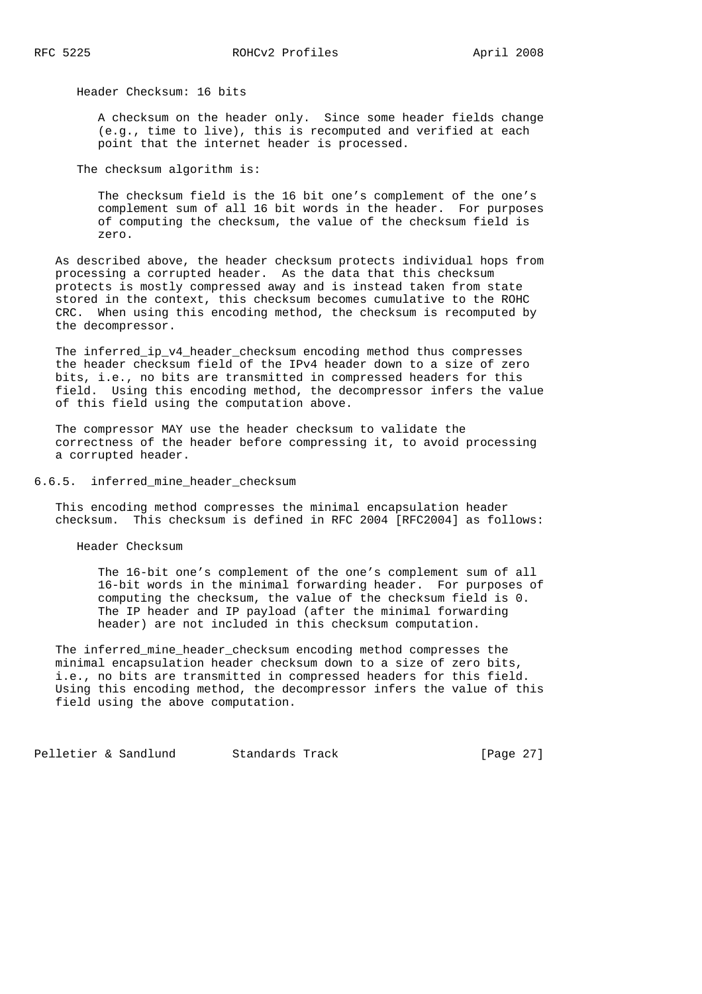Header Checksum: 16 bits

 A checksum on the header only. Since some header fields change (e.g., time to live), this is recomputed and verified at each point that the internet header is processed.

The checksum algorithm is:

 The checksum field is the 16 bit one's complement of the one's complement sum of all 16 bit words in the header. For purposes of computing the checksum, the value of the checksum field is zero.

 As described above, the header checksum protects individual hops from processing a corrupted header. As the data that this checksum protects is mostly compressed away and is instead taken from state stored in the context, this checksum becomes cumulative to the ROHC CRC. When using this encoding method, the checksum is recomputed by the decompressor.

The inferred ip v4 header checksum encoding method thus compresses the header checksum field of the IPv4 header down to a size of zero bits, i.e., no bits are transmitted in compressed headers for this field. Using this encoding method, the decompressor infers the value of this field using the computation above.

 The compressor MAY use the header checksum to validate the correctness of the header before compressing it, to avoid processing a corrupted header.

6.6.5. inferred\_mine\_header\_checksum

 This encoding method compresses the minimal encapsulation header checksum. This checksum is defined in RFC 2004 [RFC2004] as follows:

Header Checksum

 The 16-bit one's complement of the one's complement sum of all 16-bit words in the minimal forwarding header. For purposes of computing the checksum, the value of the checksum field is 0. The IP header and IP payload (after the minimal forwarding header) are not included in this checksum computation.

 The inferred\_mine\_header\_checksum encoding method compresses the minimal encapsulation header checksum down to a size of zero bits, i.e., no bits are transmitted in compressed headers for this field. Using this encoding method, the decompressor infers the value of this field using the above computation.

Pelletier & Sandlund Standards Track [Page 27]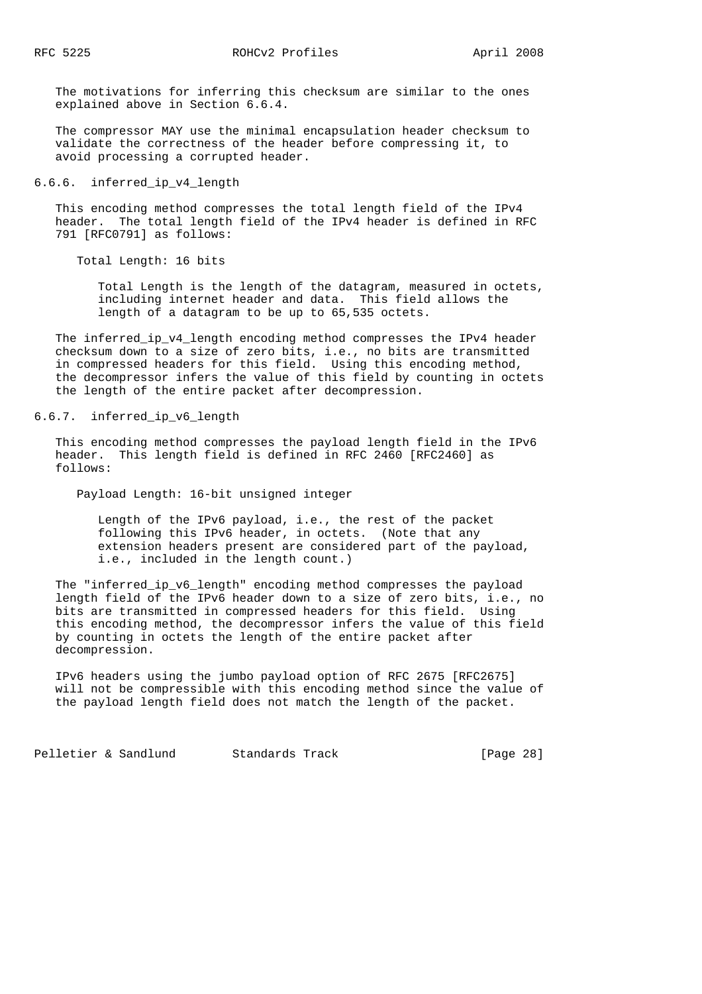The motivations for inferring this checksum are similar to the ones explained above in Section 6.6.4.

 The compressor MAY use the minimal encapsulation header checksum to validate the correctness of the header before compressing it, to avoid processing a corrupted header.

# 6.6.6. inferred\_ip\_v4\_length

 This encoding method compresses the total length field of the IPv4 header. The total length field of the IPv4 header is defined in RFC 791 [RFC0791] as follows:

Total Length: 16 bits

 Total Length is the length of the datagram, measured in octets, including internet header and data. This field allows the length of a datagram to be up to 65,535 octets.

 The inferred\_ip\_v4\_length encoding method compresses the IPv4 header checksum down to a size of zero bits, i.e., no bits are transmitted in compressed headers for this field. Using this encoding method, the decompressor infers the value of this field by counting in octets the length of the entire packet after decompression.

# 6.6.7. inferred\_ip\_v6\_length

 This encoding method compresses the payload length field in the IPv6 header. This length field is defined in RFC 2460 [RFC2460] as follows:

Payload Length: 16-bit unsigned integer

 Length of the IPv6 payload, i.e., the rest of the packet following this IPv6 header, in octets. (Note that any extension headers present are considered part of the payload, i.e., included in the length count.)

 The "inferred\_ip\_v6\_length" encoding method compresses the payload length field of the IPv6 header down to a size of zero bits, i.e., no bits are transmitted in compressed headers for this field. Using this encoding method, the decompressor infers the value of this field by counting in octets the length of the entire packet after decompression.

 IPv6 headers using the jumbo payload option of RFC 2675 [RFC2675] will not be compressible with this encoding method since the value of the payload length field does not match the length of the packet.

Pelletier & Sandlund Standards Track [Page 28]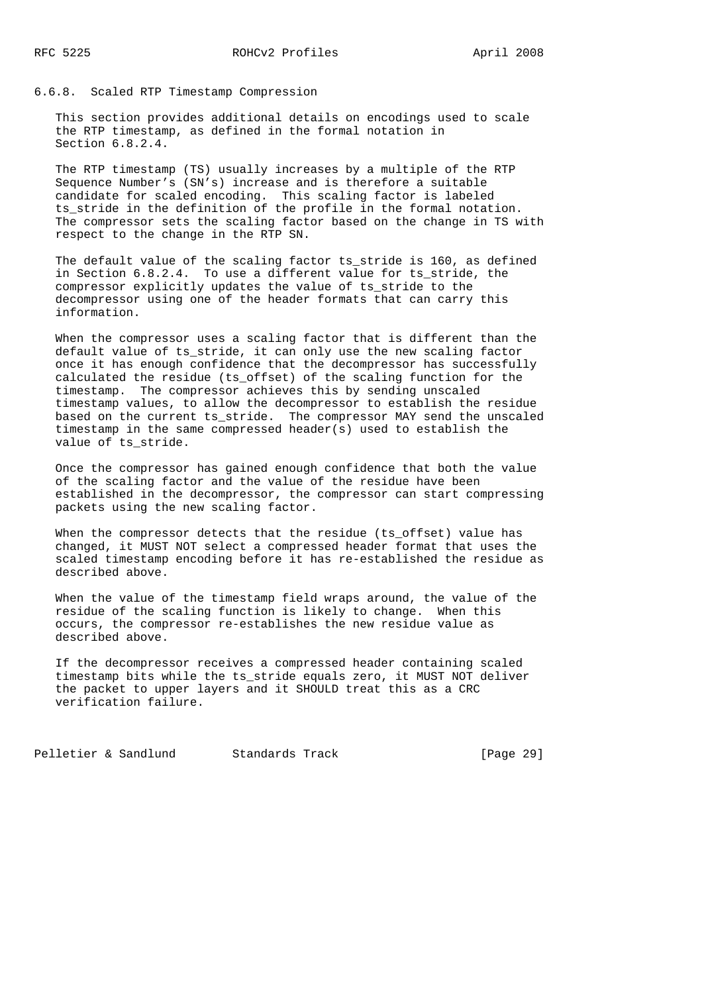6.6.8. Scaled RTP Timestamp Compression

 This section provides additional details on encodings used to scale the RTP timestamp, as defined in the formal notation in Section 6.8.2.4.

 The RTP timestamp (TS) usually increases by a multiple of the RTP Sequence Number's (SN's) increase and is therefore a suitable candidate for scaled encoding. This scaling factor is labeled ts\_stride in the definition of the profile in the formal notation. The compressor sets the scaling factor based on the change in TS with respect to the change in the RTP SN.

 The default value of the scaling factor ts\_stride is 160, as defined in Section 6.8.2.4. To use a different value for ts\_stride, the compressor explicitly updates the value of ts\_stride to the decompressor using one of the header formats that can carry this information.

 When the compressor uses a scaling factor that is different than the default value of ts\_stride, it can only use the new scaling factor once it has enough confidence that the decompressor has successfully calculated the residue (ts\_offset) of the scaling function for the timestamp. The compressor achieves this by sending unscaled timestamp values, to allow the decompressor to establish the residue based on the current ts\_stride. The compressor MAY send the unscaled timestamp in the same compressed header(s) used to establish the value of ts\_stride.

 Once the compressor has gained enough confidence that both the value of the scaling factor and the value of the residue have been established in the decompressor, the compressor can start compressing packets using the new scaling factor.

When the compressor detects that the residue (ts\_offset) value has changed, it MUST NOT select a compressed header format that uses the scaled timestamp encoding before it has re-established the residue as described above.

 When the value of the timestamp field wraps around, the value of the residue of the scaling function is likely to change. When this occurs, the compressor re-establishes the new residue value as described above.

 If the decompressor receives a compressed header containing scaled timestamp bits while the ts\_stride equals zero, it MUST NOT deliver the packet to upper layers and it SHOULD treat this as a CRC verification failure.

Pelletier & Sandlund Standards Track [Page 29]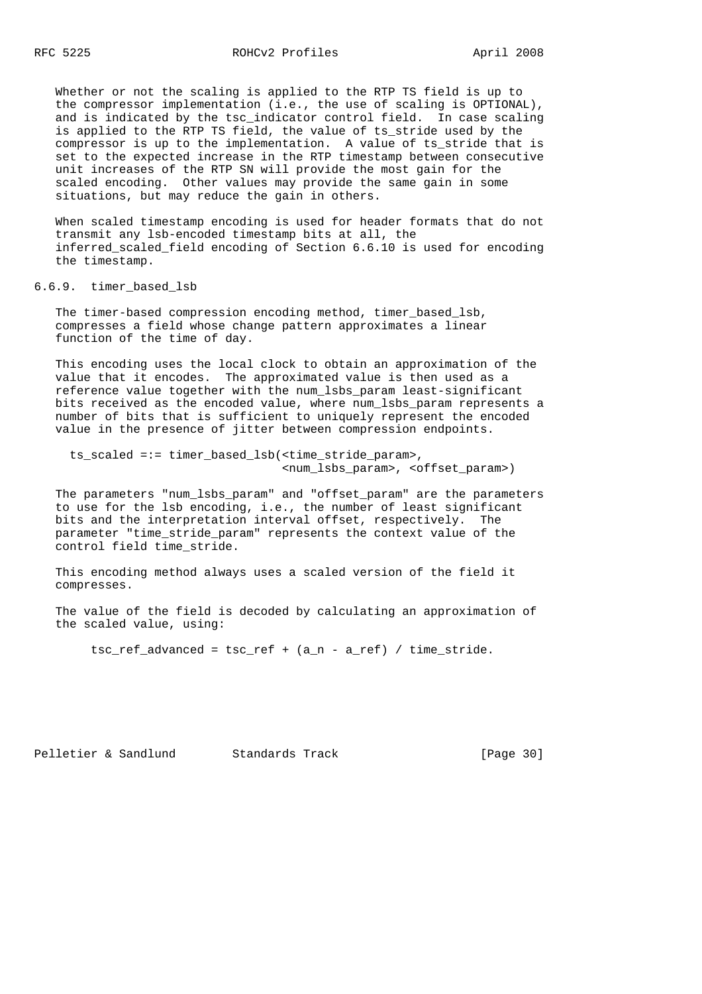Whether or not the scaling is applied to the RTP TS field is up to the compressor implementation (i.e., the use of scaling is OPTIONAL), and is indicated by the tsc\_indicator control field. In case scaling is applied to the RTP TS field, the value of ts\_stride used by the compressor is up to the implementation. A value of ts\_stride that is set to the expected increase in the RTP timestamp between consecutive unit increases of the RTP SN will provide the most gain for the scaled encoding. Other values may provide the same gain in some situations, but may reduce the gain in others.

 When scaled timestamp encoding is used for header formats that do not transmit any lsb-encoded timestamp bits at all, the inferred\_scaled\_field encoding of Section 6.6.10 is used for encoding the timestamp.

6.6.9. timer\_based\_lsb

The timer-based compression encoding method, timer based lsb, compresses a field whose change pattern approximates a linear function of the time of day.

 This encoding uses the local clock to obtain an approximation of the value that it encodes. The approximated value is then used as a reference value together with the num\_lsbs\_param least-significant bits received as the encoded value, where num\_lsbs\_param represents a number of bits that is sufficient to uniquely represent the encoded value in the presence of jitter between compression endpoints.

 ts\_scaled =:= timer\_based\_lsb(<time\_stride\_param>, <num\_lsbs\_param>, <offset\_param>)

 The parameters "num\_lsbs\_param" and "offset\_param" are the parameters to use for the lsb encoding, i.e., the number of least significant bits and the interpretation interval offset, respectively. The parameter "time\_stride\_param" represents the context value of the control field time\_stride.

 This encoding method always uses a scaled version of the field it compresses.

 The value of the field is decoded by calculating an approximation of the scaled value, using:

tsc\_ref\_advanced = tsc\_ref + (a\_n - a\_ref) / time\_stride.

Pelletier & Sandlund Standards Track [Page 30]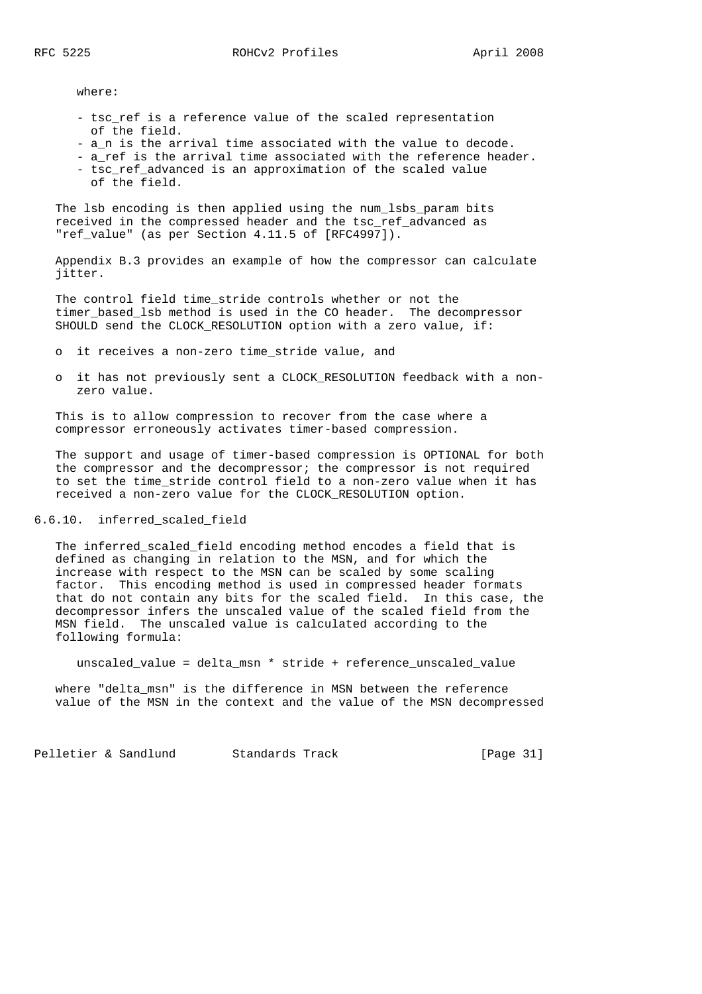where:

- tsc ref is a reference value of the scaled representation of the field.
- a\_n is the arrival time associated with the value to decode.
- a ref is the arrival time associated with the reference header.
- tsc\_ref\_advanced is an approximation of the scaled value of the field.

 The lsb encoding is then applied using the num\_lsbs\_param bits received in the compressed header and the tsc\_ref\_advanced as "ref value" (as per Section 4.11.5 of [RFC4997]).

 Appendix B.3 provides an example of how the compressor can calculate jitter.

 The control field time\_stride controls whether or not the timer\_based\_lsb method is used in the CO header. The decompressor SHOULD send the CLOCK\_RESOLUTION option with a zero value, if:

- o it receives a non-zero time\_stride value, and
- o it has not previously sent a CLOCK\_RESOLUTION feedback with a non zero value.

 This is to allow compression to recover from the case where a compressor erroneously activates timer-based compression.

 The support and usage of timer-based compression is OPTIONAL for both the compressor and the decompressor; the compressor is not required to set the time\_stride control field to a non-zero value when it has received a non-zero value for the CLOCK\_RESOLUTION option.

# 6.6.10. inferred\_scaled\_field

The inferred scaled field encoding method encodes a field that is defined as changing in relation to the MSN, and for which the increase with respect to the MSN can be scaled by some scaling factor. This encoding method is used in compressed header formats that do not contain any bits for the scaled field. In this case, the decompressor infers the unscaled value of the scaled field from the MSN field. The unscaled value is calculated according to the following formula:

unscaled\_value = delta\_msn \* stride + reference\_unscaled\_value

 where "delta\_msn" is the difference in MSN between the reference value of the MSN in the context and the value of the MSN decompressed

Pelletier & Sandlund Standards Track [Page 31]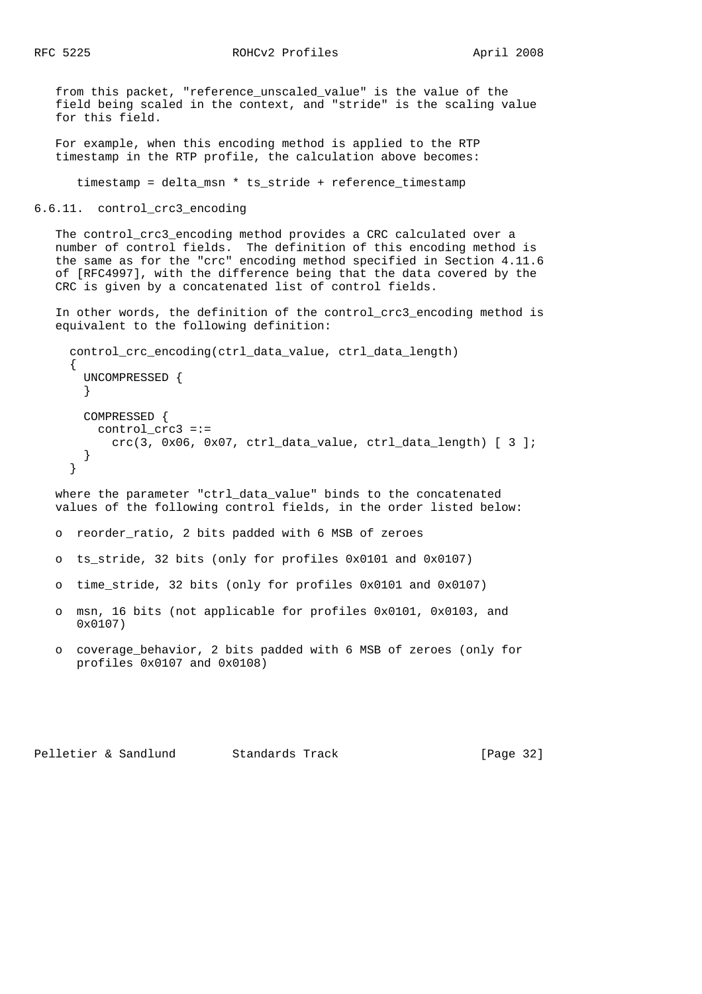RFC 5225 ROHCv2 Profiles April 2008

 from this packet, "reference\_unscaled\_value" is the value of the field being scaled in the context, and "stride" is the scaling value for this field.

 For example, when this encoding method is applied to the RTP timestamp in the RTP profile, the calculation above becomes:

timestamp = delta\_msn \* ts\_stride + reference\_timestamp

6.6.11. control\_crc3\_encoding

The control crc3 encoding method provides a CRC calculated over a number of control fields. The definition of this encoding method is the same as for the "crc" encoding method specified in Section 4.11.6 of [RFC4997], with the difference being that the data covered by the CRC is given by a concatenated list of control fields.

 In other words, the definition of the control\_crc3\_encoding method is equivalent to the following definition:

```
control crc encoding(ctrl data value, ctrl data length)
{
  UNCOMPRESSED {
  }
 COMPRESSED {
    control_crc3 =:=
     crc(3, 0x06, 0x07, ctr1_data_value, ctr1_data_length) [ 3 ];
  }
}
```
 where the parameter "ctrl\_data\_value" binds to the concatenated values of the following control fields, in the order listed below:

- o reorder\_ratio, 2 bits padded with 6 MSB of zeroes
- o ts\_stride, 32 bits (only for profiles 0x0101 and 0x0107)
- o time\_stride, 32 bits (only for profiles 0x0101 and 0x0107)
- o msn, 16 bits (not applicable for profiles 0x0101, 0x0103, and 0x0107)
- o coverage\_behavior, 2 bits padded with 6 MSB of zeroes (only for profiles 0x0107 and 0x0108)

Pelletier & Sandlund Standards Track [Page 32]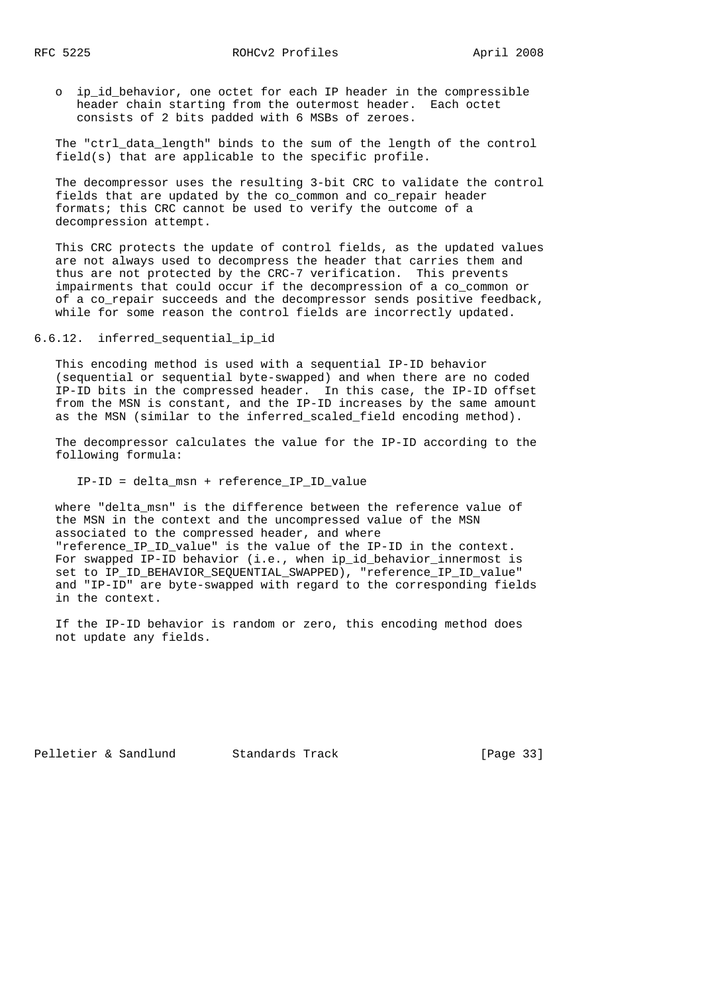o ip\_id\_behavior, one octet for each IP header in the compressible header chain starting from the outermost header. Each octet consists of 2 bits padded with 6 MSBs of zeroes.

 The "ctrl\_data\_length" binds to the sum of the length of the control field(s) that are applicable to the specific profile.

 The decompressor uses the resulting 3-bit CRC to validate the control fields that are updated by the co\_common and co\_repair header formats; this CRC cannot be used to verify the outcome of a decompression attempt.

 This CRC protects the update of control fields, as the updated values are not always used to decompress the header that carries them and thus are not protected by the CRC-7 verification. This prevents impairments that could occur if the decompression of a co\_common or of a co\_repair succeeds and the decompressor sends positive feedback, while for some reason the control fields are incorrectly updated.

6.6.12. inferred\_sequential\_ip\_id

 This encoding method is used with a sequential IP-ID behavior (sequential or sequential byte-swapped) and when there are no coded IP-ID bits in the compressed header. In this case, the IP-ID offset from the MSN is constant, and the IP-ID increases by the same amount as the MSN (similar to the inferred\_scaled\_field encoding method).

 The decompressor calculates the value for the IP-ID according to the following formula:

IP-ID = delta\_msn + reference\_IP\_ID\_value

 where "delta\_msn" is the difference between the reference value of the MSN in the context and the uncompressed value of the MSN associated to the compressed header, and where "reference\_IP\_ID\_value" is the value of the IP-ID in the context. For swapped IP-ID behavior (i.e., when ip\_id\_behavior\_innermost is set to IP\_ID\_BEHAVIOR\_SEQUENTIAL\_SWAPPED), "reference\_IP\_ID\_value" and "IP-ID" are byte-swapped with regard to the corresponding fields in the context.

 If the IP-ID behavior is random or zero, this encoding method does not update any fields.

Pelletier & Sandlund Standards Track [Page 33]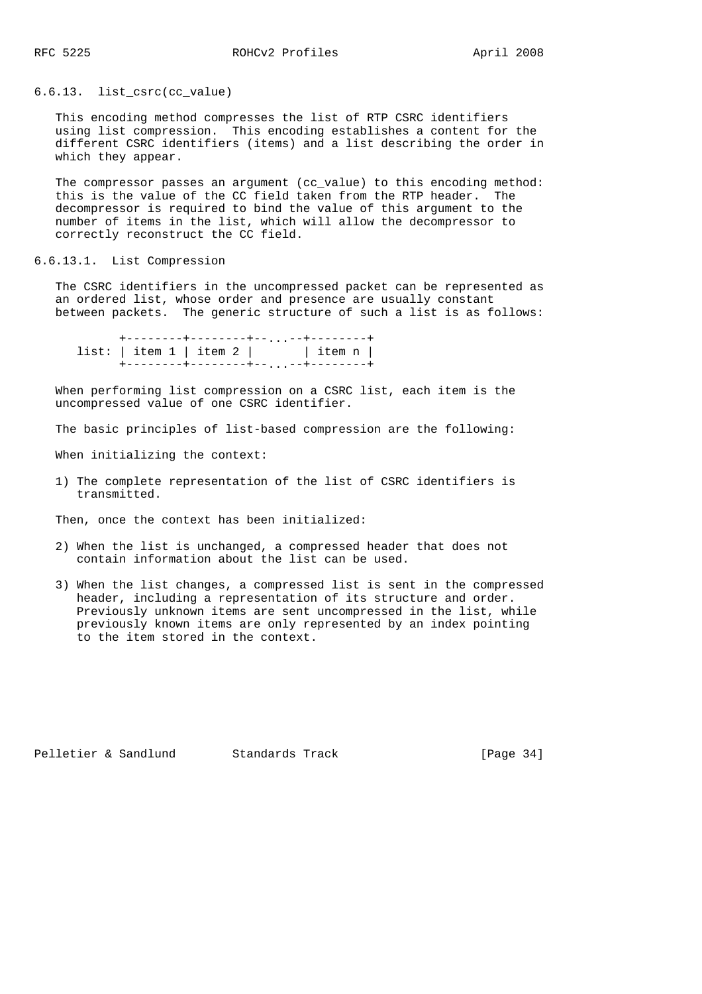### 6.6.13. list\_csrc(cc\_value)

 This encoding method compresses the list of RTP CSRC identifiers using list compression. This encoding establishes a content for the different CSRC identifiers (items) and a list describing the order in which they appear.

 The compressor passes an argument (cc\_value) to this encoding method: this is the value of the CC field taken from the RTP header. The decompressor is required to bind the value of this argument to the number of items in the list, which will allow the decompressor to correctly reconstruct the CC field.

#### 6.6.13.1. List Compression

 The CSRC identifiers in the uncompressed packet can be represented as an ordered list, whose order and presence are usually constant between packets. The generic structure of such a list is as follows:

 +--------+--------+--...--+--------+  $list: | item 1 | item 2 | |$  item n | +--------+--------+--...--+--------+

 When performing list compression on a CSRC list, each item is the uncompressed value of one CSRC identifier.

The basic principles of list-based compression are the following:

When initializing the context:

 1) The complete representation of the list of CSRC identifiers is transmitted.

Then, once the context has been initialized:

- 2) When the list is unchanged, a compressed header that does not contain information about the list can be used.
- 3) When the list changes, a compressed list is sent in the compressed header, including a representation of its structure and order. Previously unknown items are sent uncompressed in the list, while previously known items are only represented by an index pointing to the item stored in the context.

Pelletier & Sandlund Standards Track [Page 34]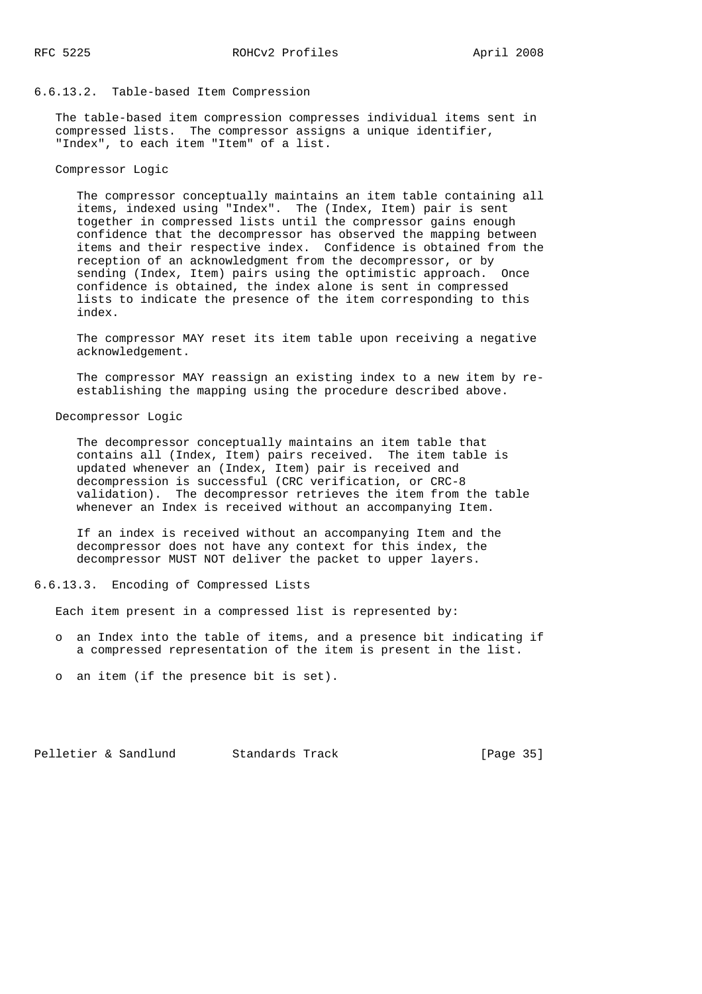#### 6.6.13.2. Table-based Item Compression

 The table-based item compression compresses individual items sent in compressed lists. The compressor assigns a unique identifier, "Index", to each item "Item" of a list.

#### Compressor Logic

 The compressor conceptually maintains an item table containing all items, indexed using "Index". The (Index, Item) pair is sent together in compressed lists until the compressor gains enough confidence that the decompressor has observed the mapping between items and their respective index. Confidence is obtained from the reception of an acknowledgment from the decompressor, or by sending (Index, Item) pairs using the optimistic approach. Once confidence is obtained, the index alone is sent in compressed lists to indicate the presence of the item corresponding to this index.

 The compressor MAY reset its item table upon receiving a negative acknowledgement.

 The compressor MAY reassign an existing index to a new item by re establishing the mapping using the procedure described above.

#### Decompressor Logic

 The decompressor conceptually maintains an item table that contains all (Index, Item) pairs received. The item table is updated whenever an (Index, Item) pair is received and decompression is successful (CRC verification, or CRC-8 validation). The decompressor retrieves the item from the table whenever an Index is received without an accompanying Item.

 If an index is received without an accompanying Item and the decompressor does not have any context for this index, the decompressor MUST NOT deliver the packet to upper layers.

#### 6.6.13.3. Encoding of Compressed Lists

Each item present in a compressed list is represented by:

- o an Index into the table of items, and a presence bit indicating if a compressed representation of the item is present in the list.
- o an item (if the presence bit is set).

Pelletier & Sandlund Standards Track [Page 35]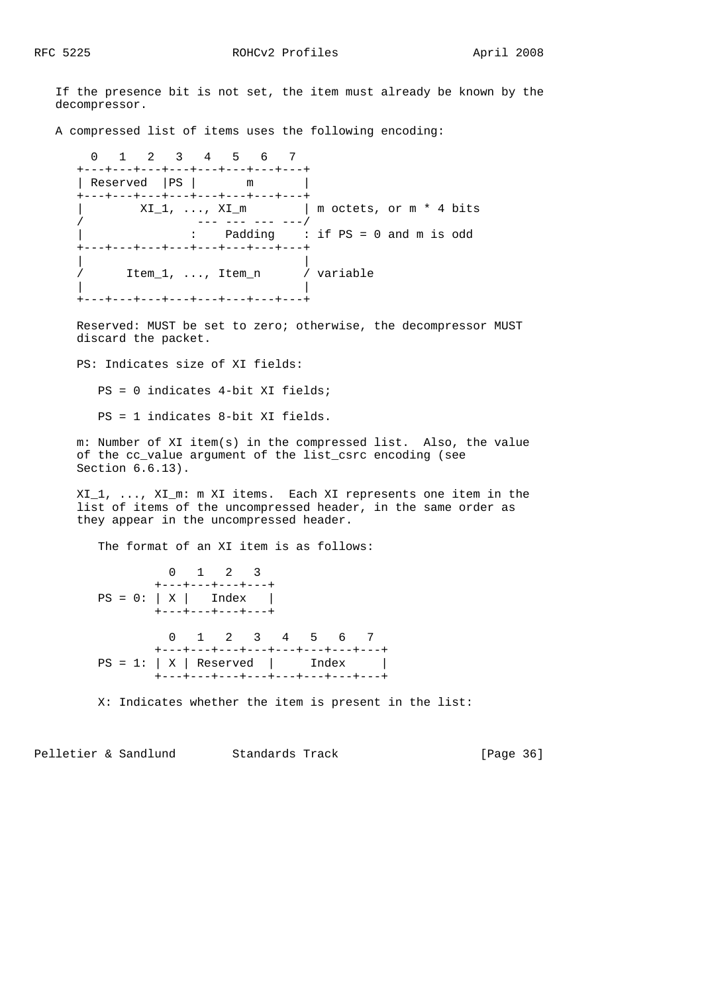If the presence bit is not set, the item must already be known by the decompressor.

A compressed list of items uses the following encoding:

 0 1 2 3 4 5 6 7 +---+---+---+---+---+---+---+---+ | Reserved | PS | m +---+---+---+---+---+---+---+---+  $XI_1, ..., XI_m$  | m octets, or m \* 4 bits / --- --- --- ---/ | : Padding : if PS = 0 and m is odd +---+---+---+---+---+---+---+---+ | | / Item\_1, ..., Item\_n / variable | | .<br>+---+---+---+---+---+---+---+---+

 Reserved: MUST be set to zero; otherwise, the decompressor MUST discard the packet.

PS: Indicates size of XI fields:

PS = 0 indicates 4-bit XI fields;

PS = 1 indicates 8-bit XI fields.

 m: Number of XI item(s) in the compressed list. Also, the value of the cc\_value argument of the list\_csrc encoding (see Section 6.6.13).

 XI\_1, ..., XI\_m: m XI items. Each XI represents one item in the list of items of the uncompressed header, in the same order as they appear in the uncompressed header.

The format of an XI item is as follows:

 0 1 2 3 +---+---+---+---+  $PS = 0: |X|$  Index | +---+---+---+---+ 0 1 2 3 4 5 6 7 +---+---+---+---+---+---+---+---+  $PS = 1: |X|$  Reserved | Index | +---+---+---+---+---+---+---+---+

X: Indicates whether the item is present in the list:

Pelletier & Sandlund Standards Track [Page 36]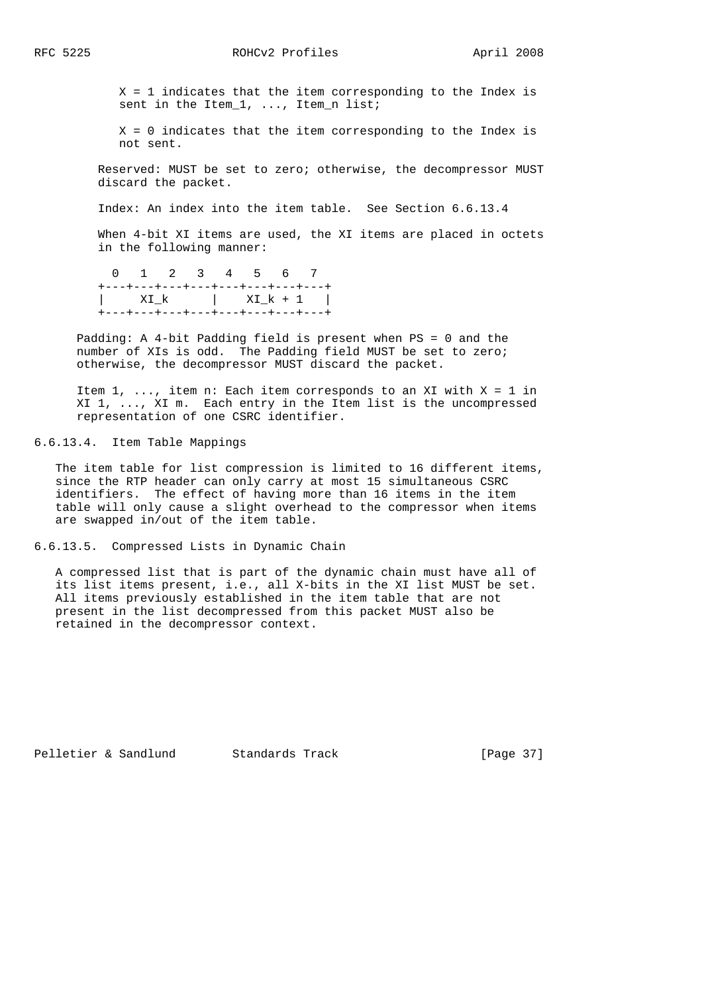X = 1 indicates that the item corresponding to the Index is sent in the Item\_1, ..., Item\_n list;

 X = 0 indicates that the item corresponding to the Index is not sent.

 Reserved: MUST be set to zero; otherwise, the decompressor MUST discard the packet.

Index: An index into the item table. See Section 6.6.13.4

When 4-bit XI items are used, the XI items are placed in octets in the following manner:

 0 1 2 3 4 5 6 7 +---+---+---+---+---+---+---+---+ | XI\_k | XI\_k + 1 | +---+---+---+---+---+---+---+---+

 Padding: A 4-bit Padding field is present when PS = 0 and the number of XIs is odd. The Padding field MUST be set to zero; otherwise, the decompressor MUST discard the packet.

Item  $1, \ldots$ , item n: Each item corresponds to an XI with  $X = 1$  in XI 1, ..., XI m. Each entry in the Item list is the uncompressed representation of one CSRC identifier.

6.6.13.4. Item Table Mappings

 The item table for list compression is limited to 16 different items, since the RTP header can only carry at most 15 simultaneous CSRC identifiers. The effect of having more than 16 items in the item table will only cause a slight overhead to the compressor when items are swapped in/out of the item table.

6.6.13.5. Compressed Lists in Dynamic Chain

 A compressed list that is part of the dynamic chain must have all of its list items present, i.e., all X-bits in the XI list MUST be set. All items previously established in the item table that are not present in the list decompressed from this packet MUST also be retained in the decompressor context.

Pelletier & Sandlund Standards Track [Page 37]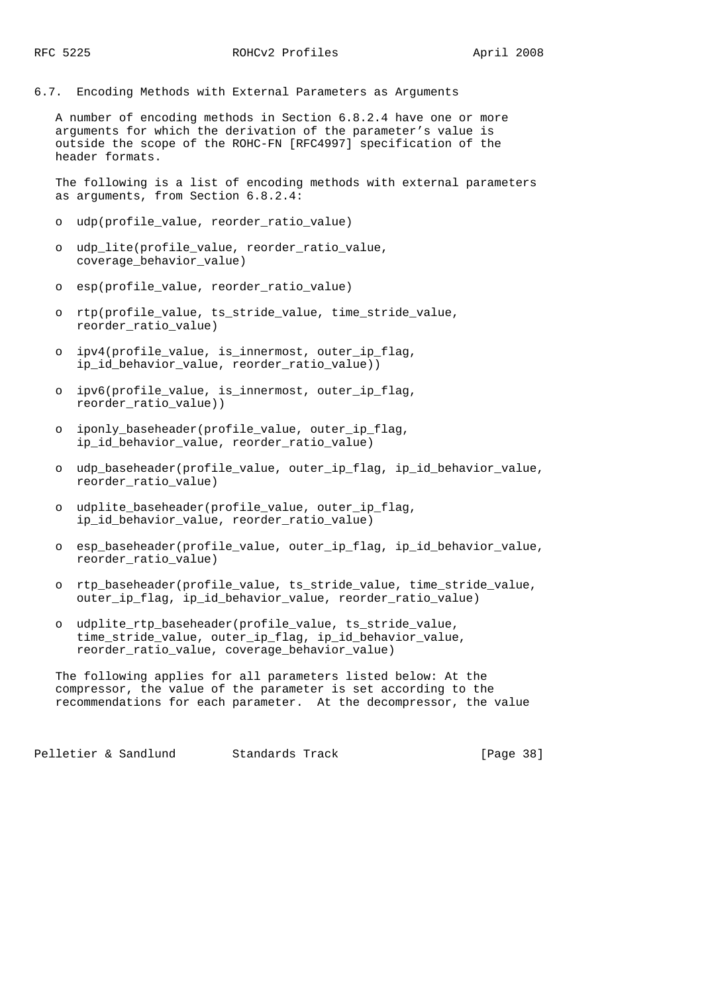6.7. Encoding Methods with External Parameters as Arguments

 A number of encoding methods in Section 6.8.2.4 have one or more arguments for which the derivation of the parameter's value is outside the scope of the ROHC-FN [RFC4997] specification of the header formats.

 The following is a list of encoding methods with external parameters as arguments, from Section 6.8.2.4:

- o udp(profile\_value, reorder\_ratio\_value)
- o udp\_lite(profile\_value, reorder\_ratio\_value, coverage\_behavior\_value)
- o esp(profile\_value, reorder\_ratio\_value)
- o rtp(profile\_value, ts\_stride\_value, time\_stride\_value, reorder\_ratio\_value)
- o ipv4(profile value, is innermost, outer ip flag, ip\_id\_behavior\_value, reorder\_ratio\_value))
- o ipv6(profile value, is innermost, outer ip flag, reorder\_ratio\_value))
- o iponly baseheader(profile value, outer ip flag, ip\_id\_behavior\_value, reorder\_ratio\_value)
- o udp\_baseheader(profile\_value, outer\_ip\_flag, ip\_id\_behavior\_value, reorder\_ratio\_value)
- o udplite\_baseheader(profile\_value, outer\_ip\_flag, ip\_id\_behavior\_value, reorder\_ratio\_value)
- o esp\_baseheader(profile\_value, outer\_ip\_flag, ip\_id\_behavior\_value, reorder\_ratio\_value)
- o rtp\_baseheader(profile\_value, ts\_stride\_value, time\_stride\_value, outer\_ip\_flag, ip\_id\_behavior\_value, reorder\_ratio\_value)
- o udplite\_rtp\_baseheader(profile\_value, ts\_stride\_value, time\_stride\_value, outer\_ip\_flag, ip\_id\_behavior\_value, reorder\_ratio\_value, coverage\_behavior\_value)

 The following applies for all parameters listed below: At the compressor, the value of the parameter is set according to the recommendations for each parameter. At the decompressor, the value

Pelletier & Sandlund Standards Track [Page 38]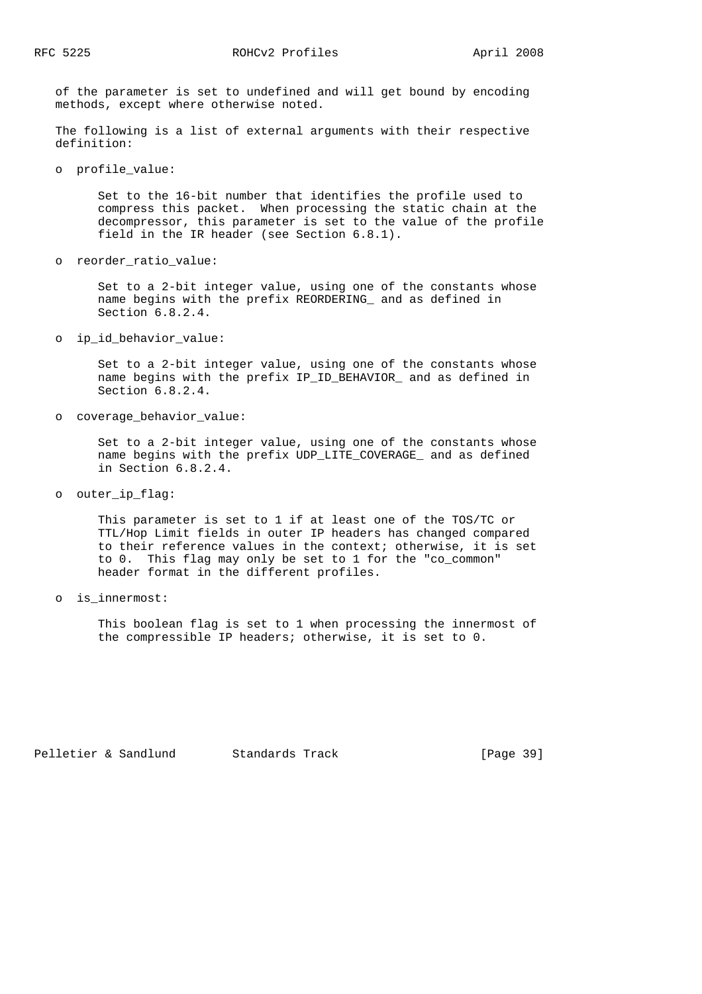of the parameter is set to undefined and will get bound by encoding methods, except where otherwise noted.

 The following is a list of external arguments with their respective definition:

o profile\_value:

 Set to the 16-bit number that identifies the profile used to compress this packet. When processing the static chain at the decompressor, this parameter is set to the value of the profile field in the IR header (see Section 6.8.1).

o reorder\_ratio\_value:

 Set to a 2-bit integer value, using one of the constants whose name begins with the prefix REORDERING\_ and as defined in Section 6.8.2.4.

o ip\_id\_behavior\_value:

 Set to a 2-bit integer value, using one of the constants whose name begins with the prefix IP\_ID\_BEHAVIOR\_ and as defined in Section 6.8.2.4.

o coverage\_behavior\_value:

 Set to a 2-bit integer value, using one of the constants whose name begins with the prefix UDP\_LITE\_COVERAGE\_ and as defined in Section 6.8.2.4.

o outer\_ip\_flag:

 This parameter is set to 1 if at least one of the TOS/TC or TTL/Hop Limit fields in outer IP headers has changed compared to their reference values in the context; otherwise, it is set to 0. This flag may only be set to 1 for the "co\_common" header format in the different profiles.

o is\_innermost:

 This boolean flag is set to 1 when processing the innermost of the compressible IP headers; otherwise, it is set to 0.

Pelletier & Sandlund Standards Track [Page 39]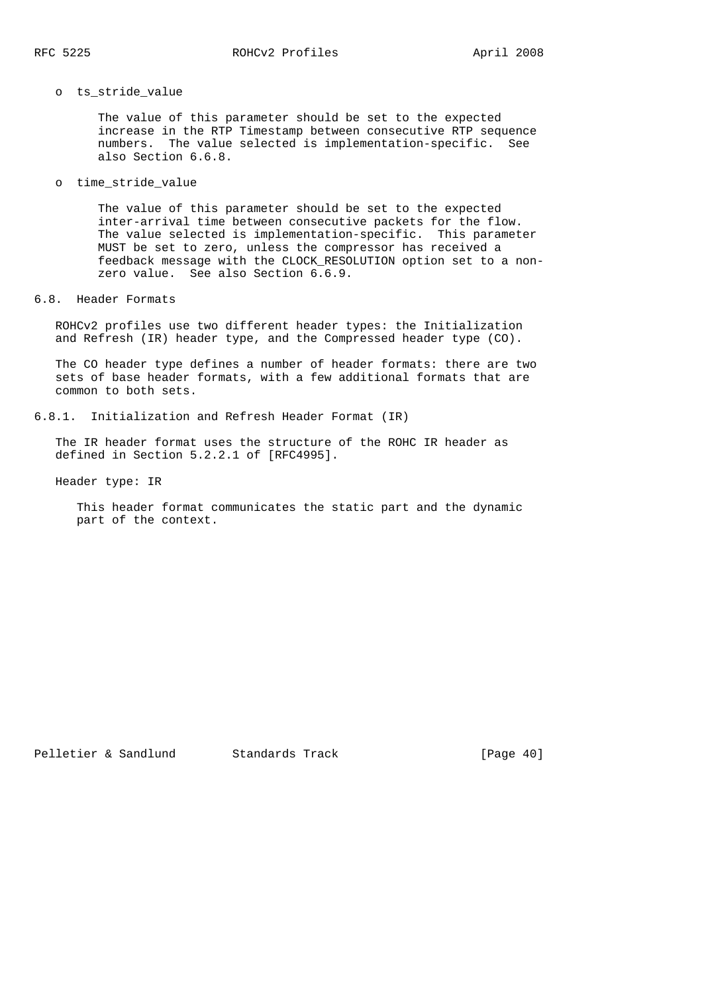## o ts\_stride\_value

 The value of this parameter should be set to the expected increase in the RTP Timestamp between consecutive RTP sequence numbers. The value selected is implementation-specific. See also Section 6.6.8.

o time\_stride\_value

 The value of this parameter should be set to the expected inter-arrival time between consecutive packets for the flow. The value selected is implementation-specific. This parameter MUST be set to zero, unless the compressor has received a feedback message with the CLOCK\_RESOLUTION option set to a non zero value. See also Section 6.6.9.

## 6.8. Header Formats

 ROHCv2 profiles use two different header types: the Initialization and Refresh (IR) header type, and the Compressed header type (CO).

 The CO header type defines a number of header formats: there are two sets of base header formats, with a few additional formats that are common to both sets.

```
6.8.1. Initialization and Refresh Header Format (IR)
```
 The IR header format uses the structure of the ROHC IR header as defined in Section 5.2.2.1 of [RFC4995].

Header type: IR

 This header format communicates the static part and the dynamic part of the context.

Pelletier & Sandlund Standards Track [Page 40]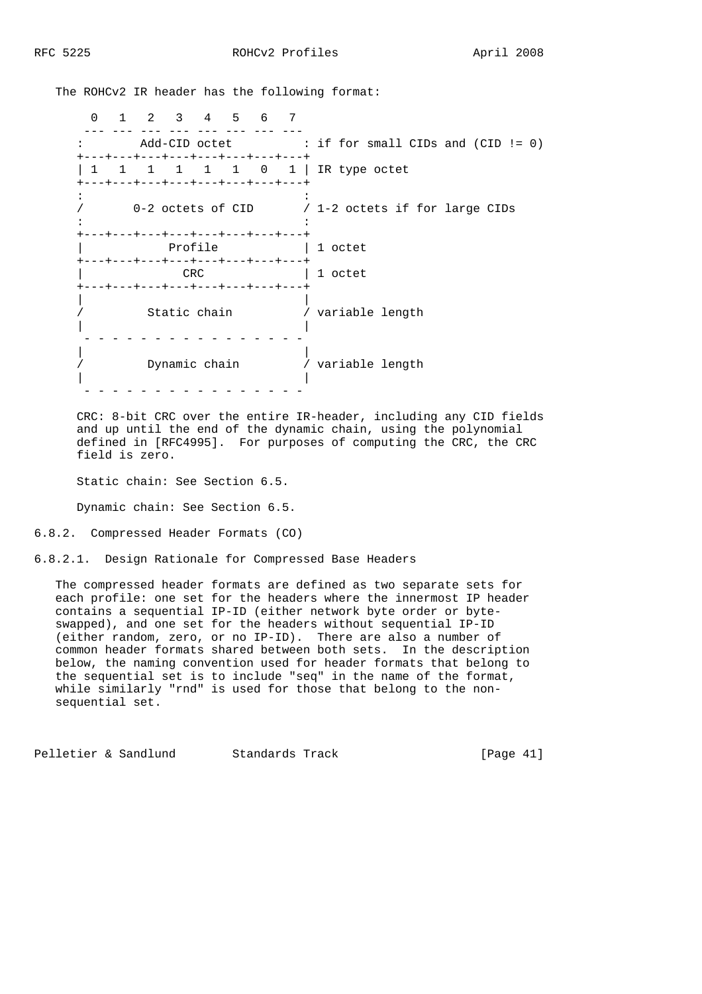The ROHCv2 IR header has the following format:

 0 1 2 3 4 5 6 7 --- --- --- --- --- --- --- --- : Add-CID octet : if for small CIDs and (CID != 0) +---+---+---+---+---+---+---+---+ | 1 1 1 1 1 0 1 | IR type octet +---+---+---+---+---+---+---+---+  $\mathcal{L}^{\mathcal{L}}(\mathcal{L}^{\mathcal{L}}(\mathcal{L}^{\mathcal{L}}(\mathcal{L}^{\mathcal{L}}(\mathcal{L}^{\mathcal{L}}(\mathcal{L}^{\mathcal{L}}(\mathcal{L}^{\mathcal{L}}(\mathcal{L}^{\mathcal{L}}(\mathcal{L}^{\mathcal{L}}(\mathcal{L}^{\mathcal{L}}(\mathcal{L}^{\mathcal{L}}(\mathcal{L}^{\mathcal{L}}(\mathcal{L}^{\mathcal{L}}(\mathcal{L}^{\mathcal{L}}(\mathcal{L}^{\mathcal{L}}(\mathcal{L}^{\mathcal{L}}(\mathcal{L}^{\mathcal{L$  / 0-2 octets of CID / 1-2 octets if for large CIDs in the state of the state of the state of the state of the state of the state of the +---+---+---+---+---+---+---+---+ Profile  $| 1$  octet +---+---+---+---+---+---+---+---+ | CRC | 1 octet +---+---+---+---+---+---+---+---+ | | / Static chain / variable length | | - - - - - - - - - - - - - - - - | | / Dynamic chain / variable length | | - - - - - - - - - - - - - - - -

 CRC: 8-bit CRC over the entire IR-header, including any CID fields and up until the end of the dynamic chain, using the polynomial defined in [RFC4995]. For purposes of computing the CRC, the CRC field is zero.

Static chain: See Section 6.5.

Dynamic chain: See Section 6.5.

6.8.2. Compressed Header Formats (CO)

6.8.2.1. Design Rationale for Compressed Base Headers

 The compressed header formats are defined as two separate sets for each profile: one set for the headers where the innermost IP header contains a sequential IP-ID (either network byte order or byte swapped), and one set for the headers without sequential IP-ID (either random, zero, or no IP-ID). There are also a number of common header formats shared between both sets. In the description below, the naming convention used for header formats that belong to the sequential set is to include "seq" in the name of the format, while similarly "rnd" is used for those that belong to the non sequential set.

Pelletier & Sandlund Standards Track [Page 41]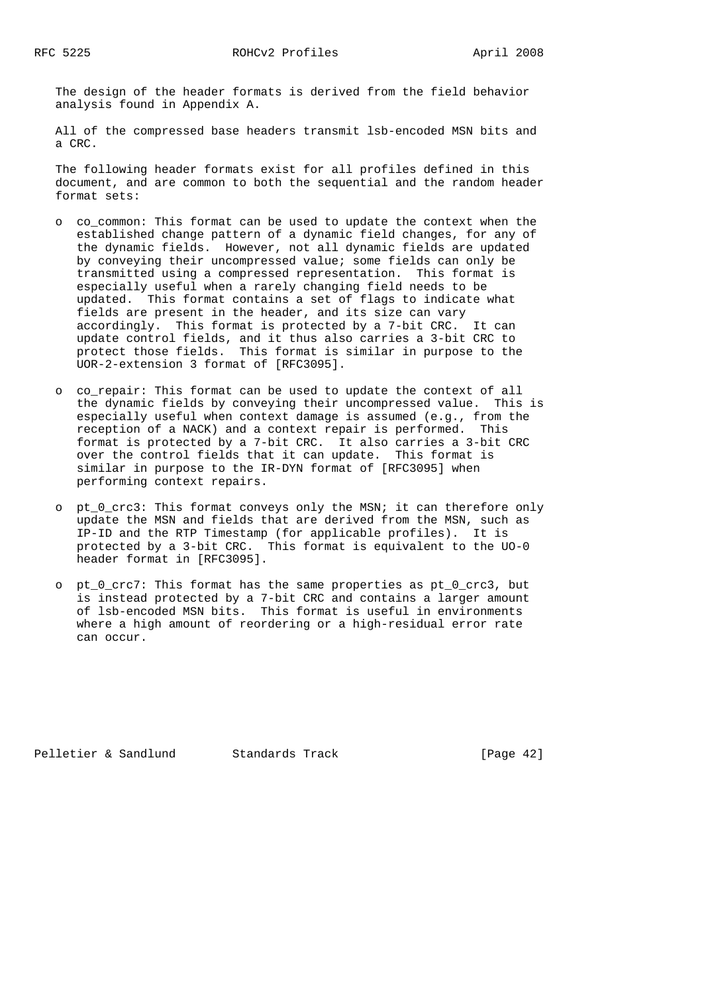The design of the header formats is derived from the field behavior analysis found in Appendix A.

 All of the compressed base headers transmit lsb-encoded MSN bits and a CRC.

 The following header formats exist for all profiles defined in this document, and are common to both the sequential and the random header format sets:

- o co common: This format can be used to update the context when the established change pattern of a dynamic field changes, for any of the dynamic fields. However, not all dynamic fields are updated by conveying their uncompressed value; some fields can only be transmitted using a compressed representation. This format is especially useful when a rarely changing field needs to be updated. This format contains a set of flags to indicate what fields are present in the header, and its size can vary accordingly. This format is protected by a 7-bit CRC. It can update control fields, and it thus also carries a 3-bit CRC to protect those fields. This format is similar in purpose to the UOR-2-extension 3 format of [RFC3095].
- o co\_repair: This format can be used to update the context of all the dynamic fields by conveying their uncompressed value. This is especially useful when context damage is assumed (e.g., from the reception of a NACK) and a context repair is performed. This format is protected by a 7-bit CRC. It also carries a 3-bit CRC over the control fields that it can update. This format is similar in purpose to the IR-DYN format of [RFC3095] when performing context repairs.
- o pt\_0\_crc3: This format conveys only the MSN; it can therefore only update the MSN and fields that are derived from the MSN, such as IP-ID and the RTP Timestamp (for applicable profiles). It is protected by a 3-bit CRC. This format is equivalent to the UO-0 header format in [RFC3095].
- o pt\_0\_crc7: This format has the same properties as pt\_0\_crc3, but is instead protected by a 7-bit CRC and contains a larger amount of lsb-encoded MSN bits. This format is useful in environments where a high amount of reordering or a high-residual error rate can occur.

Pelletier & Sandlund Standards Track [Page 42]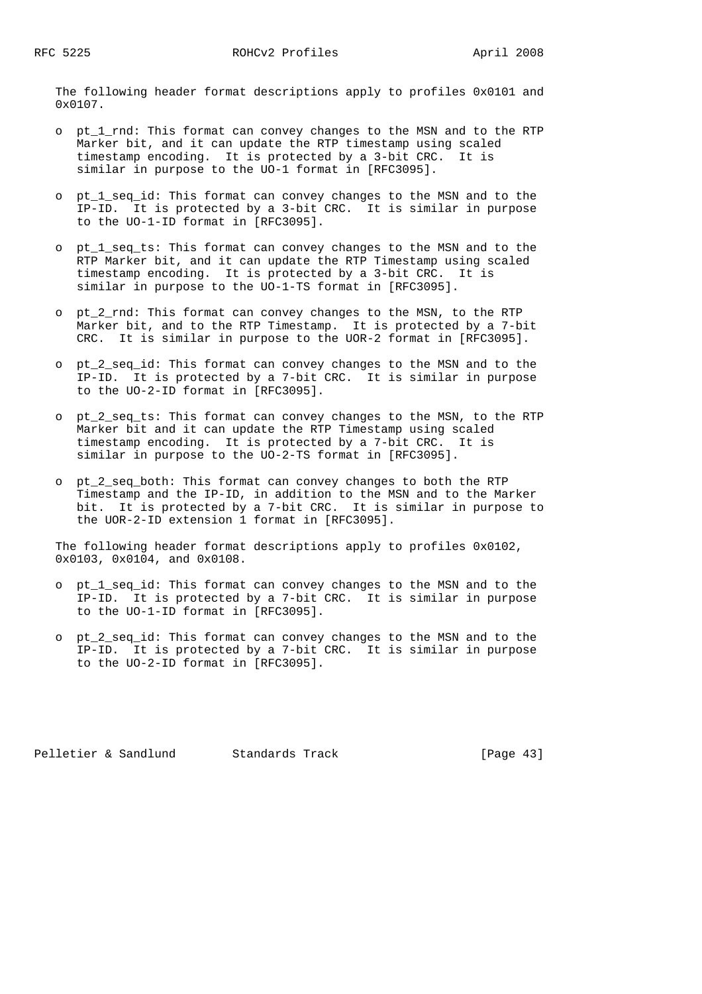The following header format descriptions apply to profiles 0x0101 and 0x0107.

- o pt\_1\_rnd: This format can convey changes to the MSN and to the RTP Marker bit, and it can update the RTP timestamp using scaled timestamp encoding. It is protected by a 3-bit CRC. It is similar in purpose to the UO-1 format in [RFC3095].
- o pt\_1\_seq\_id: This format can convey changes to the MSN and to the IP-ID. It is protected by a 3-bit CRC. It is similar in purpose to the UO-1-ID format in [RFC3095].
- o pt\_1\_seq\_ts: This format can convey changes to the MSN and to the RTP Marker bit, and it can update the RTP Timestamp using scaled timestamp encoding. It is protected by a 3-bit CRC. It is similar in purpose to the UO-1-TS format in [RFC3095].
- o pt\_2\_rnd: This format can convey changes to the MSN, to the RTP Marker bit, and to the RTP Timestamp. It is protected by a 7-bit CRC. It is similar in purpose to the UOR-2 format in [RFC3095].
- o pt\_2\_seq\_id: This format can convey changes to the MSN and to the IP-ID. It is protected by a 7-bit CRC. It is similar in purpose to the UO-2-ID format in [RFC3095].
- o pt\_2\_seq\_ts: This format can convey changes to the MSN, to the RTP Marker bit and it can update the RTP Timestamp using scaled timestamp encoding. It is protected by a 7-bit CRC. It is similar in purpose to the UO-2-TS format in [RFC3095].
- o pt\_2\_seq\_both: This format can convey changes to both the RTP Timestamp and the IP-ID, in addition to the MSN and to the Marker bit. It is protected by a 7-bit CRC. It is similar in purpose to the UOR-2-ID extension 1 format in [RFC3095].

 The following header format descriptions apply to profiles 0x0102, 0x0103, 0x0104, and 0x0108.

- o pt\_1\_seq\_id: This format can convey changes to the MSN and to the IP-ID. It is protected by a 7-bit CRC. It is similar in purpose to the UO-1-ID format in [RFC3095].
- o pt\_2\_seq\_id: This format can convey changes to the MSN and to the IP-ID. It is protected by a 7-bit CRC. It is similar in purpose to the UO-2-ID format in [RFC3095].

Pelletier & Sandlund Standards Track [Page 43]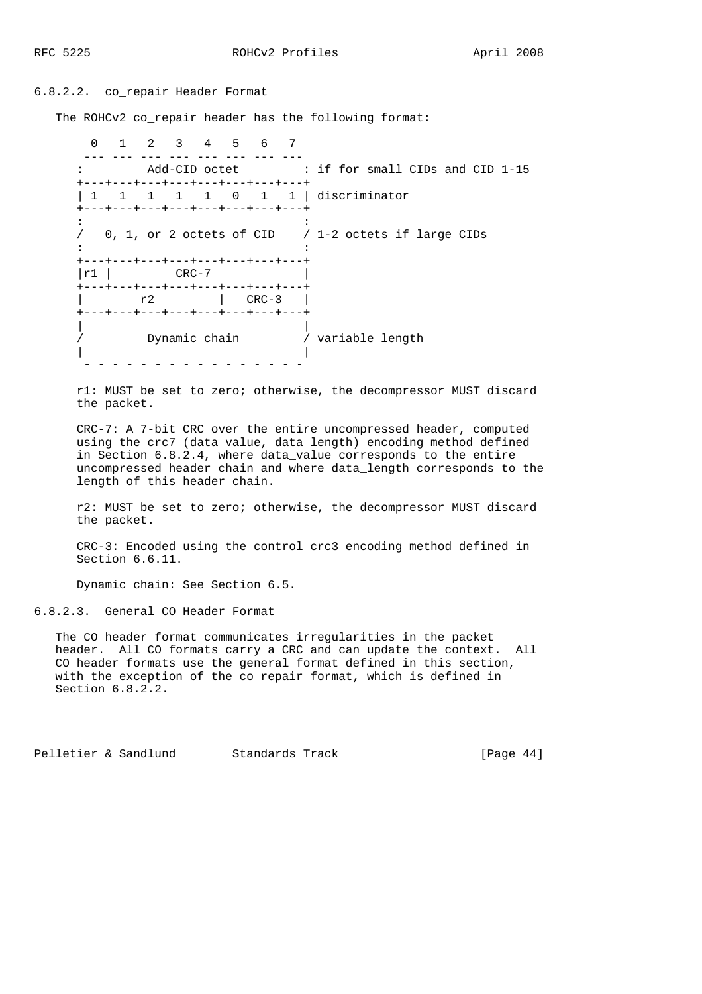## 6.8.2.2. co\_repair Header Format

The ROHCv2 co repair header has the following format:

 0 1 2 3 4 5 6 7 ---- --- --- --- --- --- --- --- --- : Add-CID octet : if for small CIDs and CID 1-15 +---+---+---+---+---+---+---+---+ | 1 1 1 1 1 0 1 1 | discriminator +---+---+---+---+---+---+---+---+ in the state of the state of the state of the state of the state of the state of the / 0, 1, or 2 octets of CID / 1-2 octets if large CIDs  $\mathcal{L}^{\mathcal{L}}(\mathcal{L}^{\mathcal{L}}(\mathcal{L}^{\mathcal{L}}(\mathcal{L}^{\mathcal{L}}(\mathcal{L}^{\mathcal{L}}(\mathcal{L}^{\mathcal{L}}(\mathcal{L}^{\mathcal{L}}(\mathcal{L}^{\mathcal{L}}(\mathcal{L}^{\mathcal{L}}(\mathcal{L}^{\mathcal{L}}(\mathcal{L}^{\mathcal{L}}(\mathcal{L}^{\mathcal{L}}(\mathcal{L}^{\mathcal{L}}(\mathcal{L}^{\mathcal{L}}(\mathcal{L}^{\mathcal{L}}(\mathcal{L}^{\mathcal{L}}(\mathcal{L}^{\mathcal{L$  +---+---+---+---+---+---+---+---+  $|\text{r1}$   $|\text{CRC}-7$  +---+---+---+---+---+---+---+---+ | r2 | CRC-3 | +---+---+---+---+---+---+---+---+ | | / Dynamic chain / variable length | | - - - - - - - - - - - - - - - -

 r1: MUST be set to zero; otherwise, the decompressor MUST discard the packet.

 CRC-7: A 7-bit CRC over the entire uncompressed header, computed using the crc7 (data\_value, data\_length) encoding method defined in Section 6.8.2.4, where data\_value corresponds to the entire uncompressed header chain and where data\_length corresponds to the length of this header chain.

 r2: MUST be set to zero; otherwise, the decompressor MUST discard the packet.

 CRC-3: Encoded using the control\_crc3\_encoding method defined in Section 6.6.11.

Dynamic chain: See Section 6.5.

6.8.2.3. General CO Header Format

 The CO header format communicates irregularities in the packet header. All CO formats carry a CRC and can update the context. All CO header formats use the general format defined in this section, with the exception of the co\_repair format, which is defined in Section 6.8.2.2.

Pelletier & Sandlund Standards Track [Page 44]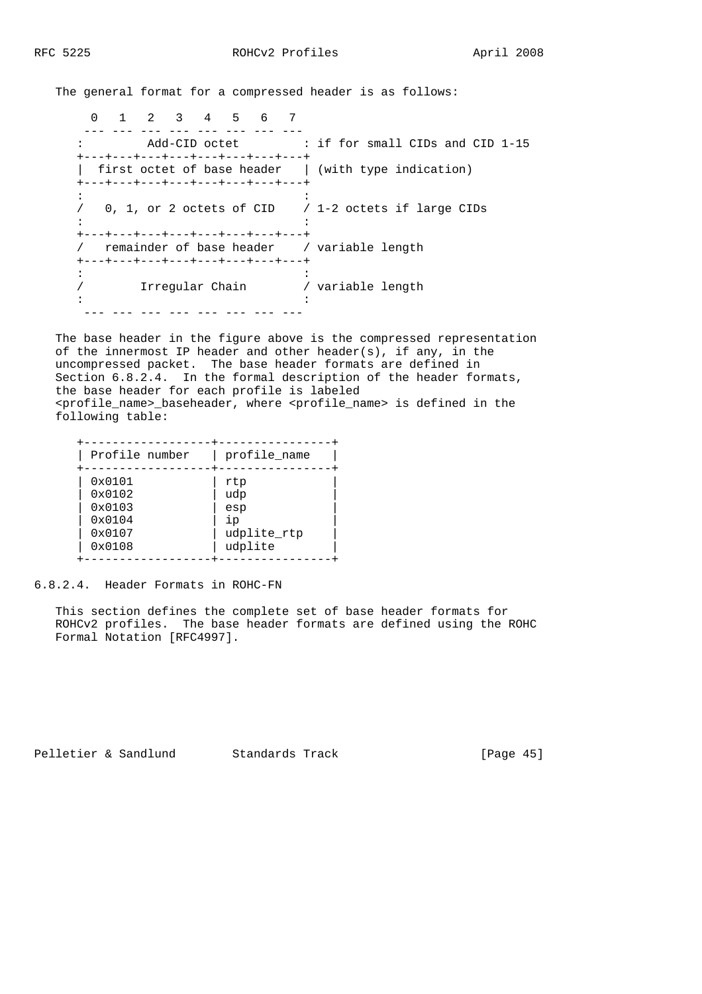The general format for a compressed header is as follows:

 0 1 2 3 4 5 6 7 --- --- --- --- --- --- --- --- : Add-CID octet : if for small CIDs and CID 1-15 +---+---+---+---+---+---+---+---+ | first octet of base header | (with type indication) +---+---+---+---+---+---+---+---+  $\mathcal{L}^{\mathcal{L}}(\mathcal{L}^{\mathcal{L}}(\mathcal{L}^{\mathcal{L}}(\mathcal{L}^{\mathcal{L}}(\mathcal{L}^{\mathcal{L}}(\mathcal{L}^{\mathcal{L}}(\mathcal{L}^{\mathcal{L}}(\mathcal{L}^{\mathcal{L}}(\mathcal{L}^{\mathcal{L}}(\mathcal{L}^{\mathcal{L}}(\mathcal{L}^{\mathcal{L}}(\mathcal{L}^{\mathcal{L}}(\mathcal{L}^{\mathcal{L}}(\mathcal{L}^{\mathcal{L}}(\mathcal{L}^{\mathcal{L}}(\mathcal{L}^{\mathcal{L}}(\mathcal{L}^{\mathcal{L$  / 0, 1, or 2 octets of CID / 1-2 octets if large CIDs in the state of the state of the state of the state of the state of the state of the +---+---+---+---+---+---+---+---+ / remainder of base header / variable length +---+---+---+---+---+---+---+---+  $\mathcal{L}^{\mathcal{L}}(\mathcal{L}^{\mathcal{L}}(\mathcal{L}^{\mathcal{L}}(\mathcal{L}^{\mathcal{L}}(\mathcal{L}^{\mathcal{L}}(\mathcal{L}^{\mathcal{L}}(\mathcal{L}^{\mathcal{L}}(\mathcal{L}^{\mathcal{L}}(\mathcal{L}^{\mathcal{L}}(\mathcal{L}^{\mathcal{L}}(\mathcal{L}^{\mathcal{L}}(\mathcal{L}^{\mathcal{L}}(\mathcal{L}^{\mathcal{L}}(\mathcal{L}^{\mathcal{L}}(\mathcal{L}^{\mathcal{L}}(\mathcal{L}^{\mathcal{L}}(\mathcal{L}^{\mathcal{L$ / Irregular Chain / variable length the state of the state of the state of the state of the state of the state of --- --- --- --- --- --- --- ---

 The base header in the figure above is the compressed representation of the innermost IP header and other header(s), if any, in the uncompressed packet. The base header formats are defined in Section 6.8.2.4. In the formal description of the header formats, the base header for each profile is labeled <profile\_name>\_baseheader, where <profile\_name> is defined in the following table:

| profile name |
|--------------|
| rtp          |
| udp          |
| esp          |
| ip           |
| udplite rtp  |
| udplite      |
|              |

6.8.2.4. Header Formats in ROHC-FN

 This section defines the complete set of base header formats for ROHCv2 profiles. The base header formats are defined using the ROHC Formal Notation [RFC4997].

Pelletier & Sandlund Standards Track [Page 45]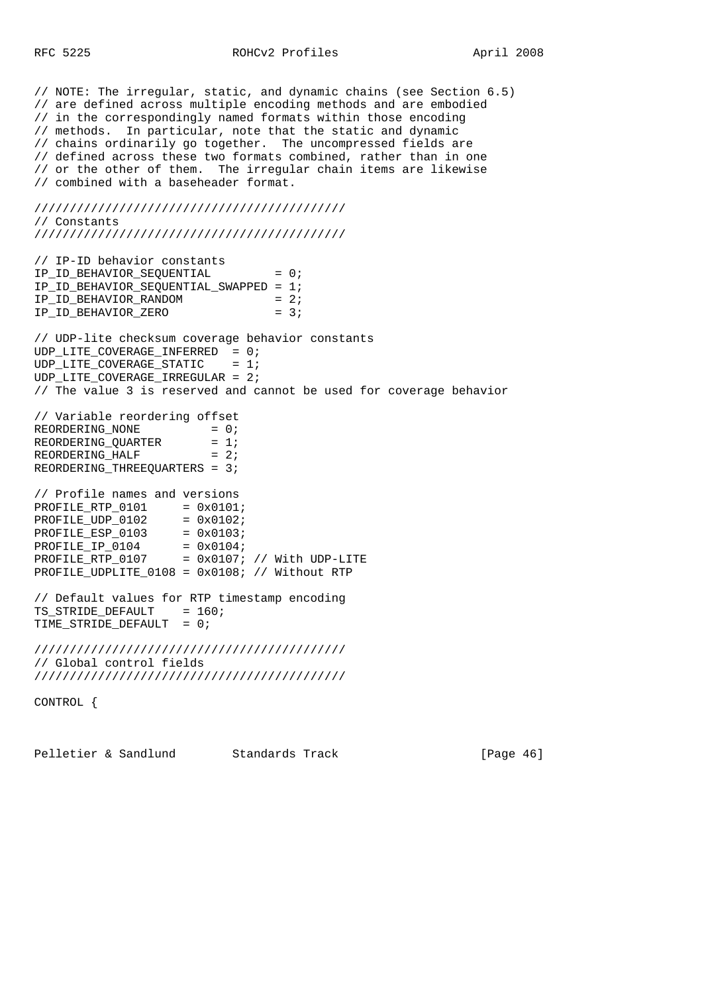// NOTE: The irregular, static, and dynamic chains (see Section 6.5) // are defined across multiple encoding methods and are embodied // in the correspondingly named formats within those encoding // methods. In particular, note that the static and dynamic // chains ordinarily go together. The uncompressed fields are // defined across these two formats combined, rather than in one // or the other of them. The irregular chain items are likewise // combined with a baseheader format. //////////////////////////////////////////// // Constants //////////////////////////////////////////// // IP-ID behavior constants IP\_ID\_BEHAVIOR\_SEQUENTIAL = 0; IP\_ID\_BEHAVIOR\_SEQUENTIAL\_SWAPPED = 1;  $IP\_ID\_BEHAVIOR\_RANDOM$  = 2; IP\_ID\_BEHAVIOR\_ZERO = 3; // UDP-lite checksum coverage behavior constants UDP\_LITE\_COVERAGE\_INFERRED = 0;  $UDP$ \_LITE\_COVERAGE\_STATIC = 1; UDP\_LITE\_COVERAGE\_IRREGULAR = 2; // The value 3 is reserved and cannot be used for coverage behavior // Variable reordering offset  $REORDERING_NONE$  = 0;  $REORDERING_QUARTER = 1;$  $REORDERING\_YORNLEN$  = 1,<br>REORDERING\_HALF = 2; REORDERING THREEQUARTERS = 3; // Profile names and versions  $PROFILE\_RTP_0101 = 0x0101;$ <br> $PROFILE\_UDP_0102 = 0x0102;$  $PROFILE_UDP_0102 = 0x0102$ ; PROFILE\_ESP\_0103 = 0x0103;  $PROFILE_IP_0104 = 0x0104;$  $PROFILE\_RTP_0107 = 0x0107$ ; // With UDP-LITE PROFILE\_UDPLITE\_0108 = 0x0108; // Without RTP // Default values for RTP timestamp encoding TS\_STRIDE\_DEFAULT = 160; TIME\_STRIDE\_DEFAULT = 0; //////////////////////////////////////////// // Global control fields //////////////////////////////////////////// CONTROL {

Pelletier & Sandlund Standards Track [Page 46]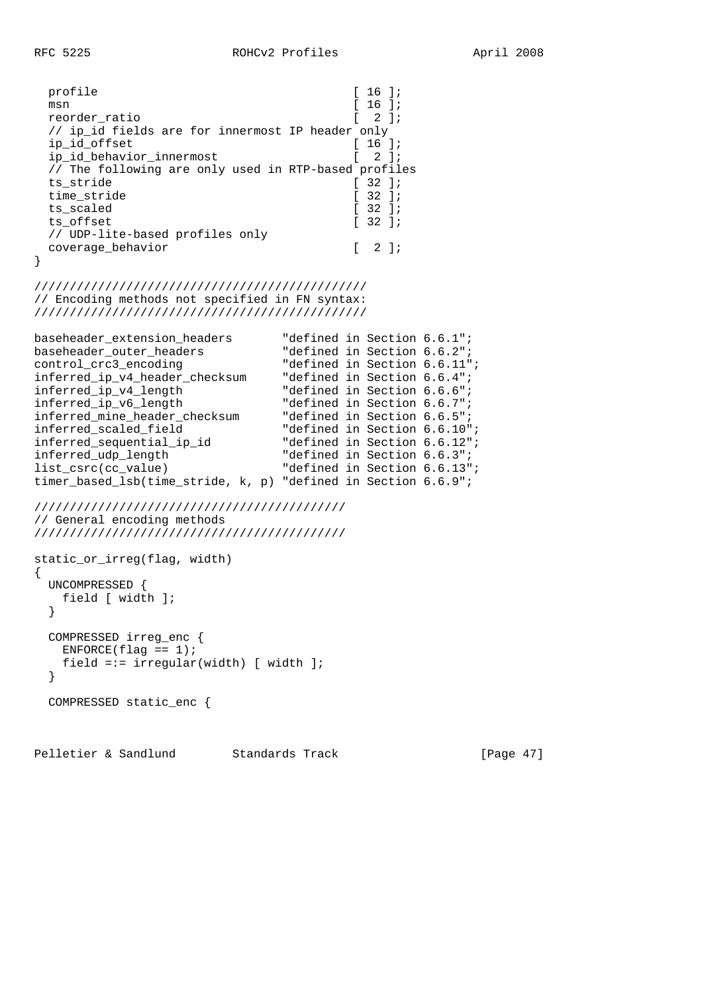| profile                                              | $16$ $17$                                        |               |
|------------------------------------------------------|--------------------------------------------------|---------------|
| msn                                                  | $16$ $17$                                        |               |
| reorder ratio                                        | $2 \;$ 1;                                        |               |
| // ip id fields are for innermost IP header only     |                                                  |               |
| ip id offset                                         | 16 l <i>i</i>                                    |               |
| ip_id_behavior_innermost                             | $2 \; 1i$                                        |               |
| // The following are only used in RTP-based profiles |                                                  |               |
| ts stride                                            | 32 l <i>i</i>                                    |               |
| time stride                                          | $\left[ \begin{array}{c} 32 \end{array} \right]$ |               |
| ts scaled                                            | $132$ $11$                                       |               |
| ts offset                                            | $\left[ \begin{array}{c} 32 \end{array} \right]$ |               |
| // UDP-lite-based profiles only                      |                                                  |               |
| coverage behavior                                    |                                                  | $2 \exists i$ |
|                                                      |                                                  |               |

```
///////////////////////////////////////////////
// Encoding methods not specified in FN syntax:
```
///////////////////////////////////////////////

```
baseheader_extension_headers "defined in Section 6.6.1";
baseheader_outer_headers "defined in Section 6.6.2";
control_crc3_encoding "defined in Section 6.6.11";
inferred_ip_v4_header_checksum "defined in Section 6.6.4";
inferred_ip_v4_length "defined in Section 6.6.6";
inferred_ip_v6_length "defined in Section 6.6.7";
inferred_mine_header_checksum
inferred_scaled_field "defined in Section 6.6.10";
inferred_sequential_ip_id
inferred_udp_length "defined in Section 6.6.3";
list_csrc(cc_value) "defined in Section 6.6.13";
timer_based_lsb(time_stride, k, p) "defined in Section 6.6.9";
```

```
////////////////////////////////////////////
// General encoding methods
////////////////////////////////////////////
```

```
static_or_irreg(flag, width)
{
   UNCOMPRESSED {
    field [ width ];
   }
   COMPRESSED irreg_enc {
   ENFORCE(flag == 1); field =:= irregular(width) [ width ];
   }
   COMPRESSED static_enc {
```
Pelletier & Sandlund Standards Track [Page 47]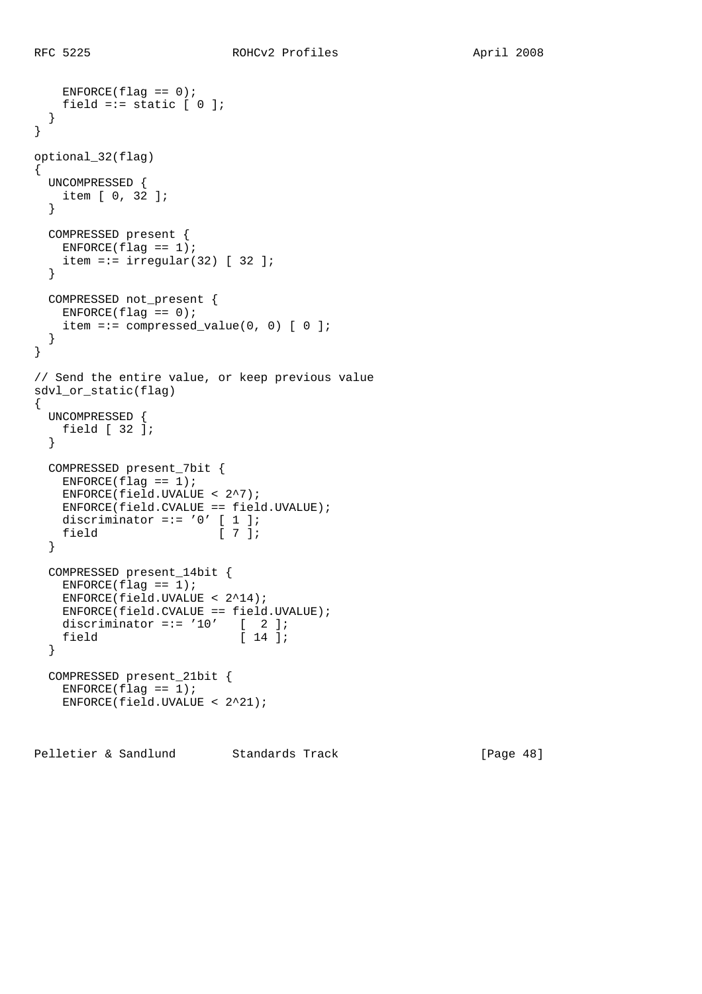```
ENFORCE(flag == 0);field =:= static [0];
  }
}
optional_32(flag)
{
  UNCOMPRESSED {
   item [ 0, 32 ];
   }
  COMPRESSED present {
  ENFCRCE(flag == 1);item =:= irregular(32) [ 32 ];
  }
  COMPRESSED not_present {
   ENFORCE(flag == 0);item =:= compressed_value(0, 0) [0] }
}
// Send the entire value, or keep previous value
sdvl or static(flag)
{
  UNCOMPRESSED {
   field [ 32 ];
  }
  COMPRESSED present_7bit {
   ENFORCE(flag == 1); ENFORCE(field.UVALUE < 2^7);
    ENFORCE(field.CVALUE == field.UVALUE);
   discriminator =:= '0' [ 1 ];
   field [ 7 ];
  }
  COMPRESSED present_14bit {
   ENFORCE(flag == 1); ENFORCE(field.UVALUE < 2^14);
    ENFORCE(field.CVALUE == field.UVALUE);
   discriminator =:= '10' [ 2 ];
   field [ 14 ];
  }
  COMPRESSED present_21bit {
   ENFORCE(flag == 1); ENFORCE(field.UVALUE < 2^21);
```
Pelletier & Sandlund Standards Track [Page 48]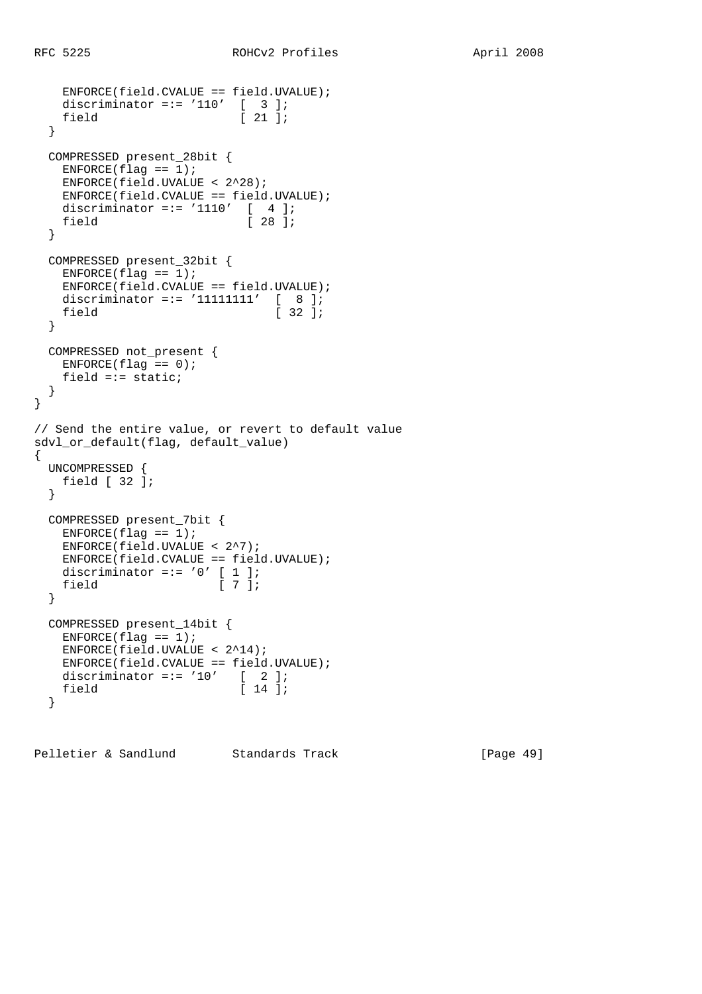```
 ENFORCE(field.CVALUE == field.UVALUE);
 discriminator =:= '110' [ 3 ];
field [ 21 ];
  }
  COMPRESSED present_28bit {
   ENFORCE(flag == 1);
    ENFORCE(field.UVALUE < 2^28);
    ENFORCE(field.CVALUE == field.UVALUE);
   discriminator =:= '1110' [ 4 ];
   field [ 28 ];
   }
  COMPRESSED present_32bit {
  ENFORCE(flag == 1); ENFORCE(field.CVALUE == field.UVALUE);
   discriminator =:= '11111111' [ 8 ];
   field [ 32 ];
  }
  COMPRESSED not_present {
   ENTER(flag == 0);field =:- static;
  }
}
// Send the entire value, or revert to default value
sdvl_or_default(flag, default_value)
{
  UNCOMPRESSED {
   field [ 32 ];
  }
  COMPRESSED present_7bit {
   ENFCRCE(flag == 1); ENFORCE(field.UVALUE < 2^7);
    ENFORCE(field.CVALUE == field.UVALUE);
   discriminator =:= '0' [ 1 ];
   field [ 7 ];
  }
  COMPRESSED present_14bit {
  ENFORCE(flag == 1); ENFORCE(field.UVALUE < 2^14);
    ENFORCE(field.CVALUE == field.UVALUE);
   discriminator =:= '10' [ 2 ];<br>field [ 14 ];
                           [14];
   }
```
Pelletier & Sandlund Standards Track [Page 49]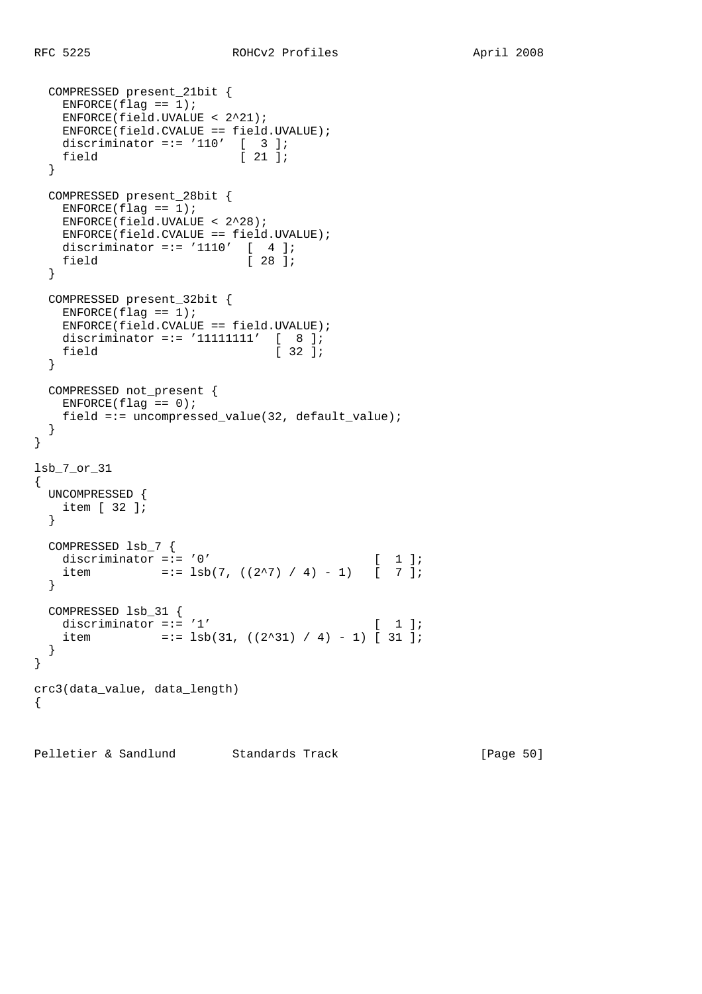COMPRESSED present\_21bit {

```
ENTER(flag == 1); ENFORCE(field.UVALUE < 2^21);
    ENFORCE(field.CVALUE == field.UVALUE);
 discriminator =:= '110' [ 3 ];
field [ 21 ];
  }
  COMPRESSED present_28bit {
   ENFORCE(flag == 1); ENFORCE(field.UVALUE < 2^28);
    ENFORCE(field.CVALUE == field.UVALUE);
   discriminator =:= '1110' [ 4 ];
   field [ 28 ];
  }
  COMPRESSED present_32bit {
   ENFORCE(flag == 1); ENFORCE(field.CVALUE == field.UVALUE);
 discriminator =:= '11111111' [ 8 ];
field [ 32 ];
  }
  COMPRESSED not_present {
   ENFORCE(flag == 0);field =:= uncompressed_value(32, default_value);
  }
}
lsb_7_or_31
{
  UNCOMPRESSED {
   item [ 32 ];
  }
  COMPRESSED lsb_7 {
  discriminator =:= '0' [ 1 ];
   item =:= 1sb(7, ((2^27) / 4) - 1) [ 7 ];
  }
  COMPRESSED lsb_31 {
  discriminator =:= '1' [ 1];
   item =:= 1sb(31, ((2^31) / 4) - 1) [31];
  }
}
crc3(data_value, data_length)
{
```
Pelletier & Sandlund Standards Track [Page 50]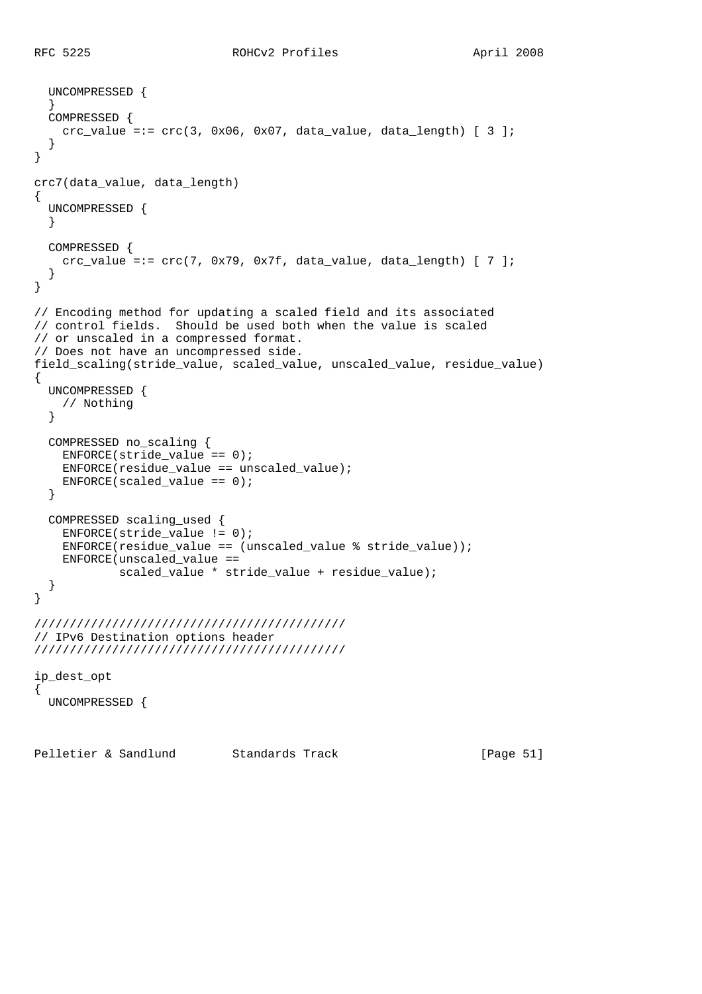```
 UNCOMPRESSED {
 }
   COMPRESSED {
   crc_value =:= \text{crc}(3, 0x06, 0x07, \text{ data_value}, \text{data_length}) [ 3 ];
   }
}
crc7(data_value, data_length)
{
   UNCOMPRESSED {
   }
   COMPRESSED {
   crc_value =:= \text{crc}(7, 0x79, 0x7f, \text{data_value}, \text{data_length}) [ 7 ];
 }
}
// Encoding method for updating a scaled field and its associated
// control fields. Should be used both when the value is scaled
// or unscaled in a compressed format.
// Does not have an uncompressed side.
field_scaling(stride_value, scaled_value, unscaled_value, residue_value)
{
   UNCOMPRESSED {
    // Nothing
   }
   COMPRESSED no_scaling {
    ENFORCE(stride_value == 0);
     ENFORCE(residue_value == unscaled_value);
   ENFCRCE(scaled_value == 0); }
   COMPRESSED scaling_used {
     ENFORCE(stride_value != 0);
     ENFORCE(residue_value == (unscaled_value % stride_value));
    ENFORCE(unscaled_value ==
             scaled_value * stride_value + residue_value);
   }
}
////////////////////////////////////////////
// IPv6 Destination options header
////////////////////////////////////////////
ip_dest_opt
{
   UNCOMPRESSED {
```
Pelletier & Sandlund Standards Track [Page 51]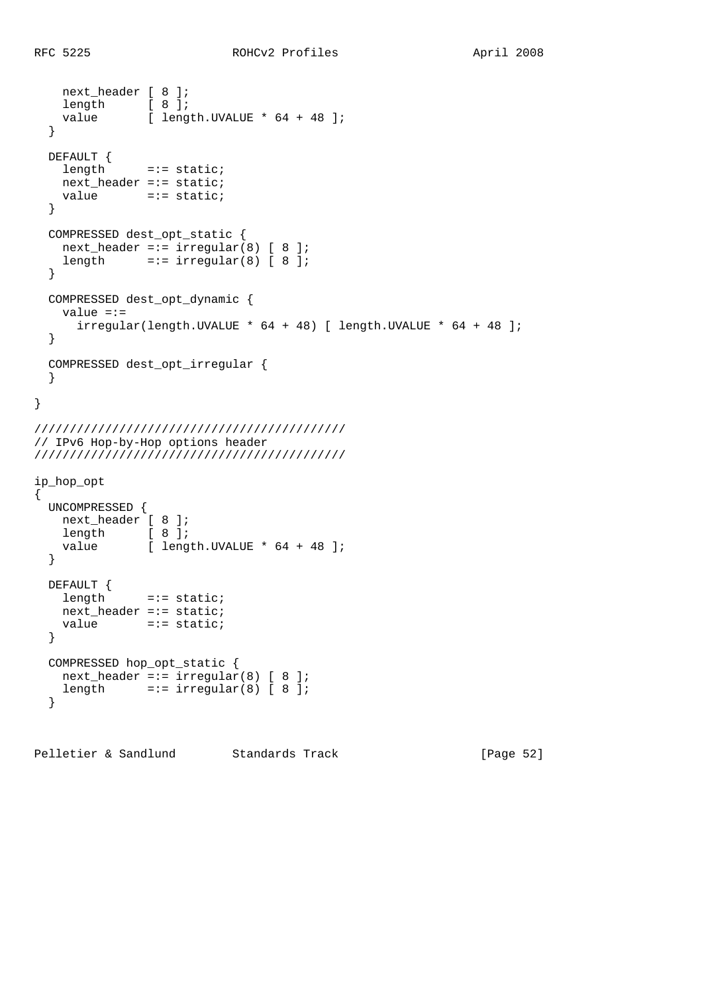```
 next_header [ 8 ];
length [ 8 ];
value [ length.UVALUE * 64 + 48 ];
  }
  DEFAULT {
    length =:= static;
    next_header =:= static;
   value =:= static;
  }
  COMPRESSED dest_opt_static {
   next\_header == irregular(8) [ 8 ];
   length =:- irregular(8) [ 8 ];
  }
  COMPRESSED dest_opt_dynamic {
    value =:=
     irregular(length.UVALLY * 64 + 48) [ length. UVALUE * 64 + 48 ];
   }
  COMPRESSED dest_opt_irregular {
   }
}
////////////////////////////////////////////
// IPv6 Hop-by-Hop options header
////////////////////////////////////////////
ip_hop_opt
{
  UNCOMPRESSED {
    next_header [ 8 ];
   length [ 8 ];
   value [ length.UVALUE * 64 + 48 ];
  }
  DEFAULT {
   length =:= static;
    next_header =:= static;
   value =:= static;
  }
  COMPRESSED hop_opt_static {
   next\_header == irregular(8) [ 8 ];
   length =:- \text{ irregular}(8) [8]; }
```
Pelletier & Sandlund Standards Track [Page 52]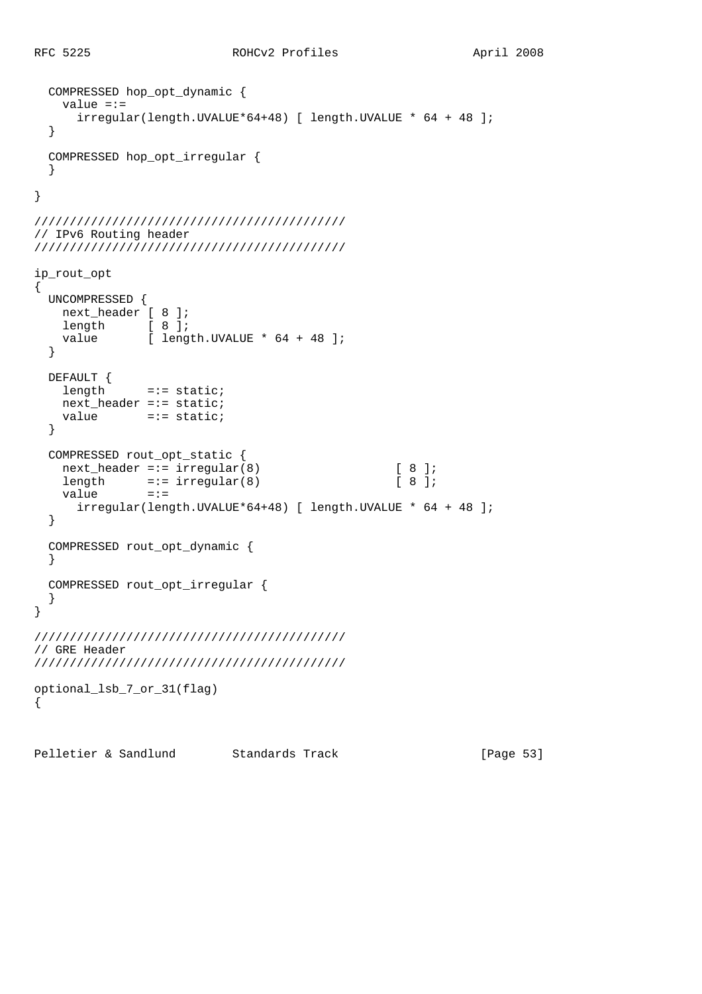```
 COMPRESSED hop_opt_dynamic {
     value =:=
      irregular(length.UVALUE*64+48) [ length.UVALUE * 64 + 48 ];
   }
   COMPRESSED hop_opt_irregular {
   }
}
////////////////////////////////////////////
// IPv6 Routing header
////////////////////////////////////////////
ip_rout_opt
{
   UNCOMPRESSED {
   next_header [ 8 ];
   length [ 8 ];<br>value [ leng
              [ length.UVALUE * 64 + 48 ];
   }
  DEFAULT {
   length =:= static;
    next_header =:= static;
    value =:= static;
   }
   COMPRESSED rout_opt_static {
   next header =:= irregular(8) [ 8 ];
   length =:- \text{ irregular}(8) [ 8 ];
   value =:=
       irregular(length.UVALUE*64+48) [ length.UVALUE * 64 + 48 ];
   }
   COMPRESSED rout_opt_dynamic {
   }
   COMPRESSED rout_opt_irregular {
   }
}
////////////////////////////////////////////
// GRE Header
////////////////////////////////////////////
optional_lsb_7_or_31(flag)
{
```
Pelletier & Sandlund Standards Track [Page 53]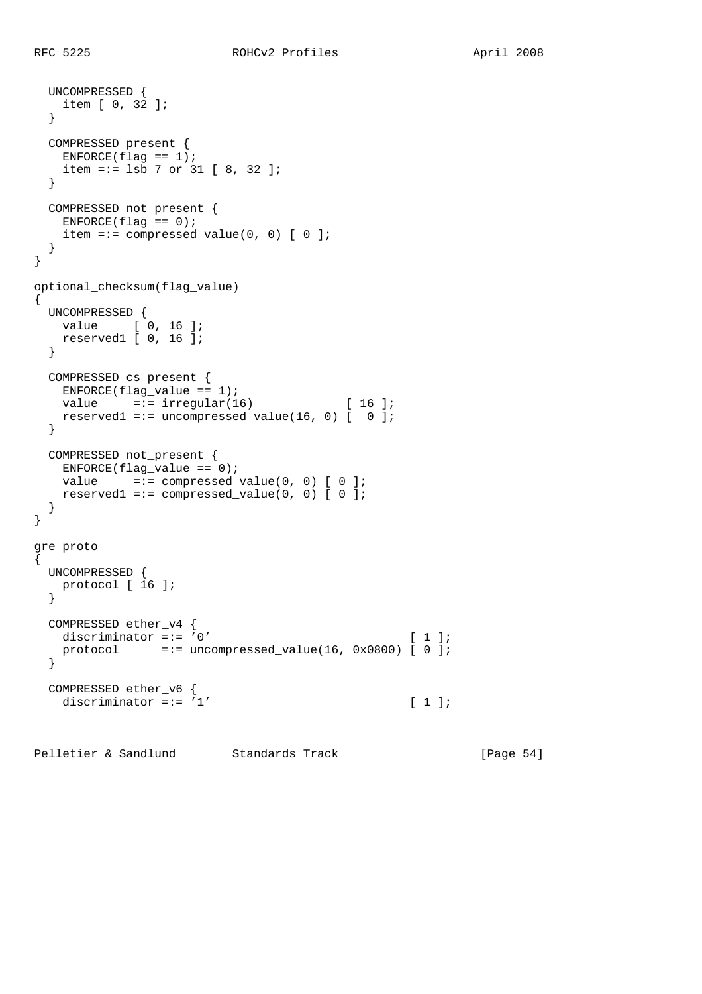UNCOMPRESSED {

```
 item [ 0, 32 ];
   }
  COMPRESSED present {
   ENFORCE(flag == 1); item =:= lsb_7_or_31 [ 8, 32 ];
   }
  COMPRESSED not_present {
  ENFORCE(flag == 0);item =:= compressed value(0, 0) [ 0 ];
  }
}
optional_checksum(flag_value)
{
  UNCOMPRESSED {
  value [ 0, 16 ];
    reserved1 [ 0, 16 ];
   }
  COMPRESSED cs_present {
   ENFORCE(flag_value == 1);value =:- irregular(16) [16];
   reserved1 =:= uncompressed_value(16, 0) [ 0 ];
   }
  COMPRESSED not_present {
   ENFORCE(flag_value == 0);value = := compressed_value(0, 0) [ 0 ];
   reserved1 =:= compressed_value(0, 0) [0] ];
   }
}
gre_proto
{
  UNCOMPRESSED {
   protocol [ 16 ];
   }
  COMPRESSED ether_v4 {
  discriminator = \mathbf{i} = \mathbf{j} \cdot \mathbf{k} [ 1 ];
    protocol =:= uncompressed_value(16, 0x0800) [ 0 ];
  }
  COMPRESSED ether_v6 {
   discriminator =:= '1' [ 1 ];
```
Pelletier & Sandlund Standards Track [Page 54]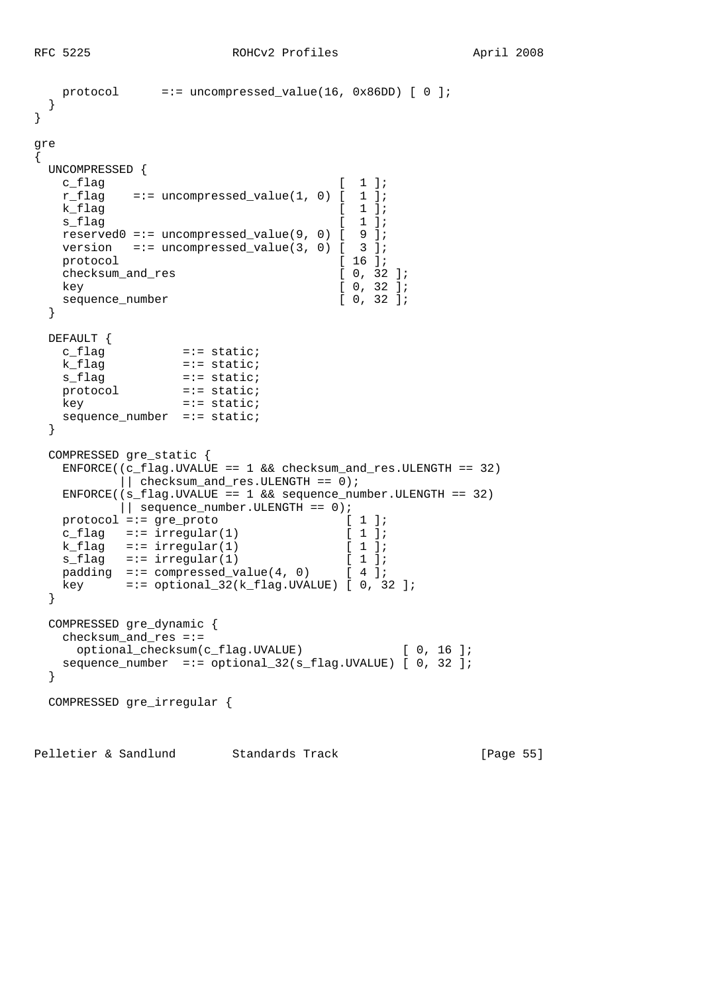```
 protocol =:= uncompressed_value(16, 0x86DD) [ 0 ];
  }
}
gre
{
  UNCOMPRESSED {
   c flag [ 1 ];
   r flag =:= uncompressed value(1, 0) \lceil 1 ];
   k flag \begin{bmatrix} 1 \end{bmatrix};
   s flag [ 1 ];reserved0 == uncompressed value(9, 0) [ 9 ];
   version =:- uncompressed_value(3, 0) [ 3 ];
   protocol [ 16 ];
   checksum_and_res [ 0, 32 ];
    key [ 0, 32 ];
   sequence_number [ 0, 32 ];
  }
  DEFAULT {
   c_fIlag =:= static;<br>k_flag =:= static;
                 = := static;
   s_flag =:= static;<br>protocol =:= static;
                 = := static;
   key =:= static;
   sequence_number =:= static;
  }
  COMPRESSED gre_static {
   ENFORCE((c_flag.UVALUE == 1 && checksum_and_res.ULENGTH == 32)
         \vert \vert checksum_and_res.ULENGTH == 0);
    ENFORCE((s_flag.UVALUE == 1 && sequence_number.ULENGTH == 32)
          || sequence_number.ULENGTH == 0);
   protocol =:= gre_proto [ 1 ];
   c_flag =:= irregular(1) [1];
   k flag =:= irregular(1) [ 1 ];
   s_flag =:= irregular(1) [ 1 ];
   padding =:- compressed_value(4, 0) [ 4 ];
    key =:= optional_32(k_flag.UVALUE) [ 0, 32 ];
  }
  COMPRESSED gre_dynamic {
    checksum_and_res =:=
     optional_checksum(c_flag.UVALUE) [ 0, 16 ];
    sequence_number =:= optional_32(s_flag.UVALUE) [ 0, 32 ];
  }
  COMPRESSED gre_irregular {
```
Pelletier & Sandlund Standards Track [Page 55]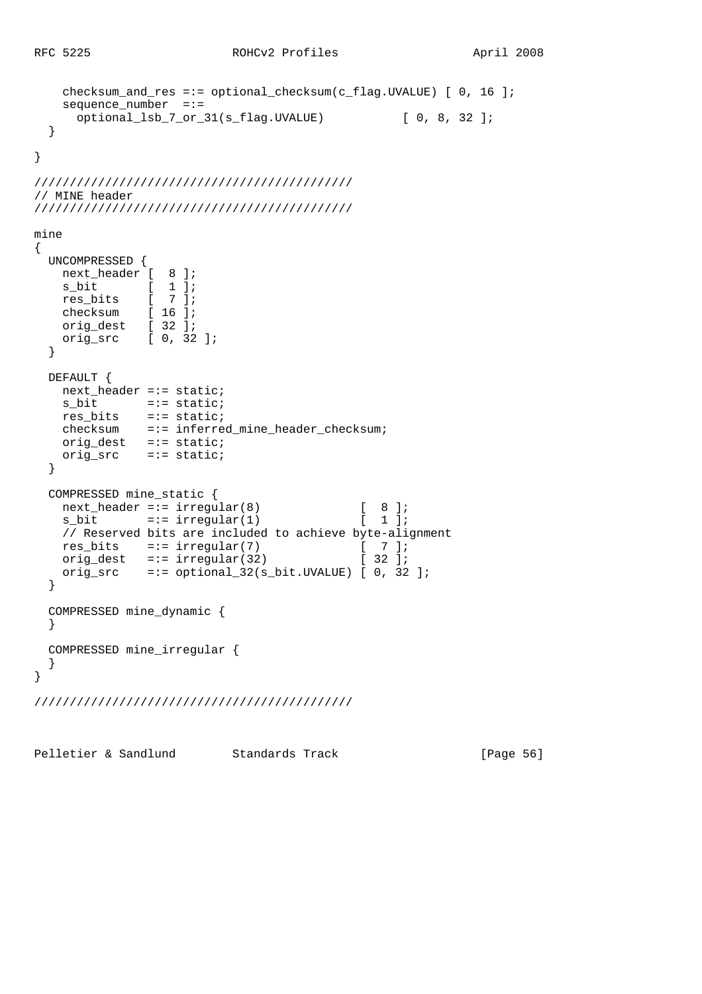```
 checksum_and_res =:= optional_checksum(c_flag.UVALUE) [ 0, 16 ];
    sequence_number =:=
     optional_lsb_7_or_31(s_flag.UVALUE) [ 0, 8, 32 ];
  }
}
/////////////////////////////////////////////
// MINE header
/////////////////////////////////////////////
mine
{
  UNCOMPRESSED {
   next header [ 8 ];
    s_bit [ 1 ];
   res_bits [ 7 ];
    checksum [ 16 ];
    orig_dest [ 32 ];
    orig_src [ 0, 32 ];
  }
  DEFAULT {
   next header =:- static;
s_bit =:= static;
 res_bits =:= static;
   checksum =:= inferred mine header checksum;
    orig_dest =:= static;
    orig_src =:= static;
   }
  COMPRESSED mine_static {
   next_header =:= irregular(8) [ 8 ];
   s_bit =:= irregular(1) [ 1 ];
    // Reserved bits are included to achieve byte-alignment
   res bits =:= irregular(7) [ 7 ];
   orig_dest =:= irregular(32) [32];
   orig_src =:= optional_32(s_bit.UVALUE) [0, 32];
   }
  COMPRESSED mine_dynamic {
   }
  COMPRESSED mine_irregular {
   }
}
/////////////////////////////////////////////
```
Pelletier & Sandlund Standards Track [Page 56]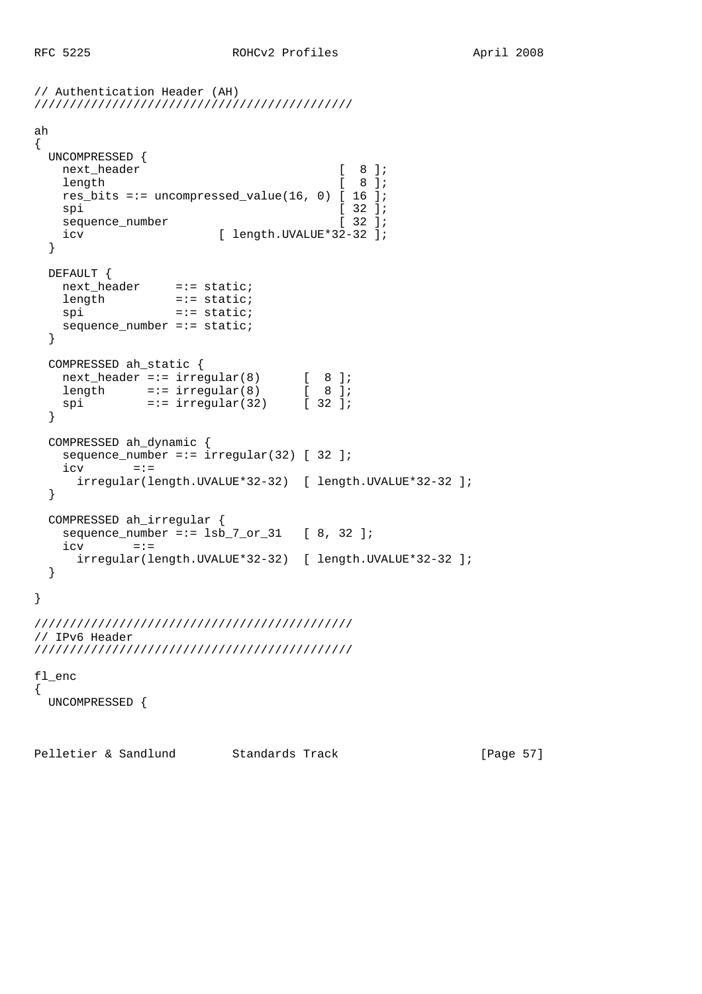```
// Authentication Header (AH)
/////////////////////////////////////////////
ah
{
  UNCOMPRESSED {
   next_header [ 8 ];
   length [ 8 ];
  res bits =:= uncompressed value(16, 0) [ 16 ];
   \text{sni} [ 32 ];
   sequence_number [ 32 ];
   icv [ length.UVALUE*32-32 ];
  }
  DEFAULT {
   next_header =:= static;
length =:- static;
spi =:= static;
    sequence_number =:= static;
  }
  COMPRESSED ah_static {
 next_header =:= irregular(8) [ 8 ];
length =:= irregular(8) [ 8 ];
 spi =:= irregular(32) [ 32 ];
  }
  COMPRESSED ah_dynamic {
   sequence_number =:= irregular(32) [ 32 ];
   i<sub>cy</sub> = := irregular(length.UVALUE*32-32) [ length.UVALUE*32-32 ];
  }
  COMPRESSED ah_irregular {
   sequence_number =:= lsb_7_or_31 [ 8, 32 ];
   icv = := irregular(length.UVALUE*32-32) [ length.UVALUE*32-32 ];
  }
}
/////////////////////////////////////////////
// IPv6 Header
/////////////////////////////////////////////
fl_enc
{
  UNCOMPRESSED {
```
Pelletier & Sandlund Standards Track [Page 57]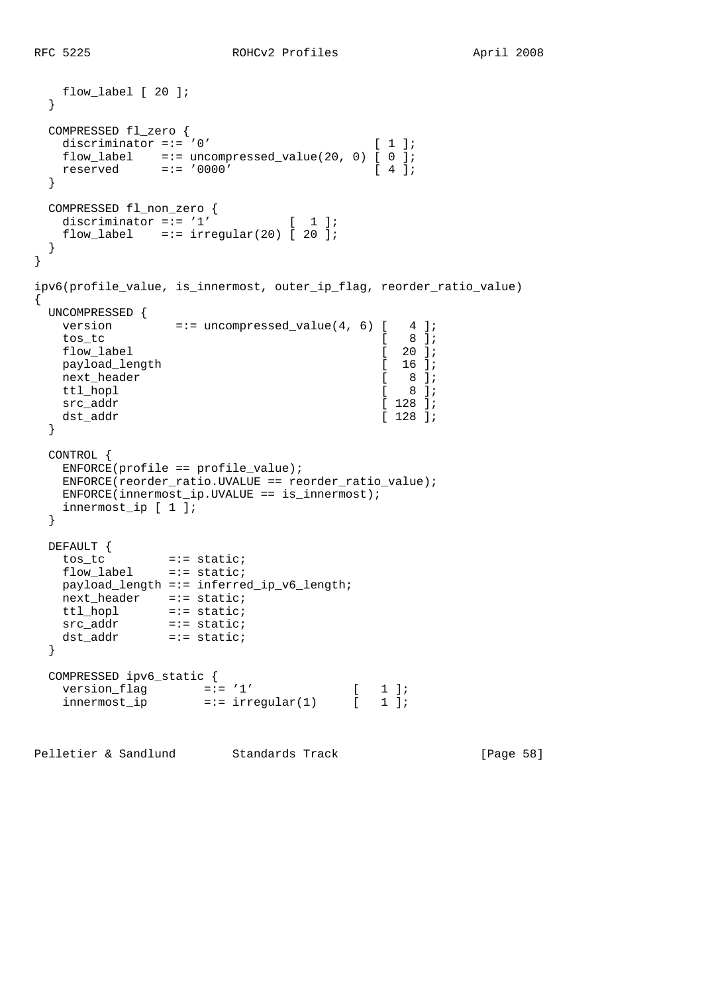```
 flow_label [ 20 ];
  }
  COMPRESSED fl_zero {
   discriminator =:= '0' [ 1 ];
flow\_label =:= uncompressed_value(20, 0) [ 0 ];
 reserved =:= '0000' [ 4 ];
  }
  COMPRESSED fl_non_zero {
   discriminator =:= '1' [ 1 ];
   flow label =:- irregular(20) [ 20 ];
  }
}
ipv6(profile_value, is_innermost, outer_ip_flag, reorder_ratio_value)
{
  UNCOMPRESSED {
  version =:= uncompressed_value(4, 6) [ 4 ];<br>tos_tc [ 8 ];
   tos_tc [flow_label [ 20 ];
  payload_length [ 16 ];<br>next_header [ 8 ];<br>ttl_hopl [ 8 ];
  next_header [ 8 ]
   ttl_hopl \begin{bmatrix} 8 \end{bmatrix};<br>src addr \begin{bmatrix} 128 \end{bmatrix};
  src_addr
  dst_addr [ 128 ];
  }
  CONTROL {
    ENFORCE(profile == profile_value);
    ENFORCE(reorder_ratio.UVALUE == reorder_ratio_value);
   ENFCRCE(innermost_ip.UVALUE == is_innermost);
    innermost_ip [ 1 ];
  }
  DEFAULT {
    tos_tc =:= static;
    flow_label =:= static;
   payload_length =:= inferred_ip_v6_length;
   next_header =:= static;
   ttl_hopl =:= static;
src_addr =:= static;
 dst_addr =:= static;
  }
 COMPRESSED ipv6_static {<br>version_flag =:= '1'
version_flag =:= '1' [1];
 innermost_ip =:= irregular(1) [ 1 ];
```
Pelletier & Sandlund Standards Track [Page 58]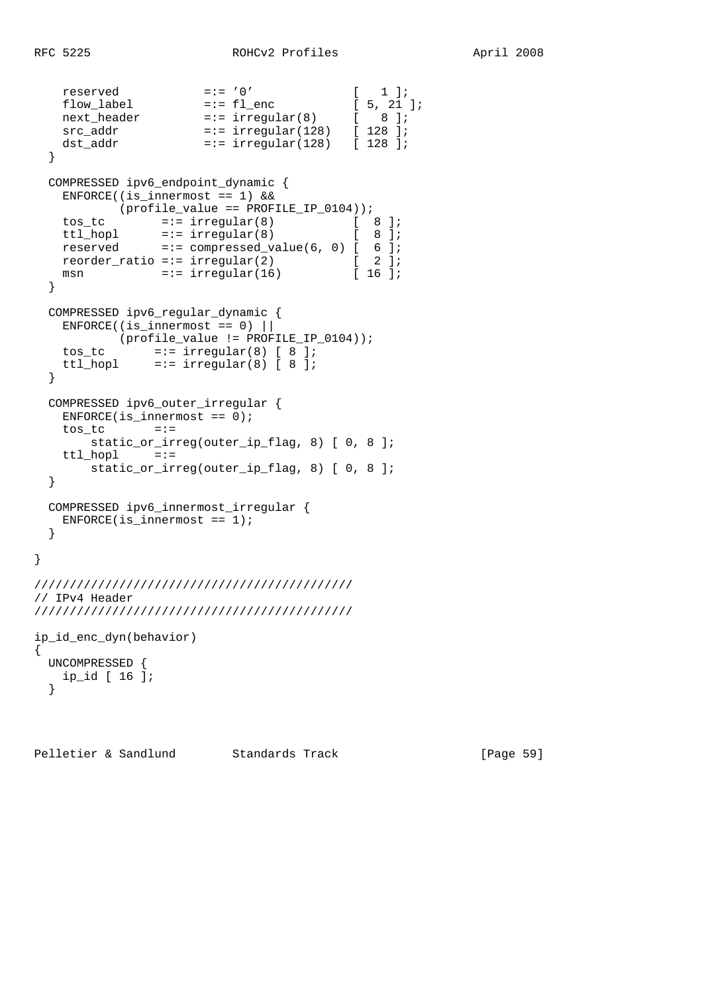```
 reserved =:= '0' [ 1 ];
flow\_label =:= f1ow\_label =:= f1ow\_label =:= f1ow\_label next_header =:= irregular(8) [ 8 ];
 src_addr =:= irregular(128) [ 128 ];
 dst_addr =:= irregular(128) [ 128 ];
  }
  COMPRESSED ipv6_endpoint_dynamic {
   ENFORCE((is innermost == 1) &&
          (profile_value == PROFILE_IP_0104));
\texttt{tos\_tc} =:= irregular(8) [ 8 ];
ttl_hopl =:= irregular(8) [ 8 ];
 reserved =:= compressed_value(6, 0) [ 6 ];
reorder_ratio =:= irregular(2) [ 2 ];
msn =:- irregular(16) [ 16 ];
  }
  COMPRESSED ipv6_regular_dynamic {
 ENFORCE((is_innermost == 0) ||
 (profile_value != PROFILE_IP_0104));
tos_tc =:= irregular(8) [ 8 ];
 ttl_hopl =:= irregular(8) [ 8 ];
  }
  COMPRESSED ipv6_outer_irregular {
   ENFORCE(i s_innermost == 0);tos tc =:- static_or_irreg(outer_ip_flag, 8) [ 0, 8 ];
    ttl_hopl =:=
       static_or_irreg(outer_ip_flag, 8) [ 0, 8 ];
  }
  COMPRESSED ipv6_innermost_irregular {
   ENFCRCE(i s_innermost == 1); }
/////////////////////////////////////////////
// IPv4 Header
/////////////////////////////////////////////
ip_id_enc_dyn(behavior)
  UNCOMPRESSED {
   ip_id [ 16 ];
  }
```
Pelletier & Sandlund Standards Track [Page 59]

}

{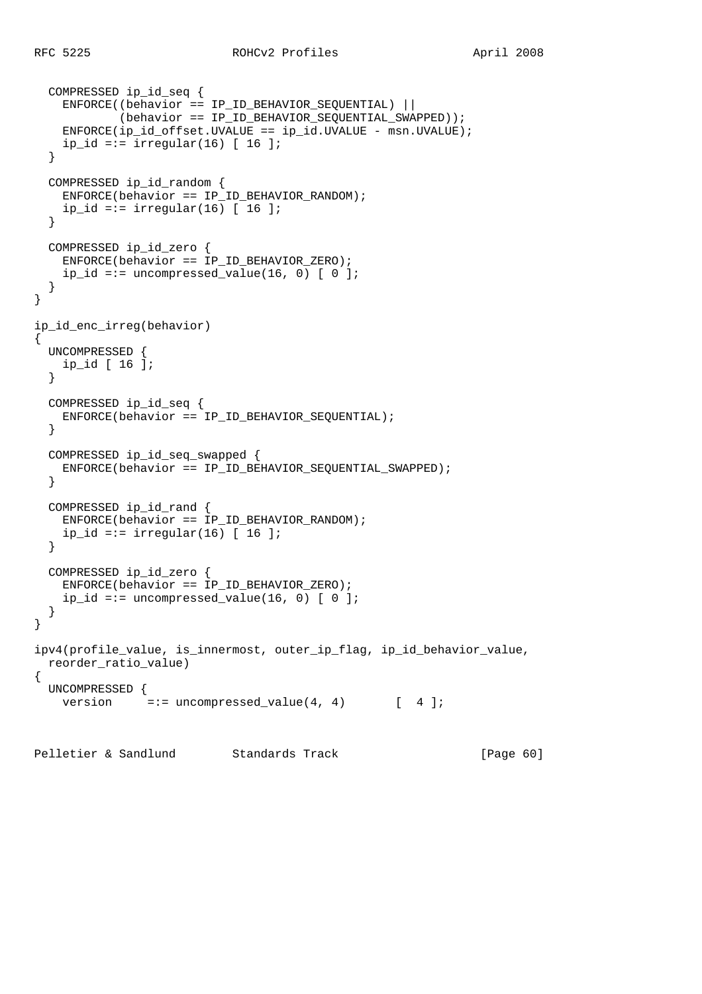```
 COMPRESSED ip_id_seq {
     ENFORCE((behavior == IP_ID_BEHAVIOR_SEQUENTIAL) ||
            (behaviour == IPID_BEHAVIOR_SEQUENTIAL_SWAPPED));
    ENFORCE(ip_id_offset.UVALUE == ip_id.UVALUE - msn.UVALUE);
    ip_id == irregular(16) [ 16 ];
   }
  COMPRESSED ip_id_random {
   ENFORCE(behaviour == IP ID BEHAVIOR RANDOM);ip_id =:= irregular(16) [ 16 ];
   }
  COMPRESSED ip_id_zero {
    ENFORCE(behavior == IP_ID_BEHAVIOR_ZERO);
    ip_id == uncompressed_value(16, 0) [ 0 ]; }
}
ip_id_enc_irreg(behavior)
{
  UNCOMPRESSED {
    ip_id [ 16 ];
   }
  COMPRESSED ip_id_seq {
     ENFORCE(behavior == IP_ID_BEHAVIOR_SEQUENTIAL);
   }
  COMPRESSED ip_id_seq_swapped {
    ENFORCE(behavior == IP_ID_BEHAVIOR_SEQUENTIAL_SWAPPED);
   }
  COMPRESSED ip_id_rand {
   ENFORCE(behaviour == IP ID BEHAVIOR RANDOM);ip_id =:= irregular(16) [ 16 ];
   }
  COMPRESSED ip_id_zero {
    ENFORCE(behavior == IP_ID_BEHAVIOR_ZERO);
    ip_id == uncompressed_value(16, 0) [ 0 ]; }
}
ipv4(profile_value, is_innermost, outer_ip_flag, ip_id_behavior_value,
  reorder_ratio_value)
{
  UNCOMPRESSED {
    version = := uncompressed_value(4, 4) [ 4 ];
```
Pelletier & Sandlund Standards Track [Page 60]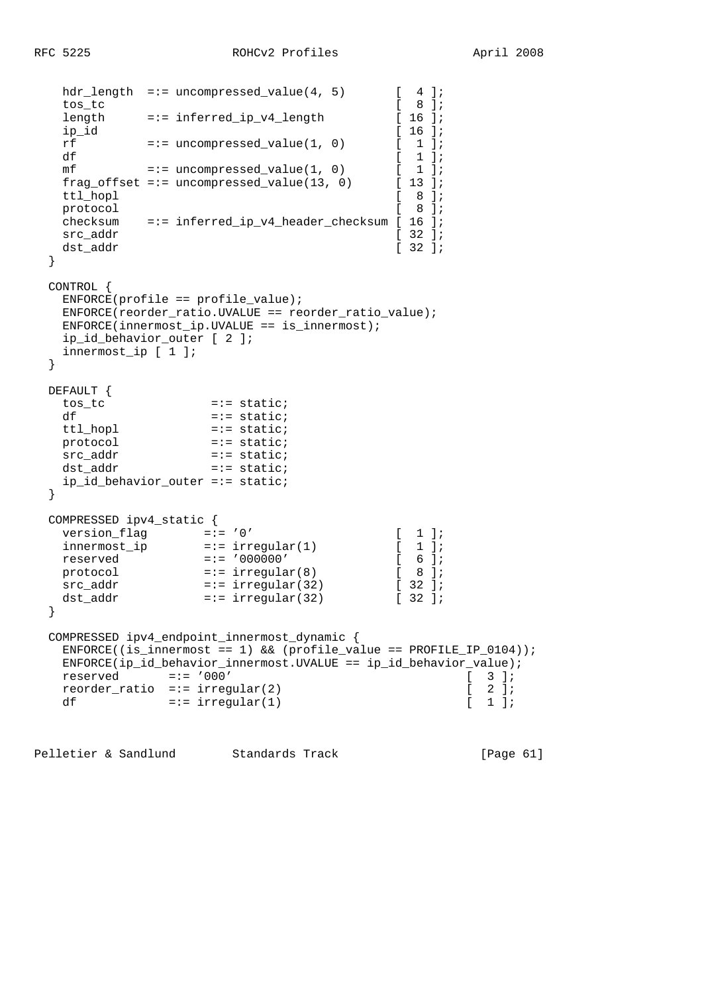```
hdr_length =:= uncompressed_value(4, 5) [ 4 ];<br>tos tc [ 8 ];
    tos_tc                        [ 8 ];<br>length    =:= inferred ip v4 length        [ 16 ];
    length =:= inferred_ip_v4_length [ 16 ];<br>ip id [ 16 ];
    ip_id \begin{array}{lll} \text{ip\_id} & \text{if} & \text{if} \\ \text{rf} & \text{if} & \text{if} & \text{if} \\ \end{array}rf = := uncompressed_value(1, 0)df \begin{bmatrix} 1 \end{bmatrix};<br>mf \begin{bmatrix} 1 \end{bmatrix};<br>\begin{bmatrix} 1 \end{bmatrix};
    mf = := uncompressed_value(1, 0)frag_offset =:= uncompressed_value(13, 0) [ 13 ];
    ttl hopl \begin{bmatrix} 8 \end{bmatrix};
    protocol [ 8 ];
     checksum =:= inferred_ip_v4_header_checksum [ 16 ];
    src_addr [ 32 ];
    \text{dst\_addr} \qquad \qquad \text{[ 32 ]}; }
  CONTROL {
    ENTER(profile == profile_value); ENFORCE(reorder_ratio.UVALUE == reorder_ratio_value);
     ENFORCE(innermost_ip.UVALUE == is_innermost);
     ip_id_behavior_outer [ 2 ];
     innermost_ip [ 1 ];
   }
 DEFAULT {<br>tos_tc
                           = := static;
    df = := state;
     ttl_hopl =:= static;
                            = := static;
     src_addr =:= static;
                       = := static;
     ip_id_behavior_outer =:= static;
   }
  COMPRESSED ipv4_static {
version_flag =:= '0' [1];
 innermost_ip =:= irregular(1) [ 1 ];
    reserved =:= '000000' [ 6 ];
protocol =:= irregular(8) [ 8 ];
src\_addr =:= irregular(32) [ 32 ];
dst_addr =:- irregular(32) [ 32 ];
   }
  COMPRESSED ipv4_endpoint_innermost_dynamic {
     ENFORCE((is_innermost == 1) && (profile_value == PROFILE_IP_0104));
    {\tt ENFORCE}(\texttt{ip_id}\_\texttt{behavior}\_\texttt{innermost}.\texttt{UVALUE}\ ==\ \texttt{ip_id}\_\texttt{behavior}\_\texttt{value})\,;\\ \texttt{reserved} \qquad \qquad \texttt{--}':\qquad \qquad \texttt{000'} \qquad \qquad \texttt{--}':\qquad \qquad \texttt{--}':\qquad \qquad \texttt{--}':\qquad \qquad \texttt{--}':\qquad \qquad \texttt{--}':\qquad \qquad \texttt{--}':\qquad \qquad \texttt{--}':\qquad \qquad \texttt{--}':\qquad \qquad \texttt{--}':\qquad \qquad \textttreserved =:= '000' [ 3 ];<br>reorder_ratio =:= irregular(2) [ 2 ];
    reorder_ratio =:= irregular(2) [2];<br>df =:- irregular(1) [1];
    df =:- irregular(1)
```
Pelletier & Sandlund Standards Track [Page 61]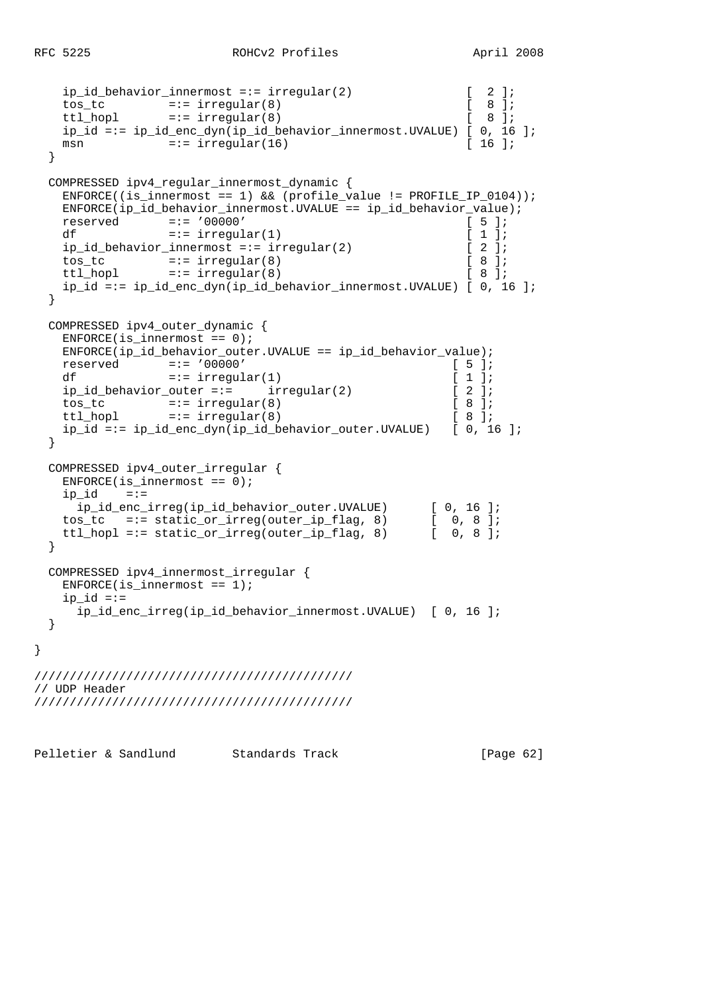}

```
ip_id_behavior_innermost =:= irregular(2) [ 2 ];
    tos_tc =:= irregular(8) [ 8 ];
   ttl_hopl =:= irregular(8) [
   ip_id == ip_id_enc_dyn(ip_id_behavier_innermost.UVALUE) [ 0, 16 ];<br>
msn =:= irregular(16) [ 16 ];
   msn = := irregular(16) }
  COMPRESSED ipv4_regular_innermost_dynamic {
   ENFORCE((is innermost == 1) && (profile value != PROFILE IP 0104));
    ENFORCE(ip_id_behavior_innermost.UVALUE == ip_id_behavior_value);
    reserved =:= '00000' [ 5 ];
   df =:- \text{ irregular}(1) [ 1 ];
    ip_id_behavior_innermost =:= irregular(2) [ 2 ];
    tos_tc =:= irregular(8) [ 8 ];
   ttl_hopl =:= irregular(8) [ 8 ];
    ip_id =:= ip_id_enc_dyn(ip_id_behavior_innermost.UVALUE) [ 0, 16 ];
  }
  COMPRESSED ipv4_outer_dynamic {
   ENFORCE(i s_innermost == 0);ENFORCE(ip id behavior outer.UVALUE == ip id behavior value);
    reserved =:= '00000' [ 5 ];
   df =:- irregular(1) [ 1 ];
   ip id behavior outer =:= irregular(2) [ 2 ];
 tos_tc =:= irregular(8) [ 8 ];
ttl_hopl =:= irregular(8) [8 ];
    ip_id =:= ip_id_enc_dyn(ip_id_behavior_outer.UVALUE) [ 0, 16 ];
  }
  COMPRESSED ipv4_outer_irregular {
   ENFORCE(i s_innermost == 0);ip_id == := ip_id_enc_irreg(ip_id_behavior_outer.UVALUE) [ 0, 16 ];
 tos_tc =:= static_or_irreg(outer_ip_flag, 8) [ 0, 8 ];
 ttl_hopl =:= static_or_irreg(outer_ip_flag, 8) [ 0, 8 ];
  }
  COMPRESSED ipv4_innermost_irregular {
  ENFORCE(iis_innermost == 1);ip_id == ip_id_enc_irreg(ip_id_behavior_innermost.UVALUE) [ 0, 16 ];
  }
/////////////////////////////////////////////
// UDP Header
/////////////////////////////////////////////
```
Pelletier & Sandlund Standards Track [Page 62]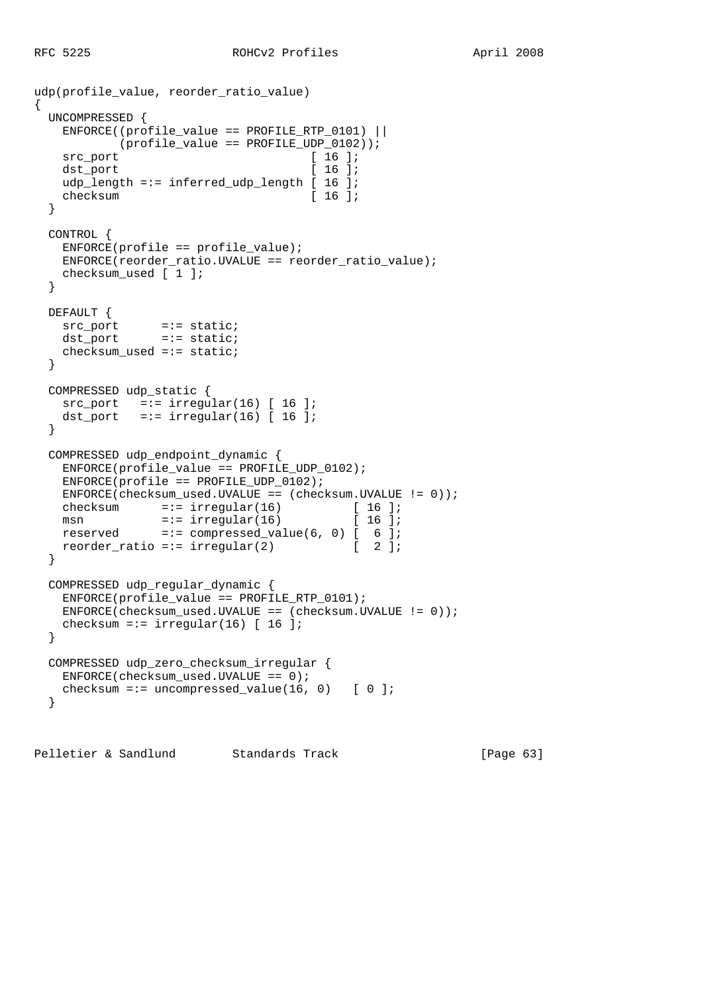$\{$ 

```
udp(profile_value, reorder_ratio_value)
  UNCOMPRESSED {
    ENFORCE((profile_value == PROFILE_RTP_0101) ||
    (profile_value == PROFILE<u>UDP_0102))</u>;
   src_port [ 16 ];
   dst_port [ 16 ];
   udp_length =:= inferred_udp_length [ 16 ];
   checksum [ 16 ];
   }
  CONTROL {
    ENFORCE(profile == profile_value);
    ENFORCE(reorder_ratio.UVALUE == reorder_ratio_value);
   checksum used [ 1 ];
   }
  DEFAULT {
src_port =:= static;
 dst_port =:= static;
   checksum used =:- static;
   }
  COMPRESSED udp_static {
src\_port =:= irregular(16) [ 16 ];
dst_port =:= irregular(16) [ 16 ];
   }
  COMPRESSED udp_endpoint_dynamic {
   ENFORCE(profile value == PROFILE UDP 0102);ENFCRCE(profile == PROFILE_UDP_0102); ENFORCE(checksum_used.UVALUE == (checksum.UVALUE != 0));
checksum =:- irregular(16) [ 16 ];
msn =:- irregular(16) [ 16 ];
    reserved =:= compressed_value(6, 0) [ 6 ];
   reorder_ratio =:= irregular(2) [ 2 ];
   }
  COMPRESSED udp_regular_dynamic {
    ENFORCE(profile_value == PROFILE_RTP_0101);
    ENFORCE(checksum_used.UVALUE == (checksum.UVALUE != 0));
   checksum =:= irregular(16) [16];
   }
  COMPRESSED udp_zero_checksum_irregular {
   ENFORCE(checksum_user.J.UVALUE == 0);checksum =:= uncompressed_value(16, 0) [0];
   }
```
Pelletier & Sandlund Standards Track [Page 63]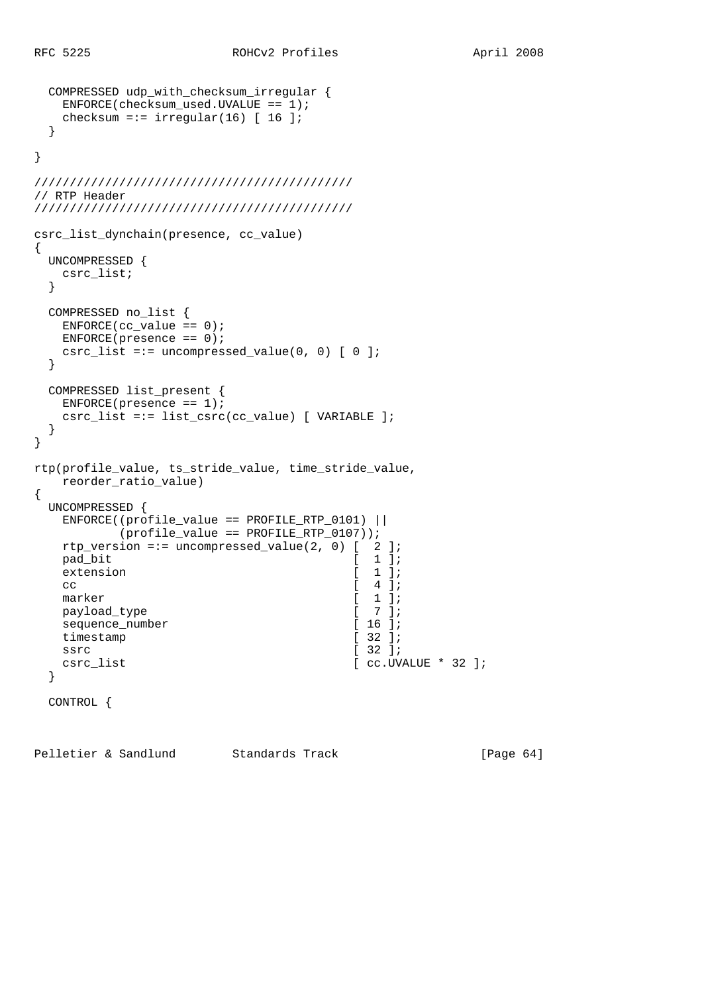```
 COMPRESSED udp_with_checksum_irregular {
     ENFORCE(checksum_user.J.UVALUE == 1);checksum =:= irregular(16) [ 16 ];
   }
}
/////////////////////////////////////////////
// RTP Header
/////////////////////////////////////////////
csrc_list_dynchain(presence, cc_value)
{
   UNCOMPRESSED {
     csrc_list;
   }
   COMPRESSED no_list {
    ENFORCE(cc_value == 0);ENFORCE(presence == 0);
    csrc list =:= uncompressed value(0, 0) [ 0 ];
   }
   COMPRESSED list_present {
     ENFORCE(presence == 1); csrc_list =:= list_csrc(cc_value) [ VARIABLE ];
   }
}
rtp(profile_value, ts_stride_value, time_stride_value,
      reorder_ratio_value)
{
   UNCOMPRESSED {
      ENFORCE((profile_value == PROFILE_RTP_0101) ||
                (profile_value == PROFILE_RTP_0107));
      rtp_version =:= uncompressed_value(2, 0) [ 2 ];
      pad_bit [ 1 ];
     extension [ 1 ];
cc \begin{bmatrix} 4 \end{bmatrix};
     marker [ 1 ];
     payload_type [ 7 ];<br>sequence_number [ 16 ];
     sequence_number [ 16 ];<br>timestamp [ 32 ];
     timestamp
     ssrc [ 32 ];
     \begin{minipage}{.4\linewidth} \texttt{csrc\_list} \end{minipage} \begin{minipage}{.4\linewidth} \begin{minipage}{.4\linewidth} \begin{minipage}{.4\linewidth} \begin{minipage}{.4\linewidth} \end{minipage} \begin{minipage}{.4\linewidth} \begin{minipage}{.4\linewidth} \begin{minipage}{.4\linewidth} \end{minipage} \begin{minipage}{.4\linewidth} \end{minipage} \begin{minipage}{.4\linewidth} \begin{minipage}{.4\linewidth} \end{minipage} \begin{minipage}{.4\linewidth} \begin{minipage}{.4\linewidth} \end{minipage} \begin{minipage}{.4\linewidth} \ }
   CONTROL {
```
Pelletier & Sandlund Standards Track [Page 64]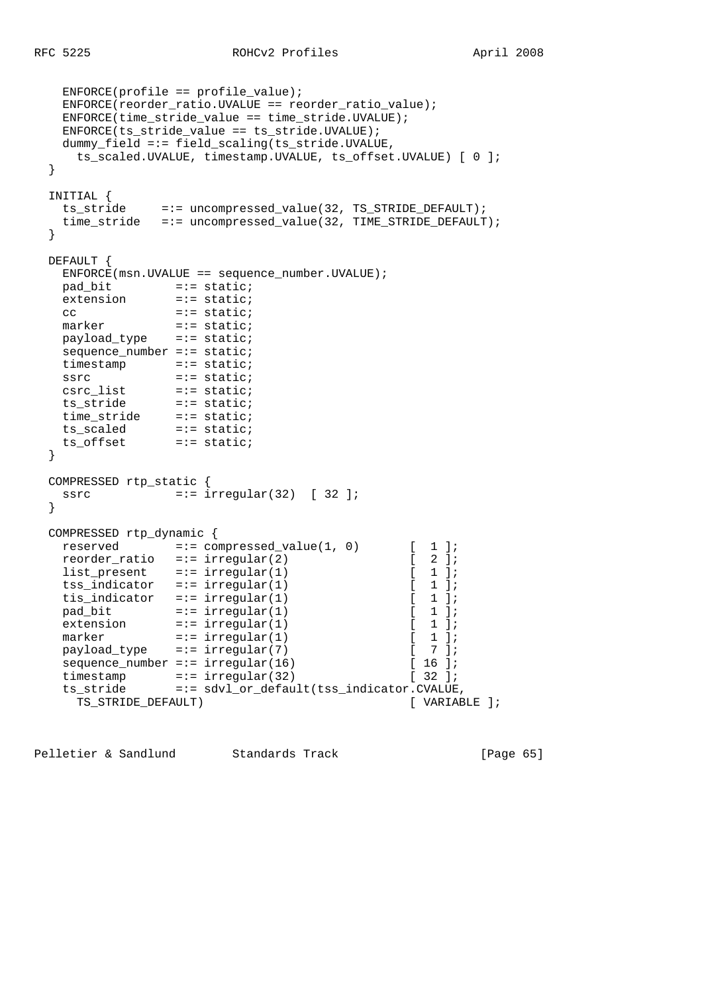```
 ENFORCE(profile == profile_value);
    ENFORCE(reorder_ratio.UVALUE == reorder_ratio_value);
    ENFORCE(time_stride_value == time_stride.UVALUE);
    ENFORCE(ts_stride_value == ts_stride.UVALUE);
    dummy_field =:= field_scaling(ts_stride.UVALUE,
      ts_scaled.UVALUE, timestamp.UVALUE, ts_offset.UVALUE) [ 0 ];
  }
  INITIAL {
    ts_stride =:= uncompressed_value(32, TS_STRIDE_DEFAULT);
    time_stride =:= uncompressed_value(32, TIME_STRIDE_DEFAULT);
  }
  DEFAULT {
   ENFORCE(msn.UVALUE == sequence number.UVALUE);
    pad_bit =:= static;
   extension =:= static;<br>cc =:= static;
   cc<br>marker
marker =:= static;
 payload_type =:= static;
   sequence_number =:= static;
    timestamp =:= static;
 ssrc =:= static;
 csrc_list =:= static;
 ts_stride =:= static;
 time_stride =:= static;
 ts_scaled =:= static;
 ts_offset =:= static;
  }
  COMPRESSED rtp_static {
   ssrc =:- irregular(32) [ 32 ];
  }
  COMPRESSED rtp_dynamic {
   reserved =:= compressed_value(1, 0) [ 1 ];
    reorder_ratio =:= irregular(2) [ 2 ];
   list\_present =:= irregular(1) [ 1 ];
   tss_indicator =:= irregular(1) [ 1 ];
   tis_indicator =:= irregular(1) [ 1 ];
pad\_bit =:= irregular(1) [ 1 ];
extension =:- \text{ irregular}(1) [ 1 ];
marker =:- \text{ irregular}(1) [ 1 ];
 payload_type =:= irregular(7) [ 7 ];
   sequence_number =:= irregular(16) [16];
   timestamp =:= irregular(32) [ 32 ];<br>ts stride =:= sdyl or default(tss indicator CVALUE
   ts_stride =:= sdvl_or_default(tss_indicator.CVALUE,<br>TS STRIDE DEFAULT) [ VARIABLE ];
     TS STRIDE DEFAULT)
```
Pelletier & Sandlund Standards Track [Page 65]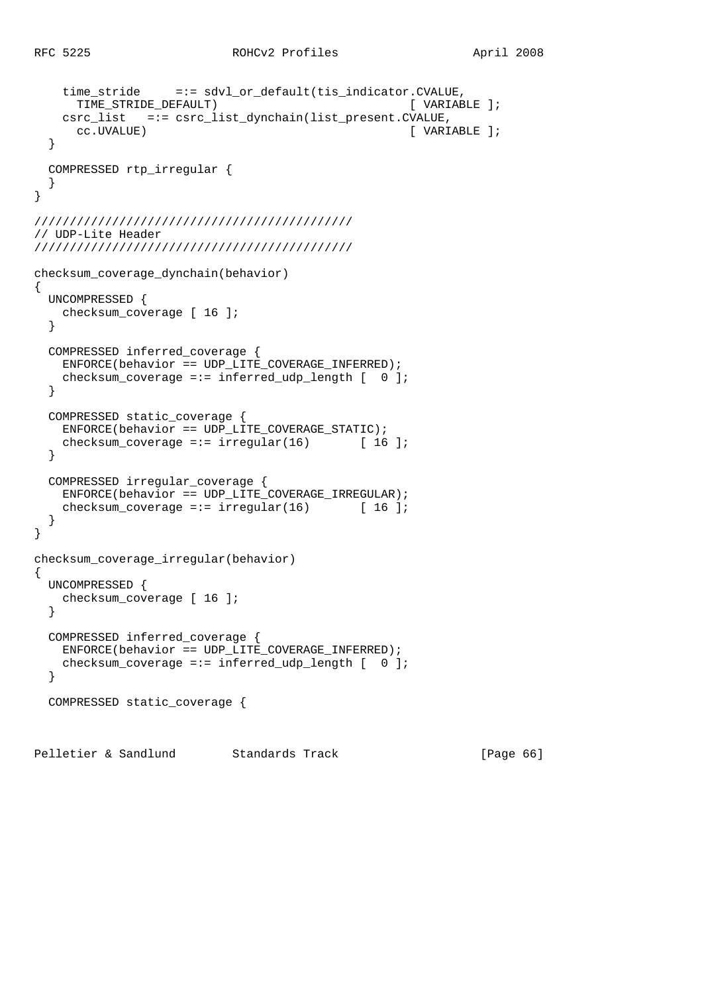```
 time_stride =:= sdvl_or_default(tis_indicator.CVALUE,
      TIME_STRIDE_DEFAULT) [ VARIABLE ];
   csrc_list =:= csrc_list_dynchain(list_present.CVALUE,
      cc.UVALUE) [ VARIABLE ];
   }
   COMPRESSED rtp_irregular {
   }
}
/////////////////////////////////////////////
// UDP-Lite Header
/////////////////////////////////////////////
checksum_coverage_dynchain(behavior)
{
  UNCOMPRESSED {
    checksum_coverage [ 16 ];
   }
  COMPRESSED inferred_coverage {
    ENFORCE(behavior == UDP_LITE_COVERAGE_INFERRED);
   checksum_coverage =:= inferred_udp_length [ 0 ];
   }
  COMPRESSED static_coverage {
    ENFORCE(behavior == UDP_LITE_COVERAGE_STATIC);
   checksum_coverage =:= irregular(16) [ 16 ];
   }
  COMPRESSED irregular_coverage {
    ENFORCE(behavior == UDP_LITE_COVERAGE_IRREGULAR);
   checksum_coverage =:= irregular(16) [16];
   }
}
checksum_coverage_irregular(behavior)
{
  UNCOMPRESSED {
    checksum_coverage [ 16 ];
   }
  COMPRESSED inferred_coverage {
    ENFORCE(behavior == UDP_LITE_COVERAGE_INFERRED);
    checksum_coverage =:= inferred_udp_length [ 0 ];
   }
  COMPRESSED static_coverage {
Pelletier & Sandlund Standards Track [Page 66]
```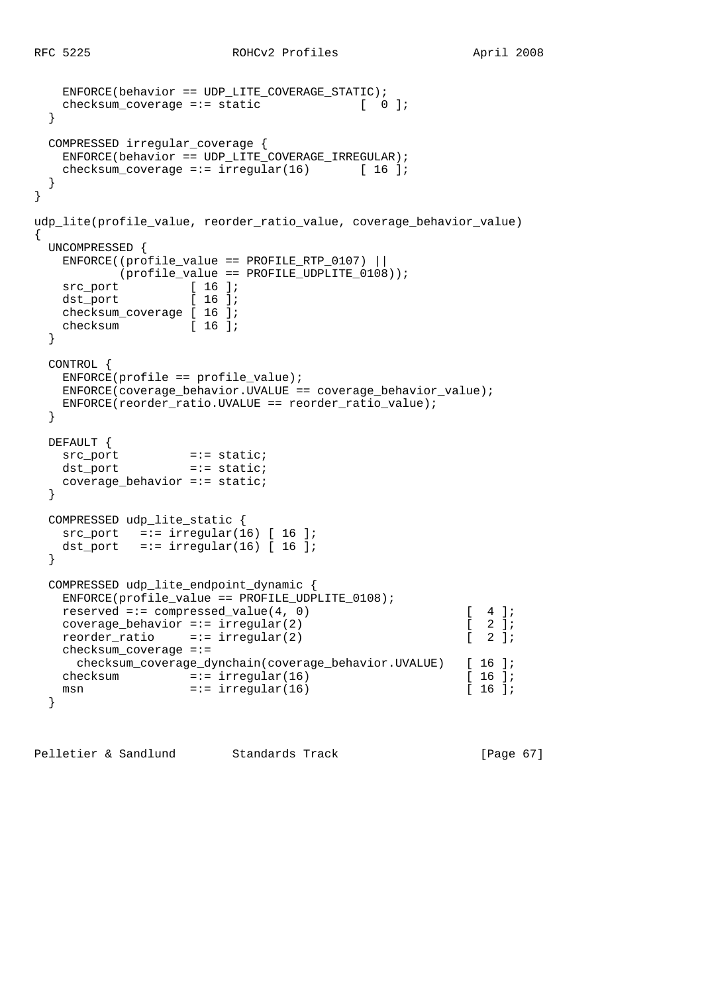```
 ENFORCE(behavior == UDP_LITE_COVERAGE_STATIC);
   checksum_coverage =:= static [ 0 ];
   }
  COMPRESSED irregular_coverage {
   ENFORCE(behaviour == UDP_LITE COVERAGE IRREGULAR);
   checksum_coverage =:= irregular(16) [ 16 ];
   }
}
udp_lite(profile_value, reorder_ratio_value, coverage_behavior_value)
{
  UNCOMPRESSED {
   ENFORCE( (profile_value == PROFILE_RTP_0107) ||
           (profile_value == PROFILE_UDPLITE_0108));
src_port [ 16 ];
dst_port [ 16 ];
   dst_port [ 16 ];<br>checksum_coverage [ 16 ];
   checksum [ 16 ];
   }
  CONTROL {
   ENFORCE(profile == profile_value);ENFORCE(coverage behavior.UVALUE == coverage behavior value);
    ENFORCE(reorder_ratio.UVALUE == reorder_ratio_value);
   }
  DEFAULT {
src_port =:= static;
dst_port =:= static;
    coverage_behavior =:= static;
   }
  COMPRESSED udp_lite_static {
   src port =:- irregular(16) [ 16 ];
   dst_port =:= irregular(16) [ 16 ];
  }
  COMPRESSED udp_lite_endpoint_dynamic {
    ENFORCE(profile_value == PROFILE_UDPLITE_0108);
   reserved =:= compressed_value(4, 0) [ 4 ];
   coverage_behavior =:= irregular(2) [2];<br>reorder_ratio =:= irregular(2) [2];
   reorder_ratio =:- irregular(2)
    checksum_coverage =:=
      checksum_coverage_dynchain(coverage_behavior.UVALUE) [ 16 ];
   checksum =:- irregular(16) [ 16 ];<br>msn =:- irregular(16) [ 16 ];
   msn = := irregular(16) }
```
Pelletier & Sandlund Standards Track [Page 67]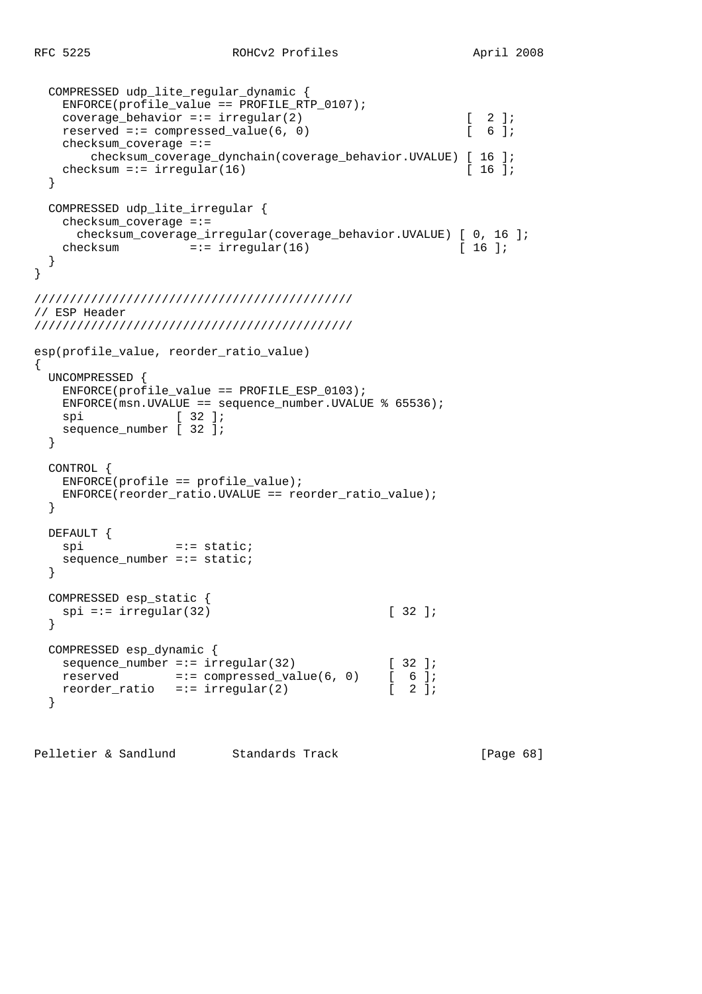```
 COMPRESSED udp_lite_regular_dynamic {
    ENFORCE(profile_value == PROFILE_RTP_0107);
   coverage_behavior =:= irregular(2) [ 2 ];<br>reserved =:= compressed value(6, 0) [ 6 ];
   reserved =:= compressed_value(6, 0)
    checksum_coverage =:=
       checksum_coverage_dynchain(coverage_behavior.UVALUE) [ 16 ];
   checksum =:= irregular(16) [ 16 ];
  }
  COMPRESSED udp_lite_irregular {
   checksum coverage =:=
     checksum coverage irregular(coverage behavior.UVALUE) [ 0, 16 ];
   checksum =:- irregular(16) [16];
  }
}
/////////////////////////////////////////////
// ESP Header
/////////////////////////////////////////////
esp(profile value, reorder ratio value)
{
  UNCOMPRESSED {
   ENFORCE(profile value == PROFILE ESP 0103); ENFORCE(msn.UVALUE == sequence_number.UVALUE % 65536);
   spi [ 32 ];
    sequence_number [ 32 ];
  }
  CONTROL {
    ENFORCE(profile == profile_value);
    ENFORCE(reorder_ratio.UVALUE == reorder_ratio_value);
  }
  DEFAULT {
   spi =:= static;
   sequence_number == static; }
  COMPRESSED esp_static {
   spi == irregular(32) [ 32 ];
  }
  COMPRESSED esp_dynamic {
sequence_number =:= irregular(32) [ 32 ];
reserved =:= compressed_value(6, 0) [ 6 ];
reorder_ratio =:= irregular(2) [ 2 ];
  }
```
Pelletier & Sandlund Standards Track [Page 68]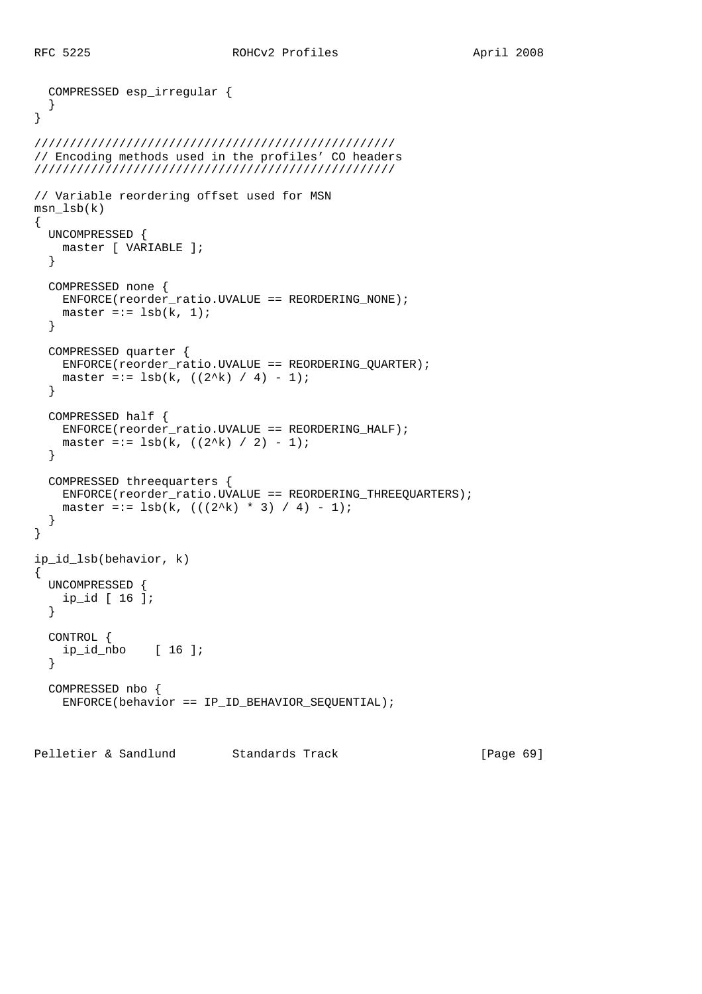```
 COMPRESSED esp_irregular {
   }
}
///////////////////////////////////////////////////
// Encoding methods used in the profiles' CO headers
///////////////////////////////////////////////////
// Variable reordering offset used for MSN
msn_lsb(k)
{
   UNCOMPRESSED {
    master [ VARIABLE ];
   }
   COMPRESSED none {
    ENFORCE(reorder_ratio.UVALUE == REORDERING_NONE);
   master == 1sb(k, 1); }
   COMPRESSED quarter {
     ENFORCE(reorder_ratio.UVALUE == REORDERING_QUARTER);
   master =:= lsb(k, ((2^k)( / 4) - 1); }
   COMPRESSED half {
     ENFORCE(reorder_ratio.UVALUE == REORDERING_HALF);
    master =:= 1sb(k, ((2^k), / 2) - 1); }
   COMPRESSED threequarters {
     ENFORCE(reorder_ratio.UVALUE == REORDERING_THREEQUARTERS);
   master =:= \text{lsb}(k, ((2^k)) * 3) / 4) - 1;
   }
}
ip_id_lsb(behavior, k)
{
   UNCOMPRESSED {
    ip_id [ 16 ];
   }
   CONTROL {
    ip_id_nbo [ 16 ];
   }
   COMPRESSED nbo {
     ENFORCE(behavior == IP_ID_BEHAVIOR_SEQUENTIAL);
```
Pelletier & Sandlund Standards Track [Page 69]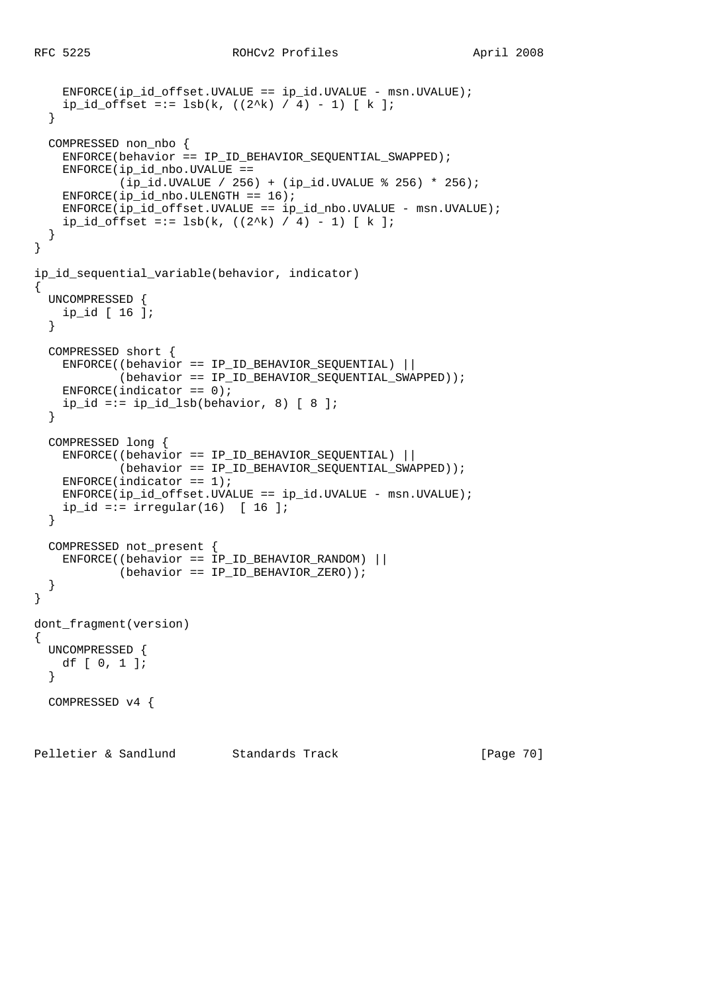```
ENFORCE(ip_id_offset.UVALUE == ip_id.UVALUE - msn.UVALUE);ip_id_offset == lsb(k, ((2^k) / 4) - 1) [ k ]; }
   COMPRESSED non_nbo {
    ENFORCE(behavior == IP_ID_BEHAVIOR_SEQUENTIAL_SWAPPED);
     ENFORCE(ip_id_nbo.UVALUE ==
             (ip_id.UVALUE / 256) + (ip_id.UVALUE % 256) * 256);
    ENFORCE(ip id nbo.ULENGTH == 16);
    \texttt{ENFORCE}(\texttt{ip_id_offset.UVALUE}\ =\ \texttt{ip_id_nbo.UVALUE}\ -\ \texttt{msn.UVALUE})\ \texttt{;}ip_id_offset == lsb(k, ((2^k) / 4) - 1) [ k ]; }
}
ip id sequential variable(behavior, indicator)
{
   UNCOMPRESSED {
    ip_id [ 16 ];
   }
   COMPRESSED short {
     ENFORCE((behavior == IP_ID_BEHAVIOR_SEQUENTIAL) ||
             (behavior == IP_ID_BEHAVIOR_SEQUENTIAL_SWAPPED));
    ENFORCE(indicator == 0);
    ip_id == ip_id_lsb(behavior, 8) [ 8 ];
   }
   COMPRESSED long {
     ENFORCE((behavior == IP_ID_BEHAVIOR_SEQUENTIAL) ||
             (behavior == IP_ID_BEHAVIOR_SEQUENTIAL_SWAPPED));
    ENTER(intactor == 1); ENFORCE(ip_id_offset.UVALUE == ip_id.UVALUE - msn.UVALUE);
    ip_id == irregular(16) [16] }
   COMPRESSED not_present {
     ENFORCE((behavior == IP_ID_BEHAVIOR_RANDOM) ||
             (behavior == IP_ID_BEHAVIOR_ZERO));
   }
}
dont_fragment(version)
{
   UNCOMPRESSED {
    df [ 0, 1 ];
   }
   COMPRESSED v4 {
Pelletier & Sandlund Standards Track [Page 70]
```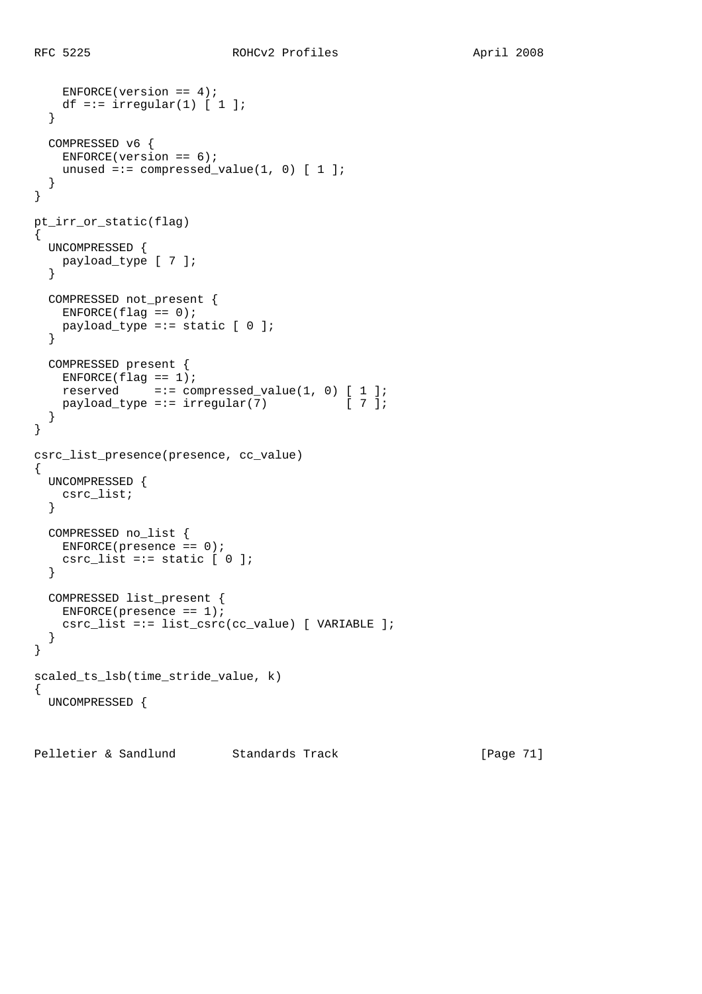```
ENFORCE(version == 4);
   df =:= irregular(1) [ 1 ];
   }
   COMPRESSED v6 {
   ENFORCE(version == 6);unused =:= compressed_value(1, 0) [1];
   }
}
pt_irr_or_static(flag)
\{ UNCOMPRESSED {
    payload_type [ 7 ];
   }
   COMPRESSED not_present {
   ENFORCE(flag == 0); payload_type =:= static [ 0 ];
   }
   COMPRESSED present {
   ENFCRCE(flag == 1); reserved =:= compressed_value(1, 0) [ 1 ];
   payload_type =:= irregular(7) [7];
   }
}
csrc_list_presence(presence, cc_value)
{
  UNCOMPRESSED {
   csrc_list;
   }
   COMPRESSED no_list {
   ENFORCE(presence == 0);csrc_list =:= static [0];
   }
   COMPRESSED list_present {
   ENFCRCE(presence == 1); csrc_list =:= list_csrc(cc_value) [ VARIABLE ];
   }
}
scaled_ts_lsb(time_stride_value, k)
{
  UNCOMPRESSED {
```
Pelletier & Sandlund Standards Track [Page 71]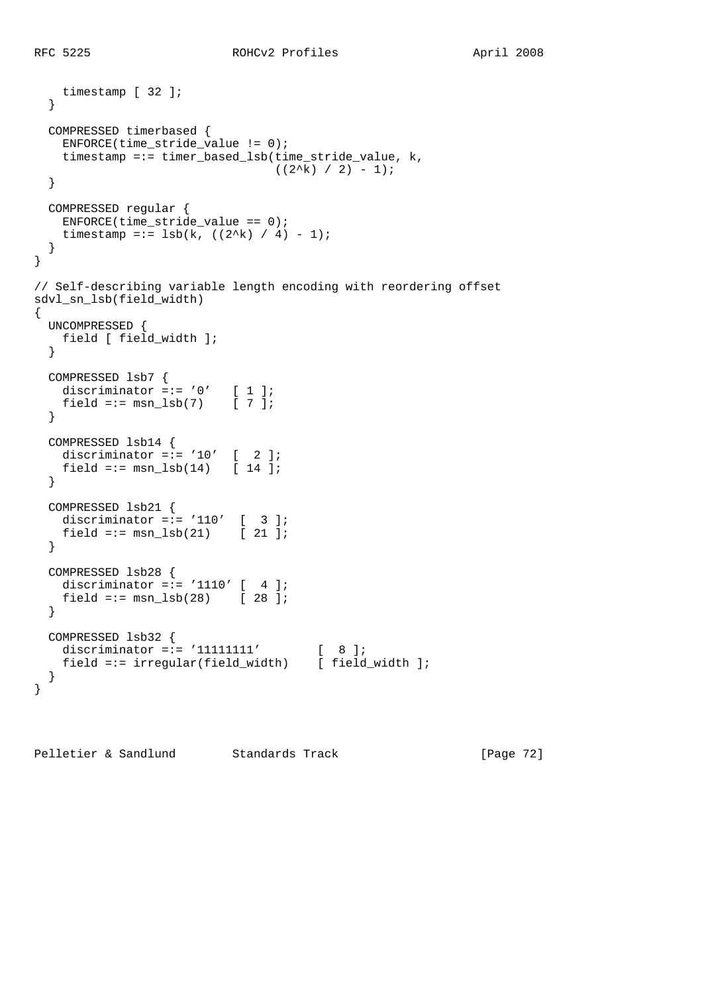```
 timestamp [ 32 ];
   }
  COMPRESSED timerbased {
    ENFORCE(time_stride_value != 0);
    timestamp =:= timer_based_lsb(time_stride_value, k,
                                 ((2^k)(2^k) / 2) - 1;
  }
  COMPRESSED regular {
   ENFORCE(time\_stride\_value == 0);timestamp =:= 1sb(k, ((2^k)( / 4) - 1); }
}
// Self-describing variable length encoding with reordering offset
sdvl_sn_lsb(field_width)
{
  UNCOMPRESSED {
    field [ field_width ];
   }
  COMPRESSED lsb7 {
   discriminator =:- 0' [ 1 ];
   field =:= msn_lsb(7) [ 7 ];
   }
  COMPRESSED lsb14 {
   discriminator =:= '10' [ 2 ];
   field =:= msn_1sb(14) [ 14 ];
   }
  COMPRESSED lsb21 {
   discriminator =:= '110' [ 3 ];
   field =:= msn_lsb(21) [ 21 ];
   }
  COMPRESSED lsb28 {
   discriminator =:= '1110' [ 4 ];
   field =:= msn_lsb(28) [ 28 ];
  }
  COMPRESSED lsb32 {
discriminator =:= '11111111' [ 8 ];
 field =:= irregular(field_width) [ field_width ];
  }
}
```
Pelletier & Sandlund Standards Track [Page 72]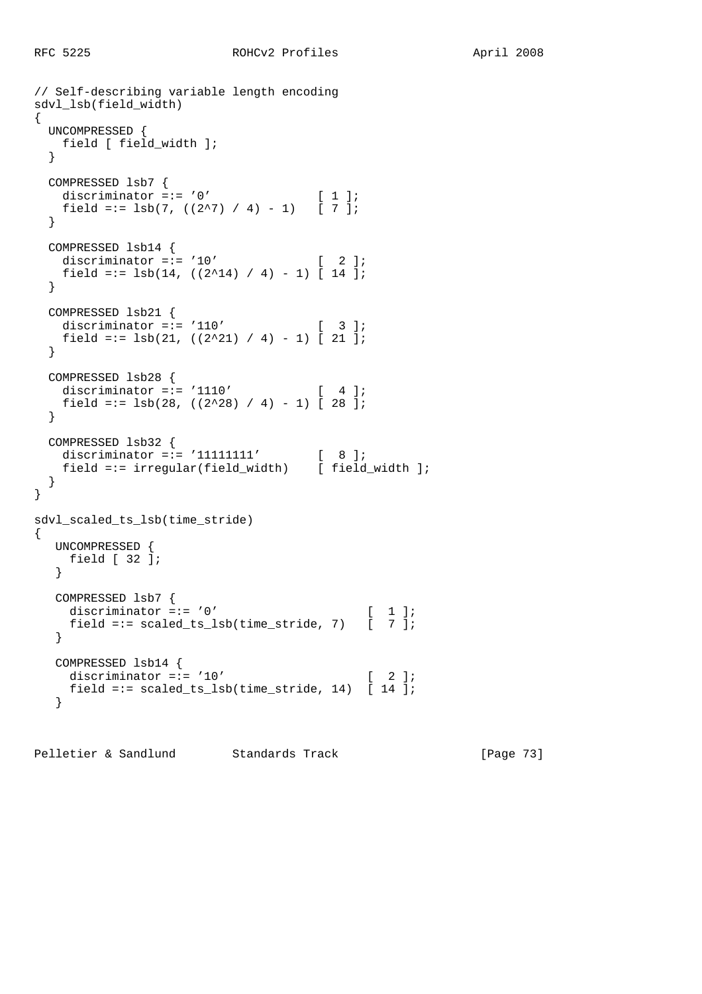```
// Self-describing variable length encoding
sdvl_lsb(field_width)
{
  UNCOMPRESSED {
   field [ field_width ];
  }
  COMPRESSED lsb7 {
  discriminator =:= '0' [ 1 ];
   field =:= lsb(7, ((2^27) / 4) - 1) [ 7 ];
  }
  COMPRESSED lsb14 {
   discriminator =:= '10' [ 2 ];
   field =:= lsb(14, ((2^14) / 4) - 1) [ 14 ];
  }
  COMPRESSED lsb21 {
  discriminator =:= '110' [ 3 ];
   field =:= lsb(21, ((2^21) / 4) - 1) [ 21 ];
  }
  COMPRESSED lsb28 {
   discriminator =:= '1110' [ 4 ];
   field =:= 1sb(28, ((2^228) / 4) - 1) [ 28 ];
  }
  COMPRESSED lsb32 {
discriminator =:= '11111111' [ 8 ];
 field =:= irregular(field_width) [ field_width ];
  }
}
sdvl_scaled_ts_lsb(time_stride)
{
   UNCOMPRESSED {
    field [ 32 ];
   }
   COMPRESSED lsb7 {
   discriminator =:= '0' [ 1 ];
     field =:= scaled_ts_lsb(time_stride, 7) [ 7 ];
   }
   COMPRESSED lsb14 {
   discriminator =:= '10' [ 2 ];
     field =:= scaled_ts_lsb(time_stride, 14) [ 14 ];
   }
```
Pelletier & Sandlund Standards Track [Page 73]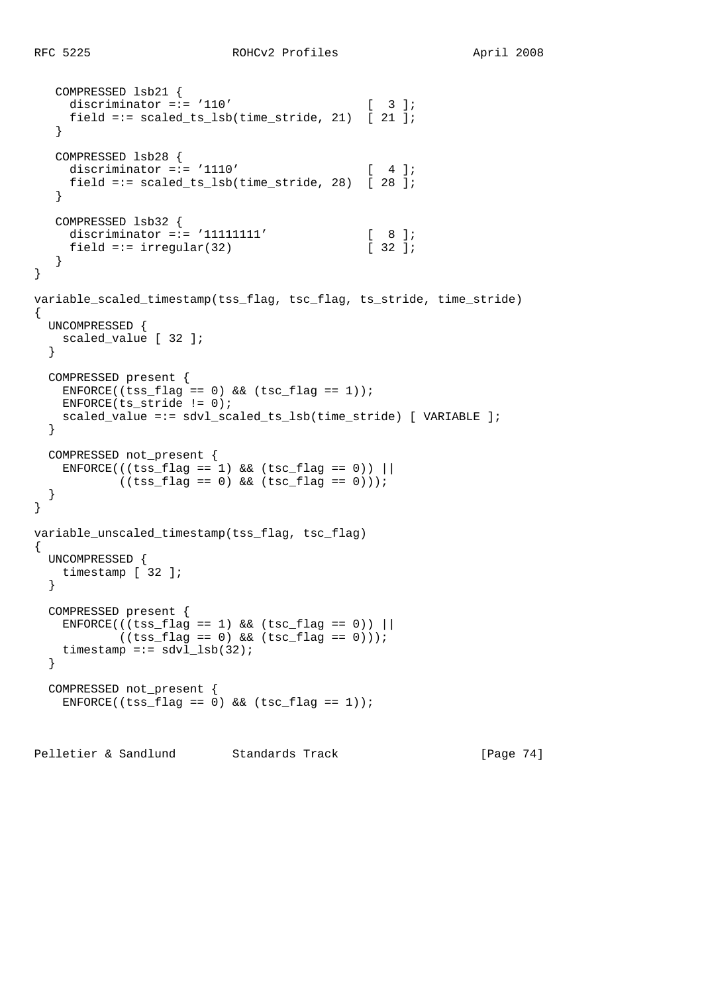```
 COMPRESSED lsb21 {
    discriminator =:= '110' [ 3 ];
    field =:= scaled_ts_lsb(time_stride, 21) [ 21 ];
   }
   COMPRESSED lsb28 {
   discriminator =:= '1110' [ 4 ];
    field =:= scaled_ts_lsb(time_stride, 28) [ 28 ];
   }
   COMPRESSED lsb32 {
    discriminator =:= '11111111' [ 8 ];
    field =:= irregular(32) [ 32 ];
   }
}
variable_scaled_timestamp(tss_flag, tsc_flag, ts_stride, time_stride)
{
  UNCOMPRESSED {
    scaled_value [ 32 ];
   }
  COMPRESSED present {
   ENFORCE((tss flag == 0) && (tsc flag == 1));
   ENFORCE(ts_strictide != 0); scaled_value =:= sdvl_scaled_ts_lsb(time_stride) [ VARIABLE ];
  }
  COMPRESSED not_present {
   ENTER(((tss_flag == 1) & & (tsc_flag == 0))((tss_flag == 0) & (tsc_flag == 0)));
  }
}
variable_unscaled_timestamp(tss_flag, tsc_flag)
{
  UNCOMPRESSED {
    timestamp [ 32 ];
  }
  COMPRESSED present {
   ENTER((tss_flag == 1) & (tsc_flag == 0))((tss_flag == 0) & (tsc_flag == 0)));
   timestamp =:= sdvl_lsb(32);
  }
  COMPRESSED not_present {
   ENFCRCE((tss_flag == 0) & & (tsc_flag == 1));
```
Pelletier & Sandlund Standards Track [Page 74]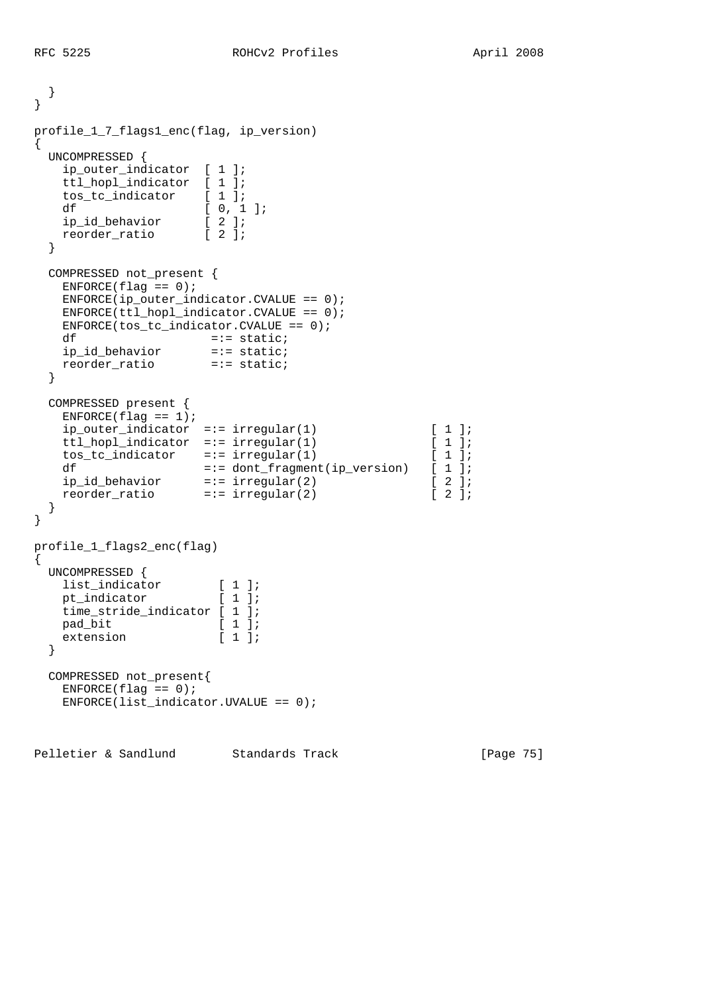```
 }
}
profile_1_7_flags1_enc(flag, ip_version)
\mathcal{L} UNCOMPRESSED {
    ip_outer_indicator [ 1 ];
    ttl_hopl_indicator [ 1 ];
 tos_tc_indicator [ 1 ];
df [ 0, 1 ];
 ip_id_behavior [ 2 ];
 reorder_ratio [ 2 ];
  }
  COMPRESSED not_present {
   ENTER(flag == 0); ENFORCE(ip_outer_indicator.CVALUE == 0);
    ENFORCE(ttl_hopl_indicator.CVALUE == 0);
    ENFORCE(tos_tc_indicator.CVALUE == 0);
   df = := static; ip_id_behavior =:= static;
 reorder_ratio =:= static;
  }
  COMPRESSED present {
   ENFORCE(flag == 1); ip_outer_indicator =:= irregular(1) [ 1 ];
 ttl_hopl_indicator =:= irregular(1) [ 1 ];
 tos_tc_indicator =:= irregular(1) [ 1 ];
 df =:= dont_fragment(ip_version) [ 1 ];
 ip_id_behavior =:= irregular(2) [ 2 ];
 reorder_ratio =:= irregular(2) [ 2 ];
  }
}
profile_1_flags2_enc(flag)
{
  UNCOMPRESSED {
 list_indicator [ 1 ];
pt_indicator [ 1 ];
    time_stride_indicator [ 1 ];
pad_bit [ 1 ];
extension [1];
  }
  COMPRESSED not_present{
   ENFORCE(flag == 0); ENFORCE(list_indicator.UVALUE == 0);
```
Pelletier & Sandlund Standards Track [Page 75]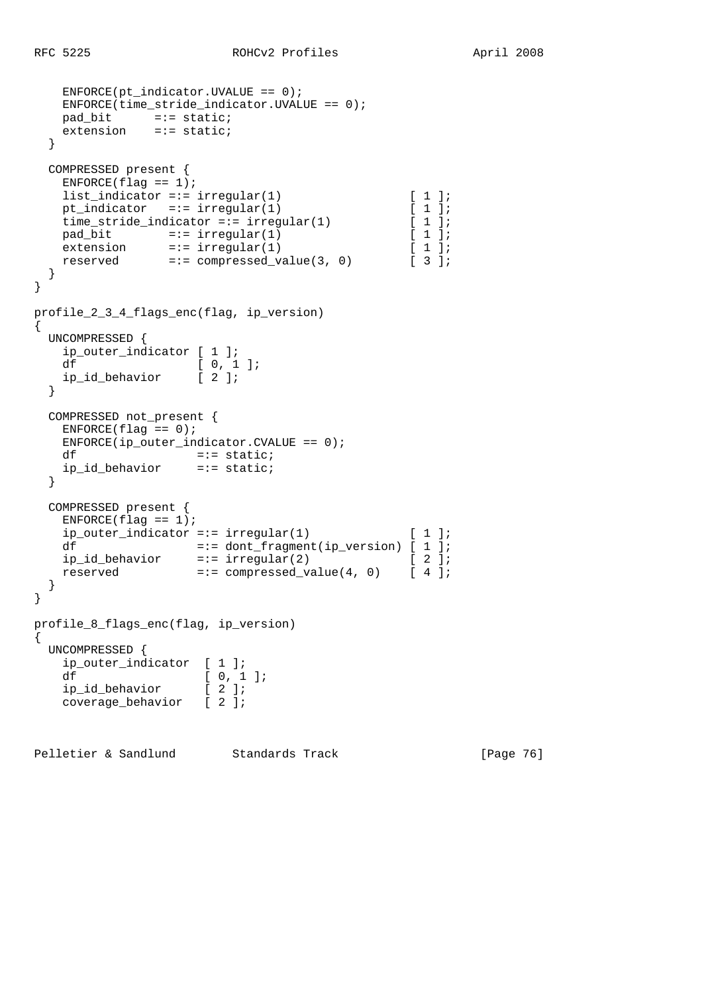```
ENFORCE(pt\_indicateor.UVALUE == 0);ENFCRCE(time_stride_indicator.UVALUE == 0);
 pad_bit =:= static;
 extension =:= static;
   }
  COMPRESSED present {
   ENFORCE(flag == 1);list indicator =:= irregular(1) [ 1 ];
   pt_indicator =:= irregular(1) [ 1 ];
   time_stride_indicator =:= irregular(1) [ 1 ];
   pad_bit =:= irregular(1) [ 1 ];<br>extension =:= irregular(1) [ 1 ];
extension =:-\text{ irregular}(1) [ 1 ];
reserved =:= compressed_value(3, 0) [ 3 ];
   }
}
profile_2_3_4_flags_enc(flag, ip_version)
{
  UNCOMPRESSED {
    ip_outer_indicator [ 1 ];
   df [ 0, 1 ];<br>ip_id_behavior [ 2 ];
   ip id behavior
   }
  COMPRESSED not_present {
   ENFORCE(flag == 0);ENFORCE(ip\_outer\_indicator.CVALUE == 0);df = := state; ip_id_behavior =:= static;
  }
  COMPRESSED present {
   ENFORCE(flag == 1);ip\_outer\_indicator == irregular(1) [ 1 ];
df =:- dont_fragment(ip_version) [ 1 ];
 ip_id_behavior =:= irregular(2) [ 2 ];
reserved =:= compressed_value(4, 0) [ 4 ];
  }
}
profile_8_flags_enc(flag, ip_version)
{
  UNCOMPRESSED {
    ip_outer_indicator [ 1 ];
   df [ 0, 1 ];<br>ip_id_behavior [ 2 ];
   ip_id_behavior
    coverage_behavior [ 2 ];
```
Pelletier & Sandlund Standards Track [Page 76]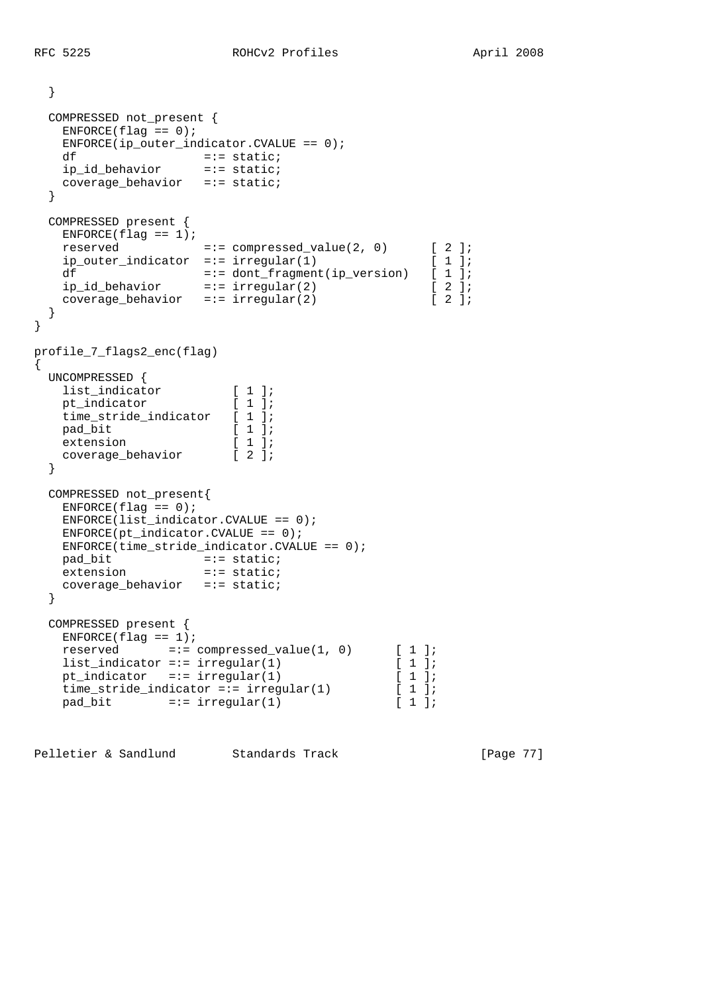```
 }
  COMPRESSED not_present {
   ENFORCE(flag == 0);ENFCRCE(ip\_outer\_indicator.CVALUE == 0);df = := state; ip_id_behavior =:= static;
    coverage_behavior =:= static;
   }
  COMPRESSED present {
   ENFORCE(flag == 1);reserved =:= compressed_value(2, 0) [ 2 ];
   ip_outer_indicator =:= irregular(1) [ 1 ];
 df =:= dont_fragment(ip_version) [ 1 ];
 ip_id_behavior =:= irregular(2) [ 2 ];
   coverage_behavior =:= irregular(2) [ 2 ];
   }
}
profile_7_flags2_enc(flag)
{
  UNCOMPRESSED {
 list_indicator [ 1 ];
pt_indicator [ 1 ];
 time_stride_indicator [ 1 ];
   pt_indicator <br>time_stride_indicator [ 1 ];<br>[ 1 ];
   pad_bit [ 1 ];<br>extension [ 1 ];
   coverage_behavior [2];
   }
  COMPRESSED not_present{
   ENFORCE(flag == 0);ENFORCE(list indicator.CVALUE == 0);ENFORCE(pt\_indicator.CVALUE == 0); ENFORCE(time_stride_indicator.CVALUE == 0);
pad_bit =:- static;
extension =:= static;
    coverage_behavior =:= static;
   }
  COMPRESSED present {
   ENFCRCE(flag == 1);reserved =:= compressed_value(1, 0) [ 1 ];<br>
list_indicator =:= irregular(1) [ 1 ];<br>
pt_indicator =:= irregular(1) [ 1 ];
   list_indicator =:= irregular(1)
   pt_indicator =:= irregular(1) [ 1 ];<br>time_stride_indicator =:= irregular(1) [ 1 ];
   time_stride_indicator =:= irregular(1) [ 1 ];<br>pad bit =:= irregular(1) [ 1 ];
   pad\_bit =:= irregular(1)
```
Pelletier & Sandlund Standards Track [Page 77]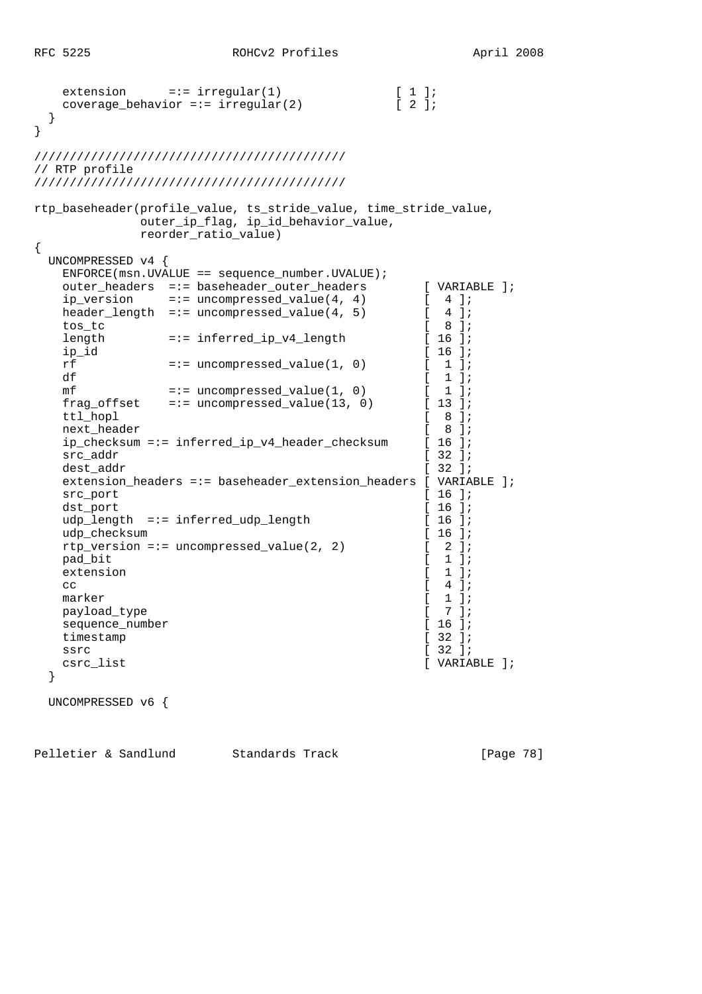```
extension =:= irregular(1) [ 1 ];<br>coverage behavior =:= irregular(2) [ 2 ];
   coverage\_behavior == irregular(2) }
}
////////////////////////////////////////////
// RTP profile
////////////////////////////////////////////
rtp_baseheader(profile_value, ts_stride_value, time_stride_value,
             outer_ip_flag, ip_id_behavior_value,
            reorder ratio value)
{
  UNCOMPRESSED v4 {
   ENFORCE(msn.UVALUE == sequence number.UVALUE;
   outer_headers =:= baseheader_outer_headers [ VARIABLE ];<br>ip_version =:= uncompressed_value(4, 4) [ 4 ];
   ip_version =:= uncompressed_value(4, 4) [ 4 ];<br>header length =:= uncompressed value(4, 5) [ 4 ];
   header\_length =:= uncompressed_value(4, 5) [
 tos_tc [ 8 ];
   length =:= inferred_ip_v4_length [ 16 ];
   ip id [ 16 ];
   \begin{array}{lllllll} \mbox{rf} & = \mbox{:}\mbox{:}\mbox{uncompressed_value}(1, \ 0) & & \mbox{[} & 1 \ ] \mbox{;} \\ \mbox{df} & = \mbox{:}\mbox{:}\mbox{uncompressed_value}(1, \ 0) & & \mbox{[} & 1 \ ] \mbox{;} \\ \mbox{mf} & = \mbox{:}\mbox{uncompressed_value}(1, \ 0) & & \mbox{[} & 1 \ ] \mbox{;} \end{array}df [1];
mf =:- uncompressed_value(1, 0) [1];
 frag_offset =:= uncompressed_value(13, 0) [ 13 ];
   ttl_hopl [ 8 ];<br>next header [ 8 ];
   next_header [ 8 ];<br>ip checksum =:= inferred_ip_v4_header_checksum [ 8 ];
    ip_checksum =:= inferred_ip_v4_header_checksum [ 16 ];
   src_addr [ 32 ];
   dest addr [ 32 ];
    extension_headers =:= baseheader_extension_headers [ VARIABLE ];
   src_port [ 16 ];
   dst_port [ 16 ];
   udp_length =:= inferred_udp_length [ 16 ];<br>udp_checksum [ 16 ];
   udp_checksum
    rtp_version =:= uncompressed_value(2, 2) [ 2 ];
   pad\_bit [ 1 ];
   extension [ 1 ];
cc \begin{bmatrix} 4 & 1 \end{bmatrix};
   marker [ 1 ];
   payload_type [ 7 ];
   sequence_number [ 16 ];<br>timestamp [ 32 ];
   timestamp
   ssrc \left[ 32 \right];
   csrc_list [ VARIABLE ];
  }
  UNCOMPRESSED v6 {
```
Pelletier & Sandlund Standards Track [Page 78]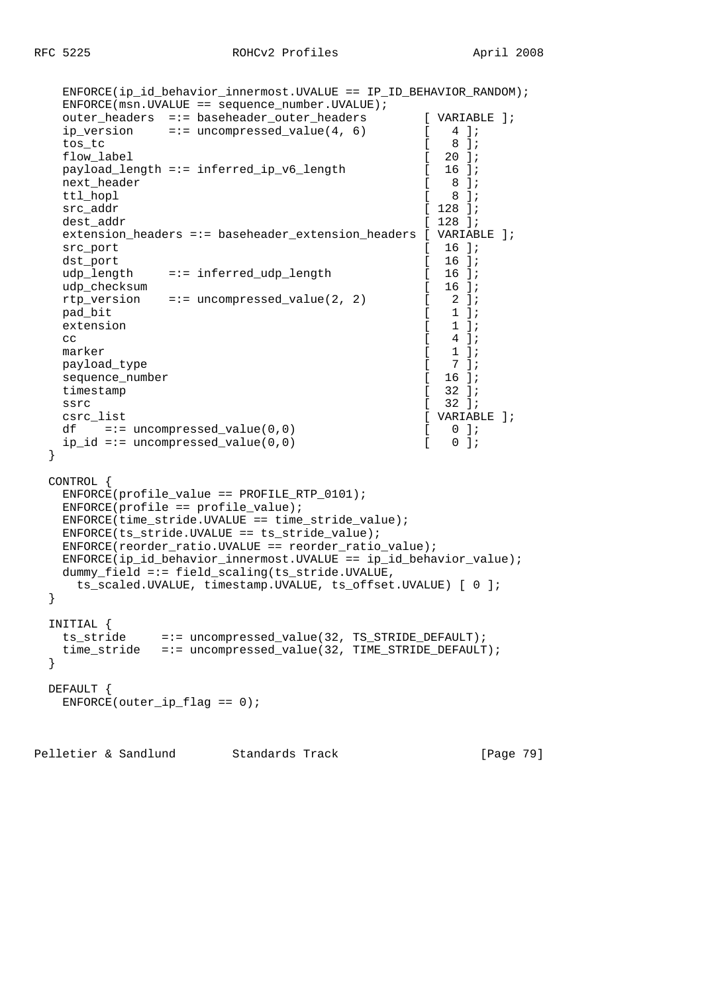```
 ENFORCE(ip_id_behavior_innermost.UVALUE == IP_ID_BEHAVIOR_RANDOM);
   ENFORCE(msn.UVALUE == sequence_number.UVALUE);
   outer_headers =:= baseheader_outer_headers [ VARIABLE ];
  ip\_version =:= uncompressed_value(4, 6) [ 4 ];
 tos_tc [ 8 ];
  flow_label [ 20 ];
  payload_length =:= inferred_ip_v6_length [ 16 ];
   next_header [ 8 ];
  ttl hopl \begin{bmatrix} 8 & 1 \end{bmatrix};
  src_addr [ 128 ];
  dest addr [ 128 ];
  extension headers =:= baseheader extension headers [ VARIABLE ];
  \text{src port} [ 16 ];
  dst_port [ 16 ];
  udp_length =:= inferred_udp_length [ 16 ];
  udp_checksum [ 16 ];
  rtp_version =:= uncompressed_value(2, 2) [2];<br>pad bit [1];
  pad_bit [1];<br>extension [1];
  extension [
cc \begin{bmatrix} 4 \end{bmatrix};
marker [ 1 ];
  payload_type [ 7 ];
  sequence_number [ 16 ];
  timestamp [ 32 ];
ssrc [ 32 ];
   csrc_list [ VARIABLE ];
  df =:- uncompressed value(0,0) [
  ip_id == uncompressed_value(0,0) [ 0 ];
  }
  CONTROL {
   ENFORCE(profile_value == PROFILE_RTP_0101);
  ENTER(profile == profile_value);ENFCRCE(time\_stride.UVALUE == time\_stride\_value);ENFORCE(ts string.UVALUE == ts_string_value); ENFORCE(reorder_ratio.UVALUE == reorder_ratio_value);
   ENFORCE(ip_id_behavior_innermost.UVALUE == ip_id_behavior_value);
  dummy_field =:= field_scaling(ts_stride.UVALUE,
    ts_scaled.UVALUE, timestamp.UVALUE, ts_offset.UVALUE) [ 0 ];
  }
  INITIAL {
   ts_stride =:= uncompressed_value(32, TS_STRIDE_DEFAULT);
   time_stride =:= uncompressed_value(32, TIME_STRIDE_DEFAULT);
  }
  DEFAULT {
  ENFORCE(outer\_ip_flag == 0);
```
Pelletier & Sandlund Standards Track [Page 79]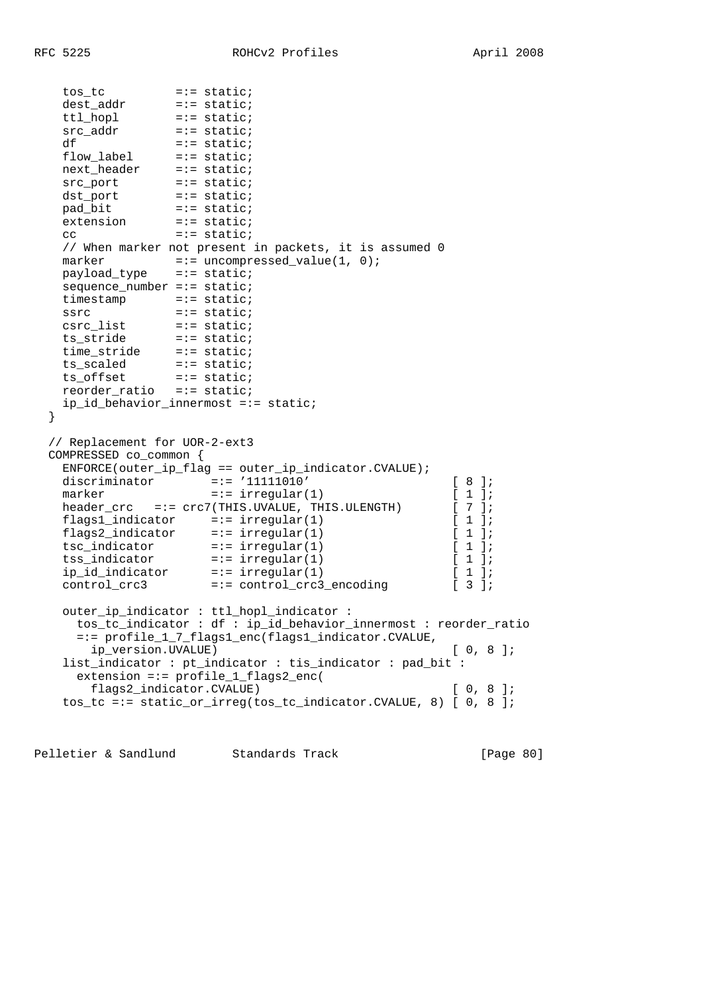```
 tos_tc =:= static;
 dest_addr =:= static;
 ttl_hopl =:= static;
 src_addr =:= static;
df = := state;flow_label =:= static;
 next_header =:= static;
src_port =:= static;
dst_port =:= static;
 pad_bit =:= static;
extension =:= static;
cc =:= static;
   // When marker not present in packets, it is assumed 0
marker =:- uncompressed_value(1, 0);
 payload_type =:= static;
  sequence_number =:= static;<br>timestamp =:= static;
timestamp =:= static;
 ssrc =:= static;
 csrc_list =:= static;
 ts_stride =:= static;
 time_stride =:= static;
 ts_scaled =:= static;
 ts_offset =:= static;
 reorder_ratio =:= static;
   ip_id_behavior_innermost =:= static;
  }
  // Replacement for UOR-2-ext3
  COMPRESSED co_common {
   ENFORCE(outer_ip_flag == outer_ip_indicator.CVALUE);
 discriminator =:= '11111010' [ 8 ];
marker =:- \text{ irregular}(1) [1];
  header_crc =:= crc7(THIS.UVALUE, THIS.ULENGTH) [ 7 ];
 flags1_indicator =:= irregular(1) [ 1 ];
 flags2_indicator =:= irregular(1) [ 1 ];
 tsc_indicator =:= irregular(1) [ 1 ];
 tss_indicator =:= irregular(1) [ 1 ];
 ip_id_indicator =:= irregular(1) [ 1 ];
 control_crc3 =:= control_crc3_encoding [ 3 ];
   outer_ip_indicator : ttl_hopl_indicator :
     tos_tc_indicator : df : ip_id_behavior_innermost : reorder_ratio
     =:= profile_1_7_flags1_enc(flags1_indicator.CVALUE,
      ip_version.UVALUE) [ 0, 8 ];
   list_indicator : pt_indicator : tis_indicator : pad_bit :
     extension =:= profile_1_flags2_enc(
      flags2_indicator.CVALUE) [ 0, 8 ];
    tos_tc =:= static_or_irreg(tos_tc_indicator.CVALUE, 8) [ 0, 8 ];
```
Pelletier & Sandlund Standards Track [Page 80]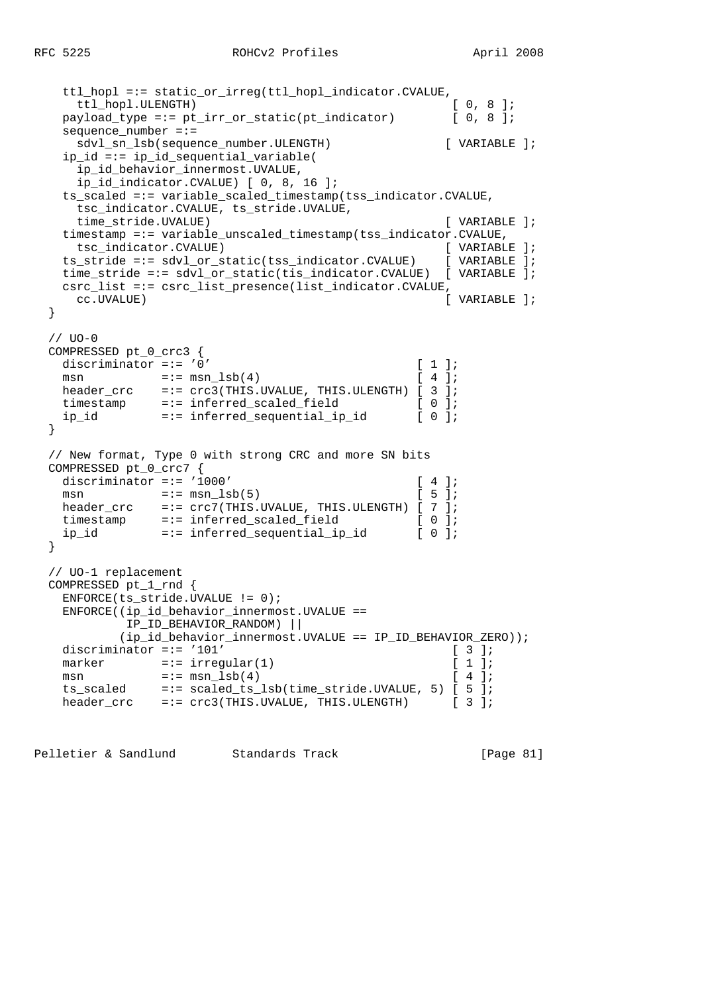```
ttl_hopl =:= static_or_irreg(ttl_hopl_indicator.CVALUE,<br>ttl hopl.ULENGTH) [ 0, 8 ];
   ttl_hopl.ULENGTH)
  payload_type =:= pt_irr_or_static(pt_indicator) [ 0, 8 ];
   sequence_number =:=
    sdvl_sn_lsb(sequence_number.ULENGTH) [ VARIABLE ];
   ip_id =:= ip_id_sequential_variable(
    ip_id_behavior_innermost.UVALUE,
    ip_id_indicator.CVALUE) [ 0, 8, 16 ];
  ts scaled =:= variable scaled timestamp(tss indicator.CVALUE,
    tsc_indicator.CVALUE, ts_stride.UVALUE,
    time_stride.UVALUE) [ VARIABLE ];
  timestamp =:= variable unscaled timestamp(tss_indicator.CVALUE,
    tsc_indicator.CVALUE) [ VARIABLE ];
  ts_stride =:= sdvl_or_static(tss_indicator.CVALUE) [ VARIABLE ];
  time_stride =:= sdvl_or_static(tis_indicator.CVALUE) [ VARIABLE ];
  csrc_list =:= csrc_list_presence(list_indicator.CVALUE,
    cc.UVALUE) [ VARIABLE ];
 }
// <math>UO-0</math>COMPRESSED pt 0 crc3 {
  discriminator =:= '0' [ 1 ];
 msn = := \text{mm\_lsb(4)} [ 4 ];
 header_crc =:= crc3(THIS.UVALUE, THIS.ULENGTH) [ 3 ];<br>timestamp =:= inferred_scaled_field [ 0 ];
             =:= inferred_scaled_field [ 0 ];
  ip_id =:= inferred_sequential_ip_id [ 0 ];
 }
 // New format, Type 0 with strong CRC and more SN bits
 COMPRESSED pt_0_crc7 {
 discriminator =:= '1000' [ 4 ];
 msn =:= msn \text{lsb}(5) [ 5 ];
 header_crc =:= crc7(THIS.UVALUE, THIS.ULENGTH) [ 7 ];
 timestamp =:= inferred_scaled_field [ 0 ];
  ip_id =:= inferred_sequential_ip_id [ 0 ];
 }
 // UO-1 replacement
 COMPRESSED pt_1_rnd {
  ENFORCE(ts_stride.UVALUE != 0);
  ENFORCE((ip_id_behavior_innermost.UVALUE ==
           IP_ID_BEHAVIOR_RANDOM) ||
          (ip_id_behavior_innermost.UVALUE == IP_ID_BEHAVIOR_ZERO));
 discriminator =:= '101' [3];<br>marker =:= irregular(1) [1];
 \begin{minipage}{.4\linewidth} \texttt{marker} \end{minipage} \begin{minipage}{.4\linewidth} \texttt{irregular(1)} \end{minipage}msn = := \text{mm\_lsb(4)} [ 4 ];
   ts_scaled =:= scaled_ts_lsb(time_stride.UVALUE, 5) [ 5 ];
 header_crc =:= crc3(THIS.UVALUE, THIS.ULENGTH) [ 3 ];
```
Pelletier & Sandlund Standards Track [Page 81]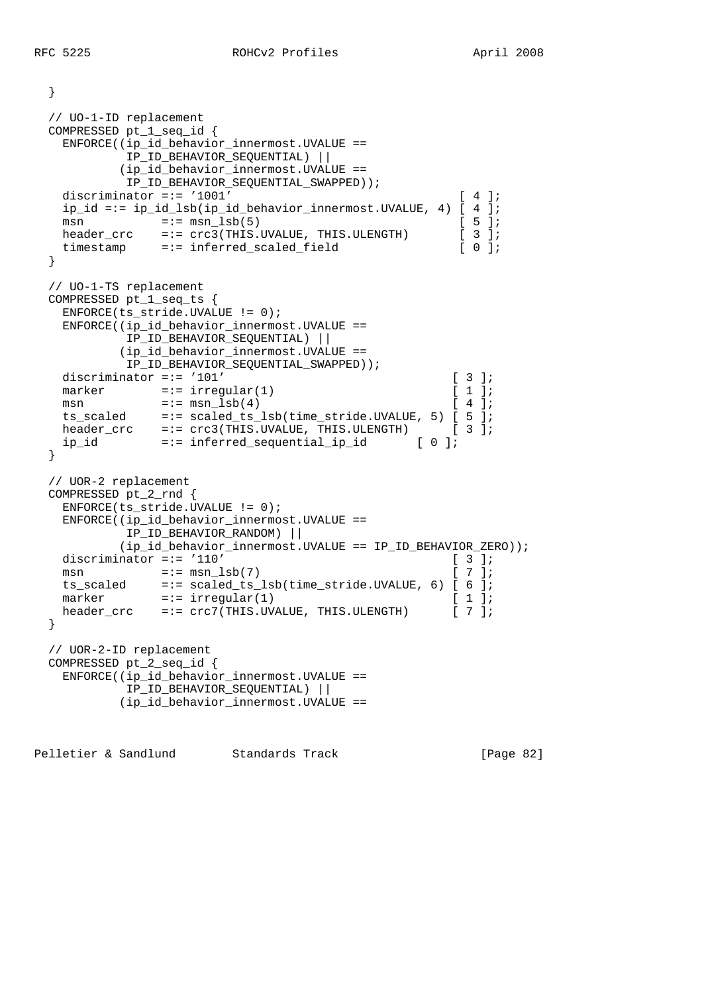}

```
 // UO-1-ID replacement
  COMPRESSED pt_1_seq_id {
    ENFORCE((ip_id_behavior_innermost.UVALUE ==
           IP_ID_BEHAVIOR_SEQUENTIAL) ||
           (ip_id_behavior_innermost.UVALUE ==
           IP_ID_BEHAVIOR_SEQUENTIAL_SWAPPED));
   discriminator =:= '1001' [ 4 ];
    ip_id =:= ip_id_lsb(ip_id_behavior_innermost.UVALUE, 4) [ 4 ];
   msn =:- msn \text{lsb}(5) [ 5 ];
   header_crc =:= crc3(THIS.UVALUE, THIS.ULENGTH) [ 3 ];
   timestamp =:= inferred_scaled_field [ 0 ];
  }
  // UO-1-TS replacement
  COMPRESSED pt_1_seq_ts {
    ENFORCE(ts_stride.UVALUE != 0);
    ENFORCE((ip_id_behavior_innermost.UVALUE ==
           IP_ID_BEHAVIOR_SEQUENTIAL) ||
           (ip_id_behavior_innermost.UVALUE ==
           IP_ID_BEHAVIOR_SEQUENTIAL_SWAPPED));
   discriminator =:= '101' [ 3 ];
   marker =:= irregular(1) [1];
msn =:= msn \text{lsb}(4) [ 4 ];
 ts_scaled =:= scaled_ts_lsb(time_stride.UVALUE, 5) [ 5 ];
 header_crc =:= crc3(THIS.UVALUE, THIS.ULENGTH) [ 3 ];
 ip_id =:= inferred_sequential_ip_id [ 0 ];
  }
  // UOR-2 replacement
  COMPRESSED pt_2_rnd {
    ENFORCE(ts_stride.UVALUE != 0);
    ENFORCE((ip_id_behavior_innermost.UVALUE ==
           IP_ID_BEHAVIOR_RANDOM) ||
           (ip_id_behavior_innermost.UVALUE == IP_ID_BEHAVIOR_ZERO));
   discriminator =:= '110' [ 3 ];
   msn = := \text{mm\_lsb}(7) [ 7 ];
 ts_scaled =:= scaled_ts_lsb(time_stride.UVALUE, 6) [ 6 ];
marker =:- \text{ irregular}(1) [1];
   header_crc =:= crc7(THIS.UVALUE, THIS.ULENGTH) [ 7 ];
  }
  // UOR-2-ID replacement
  COMPRESSED pt_2_seq_id {
    ENFORCE((ip_id_behavior_innermost.UVALUE ==
           IP_ID_BEHAVIOR_SEQUENTIAL) ||
           (ip_id_behavior_innermost.UVALUE ==
```
Pelletier & Sandlund Standards Track [Page 82]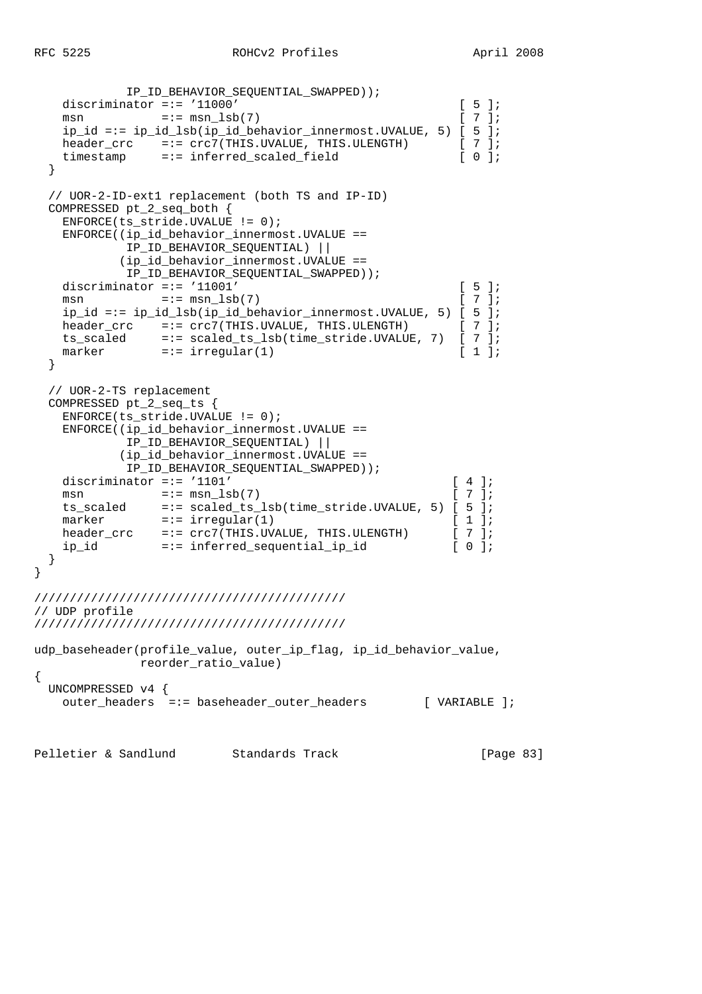```
 IP_ID_BEHAVIOR_SEQUENTIAL_SWAPPED));
   discriminator =:= '11000' [5];<br>msn =:= msn lsb(7) [7];
   msn = := msn \; lsb(7)ip_id == ip_id_lsb(ip_id_behavier_innermost.UVALUE, 5) [5];<br>header_crc =:= crc7(THIS.UVALUE, THIS.ULENGTH) [ 7 ];
 header_crc =:= crc7(THIS.UVALUE, THIS.ULENGTH) [ 7 ];
 timestamp =:= inferred_scaled_field [ 0 ];
   }
   // UOR-2-ID-ext1 replacement (both TS and IP-ID)
  COMPRESSED pt_2_seq_both {
   ENFORCE(ts stride.UVALUE != 0);
   ENFORCE((ip id behavior innermost.UVALUE ==
             IP_ID_BEHAVIOR_SEQUENTIAL) ||
            (ip_id_behavior_innermost.UVALUE ==
            IP_ID_BEHAVIOR_SEQUENTIAL_SWAPPED));
   discriminator =:= '11001' [ 5 ];
   msn =:= msn\text{lsb}(7) [ 7 ];
   ip_id == ip_id_lsb(ip_id_behavier_innermost.UVALUE, 5) [5];<br>header_crc == := crc7(THIS.UVALUE, THIS.ULENGTH) [7];header_crc =:= crc7(THIS.UVALUE, THIS.ULENGTH)
   ts_scaled =:= scaled_ts_lsb(time_stride.UVALUE, 7) [ 7 ];<br>marker =:= irregular(1) [ 1 ];
               = = irregular(1) \qquad \qquad [ 1 ];
   }
   // UOR-2-TS replacement
  COMPRESSED pt_2_seq_ts {
    ENFORCE(ts_stride.UVALUE != 0);
    ENFORCE((ip_id_behavior_innermost.UVALUE ==
             IP_ID_BEHAVIOR_SEQUENTIAL) ||
            (ip_id_behavior_innermost.UVALUE ==
             IP_ID_BEHAVIOR_SEQUENTIAL_SWAPPED));
   discriminator =:= '1101' [ 4 ];
   msn = := \text{mm\_lsb}(7) [ 7 ];
    ts_scaled =:= scaled_ts_lsb(time_stride.UVALUE, 5) [ 5 ];
   marker =:= irregular(1) [ 1 ];
   header_crc =:= crc7(THIS.UVALUE, THIS.ULENGTH) [ 7 ];
    ip_id =:= inferred_sequential_ip_id [ 0 ];
   }
}
////////////////////////////////////////////
// UDP profile
////////////////////////////////////////////
udp_baseheader(profile_value, outer_ip_flag, ip_id_behavior_value,
       reorder_ratio_value)
{
  UNCOMPRESSED v4 {
   outer_headers =:= baseheader_outer_headers [ VARIABLE ];
Pelletier & Sandlund Standards Track [Page 83]
```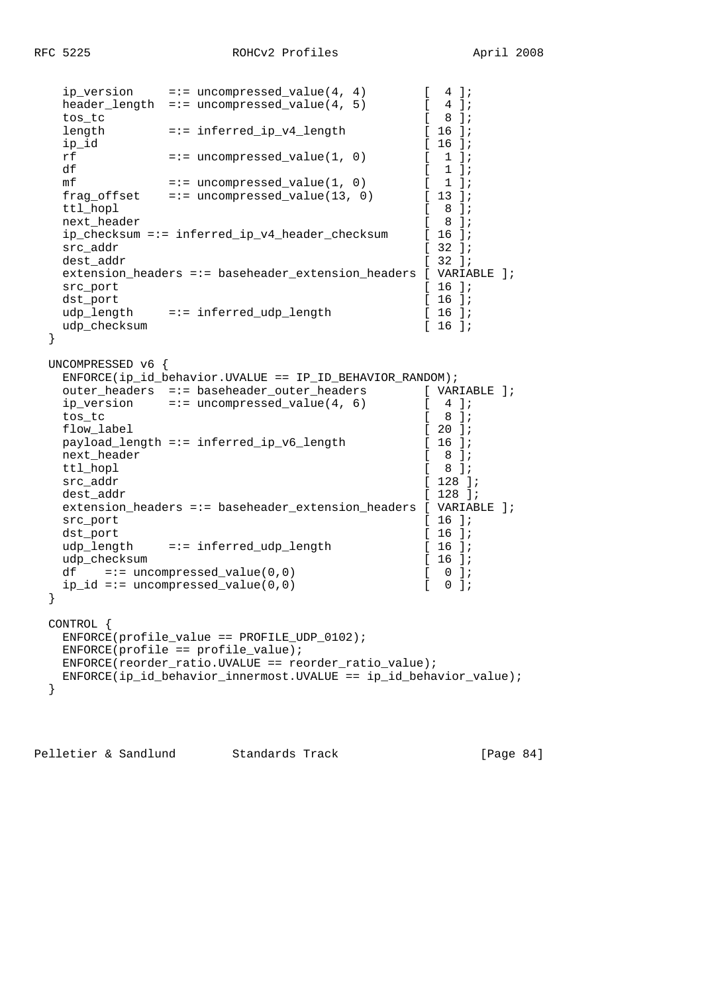```
ip_version =:= uncompressed_value(4, 4) [4];
  h = \frac{1}{2} header_length =:= uncompressed_value(4, 5) [ 4 ];
  \begin{array}{ccc} \text{tos\_tc} & \text{--} & \text{--} & \text{--} & \text{--} \\ \text{length} & = \text{--} & \text{inferred\_ip\_v4\_length} & \text{--} & \text{--} & \text{--} \\ \end{array}length =:- \text{ inferred\_ip\_v4\_length}ip_id [ 16 ];<br>
rf =:= uncompressed value(1, 0) [ 1 ];
  rf = := uncompressed value(1, 0)
  df \begin{array}{ccc} \text{df} & & [1] \text{;} \\ \text{mf} & =:- \text{ uncompressed value}(1, 0) & [1] \text{;} \end{array}mf = := uncompressed_value(1, 0)frag offset =:= uncompressed_value(13, 0) [ 13 ];
  ttl hopl \begin{bmatrix} 8 \end{bmatrix};
  next header [ 8 ];
  ip checksum =:= inferred ip v4 header checksum [ 16 ];
  src_addr [ 32 ];
  dest_addr [ 32 ];
  extension headers =:= baseheader extension headers [ VARIABLE ];
  src_port [ 16 ];<br>dst_port [ 16 ];
   dst_port [ 16 ];
  udp_length =:= inferred_udp_length [ 16 ];<br>udp_checksum [ 16 ];
  udp_checksum
  }
  UNCOMPRESSED v6 {
   ENFORCE(ip_id_behavior.UVALUE == IP_ID_BEHAVIOR_RANDOM);
  outer_headers =:= baseheader_outer_headers [ VARIABLE ];
  ip_version =:= uncompressed_value(4, 6) [ 4 ];<br>tos tc [ 8 ];
 tos_tc [ 8 ];
  flow_label [ 20 ];
  payload_length =:= inferred_ip_v6_length [ 16 ];
  next_header [ 8 ];
  ttl hopl [ 8 ];
  src_addr [ 128 ];
  dest_addr [ 128 ];
   extension_headers =:= baseheader_extension_headers [ VARIABLE ];
  src_port [ 16 ];
  dst_port [ 16 ];
  udp_length =:= inferred_udp_length [ 16 ];
  udp_checksum [ 16 ];
  df = := uncompressed_value(0,0) [ 0 ];
  ip_id == uncompressed_value(0,0) [ 0 ];
  }
  CONTROL {
   ENFORCE(profile_value == PROFILE_UDP_0102);
  ENTER(profile == profile_value);
   ENFORCE(reorder_ratio.UVALUE == reorder_ratio_value);
   ENFORCE(ip_id_behavior_innermost.UVALUE == ip_id_behavior_value);
  }
```
Pelletier & Sandlund Standards Track [Page 84]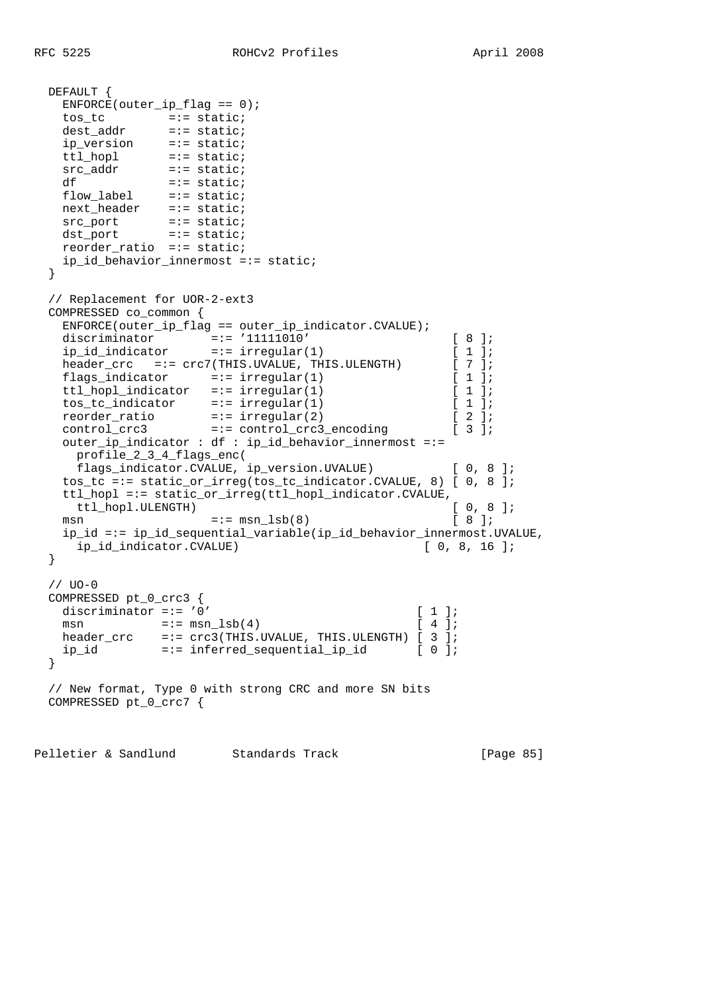```
 DEFAULT {
   ENFORCE(outer\_ip_flag == 0); tos_tc =:= static;
 dest_addr =:= static;
 ip_version =:= static;
 ttl_hopl =:= static;
src_addr =:= static;
df =:- static;
flow_label =:= static;
 next_header =:= static;
src_port =:= static;
 dst_port =:= static;
    reorder_ratio =:= static;
    ip_id_behavior_innermost =:= static;
  }
  // Replacement for UOR-2-ext3
  COMPRESSED co_common {
    ENFORCE(outer_ip_flag == outer_ip_indicator.CVALUE);
 discriminator =:= '11111010' [ 8 ];
 ip_id_indicator =:= irregular(1) [ 1 ];
   header_crc =:= crc7(THIS.UVALUE, THIS.ULENGTH) [ 7 ];<br>flags_indicator =:= irregular(1) [ 1 ];<br>ttl hopl indicator =:= irregular(1) [ 1 ];
 flags_indicator =:= irregular(1) [ 1 ];
 ttl_hopl_indicator =:= irregular(1) [ 1 ];
   ttl_nopl_indicator --- integuise, (1)<br>
tos_tc_indicator =:= irregular(1) [ 1 ];<br>
reorder ratio =:= irregular(2) [ 2 ];
 reorder_ratio =:= irregular(2) [ 2 ];
 control_crc3 =:= control_crc3_encoding [ 3 ];
    outer_ip_indicator : df : ip_id_behavior_innermost =:=
     profile_2_3_4_flags_enc(
     flags_indicator.CVALUE, ip_version.UVALUE) [ 0, 8 ];
    tos_tc =:= static_or_irreg(tos_tc_indicator.CVALUE, 8) [ 0, 8 ];
    ttl_hopl =:= static_or_irreg(ttl_hopl_indicator.CVALUE,
    ttl_hopl.ULENGTH) [ 0, 8 ];
   msn =:- msn \text{lsb}(8) [ 8 ];
    ip_id =:= ip_id_sequential_variable(ip_id_behavior_innermost.UVALUE,
     ip_id_indicator.CVALUE) [ 0, 8, 16 ];
  }
  // UO-0
  COMPRESSED pt_0_crc3 {
  discriminator =:= '0' [ 1 ];
   msn = := \text{msn\_lsb(4)} [ 4 ];
  header_crc =:= crc3(THIS.UVALUE, THIS.ULENGTH) [ 3 ];
    ip_id =:= inferred_sequential_ip_id [ 0 ];
  }
  // New format, Type 0 with strong CRC and more SN bits
  COMPRESSED pt_0_crc7 {
```
Pelletier & Sandlund Standards Track [Page 85]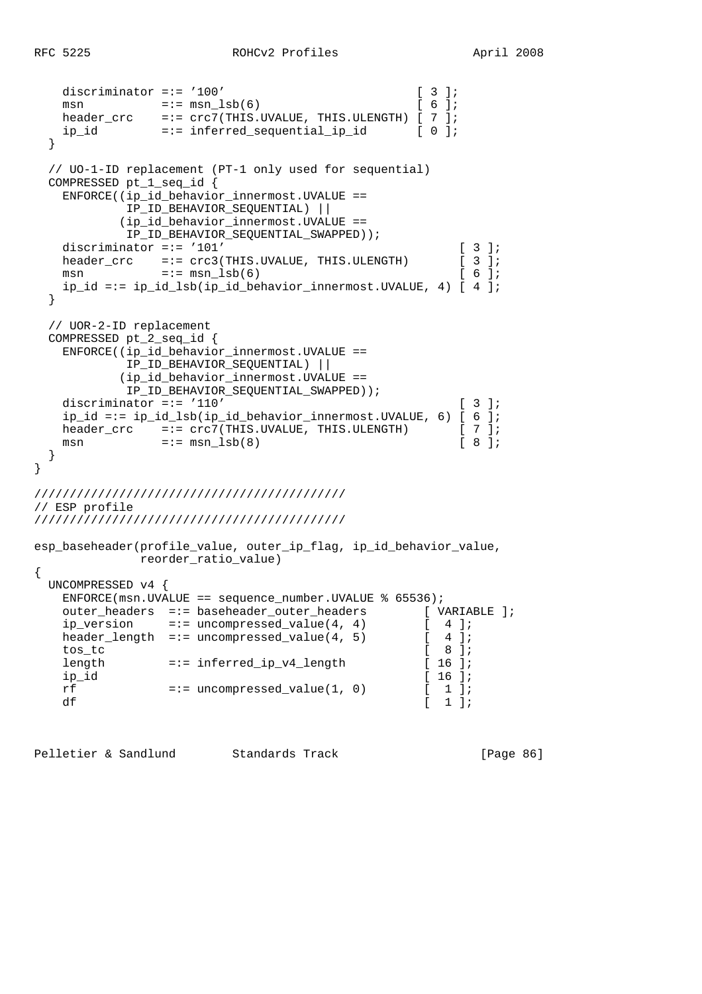}

```
discriminator =:= '100' [ 3 ];
msn =:- msn\lnot s = \lnot s = msn\lnot s = \lnot s = \lnot s = \lnot s = \lnot s = \lnot s = \lnot s = \lnot s = \lnot s = \lnot s = \lnot s = \lnot s = \lnot s = \lnot s = \lnot s = \lnot s = \lnot s = \lnot s = \lnot s = \lnot s = \lnot s =
 header_crc =:= crc7(THIS.UVALUE, THIS.ULENGTH) [ 7 ];
 ip_id =:= inferred_sequential_ip_id [ 0 ];
   }
   // UO-1-ID replacement (PT-1 only used for sequential)
  COMPRESSED pt_1_seq_id {
   ENFCRCE((ip id behavior innermost.UVALUE ==
              IP_ID_BEHAVIOR_SEQUENTIAL) ||
             (ip_id_behavior_innermost.UVALUE ==
             IP_ID_BEHAVIOR_SEQUENTIAL_SWAPPED));
   discriminator =:= '101' [ 3 ];
   header_crc =:= crc3(THIS.UVALUE, THIS.ULENGTH) [ 3 ];
   msn =:= msn \text{lsb}(6) [ 6 ];
     ip_id =:= ip_id_lsb(ip_id_behavior_innermost.UVALUE, 4) [ 4 ];
   }
  // UOR-2-ID replacement
  COMPRESSED pt_2_seq_id {
    ENFORCE((ip_id_behavior_innermost.UVALUE ==
              IP_ID_BEHAVIOR_SEQUENTIAL) ||
             (ip_id_behavior_innermost.UVALUE ==
             IP_ID_BEHAVIOR_SEQUENTIAL_SWAPPED));
   discriminator =:= '110' [ 3 ];
    ip_id == ip_id_lsb(ip_id_behavior_innermost.UVALUE, 6) [ 6 ]; header crc = := crc7(THIS.UVALUE, THIS.ULENGTH) [ 7 ];
header_crc =:= crc7(THIS.UVALUE, THIS.ULENGTH) [ 7 ];
msn =:- msn \text{lsb}(8) [ 8 ];
   }
////////////////////////////////////////////
// ESP profile
////////////////////////////////////////////
esp_baseheader(profile_value, outer_ip_flag, ip_id_behavior_value,
               reorder_ratio_value)
{
  UNCOMPRESSED v4 {
   ENFORCE(msn.UVALUE == sequence_number.UVALUE % 65536);
   outer_headers =:= baseheader_outer_headers [ VARIABLE ];<br>ip_version =:= uncompressed_value(4, 4) [ 4 ];
   ip_version =:= uncompressed_value(4, 4) [4];<br>header_length =:= uncompressed_value(4, 5) [4];
   header_length =:= uncompressed_value(4, 5)
    tos_tc [ 8 ];
                  = := \inf \text{erred\_ip\_v4\_length}ip_id [16];<br>
rf =:= uncompressed_value(1, 0) [16];
   rf =:- uncompressed_value(1, 0) [1];<br>df [1];
df [1];
```
Pelletier & Sandlund Standards Track [Page 86]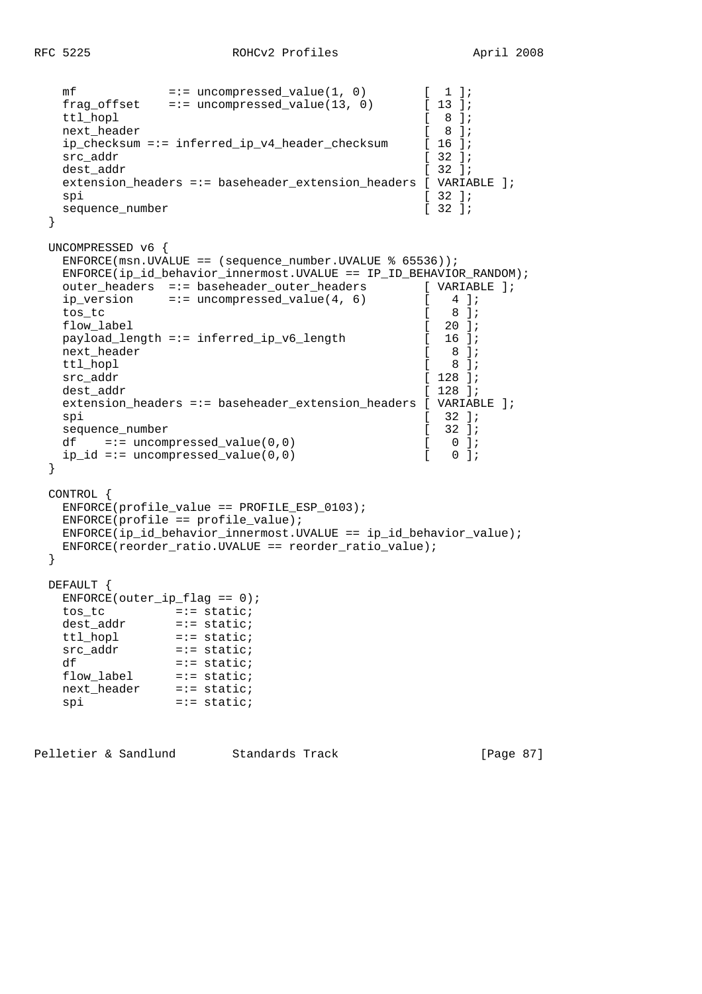```
mf =:= uncompressed_value(1, 0) [1];<br>frag offset =:= uncompressed value(13, 0) [13];
  frag_offset = :- uncompressed_value(13, 0)ttl_hopl [ 8 ];<br>next header [ 8 ];
  next_header [ 8 ];<br>ip_checksum =:= inferred_ip_v4_header_checksum [ 8 ];
   ip_checksum =:= inferred_ip_v4_header_checksum [ 16 ];
  src_addr [ 32 ];
  dest_addr [ 32 ];
   extension_headers =:= baseheader_extension_headers [ VARIABLE ];
spi [ 32 ];
  sequence_number [ 32 ];
  }
  UNCOMPRESSED v6 {
  ENFORCE(msn.UVALUE == (sequence_number.UVALUE % 65536));
   ENFORCE(ip_id_behavior_innermost.UVALUE == IP_ID_BEHAVIOR_RANDOM);
   outer_headers =:= baseheader_outer_headers [ VARIABLE ];
  ip_version =:= uncompressed_value(4, 6) [4];
   tos_tc [ 8 ];
  flow_label [ 20 ];<br>payload_length =:= inferred ip v6 length [ 20 ];
  payload_length =:= inferred_ip_v6_length [
  next_header [ 8 ];
  ttl_hopl [ 8 ];
  src_addr [ 128 ];
  dest addr [ 128 ];
   extension_headers =:= baseheader_extension_headers [ VARIABLE ];
spi [ 32 ];
  sequence_number [ 32 ];<br>df =:= uncompressed value(0,0) [ 0 ];
  df =:= uncompressed_value(0,0) [0, 0]<br>ip id =:= uncompressed value(0,0) [0, 0];
   ip_id == uncompressed_value(0,0) [
  }
  CONTROL {
   ENFORCE(profile_value == PROFILE_ESP_0103);
  ENFORCE(profile == profile_value); ENFORCE(ip_id_behavior_innermost.UVALUE == ip_id_behavior_value);
   ENFORCE(reorder_ratio.UVALUE == reorder_ratio_value);
  }
  DEFAULT {
  ENFORCE(outer\_ip_flag == 0);tos_tc =:= static;
  dest_addr =:= static;
   ttl_hopl =:= static;
  src_addr =:= static;<br>df =:= static;
  df  =:= static;<br>flow_label  =:= static;
 flow_label =:= static;
 next_header =:= static;
spi =:= static;
```
Pelletier & Sandlund Standards Track [Page 87]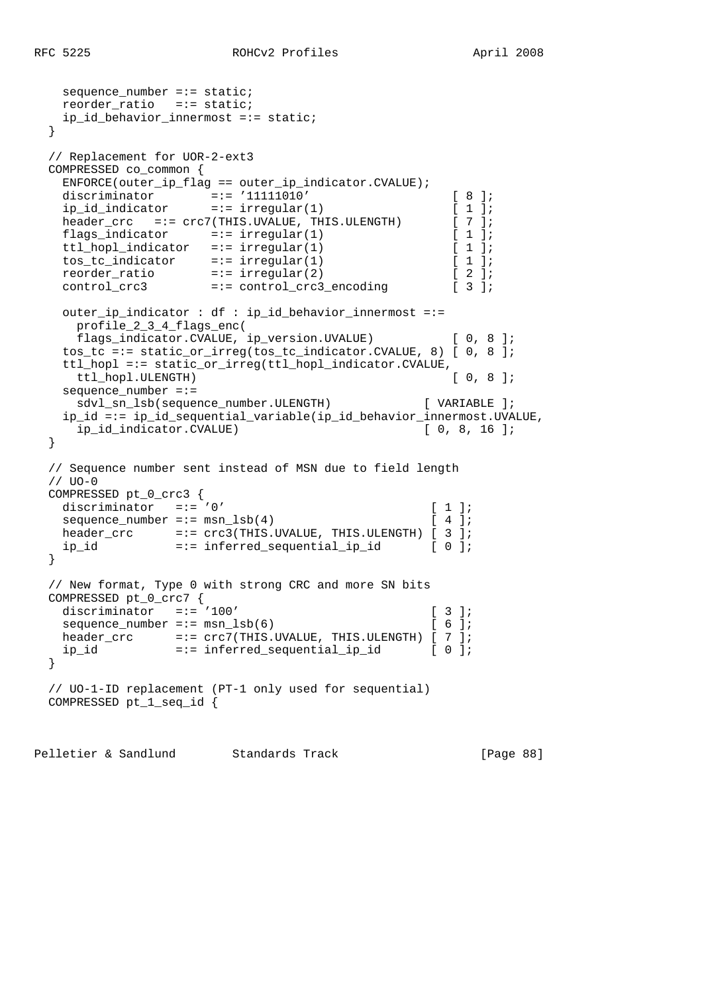$sequence_number == static;$ 

```
 reorder_ratio =:= static;
   ip id behavior innermost =:= static;
  }
  // Replacement for UOR-2-ext3
  COMPRESSED co_common {
    ENFORCE(outer_ip_flag == outer_ip_indicator.CVALUE);
 discriminator =:= '11111010' [ 8 ];
 ip_id_indicator =:= irregular(1) [ 1 ];
   header_crc =:= crc7(THIS.UVALUE, THIS.ULENGTH) [ 7 ];
   flags_indicator =:= irregular(1) [ 1 ];
   ttl_hopl_indicator =:= irregular(1) [ 1 ];
 tos_tc_indicator =:= irregular(1) [ 1 ];
 reorder_ratio =:= irregular(2) [ 2 ];
 control_crc3 =:= control_crc3_encoding [ 3 ];
    outer_ip_indicator : df : ip_id_behavior_innermost =:=
     profile_2_3_4_flags_enc(
     flags_indicator.CVALUE, ip_version.UVALUE) [ 0, 8 ];
    tos_tc =:= static_or_irreg(tos_tc_indicator.CVALUE, 8) [ 0, 8 ];
    ttl_hopl =:= static_or_irreg(ttl_hopl_indicator.CVALUE,
    ttl hopl.ULENGTH) [ 0, 8 ];
   sequence number =:=
     sdvl_sn_lsb(sequence_number.ULENGTH) [ VARIABLE ];
    ip_id =:= ip_id_sequential_variable(ip_id_behavior_innermost.UVALUE,
    ip id indicator.CVALUE) [ 0, 8, 16 ];
  }
  // Sequence number sent instead of MSN due to field length
 // <math>UO-O</math> COMPRESSED pt_0_crc3 {
  discriminator =:- 0' [ 1 ];
  sequence number =:= msn \text{lsb}(4) [ 4 ];
  header_crc =:-\,crc3(THIS.UVALUE, THIS.ULENGTH) [ 3 ]; ip_id =:= inferred_sequential_ip_id [ 0 ];
  }
  // New format, Type 0 with strong CRC and more SN bits
  COMPRESSED pt_0_crc7 {
  discriminator =:= '100' [ 3 ];
  sequence\_number == msn\_lsb(6) [ 6 ];
  header_crc =:= crc7(THIS.UVALUE, THIS.ULENGTH) [ 7 ];
   ip_id =:= inferred_sequential_ip_id [ 0 ];
  }
  // UO-1-ID replacement (PT-1 only used for sequential)
  COMPRESSED pt_1_seq_id {
```
Pelletier & Sandlund Standards Track [Page 88]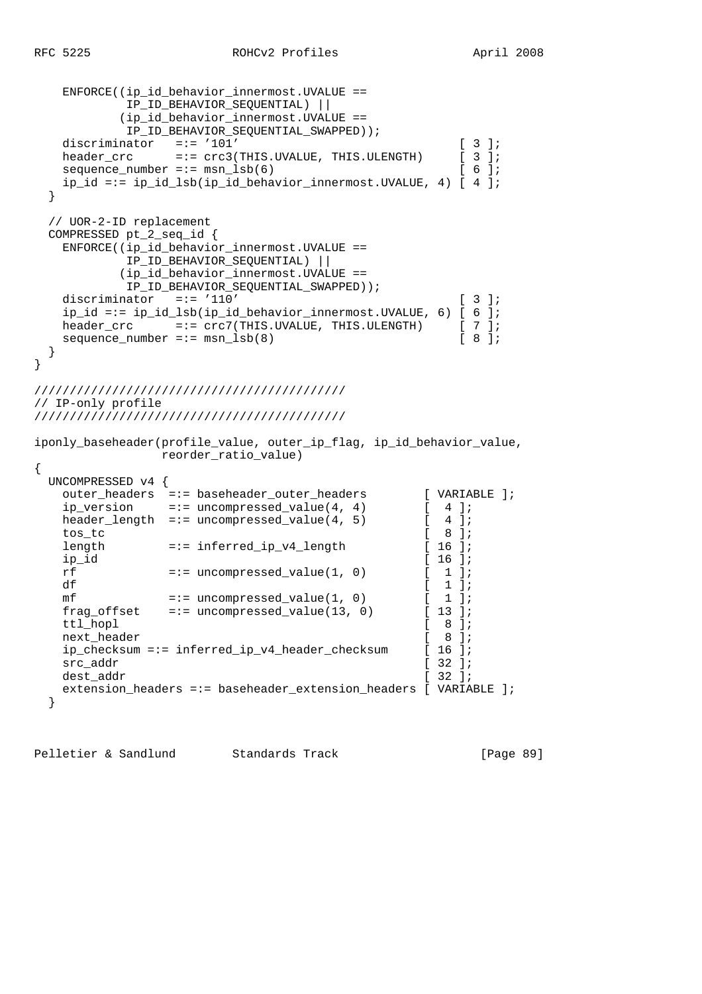```
 ENFORCE((ip_id_behavior_innermost.UVALUE ==
            IP_ID_BEHAVIOR_SEQUENTIAL) ||
           (ip_id_behavior_innermost.UVALUE ==
            IP_ID_BEHAVIOR_SEQUENTIAL_SWAPPED));
 discriminator =:= '101' [ 3 ];
header_crc     =:= crc3(THIS.UVALUE, THIS.ULENGTH) [ 3 ];
   sequence\_number == msn\_lsb(6) [ 6 ];
    ip_id =:= ip_id_lsb(ip_id_behavior_innermost.UVALUE, 4) [ 4 ];
  }
  // UOR-2-ID replacement
  COMPRESSED pt_2_seq_id {
    ENFORCE((ip_id_behavior_innermost.UVALUE ==
            IP_ID_BEHAVIOR_SEQUENTIAL) ||
           (ip_id_behavior_innermost.UVALUE ==
            IP_ID_BEHAVIOR_SEQUENTIAL_SWAPPED));
   discriminator =:= '110' [ 3 ];
    ip_id =:= ip_id_lsb(ip_id_behavior_innermost.UVALUE, 6) [ 6 ];
   header_crc =:= crc7(THIS.UVALUE, THIS.ULENGTH) [ 7 ];<br>sequence_number =:= msn lsb(8) [ 8 ];
   sequence_number = := man_ls(b(8) }
}
////////////////////////////////////////////
// IP-only profile
////////////////////////////////////////////
iponly_baseheader(profile_value, outer_ip_flag, ip_id_behavior_value,
                reorder_ratio_value)
{
  UNCOMPRESSED v4 {
    outer_headers =:= baseheader_outer_headers [ VARIABLE ];
   ip\_version =:= uncompressed_value(4, 4) [ 4 ];
   header_length =:= uncompressed_value(4, 5) [4];
    tos_tc [ 8 ];
   length =:= inferred_ip_v4_length [ 16 ];
    ip_id [ 16 ];
   rf = := uncompressed_value(1, 0) [1];
   df [1];
   mf =:- uncompressed_value(1, 0) [1];<br>frag_offset =:- uncompressed_value(13, 0) [13];
   frag_offset = :- uncompressed_value(13, 0)ttl_hopl [ 8 ];<br>next_header [ 8 ];
   next_header
   ip_checksum =:= inferred_ip_v4_header_checksum [ 16 ];<br>src_addr [ 32 ];
   src_addr
   dest_addr [ 32 ];
    extension_headers =:= baseheader_extension_headers [ VARIABLE ];
  }
```
Pelletier & Sandlund Standards Track [Page 89]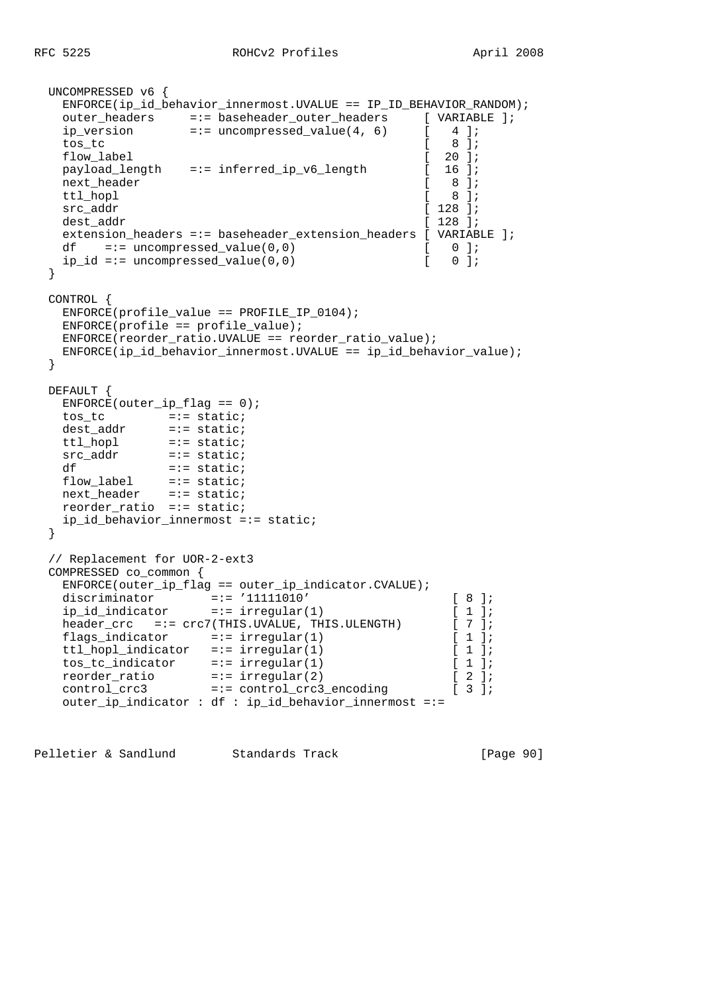```
 UNCOMPRESSED v6 {
    ENFORCE(ip_id_behavior_innermost.UVALUE == IP_ID_BEHAVIOR_RANDOM);
   outer_headers =:= baseheader_outer_headers [ VARIABLE ];
   ip_version =:= uncompressed_value(4, 6) [ 4 ];<br>tos tc [ 8 ];
   \cos \frac{1}{2} \cos \frac{1}{2} \cos \frac{1}{2} \cos \frac{1}{2} \cos \frac{1}{2} \cos \frac{1}{2} \cos \frac{1}{2} \cos \frac{1}{2} \cos \frac{1}{2} \cos \frac{1}{2} \cos \frac{1}{2} \cos \frac{1}{2} \cos \frac{1}{2} \cos \frac{1}{2} \cos \frac{1}{flow_label [ 20 ];
   payload_length =:= inferred_ip_v6_length [ 16 ];
    next_header [ 8 ];
   ttl hopl \begin{bmatrix} 8 & 1 \end{bmatrix};
   src_addr [ 128 ];
   dest addr [ 128 ];
   extension_headers =:= baseheader_extension_headers [ VARIABLE ];<br>df =:= uncompressed_value(0,0)   [ 0];
   df =:- uncompressed_value(0,0)
   ip_id == uncompressed_value(0,0) [ 0 ];
  }
  CONTROL {
    ENFORCE(profile_value == PROFILE_IP_0104);
    ENFORCE(profile == profile_value);
    ENFORCE(reorder_ratio.UVALUE == reorder_ratio_value);
   ENFORCE(ip id behavior innermost.UVALUE == ip id behavior value);
  }
  DEFAULT {
   ENFORCE(outer\_ip_flag == 0); tos_tc =:= static;
 dest_addr =:= static;
   ttl_hopl =:= static;<br>src_addr =:= static;
               =:= static;<br>=:= static;
   df = \text{static};
flow_label =:= static;
 next_header =:= static;
    reorder_ratio =:= static;
    ip_id_behavior_innermost =:= static;
  }
  // Replacement for UOR-2-ext3
  COMPRESSED co_common {
    ENFORCE(outer_ip_flag == outer_ip_indicator.CVALUE);
 discriminator =:= '11111010' [ 8 ];
 ip_id_indicator =:= irregular(1) [ 1 ];
   header_crc =:= crc7(THIS.UVALUE, THIS.ULENGTH) [ 7 ];
   flags_indicator =:= irregular(1) [ 1 ];<br>ttl_hopl_indicator =:= irregular(1) [ 1 ];
 ttl_hopl_indicator =:= irregular(1) [ 1 ];
 tos_tc_indicator =:= irregular(1) [ 1 ];
   tos_tc_indicator =:= irregular(1) [ 1 ];<br>reorder_ratio =:= irregular(2) [ 2 ];<br>the same of the seconding [ 3 ];
                        = := \text{control\_crc3\_encoding} [ 3 ];
    outer_ip_indicator : df : ip_id_behavior_innermost =:=
```
Pelletier & Sandlund Standards Track [Page 90]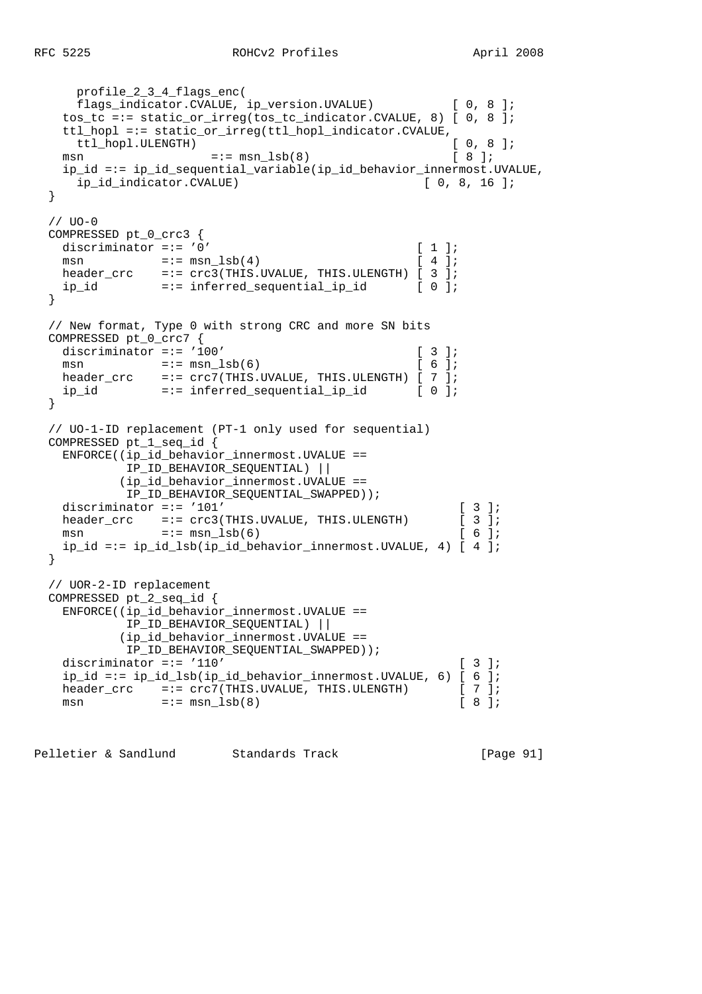```
 profile_2_3_4_flags_enc(
      flags_indicator.CVALUE, ip_version.UVALUE) [ 0, 8 ];
    tos_tc =:= static_or_irreg(tos_tc_indicator.CVALUE, 8) [ 0, 8 ];
   ttl_hopl =:= static_or_irreg(ttl_hopl_indicator.CVALUE,<br>ttl_hopl.ULENGTH) [ 0, 8 ];
    ttl_hopl.ULENGTH)
   msn =:= msn \text{lsb}(8) [ 8 ];
    ip_id =:= ip_id_sequential_variable(ip_id_behavior_innermost.UVALUE,
      ip_id_indicator.CVALUE) [ 0, 8, 16 ];
  }
  // UO-0
  COMPRESSED pt_0_crc3 {
   discriminator =:= '0' [ 1 ];
   msn = := \text{mm} \text{lsb}(4) [ 4 ];
   header_crc =:= \text{crc3}(\text{THIS.UVALUE}, \text{THIS.ULENGTH}) [ 3 ];
    ip_id =:= inferred_sequential_ip_id [ 0 ];
  }
  // New format, Type 0 with strong CRC and more SN bits
  COMPRESSED pt_0_crc7 {
   discriminator =:= '100' [ 3 ];
   msn =:= \text{msn\_lsb(6)} [ 6 ];
 header_crc =:= crc7(THIS.UVALUE, THIS.ULENGTH) [ 7 ];
 ip_id =:= inferred_sequential_ip_id [ 0 ];
  }
  // UO-1-ID replacement (PT-1 only used for sequential)
  COMPRESSED pt_1_seq_id {
    ENFORCE((ip_id_behavior_innermost.UVALUE ==
            IP_ID_BEHAVIOR_SEQUENTIAL) ||
           (ip_id_behavior_innermost.UVALUE ==
            IP_ID_BEHAVIOR_SEQUENTIAL_SWAPPED));
   discriminator =:= '101' [ 3 ];
   header_crc =:= crc3(THIS.UVALUE, THIS.ULENGTH) [ 3 ];
   msn =:= msn \text{lsb}(6) [ 6 ];
    ip_id =:= ip_id_lsb(ip_id_behavior_innermost.UVALUE, 4) [ 4 ];
  }
  // UOR-2-ID replacement
  COMPRESSED pt_2_seq_id {
    ENFORCE((ip_id_behavior_innermost.UVALUE ==
            IP_ID_BEHAVIOR_SEQUENTIAL) ||
           (ip_id_behavior_innermost.UVALUE ==
            IP_ID_BEHAVIOR_SEQUENTIAL_SWAPPED));
   discriminator =:= '110' [ 3 ];
    ip_id =:= ip_id_lsb(ip_id_behavior_innermost.UVALUE, 6) [ 6 ];
   header_crc =:= \text{crc7(THIS.UVALUE, THIS.ULENGTH)} [ 7 ];<br>msn =:= msn lsb(8) [ 8 ];
   msn = := msn_lsb(8)
```
Pelletier & Sandlund Standards Track [Page 91]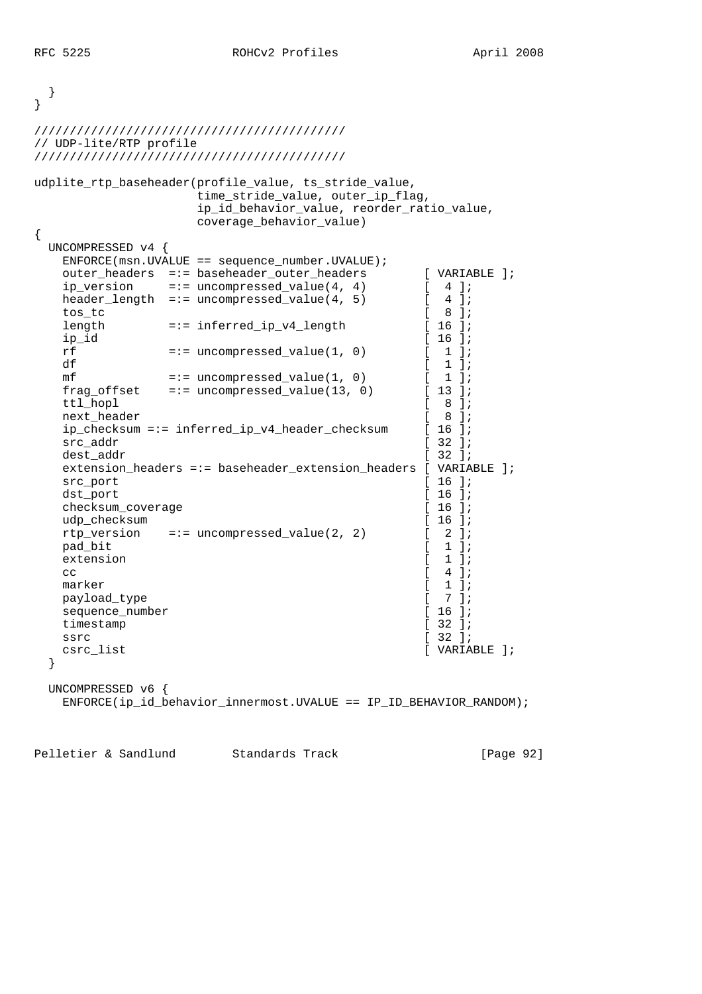```
 }
}
////////////////////////////////////////////
// UDP-lite/RTP profile
////////////////////////////////////////////
udplite_rtp_baseheader(profile_value, ts_stride_value,
               time stride value, outer ip flag,
                ip_id_behavior_value, reorder_ratio_value,
                coverage_behavior_value)
{
  UNCOMPRESSED v4 {
  ENFORCE(msn.UVALUE == sequence_number.UVALUE); outer_headers =:= baseheader_outer_headers [ VARIABLE ];
  ip_version =:= uncompressed_value(4, 4) [ 4 ];<br>header_length =:= uncompressed_value(4, 5) [ 4 ];
  header_length =:= uncompressed_value(4, 5) [ 4 ];<br>tos tc [ 8 ];
 tos_tc [ 8 ];
  length =:= inferred_ip_v4_length [ 16 ];
  ip_id [ 16 ];
  rf = := uncompressed value(1, 0) [ 1 ];
df [1];
  mf =:- uncompressed_value(1, 0) [1];
  frag_offset =:= uncompressed_value(13, 0) [ 13 ];
  ttl_hopl [ 8 ];
  next_header [ 8 ];<br>ip checksum =:= inferred ip v4 header checksum [ 16 ];
   ip_checksum =:= inferred_ip_v4_header_checksum [ 16 ];
  src_addr [ 32 ];
  dest_addr [ 32 ];
   extension_headers =:= baseheader_extension_headers [ VARIABLE ];
  src_port [ 16 ];
  dst_port [ 16 ];
  checksum_coverage [ 16 ];
  udp_checksum [ 16 ];
  rtp_version =:= uncompressed_value(2, 2) [2];
  pad bit [ 1 ];
  extension [ 1 ];
cc \begin{bmatrix} 4 & 1 \end{bmatrix};
  marker [ 1 ];<br>payload_type [ 1 ];
  payload_type [ [sequence_number [ 16 ];<br>timestamp [ 32 ];
  timestamp
  ssrc [ 32 ];
  csrc_list [ VARIABLE ];
  }
  UNCOMPRESSED v6 {
   ENFORCE(ip_id_behavior_innermost.UVALUE == IP_ID_BEHAVIOR_RANDOM);
```
Pelletier & Sandlund Standards Track [Page 92]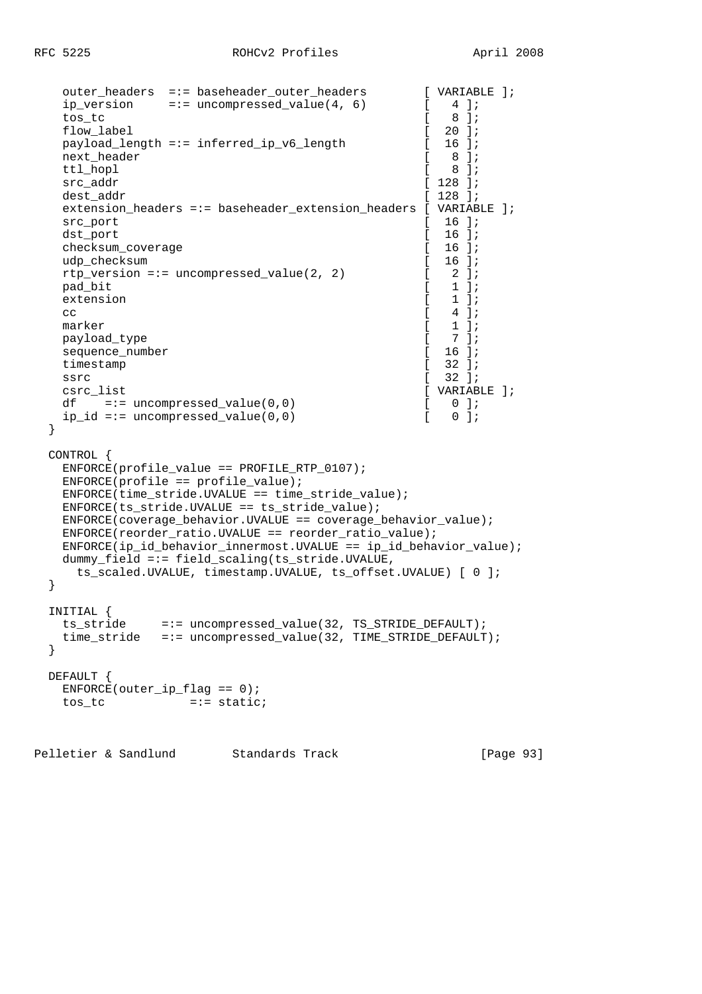```
 outer_headers =:= baseheader_outer_headers [ VARIABLE ];
  ip_version =:= uncompressed_value(4, 6) [4];
 tos_tc [ 8 ];
  flow_label [ 20 ];<br>payload_length =:= inferred_ip_v6_length [ 20 ];
  payload_length =:= inferred_ip_v6_length [
  next_header [ 8 ];
  ttl hopl [ 8 ];
  src_addr [ 128 ];
  dest addr \begin{bmatrix} 128 \\ i \end{bmatrix};
  extension headers =:= baseheader extension headers [ VARIABLE ];
  \text{src port} [ 16 ];
  dst port [ 16 ];
   checksum_coverage [ 16 ];
  udp_checksum [ 16 ];
  rtp version =:= uncompressed value(2, 2) [ 2 ];
 pad_bit [ 1 ];
  extension [ 1 ];
cc \begin{bmatrix} 4 & 1 \end{bmatrix};
marker [ 1 ];
  payload_type [ 7 ];<br>sequence number [ 16 ];
  sequence_number [ 16 ];<br>timestamp [ 32 ];
  timestamp [
ssrc [ 32 ];
  csrc list [ VARIABLE ];
  df =:= uncompressed_value(0,0) [0, 0];<br>ip id =:= uncompressed value(0,0) [0, 0];
  ip_id == uncompressed_value(0,0) [
  }
  CONTROL {
   ENFORCE(profile_value == PROFILE_RTP_0107);
   ENFORCE(profile == profile_value);
   ENFORCE(time_stride.UVALUE == time_stride_value);
   ENFORCE(ts_stride.UVALUE == ts_stride_value);
   ENFORCE(coverage_behavior.UVALUE == coverage_behavior_value);
   ENFORCE(reorder_ratio.UVALUE == reorder_ratio_value);
   ENFORCE(ip_id_behavior_innermost.UVALUE == ip_id_behavior_value);
   dummy_field =:= field_scaling(ts_stride.UVALUE,
    ts_scaled.UVALUE, timestamp.UVALUE, ts_offset.UVALUE) [ 0 ];
  }
  INITIAL {
   ts_stride =:= uncompressed_value(32, TS_STRIDE_DEFAULT);
   time_stride =:= uncompressed_value(32, TIME_STRIDE_DEFAULT);
  }
  DEFAULT {
  ENFORCE(outer\_ip_flag == 0);tos tc =:- static;
```
Pelletier & Sandlund Standards Track [Page 93]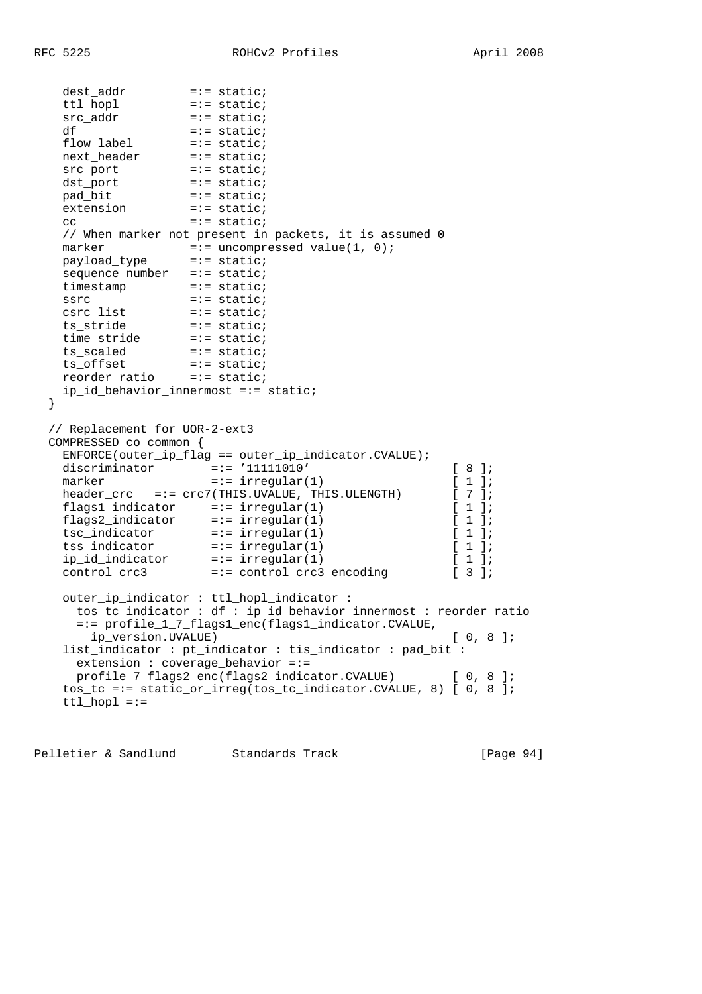```
 dest_addr =:= static;
 ttl_hopl =:= static;
 src_addr =:= static;
df = := state; flow_label =:= static;
next_header =:= static;
src_port =:= static;
 dst_port =:= static;
pad_bit =:- static;
extension =:= static;
cc =:= static;
   // When marker not present in packets, it is assumed 0
marker =:- uncompressed_value(1, 0);
 payload_type =:= static;
  sequence_number =:= static;
  timestamp =:= static;
 ssrc =:= static;
 csrc_list =:= static;
 ts_stride =:= static;
 time_stride =:= static;
ts_scaled =:= static;
 ts_offset =:= static;
 reorder_ratio =:= static;
  ip id behavior innermost =:= static;
  }
  // Replacement for UOR-2-ext3
  COMPRESSED co_common {
   ENFORCE(outer_ip_flag == outer_ip_indicator.CVALUE);
 discriminator =:= '11111010' [ 8 ];
marker =:- \text{ irregular}(1) [1];
  header_crc =:= crc7(THIS.UVALUE, THIS.ULENGTH) [ 7 ];
 flags1_indicator =:= irregular(1) [ 1 ];
 flags2_indicator =:= irregular(1) [ 1 ];
 tsc_indicator =:= irregular(1) [ 1 ];
 tss_indicator =:= irregular(1) [ 1 ];
 ip_id_indicator =:= irregular(1) [ 1 ];
 control_crc3 =:= control_crc3_encoding [ 3 ];
   outer_ip_indicator : ttl_hopl_indicator :
     tos_tc_indicator : df : ip_id_behavior_innermost : reorder_ratio
     =:= profile_1_7_flags1_enc(flags1_indicator.CVALUE,
      ip_version.UVALUE) [ 0, 8 ];
   list_indicator : pt_indicator : tis_indicator : pad_bit :
     extension : coverage_behavior =:=
     profile_7_flags2_enc(flags2_indicator.CVALUE) [ 0, 8 ];
   tos_tc =:= static_or_irreg(tos_tc_indicator.CVALUE, 8) [ 0, 8 ];
  ttl hopl ==
```
Pelletier & Sandlund Standards Track [Page 94]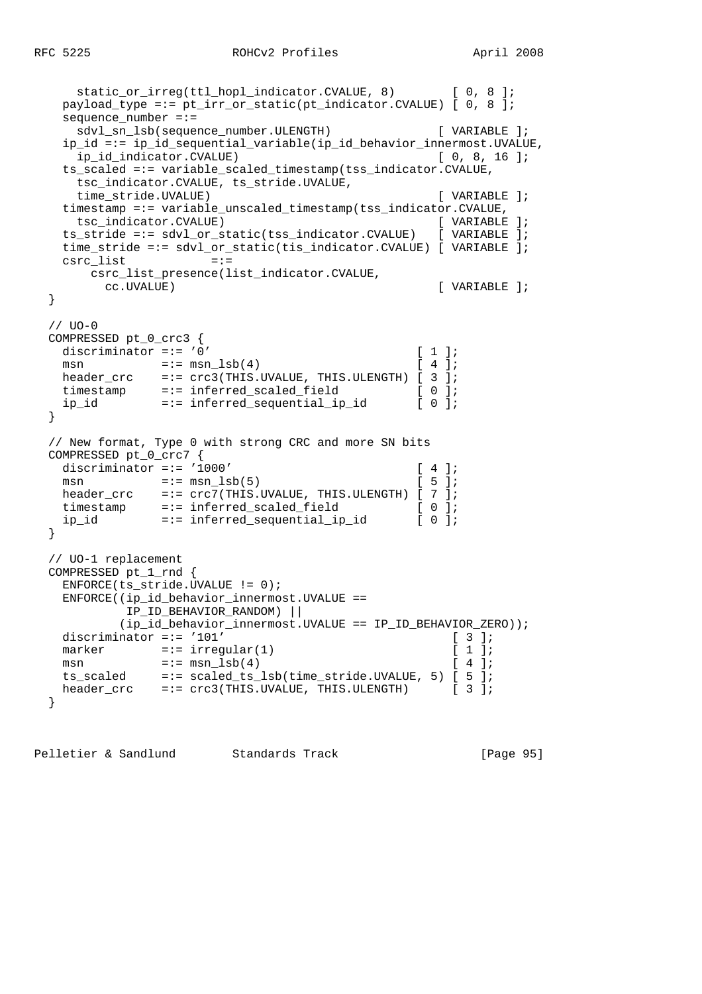```
static_or_irreg(ttl_hopl_indicator.CVALUE, 8) [ 0, 8 ];
    payload_type =:= pt_irr_or_static(pt_indicator.CVALUE) [ 0, 8 ];
   sequence number =:=
     sdvl_sn_lsb(sequence_number.ULENGTH) [ VARIABLE ];
    ip_id =:= ip_id_sequential_variable(ip_id_behavior_innermost.UVALUE,
     ip_id_indicator.CVALUE) [ 0, 8, 16 ];
    ts_scaled =:= variable_scaled_timestamp(tss_indicator.CVALUE,
     tsc_indicator.CVALUE, ts_stride.UVALUE,
     time_stride.UVALUE) [ VARIABLE ];
    timestamp =:= variable_unscaled_timestamp(tss_indicator.CVALUE,
     tsc_indicator.CVALUE) [ VARIABLE ];
    ts_stride =:= sdvl_or_static(tss_indicator.CVALUE) [ VARIABLE ];
    time_stride =:= sdvl_or_static(tis_indicator.CVALUE) [ VARIABLE ];
   csrc list =:=
      csrc_list_presence(list_indicator.CVALUE,
       cc.UVALUE) [ VARIABLE ];
  }
 // <math>UO-O COMPRESSED pt_0_crc3 {
   discriminator =:= '0' [1];<br>
msn =:= msn_lsb(4) [4];
msn =:= msn_1sb(4) [ 4 ];
 header_crc =:= crc3(THIS.UVALUE, THIS.ULENGTH) [ 3 ];
timestamp =:= inferred_scaled_field [ 0 ];
 ip_id =:= inferred_sequential_ip_id [ 0 ];
  }
  // New format, Type 0 with strong CRC and more SN bits
  COMPRESSED pt_0_crc7 {
   discriminator =:= '1000' [ 4 ];
   msn =:= msn \text{lsb}(5) [ 5 ];
  header_crc =:= \text{crc7}(\text{THIS.UVALUE}, \text{THIS.ULENGTH}) [ 7 ];
timestamp =:= inferred_scaled_field [ 0 ];
 ip_id =:= inferred_sequential_ip_id [ 0 ];
  }
  // UO-1 replacement
  COMPRESSED pt_1_rnd {
    ENFORCE(ts_stride.UVALUE != 0);
    ENFORCE((ip_id_behavior_innermost.UVALUE ==
           IP_ID_BEHAVIOR_RANDOM) ||
           (ip_id_behavior_innermost.UVALUE == IP_ID_BEHAVIOR_ZERO));
   discriminator =:= '101' [ 3 ];
   marker =:- \text{ irregular}(1) [ 1 ];<br>
msn =:- \text{msn\_lsb}(4) [ 4 ];
msn =:= msn \text{lsb}(4) [ 4 ];
 ts_scaled =:= scaled_ts_lsb(time_stride.UVALUE, 5) [ 5 ];
 header_crc =:= crc3(THIS.UVALUE, THIS.ULENGTH) [ 3 ];
  }
```
Pelletier & Sandlund Standards Track [Page 95]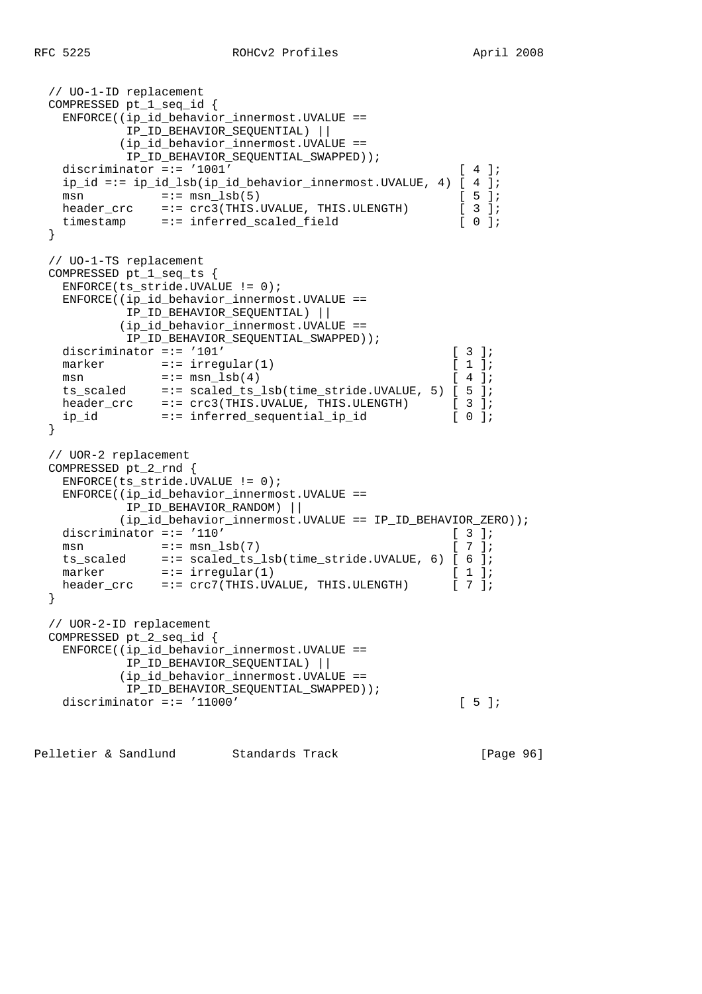```
 // UO-1-ID replacement
  COMPRESSED pt_1_seq_id {
    ENFORCE((ip_id_behavior_innermost.UVALUE ==
           IP_ID_BEHAVIOR_SEQUENTIAL) ||
           (ip_id_behavior_innermost.UVALUE ==
          IP_ID_BEHAVIOR_SEQUENTIAL_SWAPPED));
   discriminator =:= '1001' [ 4 ];
    ip_id =:= ip_id_lsb(ip_id_behavior_innermost.UVALUE, 4) [ 4 ];
   msn =:= msn\text{lsb}(5) [ 5 ];
   header crc =:= crc3(THIS.UVALUE, THIS.ULENGTH) [ 3 ];
   timestamp =:= inferred scaled field [ 0 ];
  }
  // UO-1-TS replacement
  COMPRESSED pt_1_seq_ts {
    ENFORCE(ts_stride.UVALUE != 0);
    ENFORCE((ip_id_behavior_innermost.UVALUE ==
           IP_ID_BEHAVIOR_SEQUENTIAL) ||
           (ip_id_behavior_innermost.UVALUE ==
           IP_ID_BEHAVIOR_SEQUENTIAL_SWAPPED));
   discriminator =:= '101' \qquad \qquad [ 3 ];
   marker =:= \text{irregular}(1) [1];
msn =:- \text{ msn\_lsb(4)} [ 4 ];
 ts_scaled =:= scaled_ts_lsb(time_stride.UVALUE, 5) [ 5 ];
 header_crc =:= crc3(THIS.UVALUE, THIS.ULENGTH) [ 3 ];
 ip_id =:= inferred_sequential_ip_id [ 0 ];
  }
  // UOR-2 replacement
  COMPRESSED pt_2_rnd {
    ENFORCE(ts_stride.UVALUE != 0);
    ENFORCE((ip_id_behavior_innermost.UVALUE ==
           IP_ID_BEHAVIOR_RANDOM) ||
           (ip_id_behavior_innermost.UVALUE == IP_ID_BEHAVIOR_ZERO));
   discriminator =:= '110' [ 3 ];
   msn =:- msn \text{lsb}(7) [ 7 ];
    ts_scaled =:= scaled_ts_lsb(time_stride.UVALUE, 6) [ 6 ];
   \text{maxker} =:= \text{interval}(1) [ 1 ];
   header_crc =:= crc7(THIS.UVALUE, THIS.ULENGTH) [ 7 ];
  }
  // UOR-2-ID replacement
  COMPRESSED pt_2_seq_id {
    ENFORCE((ip_id_behavior_innermost.UVALUE ==
           IP_ID_BEHAVIOR_SEQUENTIAL) ||
           (ip_id_behavior_innermost.UVALUE ==
           IP_ID_BEHAVIOR_SEQUENTIAL_SWAPPED));
   discriminator =:= '11000' [ 5 ];
```
Pelletier & Sandlund Standards Track [Page 96]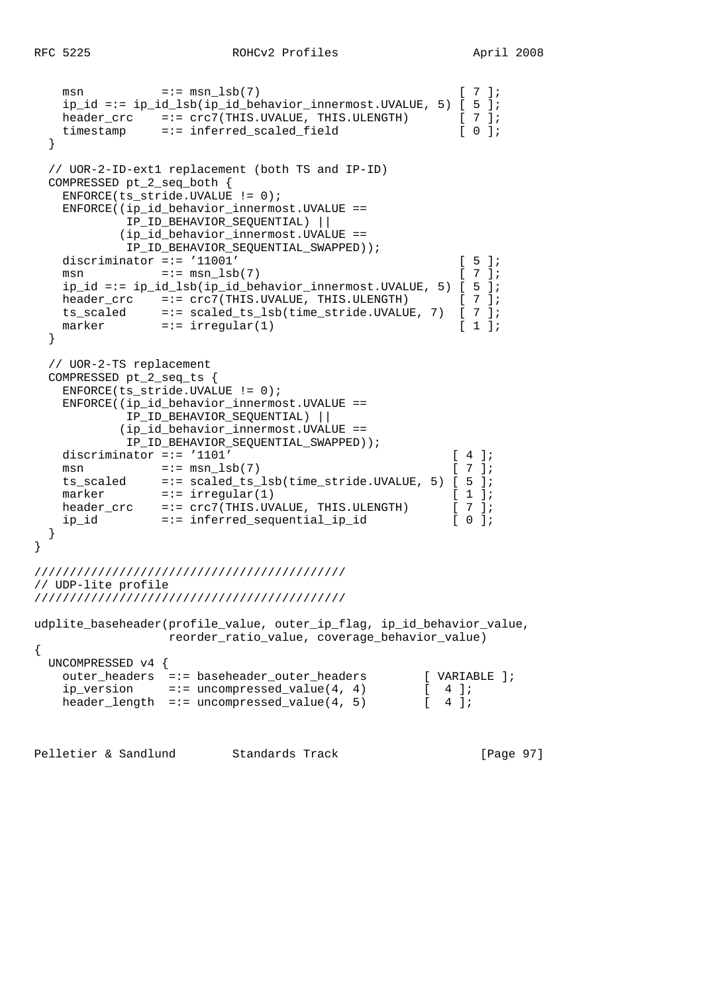```
msn =:= msn_lsb(7) [ 7 ];
    ip_id == ip_id_lsb(ip_id_behavior_innermost.UVALUE, 5) [5];header cr = := crc7(THIS.UVALUE, THIS.ULENGTH) [7];
header_crc =:= crc7(THIS.UVALUE, THIS.ULENGTH) [ 7 ];
 timestamp =:= inferred_scaled_field [ 0 ];
   }
   // UOR-2-ID-ext1 replacement (both TS and IP-ID)
  COMPRESSED pt_2_seq_both {
    ENFORCE(ts stride.UVALUE != 0);
     ENFORCE((ip_id_behavior_innermost.UVALUE ==
              IP_ID_BEHAVIOR_SEQUENTIAL) ||
             (ip_id_behavior_innermost.UVALUE ==
              IP_ID_BEHAVIOR_SEQUENTIAL_SWAPPED));
    discriminator =:= '11001' [ 5 ];
    msn =:= msn \text{lsb}(7) [ 7 ];
     ip_id =:= ip_id_lsb(ip_id_behavior_innermost.UVALUE, 5) [ 5 ];
    header_crc =:= crc7(THIS.UVALUE, THIS.ULENGTH) [ 7 ];
 ts_scaled =:= scaled_ts_lsb(time_stride.UVALUE, 7) [ 7 ];
marker =:-\text{ irregular}(1) [1];
   }
   // UOR-2-TS replacement
  COMPRESSED pt_2_seq_ts {
    ENFORCE(ts stride.UVALUE != 0);
     ENFORCE((ip_id_behavior_innermost.UVALUE ==
              IP_ID_BEHAVIOR_SEQUENTIAL) ||
             (ip_id_behavior_innermost.UVALUE ==
              IP_ID_BEHAVIOR_SEQUENTIAL_SWAPPED));
    discriminator =:= '1101' [4];<br>msn =:= msn lsb(7) [7];
   msn ==: = msn_lsb(7)<br>ts_scaled ==: = scaled_tss_l=:= scaled_ts_lsb(time_stride.UVALUE, 5) [ 5 ];
   \text{us\_scaleu} = \text{se} = \text{se} = \text{se} = \text{se} = \text{se} = \text{se} = \text{se} = \text{se} = \text{se} = \text{se} = \text{se} = \text{se} = \text{se} = \text{se} = \text{se} = \text{se} = \text{se} = \text{se} = \text{se} = \text{se} = \text{se} 
   header_crc =:= \text{crc7}(\text{THIS.UVALUE}, \text{THIS.ULENGTH}) [ 7 ];
     ip_id =:= inferred_sequential_ip_id [ 0 ];
   }
}
////////////////////////////////////////////
// UDP-lite profile
////////////////////////////////////////////
udplite_baseheader(profile_value, outer_ip_flag, ip_id_behavior_value,
          reorder_ratio_value, coverage_behavior_value)
{
  UNCOMPRESSED v4 {
 outer_headers =:= baseheader_outer_headers [ VARIABLE ];
 ip_version =:= uncompressed_value(4, 4) [ 4 ];
    header_length =:= uncompressed_value(4, 5) [4];
```
Pelletier & Sandlund Standards Track [Page 97]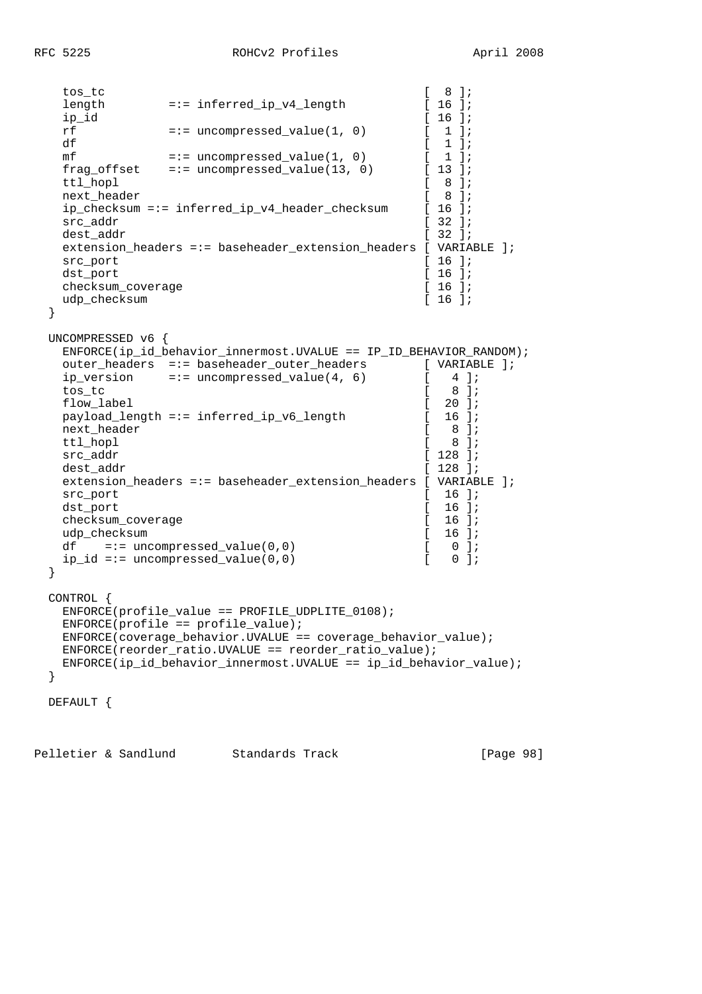```
 tos_tc [ 8 ];
  length =:= inferred_ip_v4_length [ 16 ];<br>ip id [ 16 ];
ip_id [ 16 ];
  rf =:= uncompressed_value(1, 0) [ 1 ];
  df \begin{array}{ccc} \text{df} & & [1] \text{;} \\ \text{mf} & = \text{uncompressed value}(1, 0) & [1] \text{;} \end{array}mf =:- uncompressed value(1, 0)
  frag_offset =:= uncompressed_value(13, 0) [ 13 ];
  ttl hopl [ 8 ];
  next_header \begin{bmatrix} 8 & 1 \end{bmatrix};
   ip_checksum =:= inferred_ip_v4_header_checksum [ 16 ];
  src_addr [ 32 ];
  dest_addr [ 32 ];
   extension_headers =:= baseheader_extension_headers [ VARIABLE ];
  src_port [ 16 ];
  dst port [ 16 ];
  checksum_coverage [ 16 ];<br>udp_checksum [ 16 ];
  udp_checksum
  }
  UNCOMPRESSED v6 {
  ENFORCE(ip_id_behavior_innermost.UVALUE == IP_ID_BEHAVIOR_RANDOM);
  outer_headers =:= baseheader_outer_headers [ VARIABLE ];
  ip_version =:= uncompressed_value(4, 6) [4];
 tos_tc [ 8 ];
  flow_label [ 20 ];
  payload_length =:= inferred_ip_v6_length [ 16 ];
  next_header [ 8 ];<br>ttl hopl [ 8 ];
  ttl_hopl [
  src_addr [ 128 ];
  dest addr [ 128 ]; extension_headers =:= baseheader_extension_headers [ VARIABLE ];
  src_port [ 16 ];
  dst_port [ 16 ];
  checksum_coverage [ 16 ];
  udp_checksum [ 16 ];
  df =:- uncompressed_value(0,0) [ 0 ];
  ip_id == uncompressed_value(0,0) [ 0 ];
  }
  CONTROL {
   ENFORCE(profile_value == PROFILE_UDPLITE_0108);
  ENFORCE(profile == profile_value); ENFORCE(coverage_behavior.UVALUE == coverage_behavior_value);
   ENFORCE(reorder_ratio.UVALUE == reorder_ratio_value);
   ENFORCE(ip_id_behavior_innermost.UVALUE == ip_id_behavior_value);
  }
  DEFAULT {
```
Pelletier & Sandlund Standards Track [Page 98]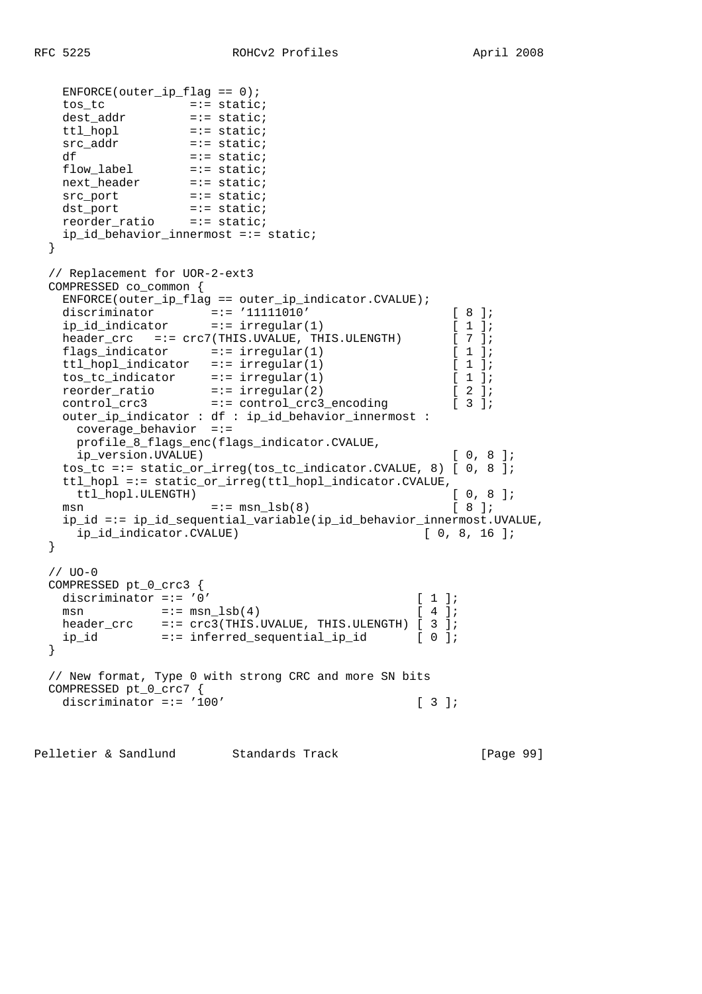```
ENFCRCE(outer\_ip_flag == 0); tos_tc =:= static;
 dest_addr =:= static;
 ttl_hopl =:= static;
 src_addr =:= static;
   ttl_hopl =:= static;<br>
src_addr =:= static;<br>
df =:= static;<br>
flow_label =:= static;
    flow_label =:= static;
   next_header
   =:= static;<br>src_port =:= static;
dst_port =:= static;
 reorder_ratio =:= static;
   ip id behavior innermost =:= static;
  }
  // Replacement for UOR-2-ext3
  COMPRESSED co_common {
    ENFORCE(outer_ip_flag == outer_ip_indicator.CVALUE);
 discriminator =:= '11111010' [ 8 ];
 ip_id_indicator =:= irregular(1) [ 1 ];
   header_crc =:= crc7(THIS.UVALUE, THIS.ULENGTH) [ 7 ];<br>flags_indicator =:= irregular(1) [ 1 ];
 flags_indicator =:= irregular(1) [ 1 ];
 ttl_hopl_indicator =:= irregular(1) [ 1 ];
 tos_tc_indicator =:= irregular(1) [ 1 ];
 reorder_ratio =:= irregular(2) [ 2 ];
 control_crc3 =:= control_crc3_encoding [ 3 ];
    outer_ip_indicator : df : ip_id_behavior_innermost :
    cover =ebehavior =:=
     profile_8_flags_enc(flags_indicator.CVALUE,
     ip_version.UVALUE) [ 0, 8 ];
    tos_tc =:= static_or_irreg(tos_tc_indicator.CVALUE, 8) [ 0, 8 ];
   ttl_hopl =:= static_or_irreg(ttl_hopl_indicator.CVALUE,<br>ttl hopl.ULENGTH) [ 0, 8 ];
    ttl_hopl.ULENGTH)
   msn = := \text{msn\_lsb}(8) [ 8 ];
    ip_id =:= ip_id_sequential_variable(ip_id_behavior_innermost.UVALUE,
    ip id indicator.CVALUE) [ 0, 8, 16 ];
  }
  // UO-0
  COMPRESSED pt_0_crc3 {
   discriminator =:= '0' [ 1 ];
   m \sin =:= m \sin \left( 4 \right) [ 4 ];
    header_crc =:= crc3(THIS.UVALUE, THIS.ULENGTH) [ 3 ];
    ip_id =:= inferred_sequential_ip_id [ 0 ];
  }
  // New format, Type 0 with strong CRC and more SN bits
  COMPRESSED pt_0_crc7 {
   discriminator =:= '100' [ 3 ];
```
Pelletier & Sandlund Standards Track [Page 99]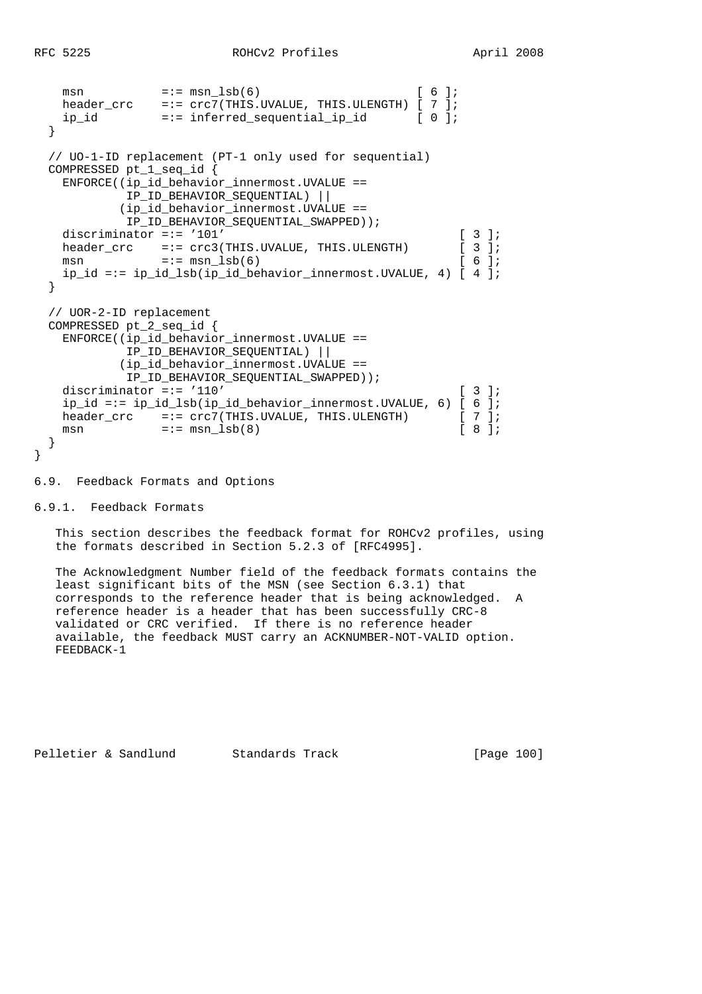```
msn =:= msn_1sb(6) [ 6 ];
 header_crc =:= crc7(THIS.UVALUE, THIS.ULENGTH) [ 7 ];
 ip_id =:= inferred_sequential_ip_id [ 0 ];
  }
  // UO-1-ID replacement (PT-1 only used for sequential)
  COMPRESSED pt_1_seq_id {
    ENFORCE((ip_id_behavior_innermost.UVALUE ==
            IP_ID_BEHAVIOR_SEQUENTIAL) ||
           (ip_id_behavior_innermost.UVALUE ==
            IP_ID_BEHAVIOR_SEQUENTIAL_SWAPPED));
   discriminator =:= '101' [ 3 ];
   header_crc =:= crc3(THIS.UVALUE, THIS.ULENGTH) [ 3 ];
   msn = := \text{mm} \text{lsb}(6) [ 6 ];
    ip_id =:= ip_id_lsb(ip_id_behavior_innermost.UVALUE, 4) [ 4 ];
  }
  // UOR-2-ID replacement
  COMPRESSED pt_2_seq_id {
    ENFORCE((ip_id_behavior_innermost.UVALUE ==
            IP_ID_BEHAVIOR_SEQUENTIAL) ||
           (ip_id_behavior_innermost.UVALUE ==
            IP_ID_BEHAVIOR_SEQUENTIAL_SWAPPED));
   discriminator =:= '110' [ 3 ];
   ip_id == ip_id_lsb(ip_id_behavior_innermost.UVALUE, 6) [ 6 ]; header cre = <math>crc7(THIS.UVALUE, THIS.ULENGTH)</math> [ 7 ]; header_crc =:= crc7(THIS.UVALUE, THIS.ULENGTH) [ 7 ];
msn =:- msn \text{lsb}(8) [ 8 ];
  }
```
6.9. Feedback Formats and Options

6.9.1. Feedback Formats

}

 This section describes the feedback format for ROHCv2 profiles, using the formats described in Section 5.2.3 of [RFC4995].

 The Acknowledgment Number field of the feedback formats contains the least significant bits of the MSN (see Section 6.3.1) that corresponds to the reference header that is being acknowledged. A reference header is a header that has been successfully CRC-8 validated or CRC verified. If there is no reference header available, the feedback MUST carry an ACKNUMBER-NOT-VALID option. FEEDBACK-1

Pelletier & Sandlund Standards Track [Page 100]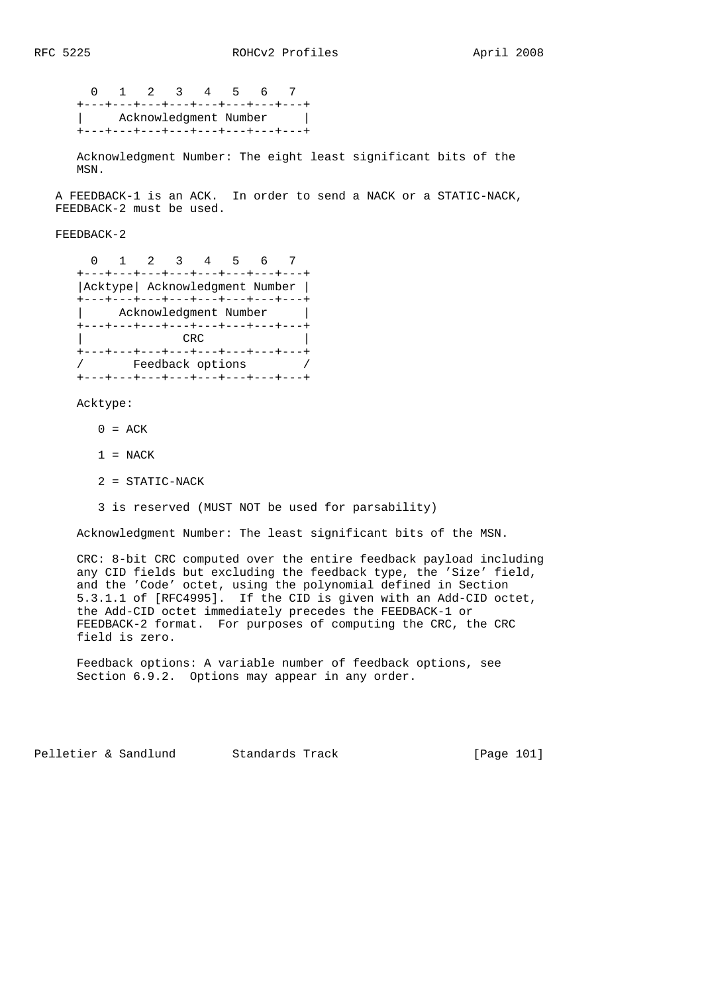0 1 2 3 4 5 6 7 +---+---+---+---+---+---+---+---+ | Acknowledgment Number | +---+---+---+---+---+---+---+---+

 Acknowledgment Number: The eight least significant bits of the MSN.

 A FEEDBACK-1 is an ACK. In order to send a NACK or a STATIC-NACK, FEEDBACK-2 must be used.

FEEDBACK-2

|                                 |  |  | $2 \times 3 \times 4$ |  |  |  |                                  |
|---------------------------------|--|--|-----------------------|--|--|--|----------------------------------|
|                                 |  |  |                       |  |  |  | +---+---+---+---+---+---+---+--- |
| Acktype   Acknowledgment Number |  |  |                       |  |  |  |                                  |
|                                 |  |  |                       |  |  |  | +---+---+---+---+---+---+---+--- |
| Acknowledgment Number           |  |  |                       |  |  |  |                                  |
|                                 |  |  |                       |  |  |  | +---+---+---+---+---+---+---+--- |
| CRC                             |  |  |                       |  |  |  |                                  |
|                                 |  |  |                       |  |  |  | +---+---+---+---+---+---+---+--- |
|                                 |  |  | Feedback options      |  |  |  |                                  |
|                                 |  |  |                       |  |  |  | ---+---+---+---+---+---+---+---  |

Acktype:

- $0 = ACK$
- $1 = NACK$
- 2 = STATIC-NACK
- 3 is reserved (MUST NOT be used for parsability)

Acknowledgment Number: The least significant bits of the MSN.

 CRC: 8-bit CRC computed over the entire feedback payload including any CID fields but excluding the feedback type, the 'Size' field, and the 'Code' octet, using the polynomial defined in Section 5.3.1.1 of [RFC4995]. If the CID is given with an Add-CID octet, the Add-CID octet immediately precedes the FEEDBACK-1 or FEEDBACK-2 format. For purposes of computing the CRC, the CRC field is zero.

 Feedback options: A variable number of feedback options, see Section 6.9.2. Options may appear in any order.

Pelletier & Sandlund Standards Track [Page 101]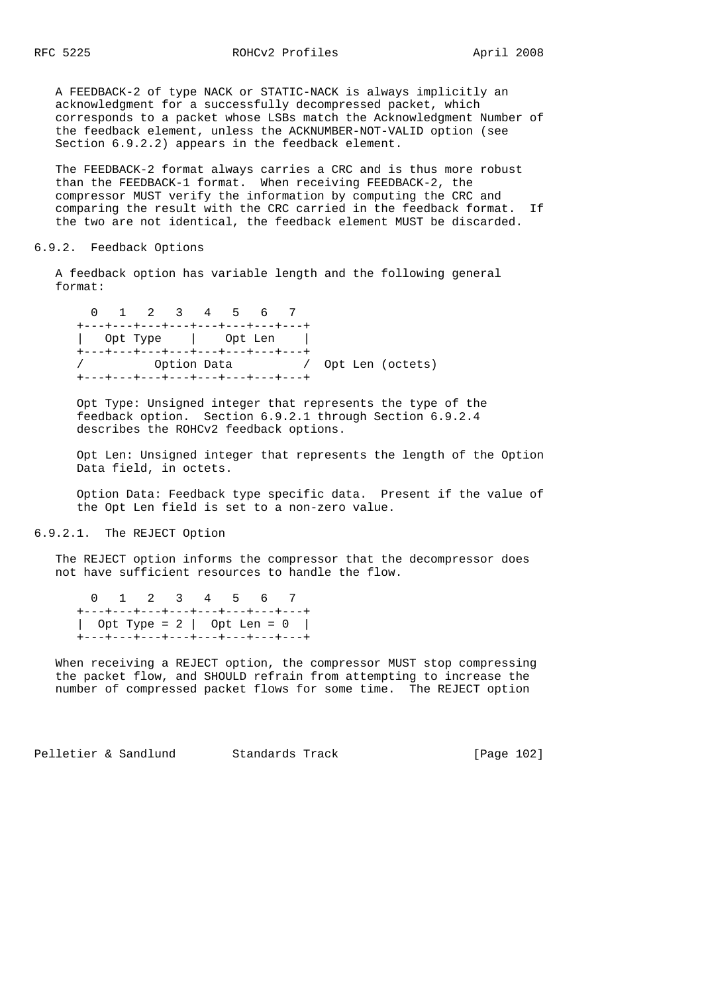A FEEDBACK-2 of type NACK or STATIC-NACK is always implicitly an acknowledgment for a successfully decompressed packet, which corresponds to a packet whose LSBs match the Acknowledgment Number of the feedback element, unless the ACKNUMBER-NOT-VALID option (see Section 6.9.2.2) appears in the feedback element.

 The FEEDBACK-2 format always carries a CRC and is thus more robust than the FEEDBACK-1 format. When receiving FEEDBACK-2, the compressor MUST verify the information by computing the CRC and comparing the result with the CRC carried in the feedback format. If the two are not identical, the feedback element MUST be discarded.

#### 6.9.2. Feedback Options

 A feedback option has variable length and the following general format:

 0 1 2 3 4 5 6 7 +---+---+---+---+---+---+---+---+ | Opt Type | Opt Len | +---+---+---+---+---+---+---+---+ / Option Data / Opt Len (octets) +---+---+---+---+---+---+---+---+

 Opt Type: Unsigned integer that represents the type of the feedback option. Section 6.9.2.1 through Section 6.9.2.4 describes the ROHCv2 feedback options.

 Opt Len: Unsigned integer that represents the length of the Option Data field, in octets.

 Option Data: Feedback type specific data. Present if the value of the Opt Len field is set to a non-zero value.

6.9.2.1. The REJECT Option

 The REJECT option informs the compressor that the decompressor does not have sufficient resources to handle the flow.

 0 1 2 3 4 5 6 7 +---+---+---+---+---+---+---+---+ | Opt Type = 2 | Opt Len = 0 | +---+---+---+---+---+---+---+---+

 When receiving a REJECT option, the compressor MUST stop compressing the packet flow, and SHOULD refrain from attempting to increase the number of compressed packet flows for some time. The REJECT option

Pelletier & Sandlund Standards Track [Page 102]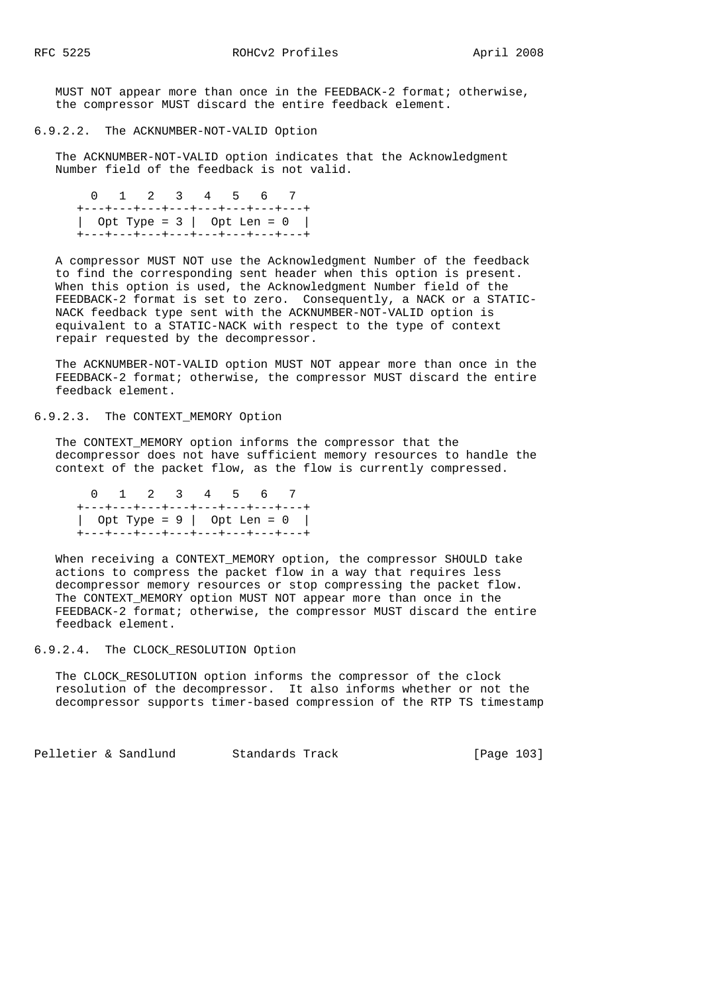MUST NOT appear more than once in the FEEDBACK-2 format; otherwise, the compressor MUST discard the entire feedback element.

6.9.2.2. The ACKNUMBER-NOT-VALID Option

 The ACKNUMBER-NOT-VALID option indicates that the Acknowledgment Number field of the feedback is not valid.

 0 1 2 3 4 5 6 7 +---+---+---+---+---+---+---+---+ | Opt Type = 3 | Opt Len = 0 | +---+---+---+---+---+---+---+---+

 A compressor MUST NOT use the Acknowledgment Number of the feedback to find the corresponding sent header when this option is present. When this option is used, the Acknowledgment Number field of the FEEDBACK-2 format is set to zero. Consequently, a NACK or a STATIC- NACK feedback type sent with the ACKNUMBER-NOT-VALID option is equivalent to a STATIC-NACK with respect to the type of context repair requested by the decompressor.

 The ACKNUMBER-NOT-VALID option MUST NOT appear more than once in the FEEDBACK-2 format; otherwise, the compressor MUST discard the entire feedback element.

# 6.9.2.3. The CONTEXT\_MEMORY Option

 The CONTEXT\_MEMORY option informs the compressor that the decompressor does not have sufficient memory resources to handle the context of the packet flow, as the flow is currently compressed.

 0 1 2 3 4 5 6 7 +---+---+---+---+---+---+---+---+ | Opt Type = 9 | Opt Len = 0 | +---+---+---+---+---+---+---+---+

 When receiving a CONTEXT\_MEMORY option, the compressor SHOULD take actions to compress the packet flow in a way that requires less decompressor memory resources or stop compressing the packet flow. The CONTEXT\_MEMORY option MUST NOT appear more than once in the FEEDBACK-2 format; otherwise, the compressor MUST discard the entire feedback element.

6.9.2.4. The CLOCK\_RESOLUTION Option

 The CLOCK\_RESOLUTION option informs the compressor of the clock resolution of the decompressor. It also informs whether or not the decompressor supports timer-based compression of the RTP TS timestamp

Pelletier & Sandlund Standards Track [Page 103]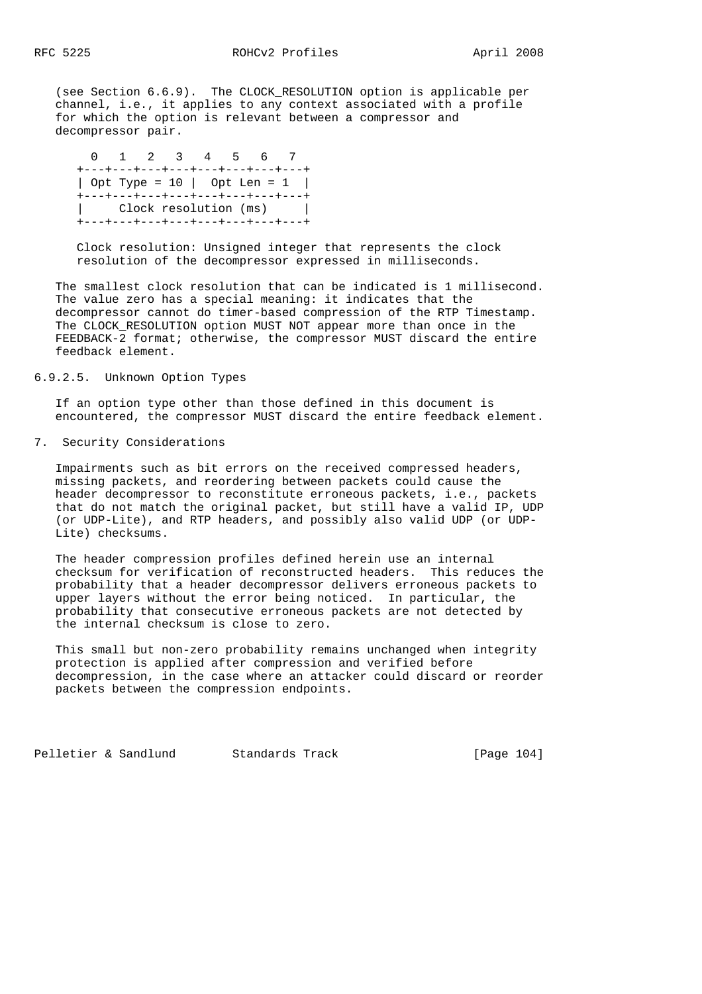(see Section 6.6.9). The CLOCK\_RESOLUTION option is applicable per channel, i.e., it applies to any context associated with a profile for which the option is relevant between a compressor and decompressor pair.

 0 1 2 3 4 5 6 7 +---+---+---+---+---+---+---+---+ | Opt Type = 10 | Opt Len = 1 | +---+---+---+---+---+---+---+---+ | Clock resolution (ms) | +---+---+---+---+---+---+---+---+

 Clock resolution: Unsigned integer that represents the clock resolution of the decompressor expressed in milliseconds.

 The smallest clock resolution that can be indicated is 1 millisecond. The value zero has a special meaning: it indicates that the decompressor cannot do timer-based compression of the RTP Timestamp. The CLOCK\_RESOLUTION option MUST NOT appear more than once in the FEEDBACK-2 format; otherwise, the compressor MUST discard the entire feedback element.

## 6.9.2.5. Unknown Option Types

 If an option type other than those defined in this document is encountered, the compressor MUST discard the entire feedback element.

### 7. Security Considerations

 Impairments such as bit errors on the received compressed headers, missing packets, and reordering between packets could cause the header decompressor to reconstitute erroneous packets, i.e., packets that do not match the original packet, but still have a valid IP, UDP (or UDP-Lite), and RTP headers, and possibly also valid UDP (or UDP- Lite) checksums.

 The header compression profiles defined herein use an internal checksum for verification of reconstructed headers. This reduces the probability that a header decompressor delivers erroneous packets to upper layers without the error being noticed. In particular, the probability that consecutive erroneous packets are not detected by the internal checksum is close to zero.

 This small but non-zero probability remains unchanged when integrity protection is applied after compression and verified before decompression, in the case where an attacker could discard or reorder packets between the compression endpoints.

Pelletier & Sandlund Standards Track [Page 104]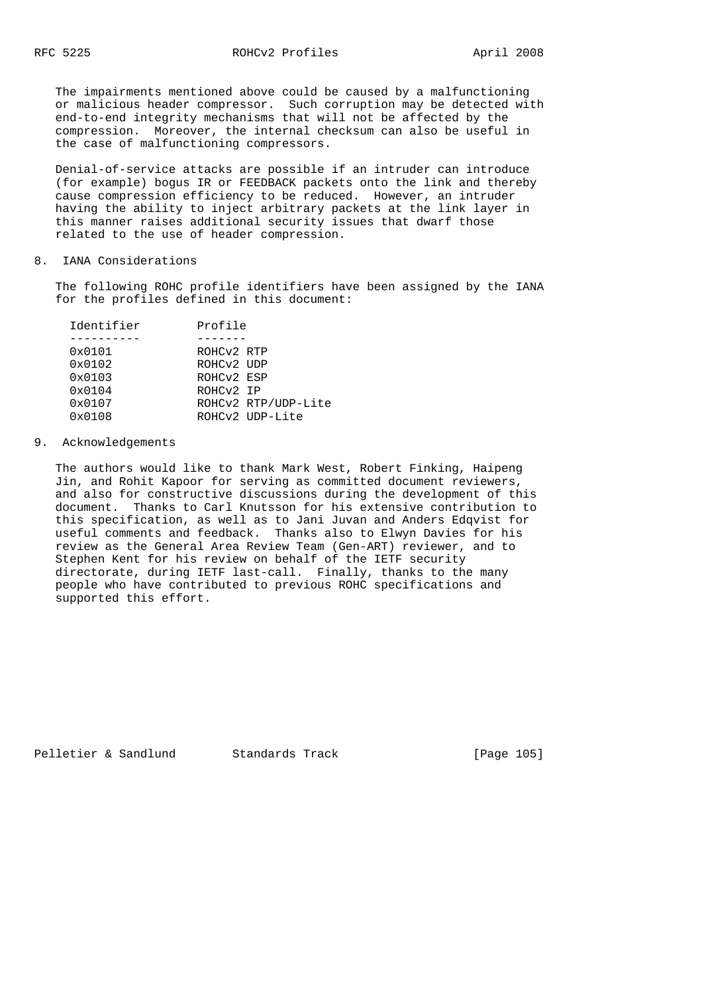The impairments mentioned above could be caused by a malfunctioning or malicious header compressor. Such corruption may be detected with end-to-end integrity mechanisms that will not be affected by the compression. Moreover, the internal checksum can also be useful in the case of malfunctioning compressors.

 Denial-of-service attacks are possible if an intruder can introduce (for example) bogus IR or FEEDBACK packets onto the link and thereby cause compression efficiency to be reduced. However, an intruder having the ability to inject arbitrary packets at the link layer in this manner raises additional security issues that dwarf those related to the use of header compression.

### 8. IANA Considerations

 The following ROHC profile identifiers have been assigned by the IANA for the profiles defined in this document:

| Identifier      | Profile    |                     |
|-----------------|------------|---------------------|
|                 |            |                     |
| 0x0101          | ROHCV2 RTP |                     |
| 0x0102          | ROHCV2 UDP |                     |
| $0 \times 0103$ | ROHCV2 ESP |                     |
| 0x0104          | ROHCV2 IP  |                     |
| 0x0107          |            | ROHCv2 RTP/UDP-Lite |
| 0x0108          |            | ROHCv2 UDP-Lite     |

#### 9. Acknowledgements

 The authors would like to thank Mark West, Robert Finking, Haipeng Jin, and Rohit Kapoor for serving as committed document reviewers, and also for constructive discussions during the development of this document. Thanks to Carl Knutsson for his extensive contribution to this specification, as well as to Jani Juvan and Anders Edqvist for useful comments and feedback. Thanks also to Elwyn Davies for his review as the General Area Review Team (Gen-ART) reviewer, and to Stephen Kent for his review on behalf of the IETF security directorate, during IETF last-call. Finally, thanks to the many people who have contributed to previous ROHC specifications and supported this effort.

Pelletier & Sandlund Standards Track [Page 105]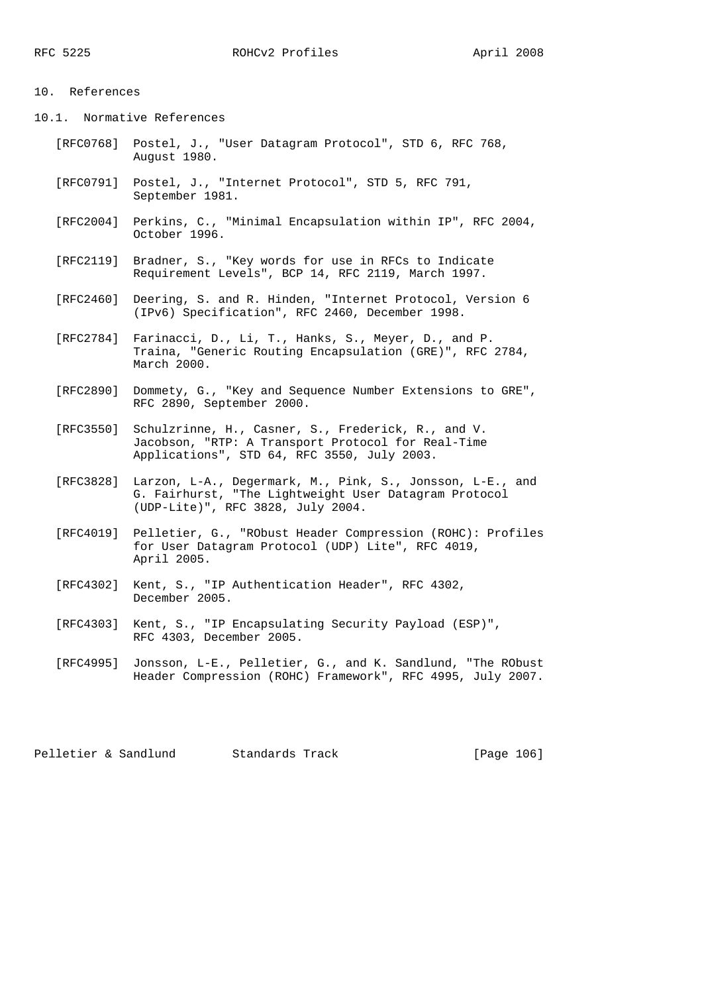## 10. References

10.1. Normative References

- [RFC0768] Postel, J., "User Datagram Protocol", STD 6, RFC 768, August 1980.
- [RFC0791] Postel, J., "Internet Protocol", STD 5, RFC 791, September 1981.
- [RFC2004] Perkins, C., "Minimal Encapsulation within IP", RFC 2004, October 1996.
- [RFC2119] Bradner, S., "Key words for use in RFCs to Indicate Requirement Levels", BCP 14, RFC 2119, March 1997.
- [RFC2460] Deering, S. and R. Hinden, "Internet Protocol, Version 6 (IPv6) Specification", RFC 2460, December 1998.
- [RFC2784] Farinacci, D., Li, T., Hanks, S., Meyer, D., and P. Traina, "Generic Routing Encapsulation (GRE)", RFC 2784, March 2000.
- [RFC2890] Dommety, G., "Key and Sequence Number Extensions to GRE", RFC 2890, September 2000.
- [RFC3550] Schulzrinne, H., Casner, S., Frederick, R., and V. Jacobson, "RTP: A Transport Protocol for Real-Time Applications", STD 64, RFC 3550, July 2003.
- [RFC3828] Larzon, L-A., Degermark, M., Pink, S., Jonsson, L-E., and G. Fairhurst, "The Lightweight User Datagram Protocol (UDP-Lite)", RFC 3828, July 2004.
- [RFC4019] Pelletier, G., "RObust Header Compression (ROHC): Profiles for User Datagram Protocol (UDP) Lite", RFC 4019, April 2005.
- [RFC4302] Kent, S., "IP Authentication Header", RFC 4302, December 2005.
- [RFC4303] Kent, S., "IP Encapsulating Security Payload (ESP)", RFC 4303, December 2005.
	- [RFC4995] Jonsson, L-E., Pelletier, G., and K. Sandlund, "The RObust Header Compression (ROHC) Framework", RFC 4995, July 2007.

Pelletier & Sandlund Standards Track [Page 106]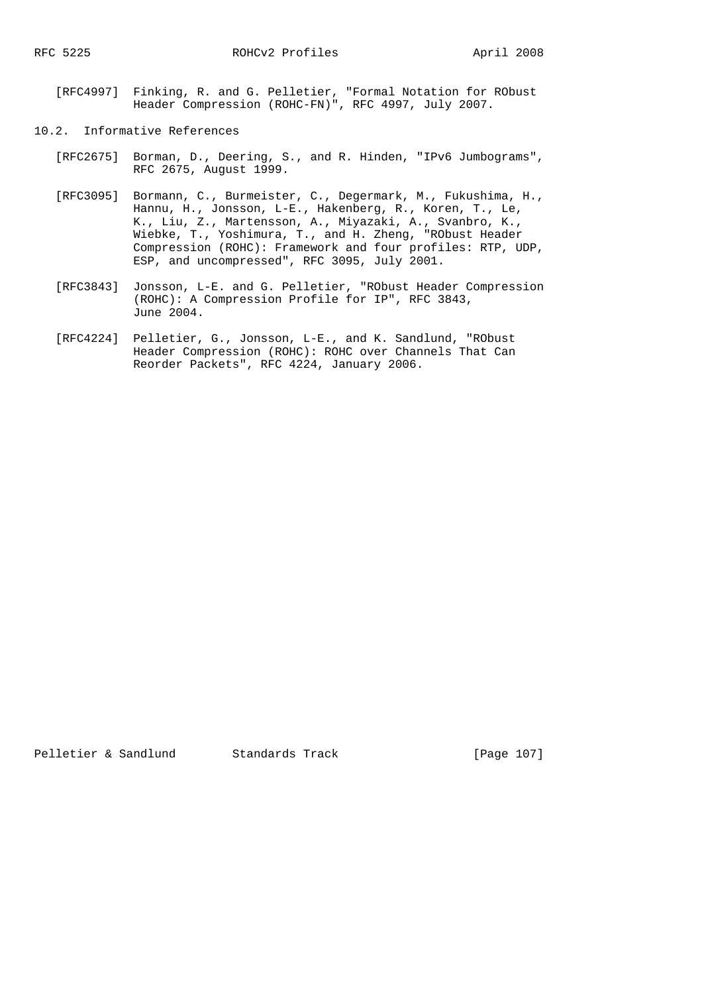- [RFC4997] Finking, R. and G. Pelletier, "Formal Notation for RObust Header Compression (ROHC-FN)", RFC 4997, July 2007.
- 10.2. Informative References
	- [RFC2675] Borman, D., Deering, S., and R. Hinden, "IPv6 Jumbograms", RFC 2675, August 1999.
	- [RFC3095] Bormann, C., Burmeister, C., Degermark, M., Fukushima, H., Hannu, H., Jonsson, L-E., Hakenberg, R., Koren, T., Le, K., Liu, Z., Martensson, A., Miyazaki, A., Svanbro, K., Wiebke, T., Yoshimura, T., and H. Zheng, "RObust Header Compression (ROHC): Framework and four profiles: RTP, UDP, ESP, and uncompressed", RFC 3095, July 2001.
	- [RFC3843] Jonsson, L-E. and G. Pelletier, "RObust Header Compression (ROHC): A Compression Profile for IP", RFC 3843, June 2004.
	- [RFC4224] Pelletier, G., Jonsson, L-E., and K. Sandlund, "RObust Header Compression (ROHC): ROHC over Channels That Can Reorder Packets", RFC 4224, January 2006.

Pelletier & Sandlund Standards Track [Page 107]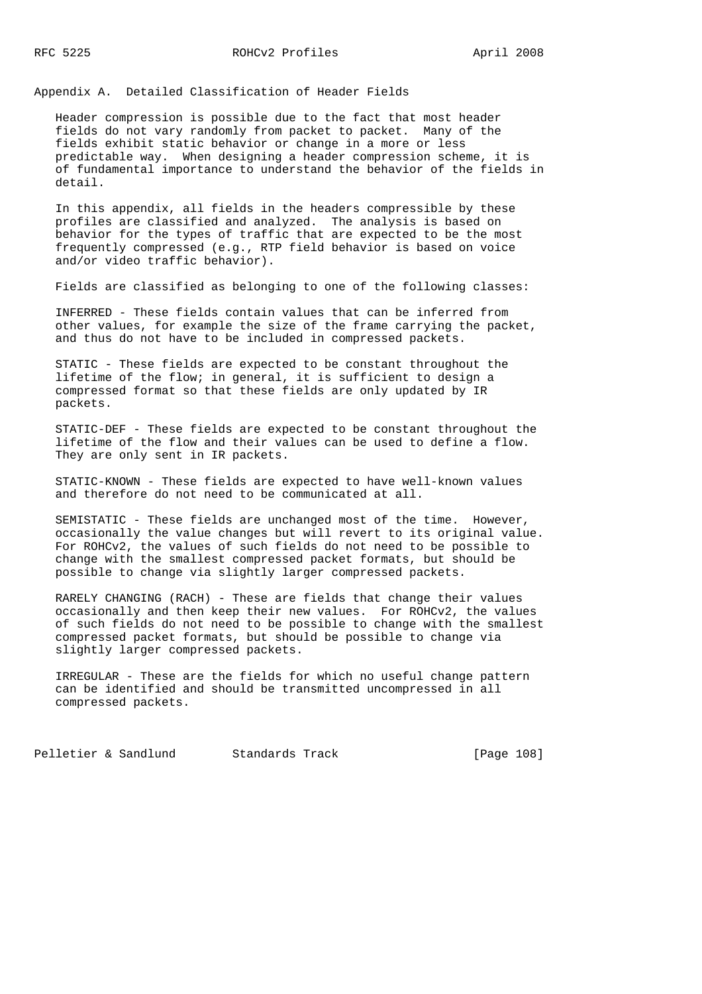Appendix A. Detailed Classification of Header Fields

 Header compression is possible due to the fact that most header fields do not vary randomly from packet to packet. Many of the fields exhibit static behavior or change in a more or less predictable way. When designing a header compression scheme, it is of fundamental importance to understand the behavior of the fields in detail.

 In this appendix, all fields in the headers compressible by these profiles are classified and analyzed. The analysis is based on behavior for the types of traffic that are expected to be the most frequently compressed (e.g., RTP field behavior is based on voice and/or video traffic behavior).

Fields are classified as belonging to one of the following classes:

 INFERRED - These fields contain values that can be inferred from other values, for example the size of the frame carrying the packet, and thus do not have to be included in compressed packets.

 STATIC - These fields are expected to be constant throughout the lifetime of the flow; in general, it is sufficient to design a compressed format so that these fields are only updated by IR packets.

 STATIC-DEF - These fields are expected to be constant throughout the lifetime of the flow and their values can be used to define a flow. They are only sent in IR packets.

 STATIC-KNOWN - These fields are expected to have well-known values and therefore do not need to be communicated at all.

 SEMISTATIC - These fields are unchanged most of the time. However, occasionally the value changes but will revert to its original value. For ROHCv2, the values of such fields do not need to be possible to change with the smallest compressed packet formats, but should be possible to change via slightly larger compressed packets.

 RARELY CHANGING (RACH) - These are fields that change their values occasionally and then keep their new values. For ROHCv2, the values of such fields do not need to be possible to change with the smallest compressed packet formats, but should be possible to change via slightly larger compressed packets.

 IRREGULAR - These are the fields for which no useful change pattern can be identified and should be transmitted uncompressed in all compressed packets.

Pelletier & Sandlund Standards Track [Page 108]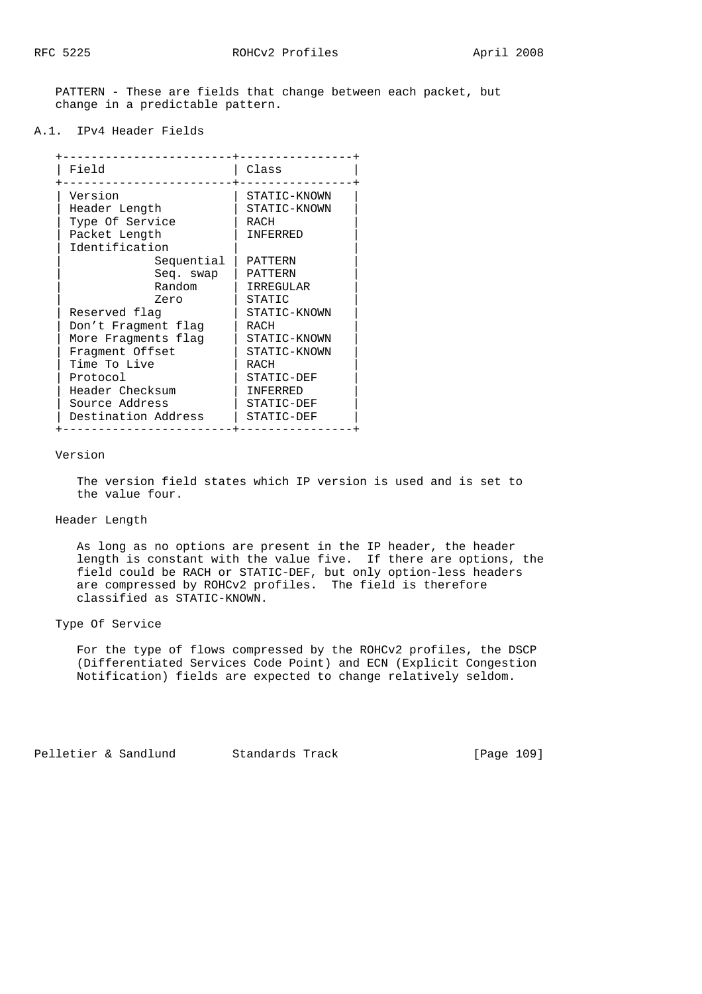PATTERN - These are fields that change between each packet, but change in a predictable pattern.

A.1. IPv4 Header Fields

| Field               | Class           |
|---------------------|-----------------|
| Version             | STATIC-KNOWN    |
| Header Length       | STATIC-KNOWN    |
| Type Of Service     | RACH            |
| Packet Length       | <b>TNFFRRED</b> |
| Identification      |                 |
| Sequential          | PATTERN         |
| Seq. swap           | PATTERN         |
| Random              | IRREGULAR       |
| Zero                | STATIC          |
| Reserved flag       | STATIC-KNOWN    |
| Don't Fragment flag | RACH            |
| More Fragments flag | STATIC-KNOWN    |
| Fragment Offset     | STATIC-KNOWN    |
| Time To Live        | RACH            |
| Protocol            | STATIC-DEF      |
| Header Checksum     | <b>TNFERRED</b> |
| Source Address      | STATIC-DEF      |
| Destination Address | STATIC-DEF      |

#### Version

 The version field states which IP version is used and is set to the value four.

# Header Length

 As long as no options are present in the IP header, the header length is constant with the value five. If there are options, the field could be RACH or STATIC-DEF, but only option-less headers are compressed by ROHCv2 profiles. The field is therefore classified as STATIC-KNOWN.

Type Of Service

 For the type of flows compressed by the ROHCv2 profiles, the DSCP (Differentiated Services Code Point) and ECN (Explicit Congestion Notification) fields are expected to change relatively seldom.

Pelletier & Sandlund Standards Track [Page 109]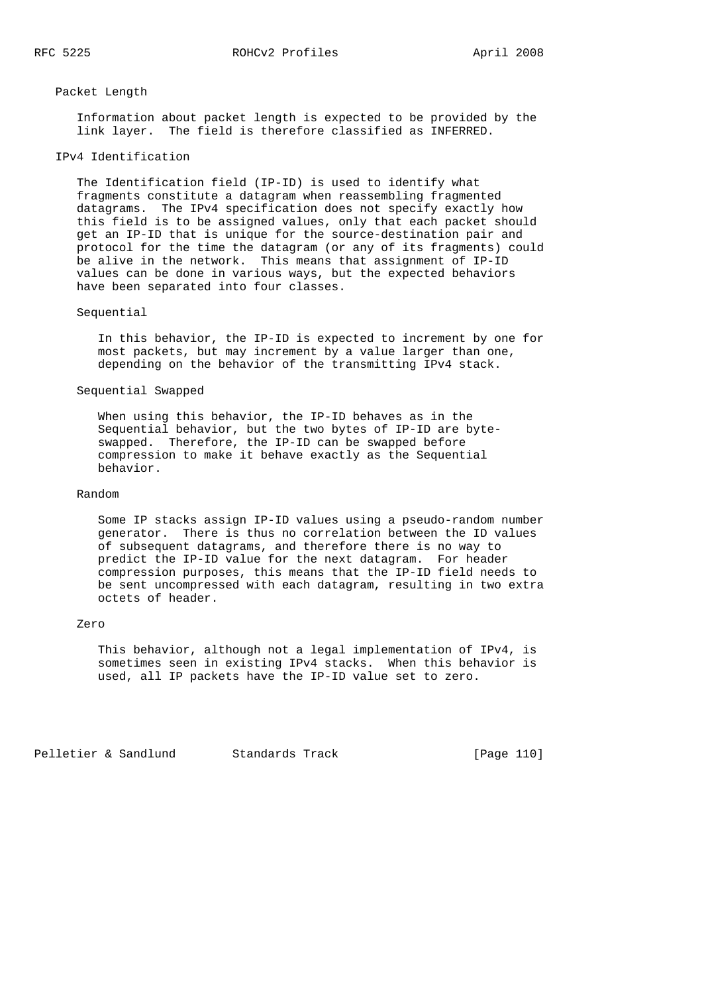#### Packet Length

 Information about packet length is expected to be provided by the link layer. The field is therefore classified as INFERRED.

## IPv4 Identification

 The Identification field (IP-ID) is used to identify what fragments constitute a datagram when reassembling fragmented datagrams. The IPv4 specification does not specify exactly how this field is to be assigned values, only that each packet should get an IP-ID that is unique for the source-destination pair and protocol for the time the datagram (or any of its fragments) could be alive in the network. This means that assignment of IP-ID values can be done in various ways, but the expected behaviors have been separated into four classes.

#### Sequential

 In this behavior, the IP-ID is expected to increment by one for most packets, but may increment by a value larger than one, depending on the behavior of the transmitting IPv4 stack.

#### Sequential Swapped

 When using this behavior, the IP-ID behaves as in the Sequential behavior, but the two bytes of IP-ID are byte swapped. Therefore, the IP-ID can be swapped before compression to make it behave exactly as the Sequential behavior.

# Random

 Some IP stacks assign IP-ID values using a pseudo-random number generator. There is thus no correlation between the ID values of subsequent datagrams, and therefore there is no way to predict the IP-ID value for the next datagram. For header compression purposes, this means that the IP-ID field needs to be sent uncompressed with each datagram, resulting in two extra octets of header.

## Zero

 This behavior, although not a legal implementation of IPv4, is sometimes seen in existing IPv4 stacks. When this behavior is used, all IP packets have the IP-ID value set to zero.

Pelletier & Sandlund Standards Track [Page 110]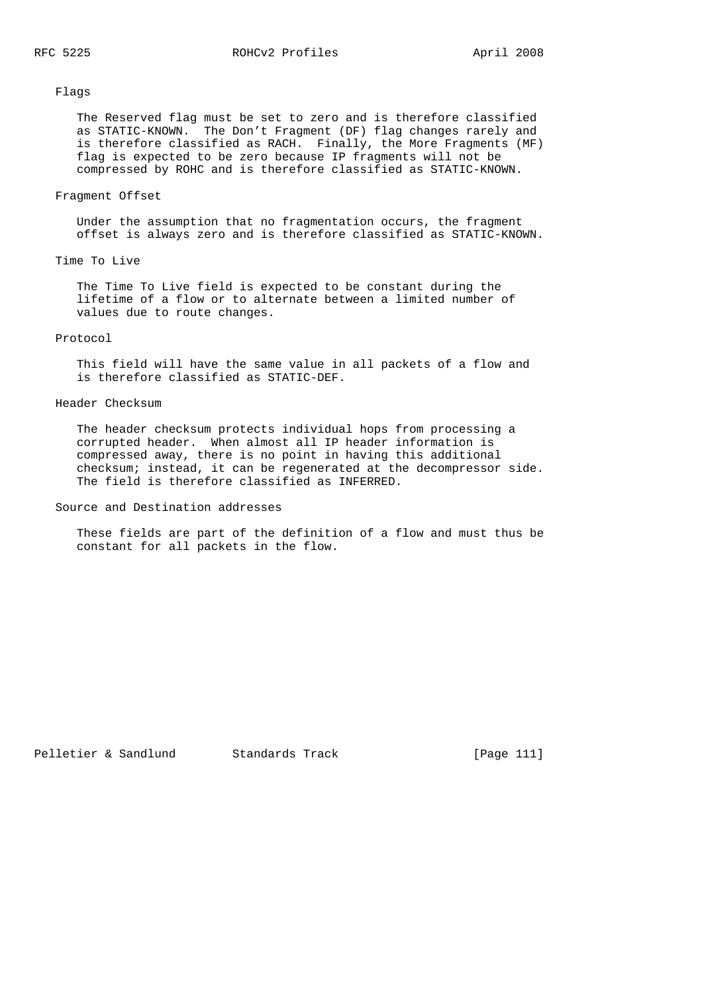Flags

 The Reserved flag must be set to zero and is therefore classified as STATIC-KNOWN. The Don't Fragment (DF) flag changes rarely and is therefore classified as RACH. Finally, the More Fragments (MF) flag is expected to be zero because IP fragments will not be compressed by ROHC and is therefore classified as STATIC-KNOWN.

# Fragment Offset

 Under the assumption that no fragmentation occurs, the fragment offset is always zero and is therefore classified as STATIC-KNOWN.

# Time To Live

 The Time To Live field is expected to be constant during the lifetime of a flow or to alternate between a limited number of values due to route changes.

### Protocol

 This field will have the same value in all packets of a flow and is therefore classified as STATIC-DEF.

# Header Checksum

 The header checksum protects individual hops from processing a corrupted header. When almost all IP header information is compressed away, there is no point in having this additional checksum; instead, it can be regenerated at the decompressor side. The field is therefore classified as INFERRED.

Source and Destination addresses

 These fields are part of the definition of a flow and must thus be constant for all packets in the flow.

```
Pelletier & Sandlund Standards Track [Page 111]
```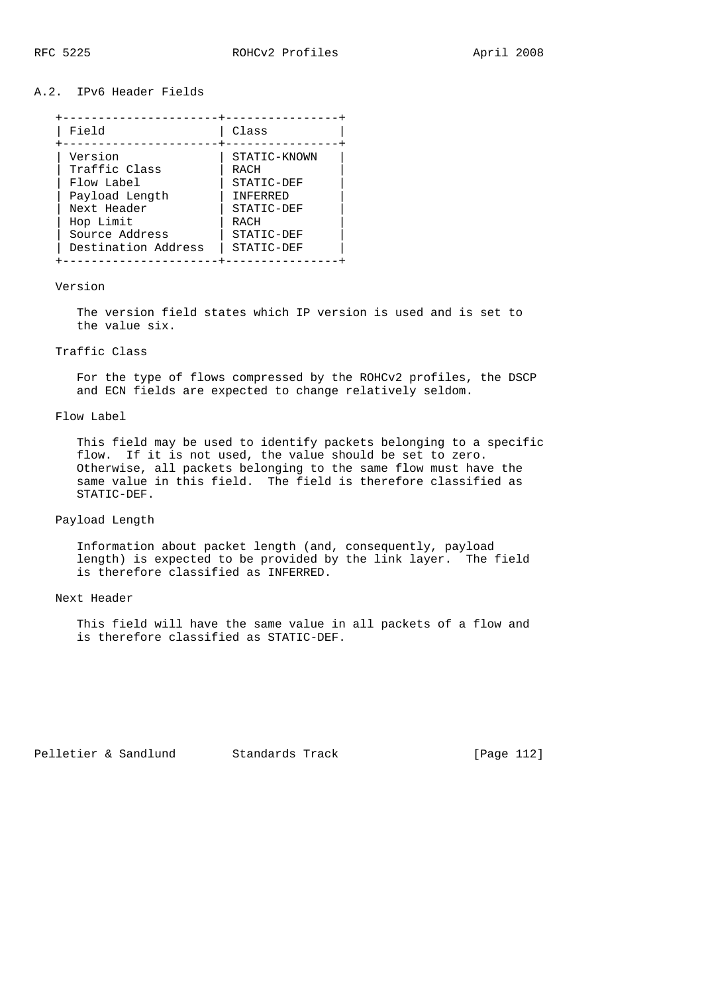# A.2. IPv6 Header Fields

| Field               | Class           |
|---------------------|-----------------|
| Version             | STATIC-KNOWN    |
| Traffic Class       | RACH            |
| Flow Label          | STATIC-DEF      |
| Payload Length      | <b>TNFFRRED</b> |
| Next Header         | STATIC-DEF      |
| Hop Limit           | RACH            |
| Source Address      | STATIC-DEF      |
| Destination Address | STATIC-DEF      |

#### Version

 The version field states which IP version is used and is set to the value six.

#### Traffic Class

 For the type of flows compressed by the ROHCv2 profiles, the DSCP and ECN fields are expected to change relatively seldom.

# Flow Label

 This field may be used to identify packets belonging to a specific flow. If it is not used, the value should be set to zero. Otherwise, all packets belonging to the same flow must have the same value in this field. The field is therefore classified as STATIC-DEF.

# Payload Length

 Information about packet length (and, consequently, payload length) is expected to be provided by the link layer. The field is therefore classified as INFERRED.

#### Next Header

 This field will have the same value in all packets of a flow and is therefore classified as STATIC-DEF.

Pelletier & Sandlund Standards Track [Page 112]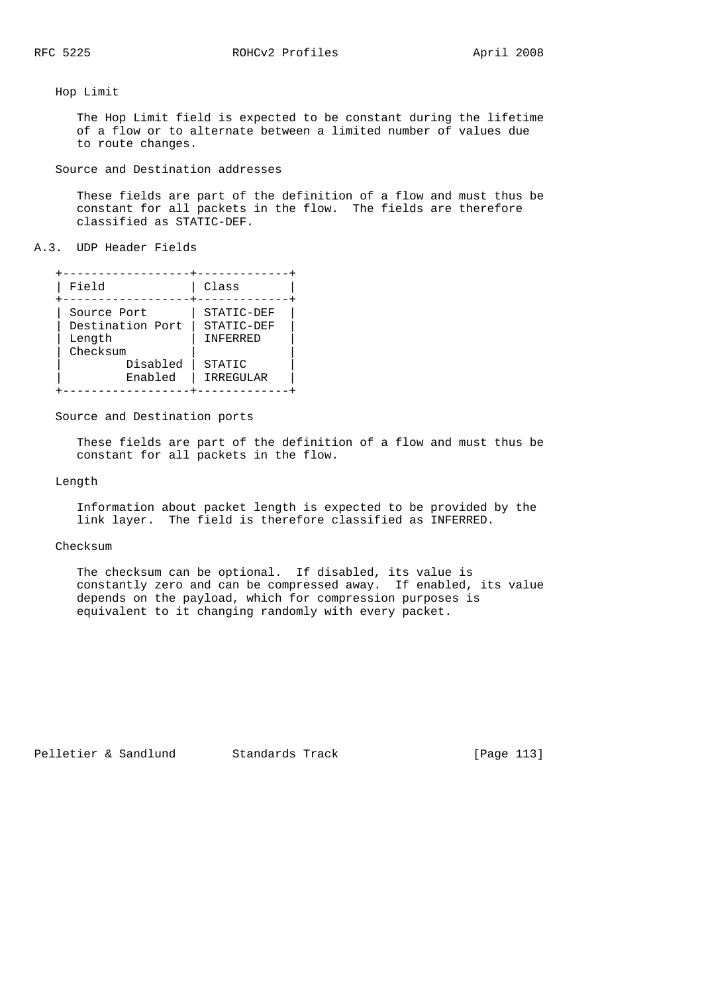## Hop Limit

 The Hop Limit field is expected to be constant during the lifetime of a flow or to alternate between a limited number of values due to route changes.

Source and Destination addresses

 These fields are part of the definition of a flow and must thus be constant for all packets in the flow. The fields are therefore classified as STATIC-DEF.

### A.3. UDP Header Fields

| Field                                                             | Class                                          |
|-------------------------------------------------------------------|------------------------------------------------|
| Source Port<br>Destination Port<br>Length<br>Checksum<br>Disabled | STATIC-DEF<br>STATIC-DEF<br>INFERRED<br>STATIC |
| Enabled                                                           | IRREGULAR                                      |
|                                                                   |                                                |

#### Source and Destination ports

 These fields are part of the definition of a flow and must thus be constant for all packets in the flow.

### Length

 Information about packet length is expected to be provided by the link layer. The field is therefore classified as INFERRED.

#### Checksum

 The checksum can be optional. If disabled, its value is constantly zero and can be compressed away. If enabled, its value depends on the payload, which for compression purposes is equivalent to it changing randomly with every packet.

Pelletier & Sandlund Standards Track [Page 113]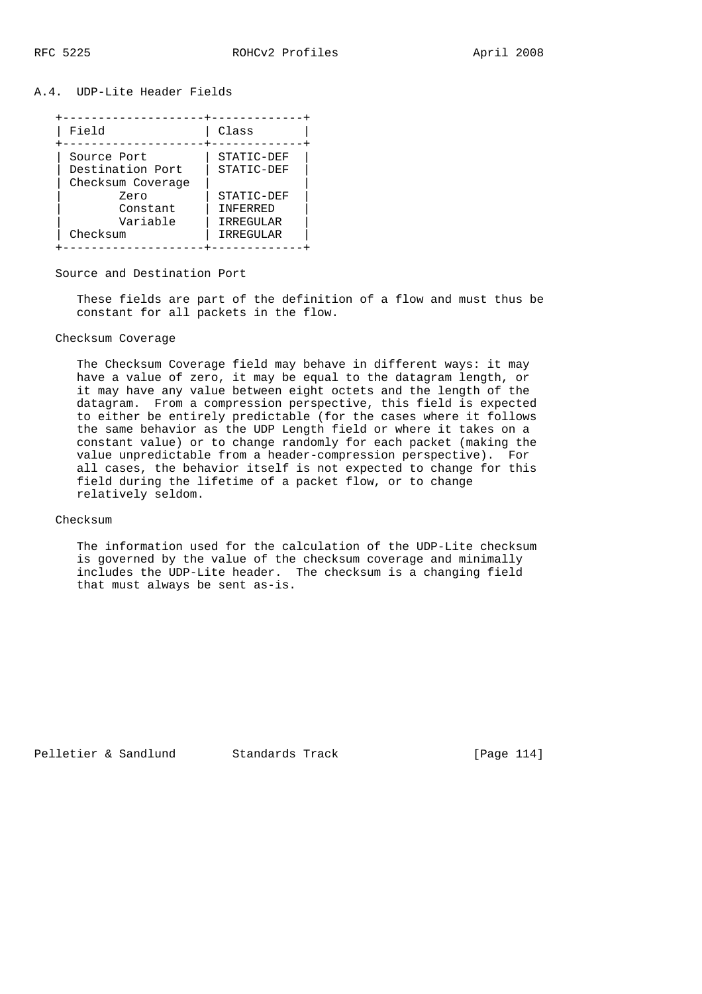## A.4. UDP-Lite Header Fields

| Field                                                        | Class                                     |
|--------------------------------------------------------------|-------------------------------------------|
| Source Port<br>Destination Port<br>Checksum Coverage<br>Zero | STATIC-DEF<br>STATIC-DEF<br>STATIC-DEF    |
| Constant<br>Variable<br>Checksum                             | <b>TNFFRRED</b><br>IRREGULAR<br>IRREGULAR |

#### Source and Destination Port

 These fields are part of the definition of a flow and must thus be constant for all packets in the flow.

# Checksum Coverage

 The Checksum Coverage field may behave in different ways: it may have a value of zero, it may be equal to the datagram length, or it may have any value between eight octets and the length of the datagram. From a compression perspective, this field is expected to either be entirely predictable (for the cases where it follows the same behavior as the UDP Length field or where it takes on a constant value) or to change randomly for each packet (making the value unpredictable from a header-compression perspective). For all cases, the behavior itself is not expected to change for this field during the lifetime of a packet flow, or to change relatively seldom.

# Checksum

 The information used for the calculation of the UDP-Lite checksum is governed by the value of the checksum coverage and minimally includes the UDP-Lite header. The checksum is a changing field that must always be sent as-is.

Pelletier & Sandlund Standards Track [Page 114]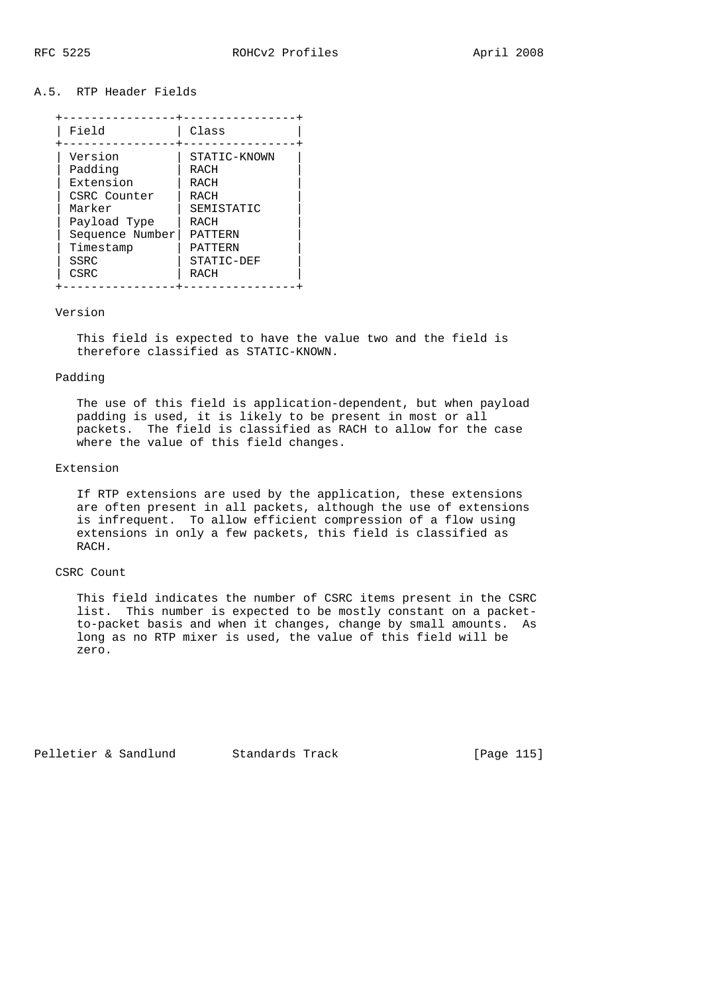## A.5. RTP Header Fields

| Field           | Class        |
|-----------------|--------------|
| Version         | STATIC-KNOWN |
| Padding         | <b>RACH</b>  |
| Extension       | RACH         |
| CSRC Counter    | RACH         |
| Marker          | SEMISTATIC   |
| Payload Type    | RACH         |
| Sequence Number | PATTERN      |
| Timestamp       | PATTERN      |
| SSRC            | STATIC-DEF   |
| CSRC            | RACH         |

#### Version

 This field is expected to have the value two and the field is therefore classified as STATIC-KNOWN.

## Padding

 The use of this field is application-dependent, but when payload padding is used, it is likely to be present in most or all packets. The field is classified as RACH to allow for the case where the value of this field changes.

# Extension

 If RTP extensions are used by the application, these extensions are often present in all packets, although the use of extensions is infrequent. To allow efficient compression of a flow using extensions in only a few packets, this field is classified as RACH.

## CSRC Count

 This field indicates the number of CSRC items present in the CSRC list. This number is expected to be mostly constant on a packet to-packet basis and when it changes, change by small amounts. As long as no RTP mixer is used, the value of this field will be zero.

Pelletier & Sandlund Standards Track [Page 115]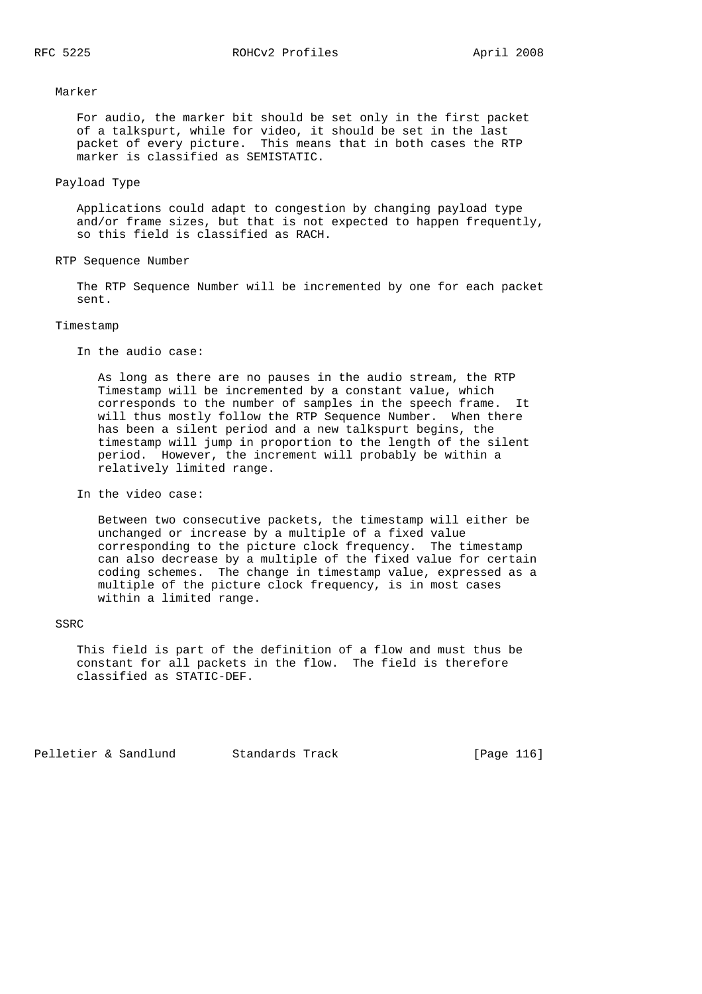Marker

 For audio, the marker bit should be set only in the first packet of a talkspurt, while for video, it should be set in the last packet of every picture. This means that in both cases the RTP marker is classified as SEMISTATIC.

## Payload Type

 Applications could adapt to congestion by changing payload type and/or frame sizes, but that is not expected to happen frequently, so this field is classified as RACH.

RTP Sequence Number

 The RTP Sequence Number will be incremented by one for each packet sent.

#### Timestamp

In the audio case:

 As long as there are no pauses in the audio stream, the RTP Timestamp will be incremented by a constant value, which corresponds to the number of samples in the speech frame. It will thus mostly follow the RTP Sequence Number. When there has been a silent period and a new talkspurt begins, the timestamp will jump in proportion to the length of the silent period. However, the increment will probably be within a relatively limited range.

In the video case:

 Between two consecutive packets, the timestamp will either be unchanged or increase by a multiple of a fixed value corresponding to the picture clock frequency. The timestamp can also decrease by a multiple of the fixed value for certain coding schemes. The change in timestamp value, expressed as a multiple of the picture clock frequency, is in most cases within a limited range.

# **SSRC**

 This field is part of the definition of a flow and must thus be constant for all packets in the flow. The field is therefore classified as STATIC-DEF.

Pelletier & Sandlund Standards Track [Page 116]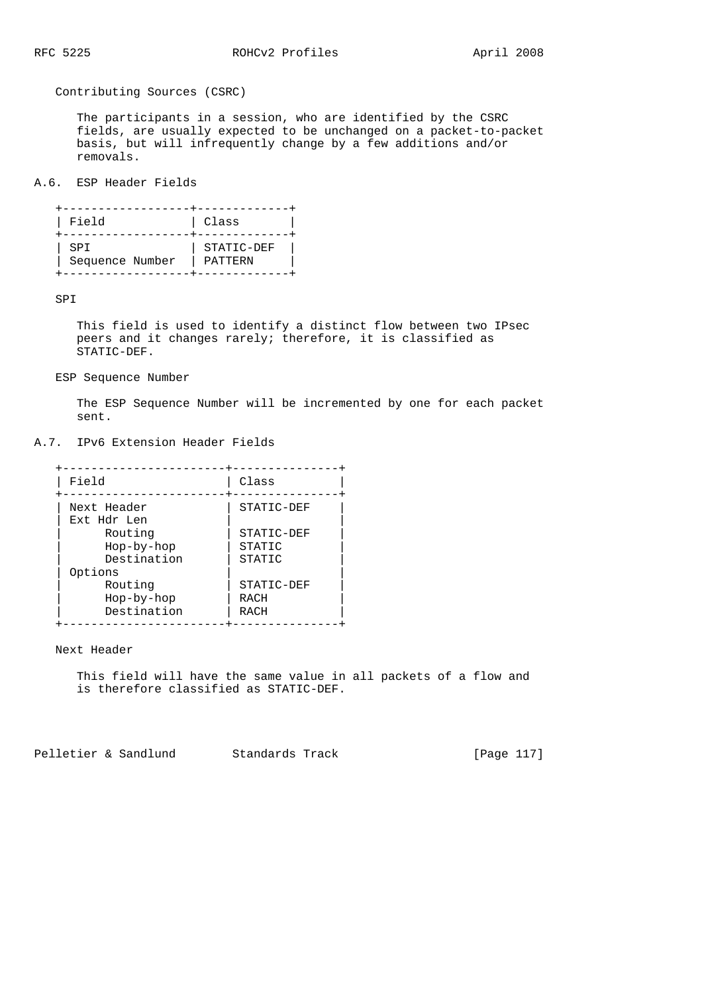Contributing Sources (CSRC)

 The participants in a session, who are identified by the CSRC fields, are usually expected to be unchanged on a packet-to-packet basis, but will infrequently change by a few additions and/or removals.

A.6. ESP Header Fields

| Field           | Class      |
|-----------------|------------|
| SPI             | STATIC-DEF |
| Sequence Number | PATTERN    |

SPI

 This field is used to identify a distinct flow between two IPsec peers and it changes rarely; therefore, it is classified as STATIC-DEF.

# ESP Sequence Number

 The ESP Sequence Number will be incremented by one for each packet sent.

# A.7. IPv6 Extension Header Fields

| Field       | Class      |
|-------------|------------|
| Next Header | STATIC-DEF |
| Ext Hdr Len |            |
| Routing     | STATIC-DEF |
| Hop-by-hop  | STATIC     |
| Destination | STATIC     |
| Options     |            |
| Routing     | STATIC-DEF |
| Hop-by-hop  | RACH       |
| Destination | RACH       |

Next Header

 This field will have the same value in all packets of a flow and is therefore classified as STATIC-DEF.

Pelletier & Sandlund Standards Track [Page 117]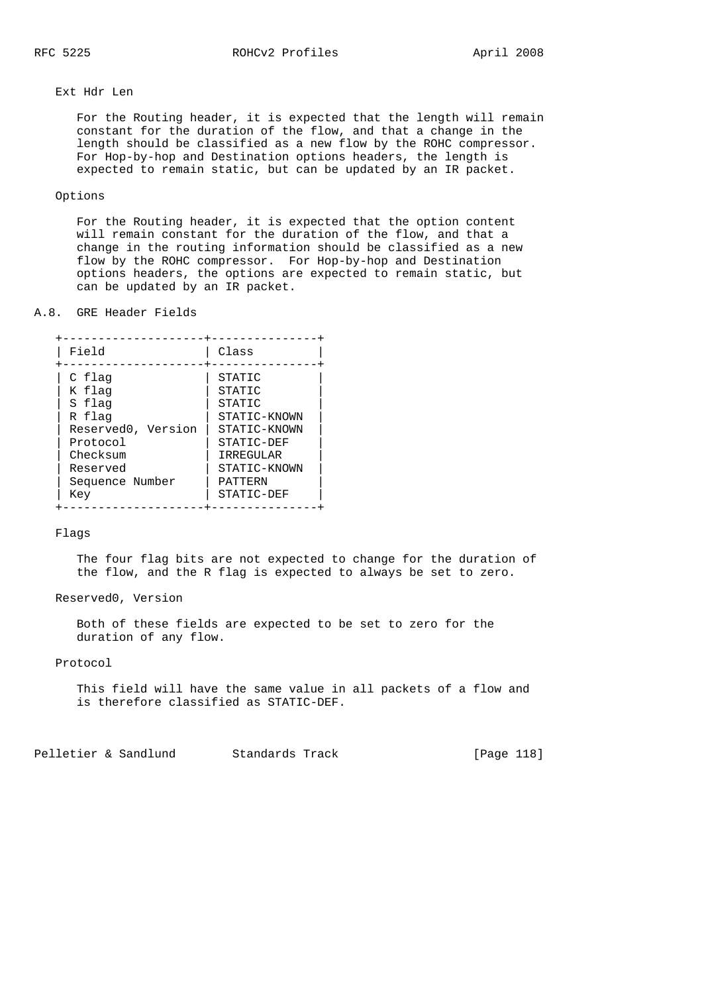# Ext Hdr Len

 For the Routing header, it is expected that the length will remain constant for the duration of the flow, and that a change in the length should be classified as a new flow by the ROHC compressor. For Hop-by-hop and Destination options headers, the length is expected to remain static, but can be updated by an IR packet.

# Options

 For the Routing header, it is expected that the option content will remain constant for the duration of the flow, and that a change in the routing information should be classified as a new flow by the ROHC compressor. For Hop-by-hop and Destination options headers, the options are expected to remain static, but can be updated by an IR packet.

#### A.8. GRE Header Fields

| Field              | Class        |
|--------------------|--------------|
| C flag             | STATIC       |
| K flag             | STATIC       |
| S flag             | STATIC       |
| R flag             | STATIC-KNOWN |
| Reserved0, Version | STATIC-KNOWN |
| Protocol           | STATIC-DEF   |
| Checksum           | IRREGULAR    |
| Reserved           | STATIC-KNOWN |
| Sequence Number    | PATTERN      |
| Key                | STATIC-DEF   |

### Flags

 The four flag bits are not expected to change for the duration of the flow, and the R flag is expected to always be set to zero.

Reserved0, Version

 Both of these fields are expected to be set to zero for the duration of any flow.

# Protocol

 This field will have the same value in all packets of a flow and is therefore classified as STATIC-DEF.

Pelletier & Sandlund Standards Track [Page 118]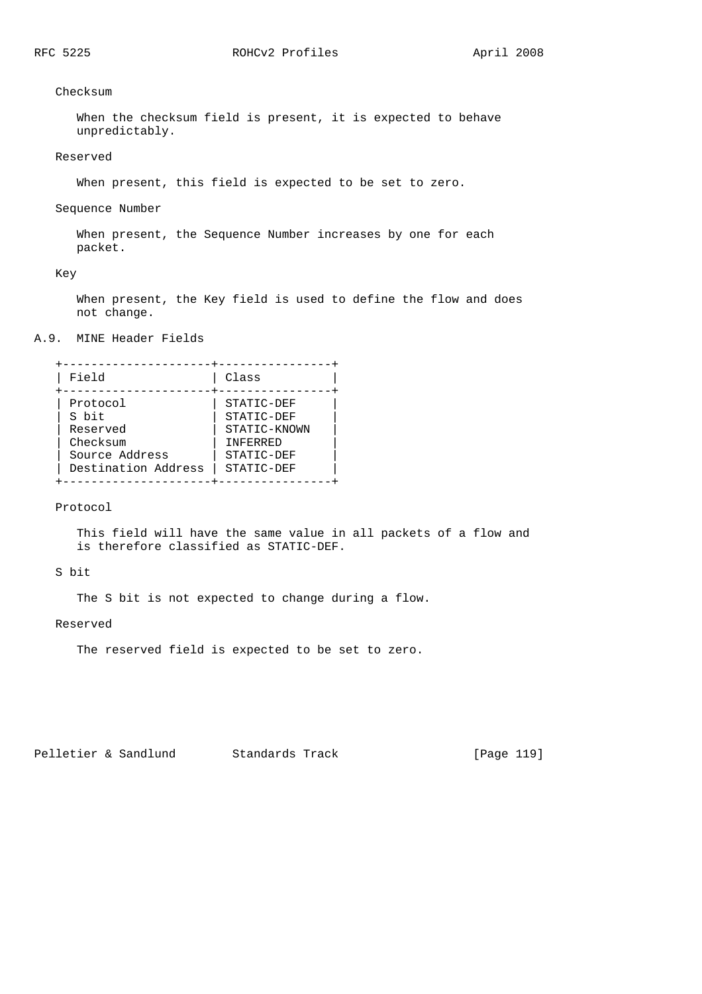Checksum

 When the checksum field is present, it is expected to behave unpredictably.

## Reserved

When present, this field is expected to be set to zero.

#### Sequence Number

 When present, the Sequence Number increases by one for each packet.

Key

 When present, the Key field is used to define the flow and does not change.

# A.9. MINE Header Fields

| Field               | Class            |
|---------------------|------------------|
| Protocol            | STATIC-DEF       |
| S bit               | STATIC-DEF       |
| Reserved            | STATIC-KNOWN     |
| Checksum            | <b>TNFFRRRED</b> |
| Source Address      | STATIC-DEF       |
| Destination Address | STATIC-DEF       |

Protocol

 This field will have the same value in all packets of a flow and is therefore classified as STATIC-DEF.

S bit

The S bit is not expected to change during a flow.

Reserved

The reserved field is expected to be set to zero.

Pelletier & Sandlund Standards Track [Page 119]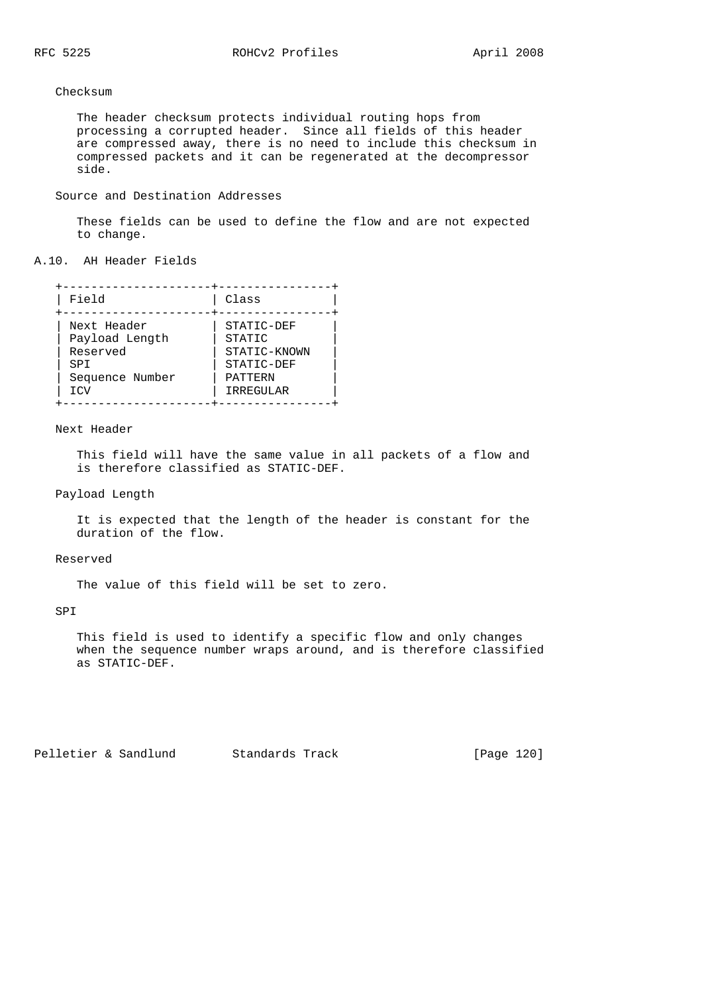# Checksum

 The header checksum protects individual routing hops from processing a corrupted header. Since all fields of this header are compressed away, there is no need to include this checksum in compressed packets and it can be regenerated at the decompressor side.

### Source and Destination Addresses

 These fields can be used to define the flow and are not expected to change.

### A.10. AH Header Fields

| Field           | Class        |
|-----------------|--------------|
| Next Header     | STATIC-DEF   |
| Payload Length  | STATIC       |
| Reserved        | STATIC-KNOWN |
| SPT             | STATIC-DEF   |
| Sequence Number | PATTERN      |
| <b>TCV</b>      | IRREGULAR    |

## Next Header

 This field will have the same value in all packets of a flow and is therefore classified as STATIC-DEF.

### Payload Length

 It is expected that the length of the header is constant for the duration of the flow.

#### Reserved

The value of this field will be set to zero.

## SPI

 This field is used to identify a specific flow and only changes when the sequence number wraps around, and is therefore classified as STATIC-DEF.

Pelletier & Sandlund Standards Track [Page 120]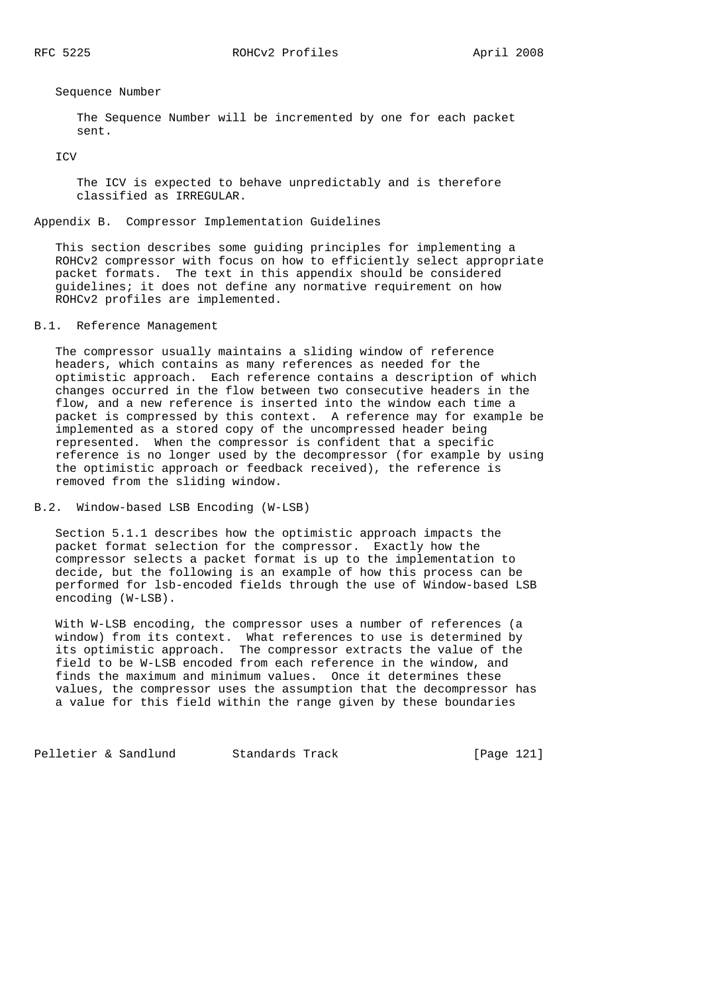Sequence Number

 The Sequence Number will be incremented by one for each packet sent.

**TCV** 

 The ICV is expected to behave unpredictably and is therefore classified as IRREGULAR.

# Appendix B. Compressor Implementation Guidelines

 This section describes some guiding principles for implementing a ROHCv2 compressor with focus on how to efficiently select appropriate packet formats. The text in this appendix should be considered guidelines; it does not define any normative requirement on how ROHCv2 profiles are implemented.

# B.1. Reference Management

 The compressor usually maintains a sliding window of reference headers, which contains as many references as needed for the optimistic approach. Each reference contains a description of which changes occurred in the flow between two consecutive headers in the flow, and a new reference is inserted into the window each time a packet is compressed by this context. A reference may for example be implemented as a stored copy of the uncompressed header being represented. When the compressor is confident that a specific reference is no longer used by the decompressor (for example by using the optimistic approach or feedback received), the reference is removed from the sliding window.

# B.2. Window-based LSB Encoding (W-LSB)

 Section 5.1.1 describes how the optimistic approach impacts the packet format selection for the compressor. Exactly how the compressor selects a packet format is up to the implementation to decide, but the following is an example of how this process can be performed for lsb-encoded fields through the use of Window-based LSB encoding (W-LSB).

 With W-LSB encoding, the compressor uses a number of references (a window) from its context. What references to use is determined by its optimistic approach. The compressor extracts the value of the field to be W-LSB encoded from each reference in the window, and finds the maximum and minimum values. Once it determines these values, the compressor uses the assumption that the decompressor has a value for this field within the range given by these boundaries

Pelletier & Sandlund Standards Track [Page 121]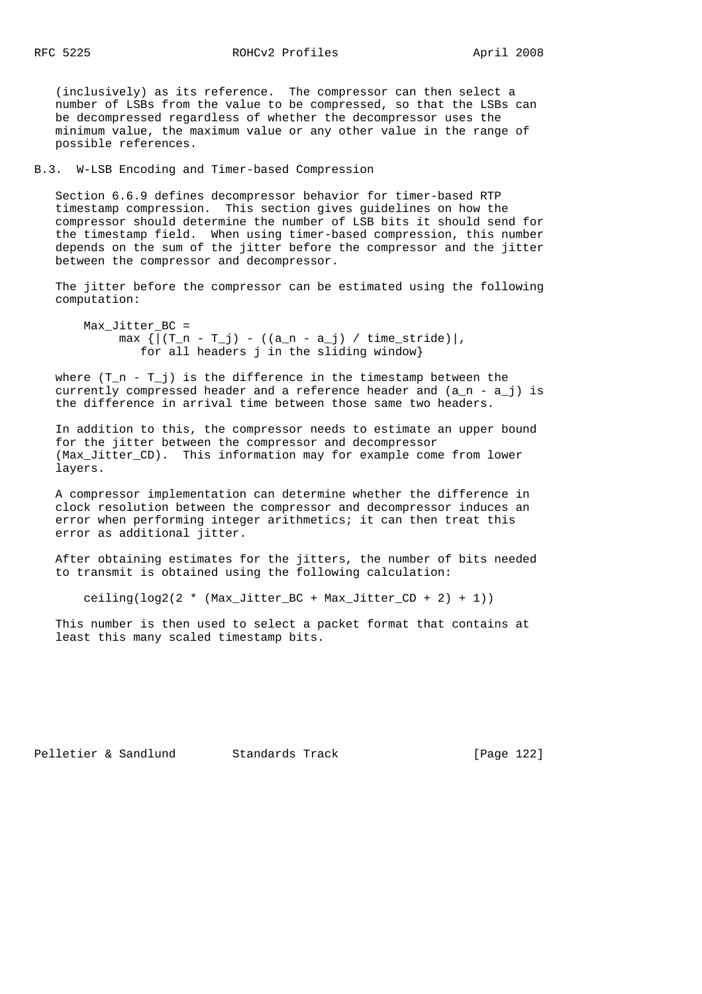(inclusively) as its reference. The compressor can then select a number of LSBs from the value to be compressed, so that the LSBs can be decompressed regardless of whether the decompressor uses the minimum value, the maximum value or any other value in the range of possible references.

B.3. W-LSB Encoding and Timer-based Compression

 Section 6.6.9 defines decompressor behavior for timer-based RTP timestamp compression. This section gives guidelines on how the compressor should determine the number of LSB bits it should send for the timestamp field. When using timer-based compression, this number depends on the sum of the jitter before the compressor and the jitter between the compressor and decompressor.

 The jitter before the compressor can be estimated using the following computation:

 Max\_Jitter\_BC =  $max \{ | (T_n - T_j) - ((a_n - a_j) / time_stride) | ,$ for all headers j in the sliding window}

where  $(T_n - T_j)$  is the difference in the timestamp between the currently compressed header and a reference header and  $(a_n - a_j)$  is the difference in arrival time between those same two headers.

 In addition to this, the compressor needs to estimate an upper bound for the jitter between the compressor and decompressor (Max\_Jitter\_CD). This information may for example come from lower layers.

 A compressor implementation can determine whether the difference in clock resolution between the compressor and decompressor induces an error when performing integer arithmetics; it can then treat this error as additional jitter.

 After obtaining estimates for the jitters, the number of bits needed to transmit is obtained using the following calculation:

ceiling( $\log(2(2 \cdot \text{Max_Jitter\_BC + Max_Jitter\_CD + 2) + 1))$ 

 This number is then used to select a packet format that contains at least this many scaled timestamp bits.

Pelletier & Sandlund Standards Track [Page 122]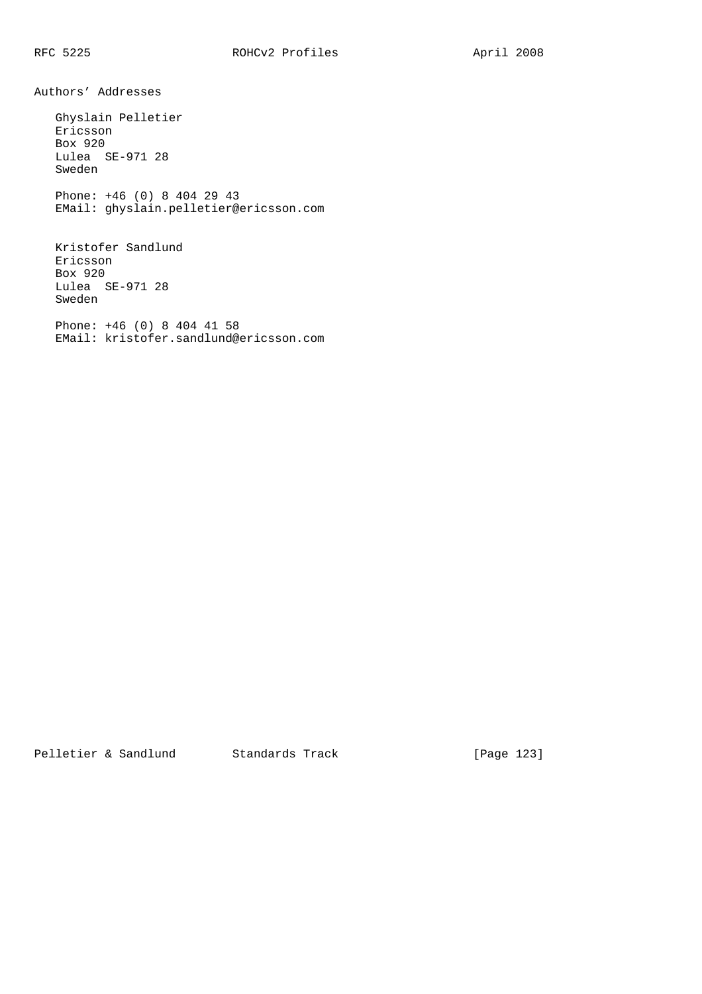Authors' Addresses

Sweden

 Ghyslain Pelletier Ericsson Box 920 Lulea SE-971 28 Sweden Phone: +46 (0) 8 404 29 43 EMail: ghyslain.pelletier@ericsson.com Kristofer Sandlund Ericsson Box 920 Lulea SE-971 28

 Phone: +46 (0) 8 404 41 58 EMail: kristofer.sandlund@ericsson.com

Pelletier & Sandlund Standards Track [Page 123]